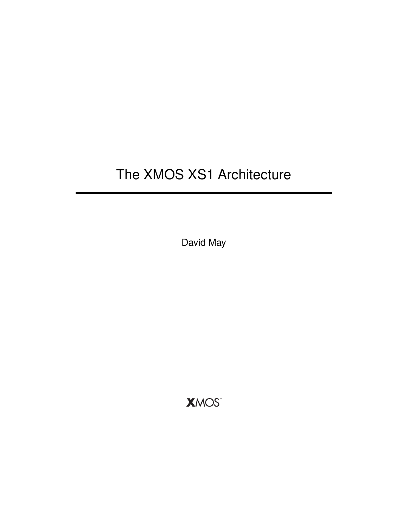# The XMOS XS1 Architecture

David May

**XMOS**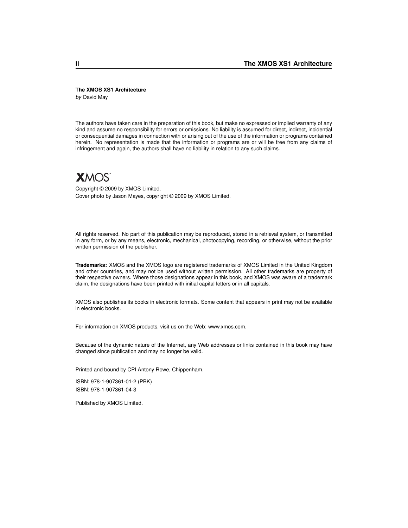#### **The XMOS XS1 Architecture**

*by* David May

The authors have taken care in the preparation of this book, but make no expressed or implied warranty of any kind and assume no responsibility for errors or omissions. No liability is assumed for direct, indirect, incidential or consequential damages in connection with or arising out of the use of the information or programs contained herein. No representation is made that the information or programs are or will be free from any claims of infringement and again, the authors shall have no liability in relation to any such claims.



Copyright © 2009 by XMOS Limited. Cover photo by Jason Mayes, copyright © 2009 by XMOS Limited.

All rights reserved. No part of this publication may be reproduced, stored in a retrieval system, or transmitted in any form, or by any means, electronic, mechanical, photocopying, recording, or otherwise, without the prior written permission of the publisher.

**Trademarks:** XMOS and the XMOS logo are registered trademarks of XMOS Limited in the United Kingdom and other countries, and may not be used without written permission. All other trademarks are property of their respective owners. Where those designations appear in this book, and XMOS was aware of a trademark claim, the designations have been printed with initial capital letters or in all capitals.

XMOS also publishes its books in electronic formats. Some content that appears in print may not be available in electronic books.

For information on XMOS products, visit us on the Web: www.xmos.com.

Because of the dynamic nature of the Internet, any Web addresses or links contained in this book may have changed since publication and may no longer be valid.

Printed and bound by CPI Antony Rowe, Chippenham.

ISBN: 978-1-907361-01-2 (PBK) ISBN: 978-1-907361-04-3

Published by XMOS Limited.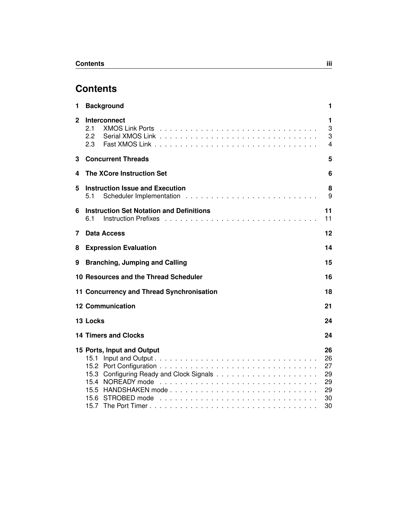# **Contents**

| 1            | <b>Background</b>                                      | 1                                            |
|--------------|--------------------------------------------------------|----------------------------------------------|
| $\mathbf{2}$ | Interconnect<br>2.1<br>$2.2^{\circ}$<br>2.3            | 1<br>3<br>3<br>4                             |
| 3            | <b>Concurrent Threads</b>                              | 5                                            |
| 4            | <b>The XCore Instruction Set</b>                       | 6                                            |
| 5            | <b>Instruction Issue and Execution</b><br>5.1          | 8<br>9                                       |
| 6            | <b>Instruction Set Notation and Definitions</b><br>6.1 | 11<br>11                                     |
| 7            | Data Access                                            | 12                                           |
| 8            | <b>Expression Evaluation</b>                           | 14                                           |
| 9            | <b>Branching, Jumping and Calling</b>                  | 15                                           |
|              | 10 Resources and the Thread Scheduler                  | 16                                           |
|              | 11 Concurrency and Thread Synchronisation              | 18                                           |
|              | <b>12 Communication</b>                                | 21                                           |
|              | 13 Locks                                               | 24                                           |
|              | <b>14 Timers and Clocks</b>                            | 24                                           |
|              | 15 Ports, Input and Output<br>15.1<br>15.2             | 26<br>26<br>27<br>29<br>29<br>29<br>30<br>30 |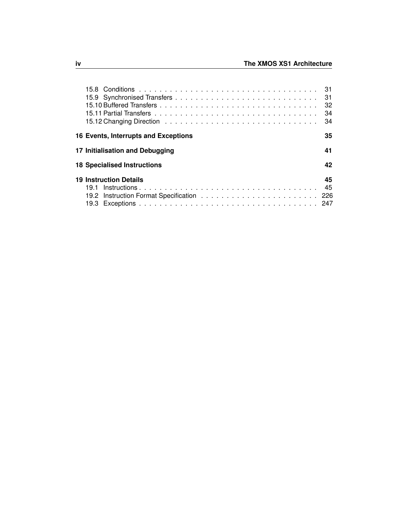|                                      | -31 |
|--------------------------------------|-----|
|                                      | 32  |
|                                      | 34  |
|                                      | 34  |
| 16 Events, Interrupts and Exceptions | 35  |
| 17 Initialisation and Debugging      | 41  |
| <b>18 Specialised Instructions</b>   | 42  |
| <b>19 Instruction Details</b>        | 45  |
|                                      | 45  |
|                                      |     |
|                                      |     |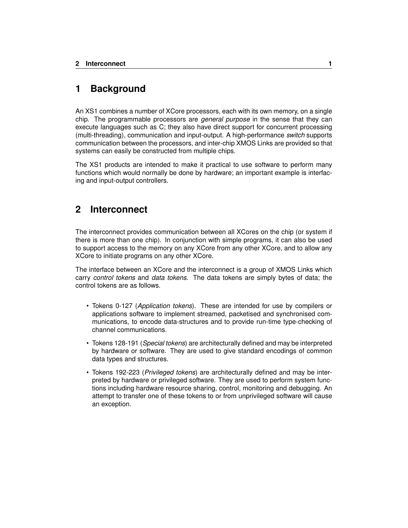# <span id="page-4-0"></span>**1 Background**

An XS1 combines a number of XCore processors, each with its own memory, on a single chip. The programmable processors are *general purpose* in the sense that they can execute languages such as C; they also have direct support for concurrent processing (multi-threading), communication and input-output. A high-performance *switch* supports communication between the processors, and inter-chip XMOS Links are provided so that systems can easily be constructed from multiple chips.

The XS1 products are intended to make it practical to use software to perform many functions which would normally be done by hardware; an important example is interfacing and input-output controllers.

# <span id="page-4-1"></span>**2 Interconnect**

The interconnect provides communication between all XCores on the chip (or system if there is more than one chip). In conjunction with simple programs, it can also be used to support access to the memory on any XCore from any other XCore, and to allow any XCore to initiate programs on any other XCore.

The interface between an XCore and the interconnect is a group of XMOS Links which carry *control tokens* and *data tokens*. The data tokens are simply bytes of data; the control tokens are as follows.

- Tokens 0-127 (*Application tokens*). These are intended for use by compilers or applications software to implement streamed, packetised and synchronised communications, to encode data-structures and to provide run-time type-checking of channel communications.
- Tokens 128-191 (*Special tokens*) are architecturally defined and may be interpreted by hardware or software. They are used to give standard encodings of common data types and structures.
- Tokens 192-223 (*Privileged tokens*) are architecturally defined and may be interpreted by hardware or privileged software. They are used to perform system functions including hardware resource sharing, control, monitoring and debugging. An attempt to transfer one of these tokens to or from unprivileged software will cause an exception.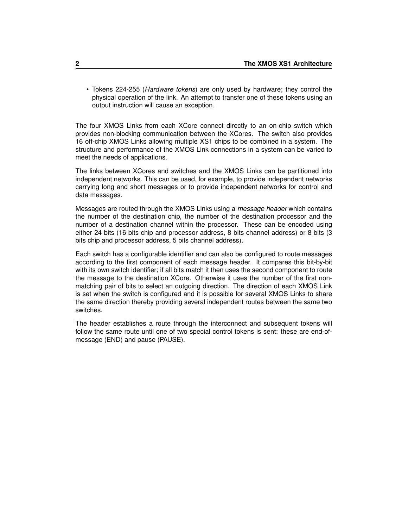• Tokens 224-255 (*Hardware tokens*) are only used by hardware; they control the physical operation of the link. An attempt to transfer one of these tokens using an output instruction will cause an exception.

The four XMOS Links from each XCore connect directly to an on-chip switch which provides non-blocking communication between the XCores. The switch also provides 16 off-chip XMOS Links allowing multiple XS1 chips to be combined in a system. The structure and performance of the XMOS Link connections in a system can be varied to meet the needs of applications.

The links between XCores and switches and the XMOS Links can be partitioned into independent networks. This can be used, for example, to provide independent networks carrying long and short messages or to provide independent networks for control and data messages.

Messages are routed through the XMOS Links using a *message header* which contains the number of the destination chip, the number of the destination processor and the number of a destination channel within the processor. These can be encoded using either 24 bits (16 bits chip and processor address, 8 bits channel address) or 8 bits (3 bits chip and processor address, 5 bits channel address).

Each switch has a configurable identifier and can also be configured to route messages according to the first component of each message header. It compares this bit-by-bit with its own switch identifier; if all bits match it then uses the second component to route the message to the destination XCore. Otherwise it uses the number of the first nonmatching pair of bits to select an outgoing direction. The direction of each XMOS Link is set when the switch is configured and it is possible for several XMOS Links to share the same direction thereby providing several independent routes between the same two switches.

The header establishes a route through the interconnect and subsequent tokens will follow the same route until one of two special control tokens is sent: these are end-ofmessage (END) and pause (PAUSE).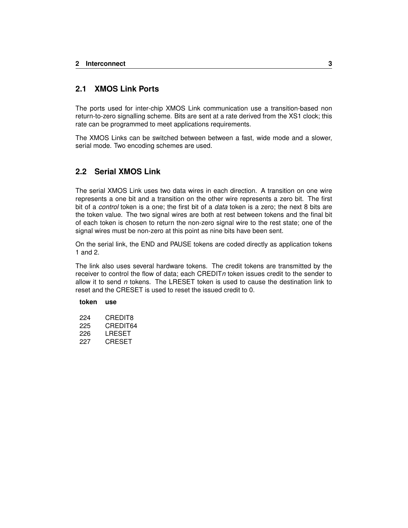#### <span id="page-6-0"></span>**2.1 XMOS Link Ports**

The ports used for inter-chip XMOS Link communication use a transition-based non return-to-zero signalling scheme. Bits are sent at a rate derived from the XS1 clock; this rate can be programmed to meet applications requirements.

The XMOS Links can be switched between between a fast, wide mode and a slower, serial mode. Two encoding schemes are used.

#### <span id="page-6-1"></span>**2.2 Serial XMOS Link**

The serial XMOS Link uses two data wires in each direction. A transition on one wire represents a one bit and a transition on the other wire represents a zero bit. The first bit of a *control* token is a one; the first bit of a *data* token is a zero; the next 8 bits are the token value. The two signal wires are both at rest between tokens and the final bit of each token is chosen to return the non-zero signal wire to the rest state; one of the signal wires must be non-zero at this point as nine bits have been sent.

On the serial link, the END and PAUSE tokens are coded directly as application tokens 1 and 2.

The link also uses several hardware tokens. The credit tokens are transmitted by the receiver to control the flow of data; each CREDIT*n* token issues credit to the sender to allow it to send *n* tokens. The LRESET token is used to cause the destination link to reset and the CRESET is used to reset the issued credit to 0.

#### **token use**

224 CREDIT8 225 CREDIT64 226 LRESET 227 CRESET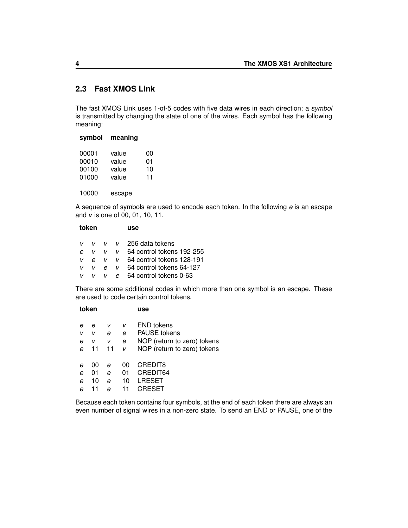### <span id="page-7-0"></span>**2.3 Fast XMOS Link**

The fast XMOS Link uses 1-of-5 codes with five data wires in each direction; a *symbol* is transmitted by changing the state of one of the wires. Each symbol has the following meaning:

| symbol | meaning |    |
|--------|---------|----|
| 00001  | value   | 00 |
| 00010  | value   | 01 |
| 00100  | value   | 10 |
| 01000  | value   | 11 |
|        |         |    |
| 10000  | escape  |    |

A sequence of symbols are used to encode each token. In the following *e* is an escape and *v* is one of 00, 01, 10, 11.

| token |    | use |  |                                       |
|-------|----|-----|--|---------------------------------------|
|       |    |     |  | $V$ v v v 256 data tokens             |
| e     |    |     |  | $V$ $V$ $V$ 64 control tokens 192-255 |
| V     |    |     |  | $e$ v v 64 control tokens 128-191     |
| v     | V. |     |  | $e \times 64$ control tokens 64-127   |
| v.    |    |     |  | $v$ e 64 control tokens 0-63          |

There are some additional codes in which more than one symbol is an escape. These are used to code certain control tokens.

| token |         |        | use                         |
|-------|---------|--------|-----------------------------|
|       |         |        | <b>END tokens</b>           |
|       |         |        |                             |
| v     | е       | е      | <b>PAUSE</b> tokens         |
| v     | v       | е      | NOP (return to zero) tokens |
| 11    | 11      | v      | NOP (return to zero) tokens |
|       |         |        | CREDIT8                     |
|       |         |        |                             |
| 01    | е       | 01     | CREDIT64                    |
| 10    | е       | 10     | LRESET                      |
| 11    | е       |        | CRESET                      |
|       | е<br>00 | v<br>е | v<br>იი                     |

Because each token contains four symbols, at the end of each token there are always an even number of signal wires in a non-zero state. To send an END or PAUSE, one of the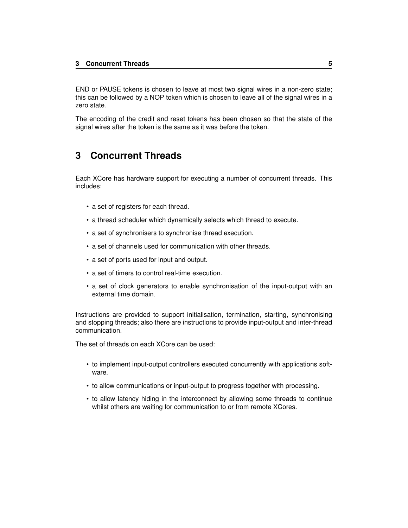END or PAUSE tokens is chosen to leave at most two signal wires in a non-zero state; this can be followed by a NOP token which is chosen to leave all of the signal wires in a zero state.

The encoding of the credit and reset tokens has been chosen so that the state of the signal wires after the token is the same as it was before the token.

# <span id="page-8-0"></span>**3 Concurrent Threads**

Each XCore has hardware support for executing a number of concurrent threads. This includes:

- a set of registers for each thread.
- a thread scheduler which dynamically selects which thread to execute.
- a set of synchronisers to synchronise thread execution.
- a set of channels used for communication with other threads.
- a set of ports used for input and output.
- a set of timers to control real-time execution.
- a set of clock generators to enable synchronisation of the input-output with an external time domain.

Instructions are provided to support initialisation, termination, starting, synchronising and stopping threads; also there are instructions to provide input-output and inter-thread communication.

The set of threads on each XCore can be used:

- to implement input-output controllers executed concurrently with applications software.
- to allow communications or input-output to progress together with processing.
- to allow latency hiding in the interconnect by allowing some threads to continue whilst others are waiting for communication to or from remote XCores.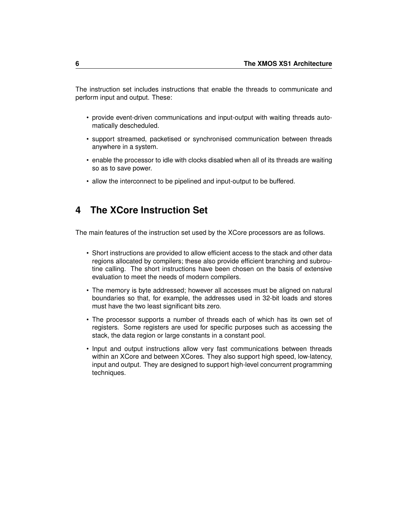The instruction set includes instructions that enable the threads to communicate and perform input and output. These:

- provide event-driven communications and input-output with waiting threads automatically descheduled.
- support streamed, packetised or synchronised communication between threads anywhere in a system.
- enable the processor to idle with clocks disabled when all of its threads are waiting so as to save power.
- allow the interconnect to be pipelined and input-output to be buffered.

# <span id="page-9-0"></span>**4 The XCore Instruction Set**

The main features of the instruction set used by the XCore processors are as follows.

- Short instructions are provided to allow efficient access to the stack and other data regions allocated by compilers; these also provide efficient branching and subroutine calling. The short instructions have been chosen on the basis of extensive evaluation to meet the needs of modern compilers.
- The memory is byte addressed; however all accesses must be aligned on natural boundaries so that, for example, the addresses used in 32-bit loads and stores must have the two least significant bits zero.
- The processor supports a number of threads each of which has its own set of registers. Some registers are used for specific purposes such as accessing the stack, the data region or large constants in a constant pool.
- Input and output instructions allow very fast communications between threads within an XCore and between XCores. They also support high speed, low-latency, input and output. They are designed to support high-level concurrent programming techniques.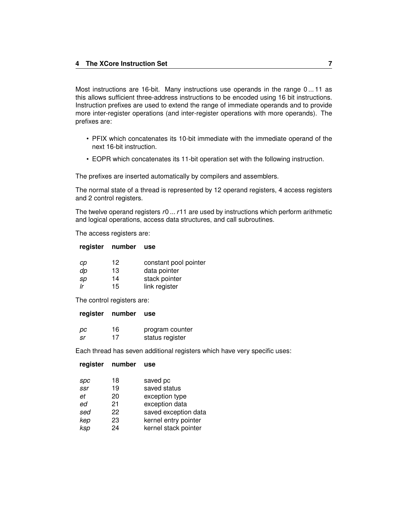Most instructions are 16-bit. Many instructions use operands in the range 0 ... 11 as this allows sufficient three-address instructions to be encoded using 16 bit instructions. Instruction prefixes are used to extend the range of immediate operands and to provide more inter-register operations (and inter-register operations with more operands). The prefixes are:

- PFIX which concatenates its 10-bit immediate with the immediate operand of the next 16-bit instruction.
- EOPR which concatenates its 11-bit operation set with the following instruction.

The prefixes are inserted automatically by compilers and assemblers.

The normal state of a thread is represented by 12 operand registers, 4 access registers and 2 control registers.

The twelve operand registers *r*0 ...*r*11 are used by instructions which perform arithmetic and logical operations, access data structures, and call subroutines.

The access registers are:

#### **register number use**

| cp | 12 | constant pool pointer |
|----|----|-----------------------|
| dp | 13 | data pointer          |
| sp | 14 | stack pointer         |
| Ir | 15 | link register         |

The control registers are:

| register number use |  |
|---------------------|--|
|                     |  |

| pс | 16 | program counter |
|----|----|-----------------|
| sr | 17 | status register |

Each thread has seven additional registers which have very specific uses:

| number<br>use        |
|----------------------|
|                      |
| saved pc             |
| saved status         |
| exception type       |
| exception data       |
| saved exception data |
| kernel entry pointer |
| kernel stack pointer |
|                      |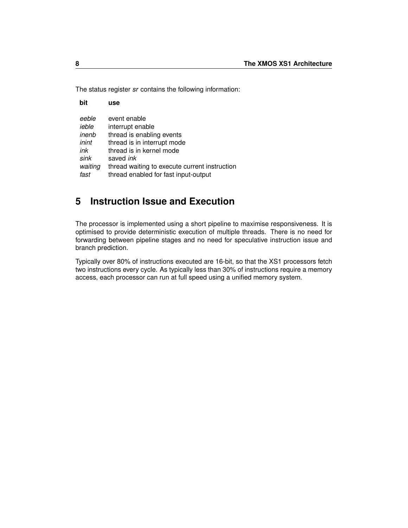The status register *sr* contains the following information:

| bit     | use                                           |
|---------|-----------------------------------------------|
| eeble   | event enable                                  |
| ieble   | interrupt enable                              |
| inenb   | thread is enabling events                     |
| inint   | thread is in interrupt mode                   |
| ink     | thread is in kernel mode                      |
| sink    | saved <i>ink</i>                              |
| waiting | thread waiting to execute current instruction |
| fast    | thread enabled for fast input-output          |

# <span id="page-11-0"></span>**5 Instruction Issue and Execution**

The processor is implemented using a short pipeline to maximise responsiveness. It is optimised to provide deterministic execution of multiple threads. There is no need for forwarding between pipeline stages and no need for speculative instruction issue and branch prediction.

Typically over 80% of instructions executed are 16-bit, so that the XS1 processors fetch two instructions every cycle. As typically less than 30% of instructions require a memory access, each processor can run at full speed using a unified memory system.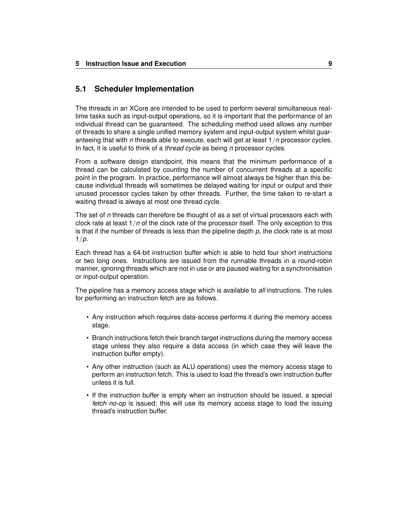#### <span id="page-12-0"></span>**5.1 Scheduler Implementation**

The threads in an XCore are intended to be used to perform several simultaneous realtime tasks such as input-output operations, so it is important that the performance of an individual thread can be guaranteed. The scheduling method used allows any number of threads to share a single unified memory system and input-output system whilst guaranteeing that with *n* threads able to execute, each will get at least 1/*n* processor cycles. In fact, it is useful to think of a *thread cycle* as being *n* processor cycles.

From a software design standpoint, this means that the minimum performance of a thread can be calculated by counting the number of concurrent threads at a specific point in the program. In practice, performance will almost always be higher than this because individual threads will sometimes be delayed waiting for input or output and their unused processor cycles taken by other threads. Further, the time taken to re-start a waiting thread is always at most one thread cycle.

The set of *n* threads can therefore be thought of as a set of virtual processors each with clock rate at least 1/*n* of the clock rate of the processor itself. The only exception to this is that if the number of threads is less than the pipeline depth *p*, the clock rate is at most 1/*p*.

Each thread has a 64-bit instruction buffer which is able to hold four short instructions or two long ones. Instructions are issued from the runnable threads in a round-robin manner, ignoring threads which are not in use or are paused waiting for a synchronisation or input-output operation.

The pipeline has a memory access stage which is available to *all* instructions. The rules for performing an instruction fetch are as follows.

- Any instruction which requires data-access performs it during the memory access stage.
- Branch instructions fetch their branch target instructions during the memory access stage unless they also require a data access (in which case they will leave the instruction buffer empty).
- Any other instruction (such as ALU operations) uses the memory access stage to perform an instruction fetch. This is used to load the thread's own instruction buffer unless it is full.
- If the instruction buffer is empty when an instruction should be issued, a special *fetch no-op* is issued; this will use its memory access stage to load the issuing thread's instruction buffer.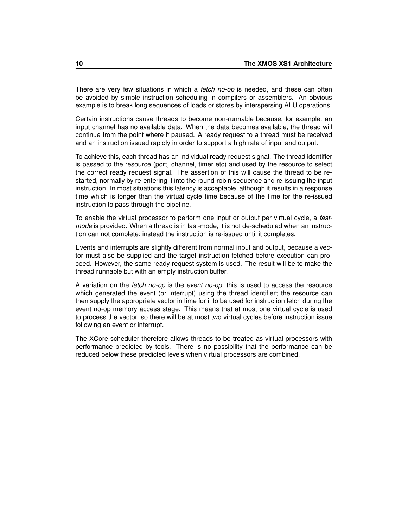There are very few situations in which a *fetch no-op* is needed, and these can often be avoided by simple instruction scheduling in compilers or assemblers. An obvious example is to break long sequences of loads or stores by interspersing ALU operations.

Certain instructions cause threads to become non-runnable because, for example, an input channel has no available data. When the data becomes available, the thread will continue from the point where it paused. A ready request to a thread must be received and an instruction issued rapidly in order to support a high rate of input and output.

To achieve this, each thread has an individual ready request signal. The thread identifier is passed to the resource (port, channel, timer etc) and used by the resource to select the correct ready request signal. The assertion of this will cause the thread to be restarted, normally by re-entering it into the round-robin sequence and re-issuing the input instruction. In most situations this latency is acceptable, although it results in a response time which is longer than the virtual cycle time because of the time for the re-issued instruction to pass through the pipeline.

To enable the virtual processor to perform one input or output per virtual cycle, a *fastmode* is provided. When a thread is in fast-mode, it is not de-scheduled when an instruction can not complete; instead the instruction is re-issued until it completes.

Events and interrupts are slightly different from normal input and output, because a vector must also be supplied and the target instruction fetched before execution can proceed. However, the same ready request system is used. The result will be to make the thread runnable but with an empty instruction buffer.

A variation on the *fetch no-op* is the *event no-op*; this is used to access the resource which generated the event (or interrupt) using the thread identifier; the resource can then supply the appropriate vector in time for it to be used for instruction fetch during the event no-op memory access stage. This means that at most one virtual cycle is used to process the vector, so there will be at most two virtual cycles before instruction issue following an event or interrupt.

The XCore scheduler therefore allows threads to be treated as virtual processors with performance predicted by tools. There is no possibility that the performance can be reduced below these predicted levels when virtual processors are combined.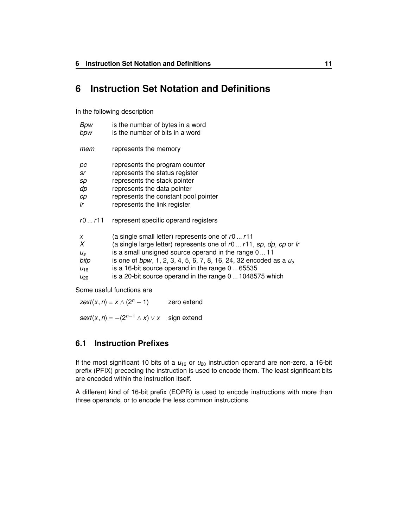# <span id="page-14-0"></span>**6 Instruction Set Notation and Definitions**

In the following description

| Bpw         | is the number of bytes in a word                                        |
|-------------|-------------------------------------------------------------------------|
| bpw         | is the number of bits in a word                                         |
| mem         | represents the memory                                                   |
| pс          | represents the program counter                                          |
| sr          | represents the status register                                          |
| sp          | represents the stack pointer                                            |
| dp          | represents the data pointer                                             |
| cр          | represents the constant pool pointer                                    |
| Ir          | represents the link register                                            |
| r0r11       | represent specific operand registers                                    |
| x           | (a single small letter) represents one of $r0r11$                       |
| X           | (a single large letter) represents one of r0 r11, sp, dp, cp or Ir      |
| $U_{\rm S}$ | is a small unsigned source operand in the range 011                     |
| bitp        | is one of $bpw$ , 1, 2, 3, 4, 5, 6, 7, 8, 16, 24, 32 encoded as a $u_s$ |
| $U_{16}$    | is a 16-bit source operand in the range $0 \dots 65535$                 |
| $U_{20}$    | is a 20-bit source operand in the range 0 1048575 which                 |

Some useful functions are

*zext*(*x*, *n*) =  $x \wedge (2^n - 1)$  zero extend

 $sext(x, n) = -(2^{n-1} \wedge x) \vee x$  sign extend

#### <span id="page-14-1"></span>**6.1 Instruction Prefixes**

If the most significant 10 bits of a  $u_{16}$  or  $u_{20}$  instruction operand are non-zero, a 16-bit prefix (PFIX) preceding the instruction is used to encode them. The least significant bits are encoded within the instruction itself.

A different kind of 16-bit prefix (EOPR) is used to encode instructions with more than three operands, or to encode the less common instructions.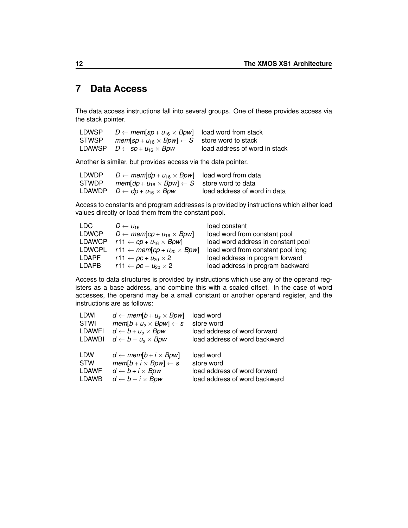# <span id="page-15-0"></span>**7 Data Access**

The data access instructions fall into several groups. One of these provides access via the stack pointer.

| LDWSP | $D \leftarrow \textit{mem}$ sp + $u_{16} \times Bpw$ load word from stack                       |                               |
|-------|-------------------------------------------------------------------------------------------------|-------------------------------|
| STWSP | <i>mem[sp + u</i> <sub>16</sub> $\times$ <i>Bpw</i> ] $\leftarrow$ <i>S</i> store word to stack |                               |
|       | LDAWSP $D \leftarrow sp + u_{16} \times Bpw$                                                    | load address of word in stack |

Another is similar, but provides access via the data pointer.

| LDWDP | $D \leftarrow \text{mem}[dp + u_{16} \times Bpw]$ load word from data     |                              |
|-------|---------------------------------------------------------------------------|------------------------------|
| STWDP | <i>mem</i> [ $dp + u_{16} \times Bpw$ ] $\leftarrow$ S store word to data |                              |
|       | LDAWDP $D \leftarrow dp + u_{16} \times Bpw$                              | load address of word in data |

Access to constants and program addresses is provided by instructions which either load values directly or load them from the constant pool.

| LDC.   | $D \leftarrow \mu_{16}$                                 | load constant                      |
|--------|---------------------------------------------------------|------------------------------------|
| LDWCP  | $D \leftarrow \text{mem[cp} + u_{16} \times Bpw$        | load word from constant pool       |
| LDAWCP | r11 $\leftarrow$ cp + u <sub>16</sub> $\times$ Bpw]     | load word address in constant pool |
| LDWCPL | r11 $\leftarrow$ mem[cp + u <sub>20</sub> $\times$ Bpw] | load word from constant pool long  |
| LDAPF  | $r11 \leftarrow pc + u_{20} \times 2$                   | load address in program forward    |
| LDAPB  | $r11 \leftarrow pc - u_{20} \times 2$                   | load address in program backward   |

Access to data structures is provided by instructions which use any of the operand registers as a base address, and combine this with a scaled offset. In the case of word accesses, the operand may be a small constant or another operand register, and the instructions are as follows:

| LDWI          | $d \leftarrow \textit{mem}[b + u_s \times Bpw]$        | load word                     |
|---------------|--------------------------------------------------------|-------------------------------|
| STWI          | $mem[b + u_s \times Bpw] \leftarrow s$                 | store word                    |
| LDAWFI        | $d \leftarrow b + u_s \times Bpw$                      | load address of word forward  |
| <b>LDAWBI</b> | $d \leftarrow b - u_s \times B \rho w$                 | load address of word backward |
| <b>LDW</b>    | $d \leftarrow \textit{mem}[b + i \times \textit{Bpw}]$ | load word                     |
| <b>STW</b>    | $mem[b + i \times Bpw] \leftarrow s$                   | store word                    |
| LDAWF         | $d \leftarrow b + i \times Bpw$                        | load address of word forward  |
| <b>LDAWB</b>  | $d \leftarrow b - i \times Bpw$                        | load address of word backward |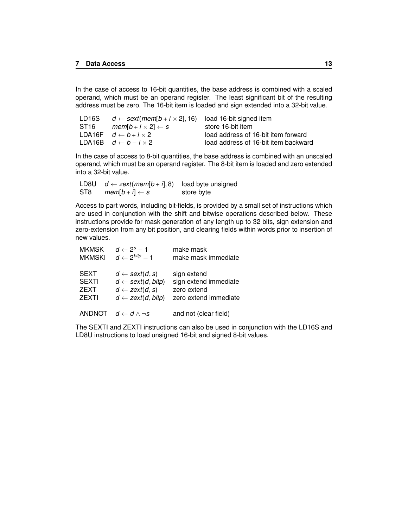In the case of access to 16-bit quantities, the base address is combined with a scaled operand, which must be an operand register. The least significant bit of the resulting address must be zero. The 16-bit item is loaded and sign extended into a 32-bit value.

| LD16S            | $d \leftarrow sext(mem[b + i \times 2], 16)$ | load 16-bit signed item              |
|------------------|----------------------------------------------|--------------------------------------|
| ST <sub>16</sub> | $mem[b + i \times 2] \leftarrow s$           | store 16-bit item                    |
|                  | LDA16F $d \leftarrow b + i \times 2$         | load address of 16-bit item forward  |
|                  | LDA16B $d \leftarrow b - i \times 2$         | load address of 16-bit item backward |

In the case of access to 8-bit quantities, the base address is combined with an unscaled operand, which must be an operand register. The 8-bit item is loaded and zero extended into a 32-bit value.

|     | LD8U $d \leftarrow zext(mem[b + i], 8)$ load byte unsigned |            |
|-----|------------------------------------------------------------|------------|
| ST8 | $mem[b + i] \leftarrow s$                                  | store byte |

Access to part words, including bit-fields, is provided by a small set of instructions which are used in conjunction with the shift and bitwise operations described below. These instructions provide for mask generation of any length up to 32 bits, sign extension and zero-extension from any bit position, and clearing fields within words prior to insertion of new values.

| <b>MKMSK</b>  | $d \leftarrow 2^s - 1$                     | make mask             |
|---------------|--------------------------------------------|-----------------------|
| <b>MKMSKI</b> | $d \leftarrow 2^{bity} - 1$                | make mask immediate   |
| <b>SEXT</b>   | $d \leftarrow \text{sext}(d, s)$           | sign extend           |
| <b>SEXTI</b>  | $d \leftarrow \text{sext}(d, \text{bitp})$ | sign extend immediate |
| <b>ZEXT</b>   | $d \leftarrow zext(d, s)$                  | zero extend           |
| <b>ZEXTI</b>  | $d \leftarrow zext(d, bitp)$               | zero extend immediate |
| <b>ANDNOT</b> | $d \leftarrow d \wedge \neg s$             | and not (clear field) |

The SEXTI and ZEXTI instructions can also be used in conjunction with the LD16S and LD8U instructions to load unsigned 16-bit and signed 8-bit values.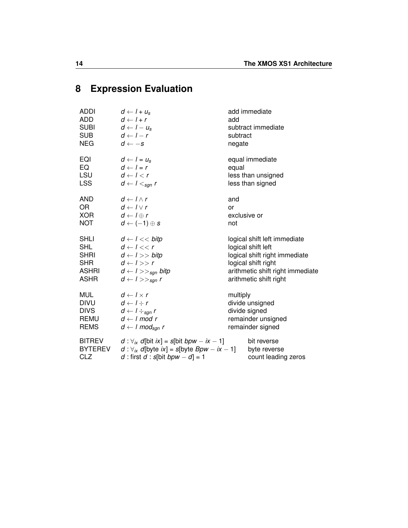# <span id="page-17-0"></span>**8 Expression Evaluation**

| <b>ADDI</b><br>ADD<br><b>SUBI</b><br><b>SUB</b><br><b>NEG</b>   | $d \leftarrow l + u_s$<br>$d \leftarrow l + r$<br>$d \leftarrow l - u_s$<br>$d \leftarrow l - r$<br>$d \leftarrow -s$                                    | add<br>subtract<br>negate | add immediate<br>subtract immediate                                        |
|-----------------------------------------------------------------|----------------------------------------------------------------------------------------------------------------------------------------------------------|---------------------------|----------------------------------------------------------------------------|
| EQI<br>EQ<br><b>LSU</b><br><b>LSS</b>                           | $d \leftarrow l = u_s$<br>$d \leftarrow l = r$<br>$d \leftarrow l < r$<br>$d \leftarrow l <_{\text{sgn}} r$                                              | equal                     | equal immediate<br>less than unsigned<br>less than signed                  |
| AND                                                             | $d \leftarrow l \wedge r$                                                                                                                                | and                       |                                                                            |
| <b>OR</b>                                                       | $d \leftarrow l \vee r$                                                                                                                                  | or                        |                                                                            |
| <b>XOR</b>                                                      | $d \leftarrow l \oplus r$                                                                                                                                | exclusive or              |                                                                            |
| <b>NOT</b>                                                      | $d \leftarrow (-1) \oplus s$                                                                                                                             | not                       |                                                                            |
| <b>SHLI</b>                                                     | $d \leftarrow l \leftarrow$ bitp                                                                                                                         |                           | logical shift left immediate                                               |
| <b>SHL</b>                                                      | $d \leftarrow l \ll r$                                                                                                                                   |                           | logical shift left                                                         |
| <b>SHRI</b>                                                     | $d \leftarrow l >> bitp$                                                                                                                                 |                           | logical shift right immediate                                              |
| <b>SHR</b>                                                      | $d \leftarrow l >> r$                                                                                                                                    |                           | logical shift right                                                        |
| ASHRI                                                           | $d \leftarrow l \rightarrow >_{\text{sgn}}$ bitp                                                                                                         |                           | arithmetic shift right immediate                                           |
| <b>ASHR</b>                                                     | $d \leftarrow l \gg_{sgn} r$                                                                                                                             |                           | arithmetic shift right                                                     |
| <b>MUL</b><br><b>DIVU</b><br><b>DIVS</b><br>REMU<br><b>REMS</b> | $d \leftarrow l \times r$<br>$d \leftarrow l \div r$<br>$d \leftarrow l \div_{sgn} r$<br>$d \leftarrow l \mod r$<br>$d \leftarrow l \mod_{\text{sgn}} r$ | multiply                  | divide unsigned<br>divide signed<br>remainder unsigned<br>remainder signed |
| <b>BITREV</b>                                                   | $d: \forall_{ix} d$ [bit $ix$ ] = s[bit bpw – $ix - 1$ ]                                                                                                 |                           | bit reverse                                                                |
| <b>BYTEREV</b>                                                  | $d: \forall_{ix} d$ [byte $ix$ ] = s[byte Bpw – $ix - 1$ ]                                                                                               |                           | byte reverse                                                               |
| CLZ                                                             | d : first $d$ : $s[bit\; bpw - d] = 1$                                                                                                                   |                           | count leading zeros                                                        |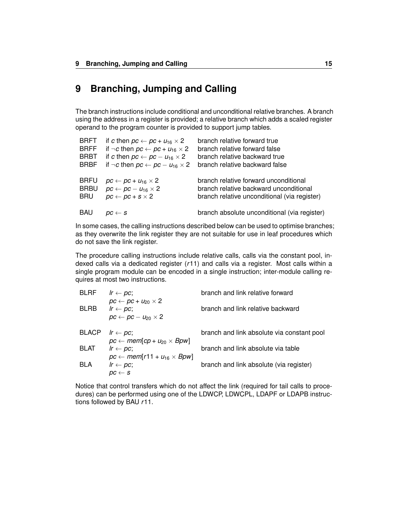# <span id="page-18-0"></span>**9 Branching, Jumping and Calling**

The branch instructions include conditional and unconditional relative branches. A branch using the address in a register is provided; a relative branch which adds a scaled register operand to the program counter is provided to support jump tables.

| <b>BRFT</b> | if c then $pc \leftarrow pc + u_{16} \times 2$        | branch relative forward true                 |
|-------------|-------------------------------------------------------|----------------------------------------------|
| <b>BRFF</b> | if $\neg c$ then $pc \leftarrow pc + u_{16} \times 2$ | branch relative forward false                |
| <b>BRBT</b> | if c then $pc \leftarrow pc - u_{16} \times 2$        | branch relative backward true                |
| <b>BRBF</b> | if $\neg c$ then $pc \leftarrow pc - u_{16} \times 2$ | branch relative backward false               |
| <b>BRFU</b> | $pc \leftarrow pc + u_{16} \times 2$                  | branch relative forward unconditional        |
| <b>BRBU</b> | $pc \leftarrow pc - u_{16} \times 2$                  | branch relative backward unconditional       |
| <b>BRU</b>  | $pc \leftarrow pc + s \times 2$                       | branch relative unconditional (via register) |
| <b>BAU</b>  | $\mathit{DC} \leftarrow S$                            | branch absolute unconditional (via register) |

In some cases, the calling instructions described below can be used to optimise branches; as they overwrite the link register they are not suitable for use in leaf procedures which do not save the link register.

The procedure calling instructions include relative calls, calls via the constant pool, indexed calls via a dedicated register (*r*11) and calls via a register. Most calls within a single program module can be encoded in a single instruction; inter-module calling requires at most two instructions.

| <b>BLRF</b>  | $Ir \leftarrow \textit{pc};$                                                                         | branch and link relative forward           |
|--------------|------------------------------------------------------------------------------------------------------|--------------------------------------------|
| <b>BLRB</b>  | $pc \leftarrow pc + u_{20} \times 2$<br>$Ir \leftarrow pc$ ;<br>$pc \leftarrow pc - u_{20} \times 2$ | branch and link relative backward          |
| <b>BLACP</b> | $Ir \leftarrow DC$<br>$pc \leftarrow \textit{mem}[\textit{cp} + u_{20} \times \textit{Bpw}]$         | branch and link absolute via constant pool |
| <b>BLAT</b>  | $Ir \leftarrow pc$ ;<br>$pc \leftarrow \textit{mem}[r11 + u_{16} \times Bpw]$                        | branch and link absolute via table         |
| <b>BLA</b>   | $Ir \leftarrow pc;$<br>$\textit{DC} \leftarrow \textit{S}$                                           | branch and link absolute (via register)    |

Notice that control transfers which do not affect the link (required for tail calls to procedures) can be performed using one of the LDWCP, LDWCPL, LDAPF or LDAPB instructions followed by BAU *r*11.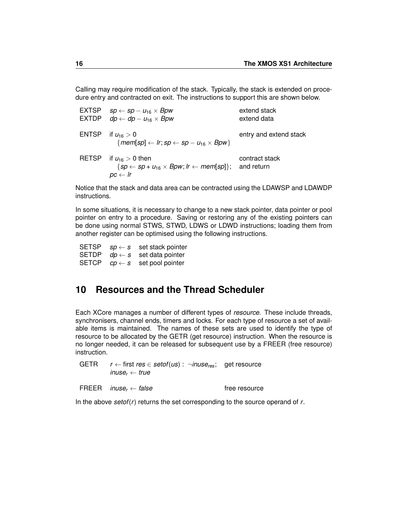Calling may require modification of the stack. Typically, the stack is extended on procedure entry and contracted on exit. The instructions to support this are shown below.

|              | EXTSP $sp \leftarrow sp - u_{16} \times Bpw$<br>EXTDP $dp \leftarrow dp - u_{16} \times Bpw$                                       | extend stack<br>extend data  |
|--------------|------------------------------------------------------------------------------------------------------------------------------------|------------------------------|
| ENTSP        | if $u_{16}>0$<br>${rem[sp] \leftarrow lr; sp \leftarrow sp - u_{16} \times Bpw}$                                                   | entry and extend stack       |
| <b>RETSP</b> | if $u_{16} > 0$ then<br>$\{sp \leftarrow sp + u_{16} \times Bpw; lr \leftarrow mem[sp]\};$<br>$\mathit{pc} \leftarrow \mathit{lr}$ | contract stack<br>and return |

Notice that the stack and data area can be contracted using the LDAWSP and LDAWDP instructions.

In some situations, it is necessary to change to a new stack pointer, data pointer or pool pointer on entry to a procedure. Saving or restoring any of the existing pointers can be done using normal STWS, STWD, LDWS or LDWD instructions; loading them from another register can be optimised using the following instructions.

SETSP  $sp \leftarrow s$  set stack pointer<br>SETDP  $dp \leftarrow s$  set data pointer  $dp \leftarrow s$  set data pointer SETCP  $\mathcal{CD} \leftarrow \mathcal{S}$  set pool pointer

# <span id="page-19-0"></span>**10 Resources and the Thread Scheduler**

Each XCore manages a number of different types of *resource*. These include threads, synchronisers, channel ends, timers and locks. For each type of resource a set of available items is maintained. The names of these sets are used to identify the type of resource to be allocated by the GETR (get resource) instruction. When the resource is no longer needed, it can be released for subsequent use by a FREER (free resource) instruction.

| GETR $r \leftarrow$ first res $\in$ setof(us) : $\neg$ inuse <sub>res</sub> ; get resource |  |  |
|--------------------------------------------------------------------------------------------|--|--|
| inuse, $\leftarrow$ true                                                                   |  |  |

| FREER <i>inuse<sub>r</sub></i> $\leftarrow$ false | free resource |
|---------------------------------------------------|---------------|
|                                                   |               |

In the above *setof*(*r*) returns the set corresponding to the source operand of *r*.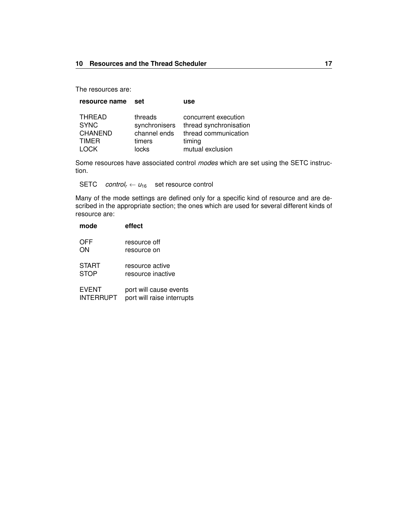The resources are:

| resource name  | set           | use                    |
|----------------|---------------|------------------------|
| <b>THREAD</b>  | threads       | concurrent execution   |
| <b>SYNC</b>    | synchronisers | thread synchronisation |
| <b>CHANEND</b> | channel ends  | thread communication   |
| <b>TIMER</b>   | timers        | timing                 |
| . OC.K         | locks         | mutual exclusion       |

Some resources have associated control *modes* which are set using the SETC instruction.

SETC *control<sub>r</sub>*  $\leftarrow u_{16}$  set resource control

Many of the mode settings are defined only for a specific kind of resource and are described in the appropriate section; the ones which are used for several different kinds of resource are:

| mode         | effect                     |
|--------------|----------------------------|
| OFF          | resource off               |
| ON           | resource on                |
| <b>START</b> | resource active            |
| <b>STOP</b>  | resource inactive          |
| <b>EVENT</b> | port will cause events     |
| INTERRUPT    | port will raise interrupts |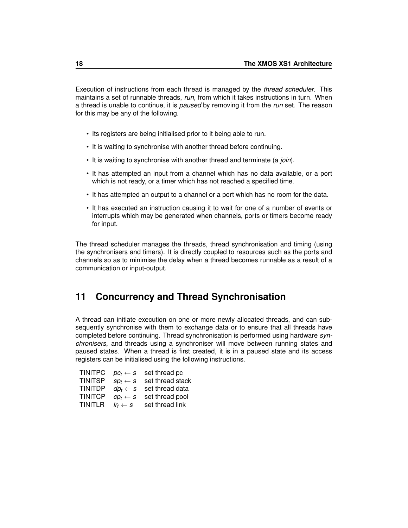Execution of instructions from each thread is managed by the *thread scheduler*. This maintains a set of runnable threads, *run*, from which it takes instructions in turn. When a thread is unable to continue, it is *paused* by removing it from the *run* set. The reason for this may be any of the following.

- Its registers are being initialised prior to it being able to run.
- It is waiting to synchronise with another thread before continuing.
- It is waiting to synchronise with another thread and terminate (a *join*).
- It has attempted an input from a channel which has no data available, or a port which is not ready, or a timer which has not reached a specified time.
- It has attempted an output to a channel or a port which has no room for the data.
- It has executed an instruction causing it to wait for one of a number of events or interrupts which may be generated when channels, ports or timers become ready for input.

The thread scheduler manages the threads, thread synchronisation and timing (using the synchronisers and timers). It is directly coupled to resources such as the ports and channels so as to minimise the delay when a thread becomes runnable as a result of a communication or input-output.

# <span id="page-21-0"></span>**11 Concurrency and Thread Synchronisation**

A thread can initiate execution on one or more newly allocated threads, and can subsequently synchronise with them to exchange data or to ensure that all threads have completed before continuing. Thread synchronisation is performed using hardware *synchronisers*, and threads using a synchroniser will move between running states and paused states. When a thread is first created, it is in a paused state and its access registers can be initialised using the following instructions.

| <b>TINITPC</b> | $\mathit{DC}_t \leftarrow S$              | set thread pc    |
|----------------|-------------------------------------------|------------------|
| <b>TINITSP</b> | $\textit{SD}_\textit{f} \gets \textit{S}$ | set thread stack |
| <b>TINITDP</b> | $dp_t \leftarrow s$                       | set thread data  |
| <b>TINITCP</b> | $CD_t \leftarrow S$                       | set thread pool  |
| <b>TINITLR</b> | $Ir_t \leftarrow s$                       | set thread link  |
|                |                                           |                  |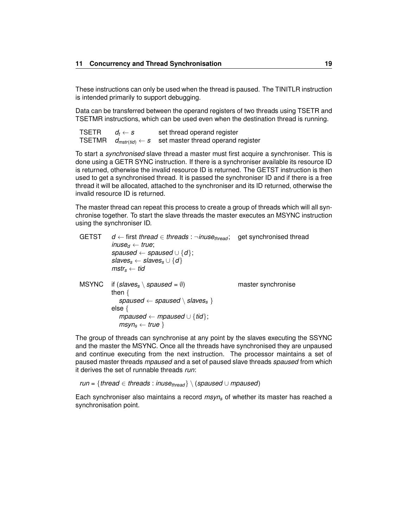These instructions can only be used when the thread is paused. The TINITLR instruction is intended primarily to support debugging.

Data can be transferred between the operand registers of two threads using TSETR and TSETMR instructions, which can be used even when the destination thread is running.

| <b>TSETR</b> | $a_t \leftarrow s$ | set thread operand register                                     |
|--------------|--------------------|-----------------------------------------------------------------|
| TSETMR       |                    | $d_{mstr(tid)} \leftarrow s$ set master thread operand register |

To start a *synchronised* slave thread a master must first acquire a synchroniser. This is done using a GETR SYNC instruction. If there is a synchroniser available its resource ID is returned, otherwise the invalid resource ID is returned. The GETST instruction is then used to get a synchronised thread. It is passed the synchroniser ID and if there is a free thread it will be allocated, attached to the synchroniser and its ID returned, otherwise the invalid resource ID is returned.

The master thread can repeat this process to create a group of threads which will all synchronise together. To start the slave threads the master executes an MSYNC instruction using the synchroniser ID.

| <b>GETST</b> | $d \leftarrow$ first thread $\in$ threads : $\neg$ inuse <sub>thread</sub> ;<br>inuse <sub>d</sub> $\leftarrow$ true;<br>spaused $\leftarrow$ spaused $\cup$ {d};<br>slaves <sub>s</sub> $\leftarrow$ slaves <sub>s</sub> $\cup$ {d}<br>$mstr_{s} \leftarrow tid$ | get synchronised thread |
|--------------|-------------------------------------------------------------------------------------------------------------------------------------------------------------------------------------------------------------------------------------------------------------------|-------------------------|
| MSYNC        | if (slaves <sub>s</sub> \ spaused = $\emptyset$ )<br>then $\{$<br>spaused $\leftarrow$ spaused \ slaves <sub>s</sub> }<br>else $\{$<br>mpaused $\leftarrow$ mpaused $\cup$ {tid};<br>$msyn_s \leftarrow true$                                                     | master synchronise      |

The group of threads can synchronise at any point by the slaves executing the SSYNC and the master the MSYNC. Once all the threads have synchronised they are unpaused and continue executing from the next instruction. The processor maintains a set of paused master threads *mpaused* and a set of paused slave threads *spaused* from which it derives the set of runnable threads *run*:

*run* = {*thread* ∈ *threads* : *inuse<sub>thread</sub>*  $\setminus$  (*spaused* ∪ *mpaused*)

Each synchroniser also maintains a record *msyn<sup>s</sup>* of whether its master has reached a synchronisation point.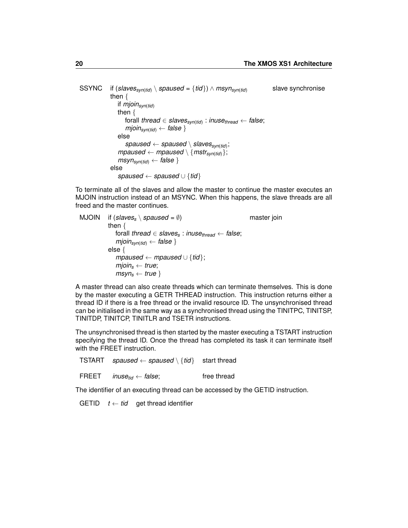SSYNC if (*slavessyn*(*tid*) \ *spaused* = {*tid*}) ∧ *msynsyn*(*tid*) slave synchronise then { if *mjoinsyn*(*tid*) then { forall *thread* ∈ *slavessyn*(*tid*) : *inusethread* ← *false*; *mjoinsyn*(*tid*) ← *false* } else *spaused* ← *spaused* \ *slavessyn*(*tid*) ;  $mpaused \leftarrow mpaused \setminus \{mstr_{syn(tid)}\};$  $msyn_{syn(tid)} \leftarrow false$ else *spaused* ← *spaused* ∪ {*tid*}

To terminate all of the slaves and allow the master to continue the master executes an MJOIN instruction instead of an MSYNC. When this happens, the slave threads are all freed and the master continues.

```
MJOIN if (s\vert a \vert \text{ves}_{s} \setminus spa \vert \text{vse}_{s} = \emptyset) master join
then {
   forall thread ∈ slavess : inusethread ← false;
   mjoin<sub>syn(tid)</sub> ← false }
else {
   mpaused ← mpaused ∪ {tid};
   mjoins ← true;
   msyns ← true }
```
A master thread can also create threads which can terminate themselves. This is done by the master executing a GETR THREAD instruction. This instruction returns either a thread ID if there is a free thread or the invalid resource ID. The unsynchronised thread can be initialised in the same way as a synchronised thread using the TINITPC, TINITSP, TINITDP, TINITCP, TINITLR and TSETR instructions.

The unsynchronised thread is then started by the master executing a TSTART instruction specifying the thread ID. Once the thread has completed its task it can terminate itself with the FREET instruction.

TSTART *spaused* ← *spaused* \ {*tid*} start thread

FREET *inusetid* ← *false*; free thread

The identifier of an executing thread can be accessed by the GETID instruction.

GETID  $t \leftarrow tid$  get thread identifier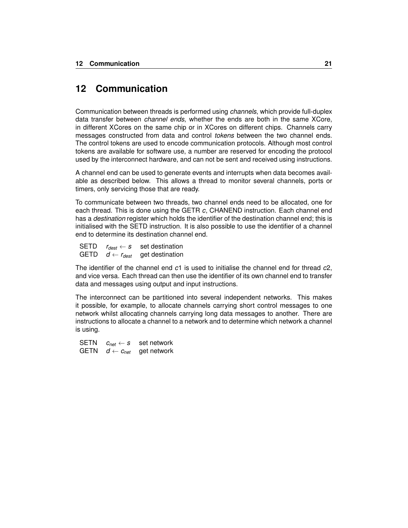# <span id="page-24-0"></span>**12 Communication**

Communication between threads is performed using *channels*, which provide full-duplex data transfer between *channel ends*, whether the ends are both in the same XCore, in different XCores on the same chip or in XCores on different chips. Channels carry messages constructed from data and control *tokens* between the two channel ends. The control tokens are used to encode communication protocols. Although most control tokens are available for software use, a number are reserved for encoding the protocol used by the interconnect hardware, and can not be sent and received using instructions.

A channel end can be used to generate events and interrupts when data becomes available as described below. This allows a thread to monitor several channels, ports or timers, only servicing those that are ready.

To communicate between two threads, two channel ends need to be allocated, one for each thread. This is done using the GETR *c*, CHANEND instruction. Each channel end has a *destination* register which holds the identifier of the destination channel end; this is initialised with the SETD instruction. It is also possible to use the identifier of a channel end to determine its destination channel end.

| SETD | $r_{dest} \leftarrow s$ | set destination                              |
|------|-------------------------|----------------------------------------------|
|      |                         | GETD $d \leftarrow r_{dest}$ get destination |

The identifier of the channel end *c*1 is used to initialise the channel end for thread *c*2, and vice versa. Each thread can then use the identifier of its own channel end to transfer data and messages using output and input instructions.

The interconnect can be partitioned into several independent networks. This makes it possible, for example, to allocate channels carrying short control messages to one network whilst allocating channels carrying long data messages to another. There are instructions to allocate a channel to a network and to determine which network a channel is using.

| <b>SETN</b> | $c_{net} \leftarrow s$ | set network                        |
|-------------|------------------------|------------------------------------|
| GETN        |                        | $d \leftarrow c_{net}$ get network |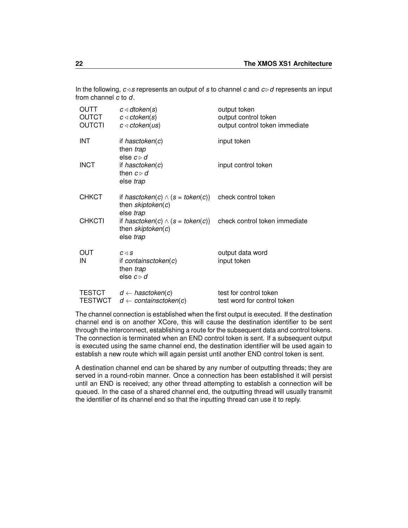In the following,  $c \triangleleft s$  represents an output of *s* to channel *c* and  $c \triangleright d$  represents an input from channel *c* to *d*.

| <b>OUTT</b><br><b>OUTCT</b><br><b>OUTCTI</b> | $c \triangleleft dtoken(s)$<br>$c \triangleleft c$ token $(s)$<br>$c \triangleleft c$ token(us) | output token<br>output control token<br>output control token immediate |
|----------------------------------------------|-------------------------------------------------------------------------------------------------|------------------------------------------------------------------------|
| INT                                          | if hasctoken(c)<br>then trap<br>else $c \triangleright d$                                       | input token                                                            |
| <b>INCT</b>                                  | if hasctoken $(c)$<br>then $c \triangleright d$<br>else trap                                    | input control token                                                    |
| <b>CHKCT</b>                                 | if hasctoken(c) $\wedge$ (s = token(c))<br>then skiptoken(c)<br>else trap                       | check control token                                                    |
| <b>CHKCTI</b>                                | if hasctoken(c) $\wedge$ (s = token(c))<br>then skiptoken(c)<br>else trap                       | check control token immediate                                          |
| OUT<br>IN                                    | $C \triangleleft S$<br>if containsctoken $(c)$<br>then <i>trap</i><br>else $c \triangleright d$ | output data word<br>input token                                        |
| <b>TESTCT</b><br><b>TESTWCT</b>              | $d \leftarrow$ hasctoken(c)<br>$d \leftarrow$ containsctoken(c)                                 | test for control token<br>test word for control token                  |

The channel connection is established when the first output is executed. If the destination channel end is on another XCore, this will cause the destination identifier to be sent through the interconnect, establishing a route for the subsequent data and control tokens. The connection is terminated when an END control token is sent. If a subsequent output is executed using the same channel end, the destination identifier will be used again to establish a new route which will again persist until another END control token is sent.

A destination channel end can be shared by any number of outputting threads; they are served in a round-robin manner. Once a connection has been established it will persist until an END is received; any other thread attempting to establish a connection will be queued. In the case of a shared channel end, the outputting thread will usually transmit the identifier of its channel end so that the inputting thread can use it to reply.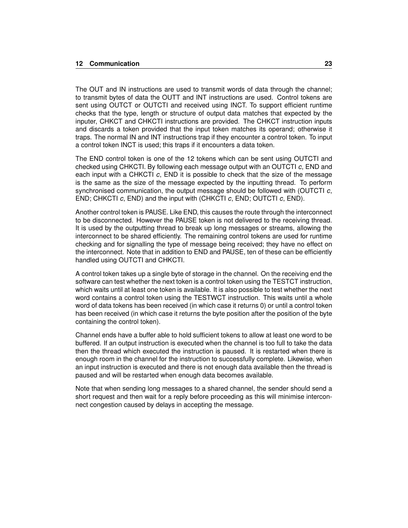The OUT and IN instructions are used to transmit words of data through the channel; to transmit bytes of data the OUTT and INT instructions are used. Control tokens are sent using OUTCT or OUTCTI and received using INCT. To support efficient runtime checks that the type, length or structure of output data matches that expected by the inputer, CHKCT and CHKCTI instructions are provided. The CHKCT instruction inputs and discards a token provided that the input token matches its operand; otherwise it traps. The normal IN and INT instructions trap if they encounter a control token. To input a control token INCT is used; this traps if it encounters a data token.

The END control token is one of the 12 tokens which can be sent using OUTCTI and checked using CHKCTI. By following each message output with an OUTCTI *c*, END and each input with a CHKCTI *c*, END it is possible to check that the size of the message is the same as the size of the message expected by the inputting thread. To perform synchronised communication, the output message should be followed with (OUTCTI *c*, END; CHKCTI *c*, END) and the input with (CHKCTI *c*, END; OUTCTI *c*, END).

Another control token is PAUSE. Like END, this causes the route through the interconnect to be disconnected. However the PAUSE token is not delivered to the receiving thread. It is used by the outputting thread to break up long messages or streams, allowing the interconnect to be shared efficiently. The remaining control tokens are used for runtime checking and for signalling the type of message being received; they have no effect on the interconnect. Note that in addition to END and PAUSE, ten of these can be efficiently handled using OUTCTI and CHKCTI.

A control token takes up a single byte of storage in the channel. On the receiving end the software can test whether the next token is a control token using the TESTCT instruction, which waits until at least one token is available. It is also possible to test whether the next word contains a control token using the TESTWCT instruction. This waits until a whole word of data tokens has been received (in which case it returns 0) or until a control token has been received (in which case it returns the byte position after the position of the byte containing the control token).

Channel ends have a buffer able to hold sufficient tokens to allow at least one word to be buffered. If an output instruction is executed when the channel is too full to take the data then the thread which executed the instruction is paused. It is restarted when there is enough room in the channel for the instruction to successfully complete. Likewise, when an input instruction is executed and there is not enough data available then the thread is paused and will be restarted when enough data becomes available.

Note that when sending long messages to a shared channel, the sender should send a short request and then wait for a reply before proceeding as this will minimise interconnect congestion caused by delays in accepting the message.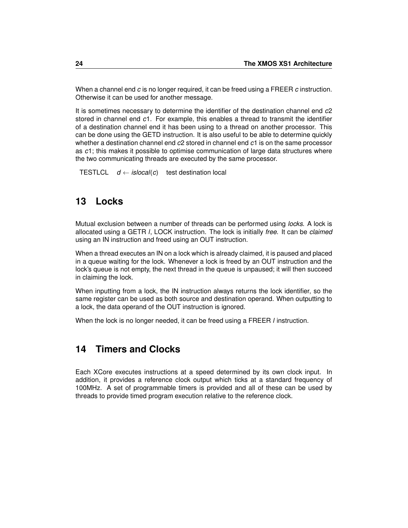When a channel end *c* is no longer required, it can be freed using a FREER *c* instruction. Otherwise it can be used for another message.

It is sometimes necessary to determine the identifier of the destination channel end *c*2 stored in channel end *c*1. For example, this enables a thread to transmit the identifier of a destination channel end it has been using to a thread on another processor. This can be done using the GETD instruction. It is also useful to be able to determine quickly whether a destination channel end *c*2 stored in channel end *c*1 is on the same processor as *c*1; this makes it possible to optimise communication of large data structures where the two communicating threads are executed by the same processor.

```
TESTLCL d \leftarrow \text{islocal}(c) test destination local
```
# <span id="page-27-0"></span>**13 Locks**

Mutual exclusion between a number of threads can be performed using *locks*. A lock is allocated using a GETR *l*, LOCK instruction. The lock is initially *free*. It can be *claimed* using an IN instruction and freed using an OUT instruction.

When a thread executes an IN on a lock which is already claimed, it is paused and placed in a queue waiting for the lock. Whenever a lock is freed by an OUT instruction and the lock's queue is not empty, the next thread in the queue is unpaused; it will then succeed in claiming the lock.

When inputting from a lock, the IN instruction always returns the lock identifier, so the same register can be used as both source and destination operand. When outputting to a lock, the data operand of the OUT instruction is ignored.

When the lock is no longer needed, it can be freed using a FREER *l* instruction.

# <span id="page-27-1"></span>**14 Timers and Clocks**

Each XCore executes instructions at a speed determined by its own clock input. In addition, it provides a reference clock output which ticks at a standard frequency of 100MHz. A set of programmable timers is provided and all of these can be used by threads to provide timed program execution relative to the reference clock.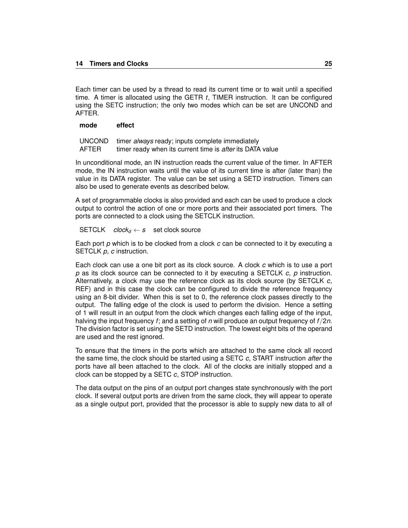Each timer can be used by a thread to read its current time or to wait until a specified time. A timer is allocated using the GETR *t*, TIMER instruction. It can be configured using the SETC instruction; the only two modes which can be set are UNCOND and AFTER.

#### **mode effect**

| <b>UNCOND</b> | timer always ready; inputs complete immediately           |
|---------------|-----------------------------------------------------------|
| AFTER         | timer ready when its current time is after its DATA value |

In unconditional mode, an IN instruction reads the current value of the timer. In AFTER mode, the IN instruction waits until the value of its current time is after (later than) the value in its DATA register. The value can be set using a SETD instruction. Timers can also be used to generate events as described below.

A set of programmable clocks is also provided and each can be used to produce a clock output to control the action of one or more ports and their associated port timers. The ports are connected to a clock using the SETCLK instruction.

#### $SETCLK$   $clock_d \leftarrow s$  set clock source

Each port *p* which is to be clocked from a clock *c* can be connected to it by executing a SETCLK *p*, *c* instruction.

Each clock can use a one bit port as its clock source. A clock *c* which is to use a port *p* as its clock source can be connected to it by executing a SETCLK *c*, *p* instruction. Alternatively, a clock may use the reference clock as its clock source (by SETCLK *c*, REF) and in this case the clock can be configured to divide the reference frequency using an 8-bit divider. When this is set to 0, the reference clock passes directly to the output. The falling edge of the clock is used to perform the division. Hence a setting of 1 will result in an output from the clock which changes each falling edge of the input, halving the input frequency *f*; and a setting of *n* will produce an output frequency of *f* /2*n*. The division factor is set using the SETD instruction. The lowest eight bits of the operand are used and the rest ignored.

To ensure that the timers in the ports which are attached to the same clock all record the same time, the clock should be started using a SETC *c*, START instruction *after* the ports have all been attached to the clock. All of the clocks are initially stopped and a clock can be stopped by a SETC *c*, STOP instruction.

The data output on the pins of an output port changes state synchronously with the port clock. If several output ports are driven from the same clock, they will appear to operate as a single output port, provided that the processor is able to supply new data to all of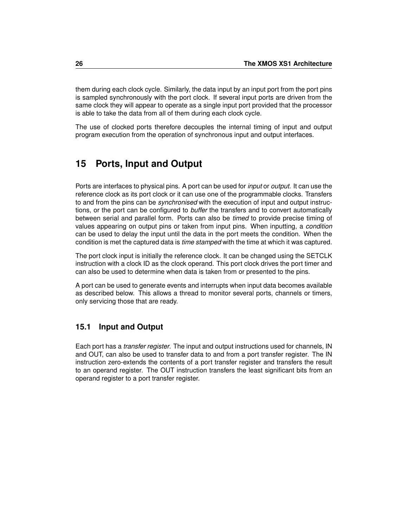them during each clock cycle. Similarly, the data input by an input port from the port pins is sampled synchronously with the port clock. If several input ports are driven from the same clock they will appear to operate as a single input port provided that the processor is able to take the data from all of them during each clock cycle.

The use of clocked ports therefore decouples the internal timing of input and output program execution from the operation of synchronous input and output interfaces.

# <span id="page-29-0"></span>**15 Ports, Input and Output**

Ports are interfaces to physical pins. A port can be used for *input* or *output*. It can use the reference clock as its port clock or it can use one of the programmable clocks. Transfers to and from the pins can be *synchronised* with the execution of input and output instructions, or the port can be configured to *buffer* the transfers and to convert automatically between serial and parallel form. Ports can also be *timed* to provide precise timing of values appearing on output pins or taken from input pins. When inputting, a *condition* can be used to delay the input until the data in the port meets the condition. When the condition is met the captured data is *time stamped* with the time at which it was captured.

The port clock input is initially the reference clock. It can be changed using the SETCLK instruction with a clock ID as the clock operand. This port clock drives the port timer and can also be used to determine when data is taken from or presented to the pins.

A port can be used to generate events and interrupts when input data becomes available as described below. This allows a thread to monitor several ports, channels or timers, only servicing those that are ready.

# <span id="page-29-1"></span>**15.1 Input and Output**

Each port has a *transfer register*. The input and output instructions used for channels, IN and OUT, can also be used to transfer data to and from a port transfer register. The IN instruction zero-extends the contents of a port transfer register and transfers the result to an operand register. The OUT instruction transfers the least significant bits from an operand register to a port transfer register.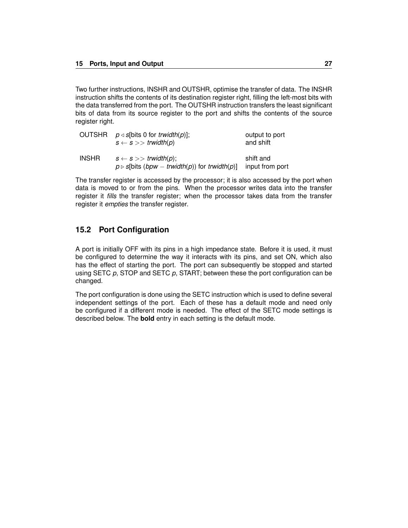Two further instructions, INSHR and OUTSHR, optimise the transfer of data. The INSHR instruction shifts the contents of its destination register right, filling the left-most bits with the data transferred from the port. The OUTSHR instruction transfers the least significant bits of data from its source register to the port and shifts the contents of the source register right.

|              | OUTSHR $p \triangleleft s$ [bits 0 for <i>trwidth(p)</i> ];<br>$s \leftarrow s \gg$ trwidth(p)                             | output to port<br>and shift  |
|--------------|----------------------------------------------------------------------------------------------------------------------------|------------------------------|
| <b>INSHR</b> | $s \leftarrow s \rightarrow$ trwidth(p);<br>$p \triangleright s$ [bits ( <i>bpw – trwidth(p)</i> ) for <i>trwidth(p)</i> ] | shift and<br>input from port |

The transfer register is accessed by the processor; it is also accessed by the port when data is moved to or from the pins. When the processor writes data into the transfer register it *fills* the transfer register; when the processor takes data from the transfer register it *empties* the transfer register.

### <span id="page-30-0"></span>**15.2 Port Configuration**

A port is initially OFF with its pins in a high impedance state. Before it is used, it must be configured to determine the way it interacts with its pins, and set ON, which also has the effect of starting the port. The port can subsequently be stopped and started using SETC *p*, STOP and SETC *p*, START; between these the port configuration can be changed.

The port configuration is done using the SETC instruction which is used to define several independent settings of the port. Each of these has a default mode and need only be configured if a different mode is needed. The effect of the SETC mode settings is described below. The **bold** entry in each setting is the default mode.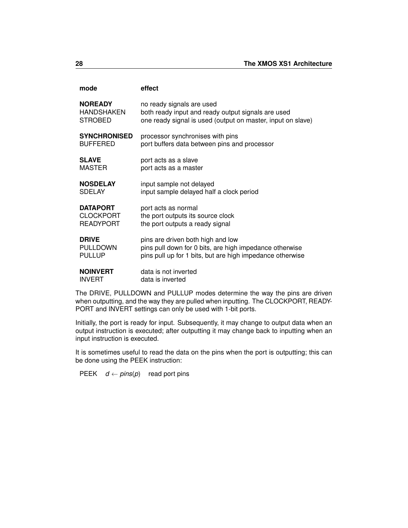| mode                | effect                                                      |
|---------------------|-------------------------------------------------------------|
| <b>NOREADY</b>      | no ready signals are used                                   |
| HANDSHAKEN          | both ready input and ready output signals are used          |
| <b>STROBED</b>      | one ready signal is used (output on master, input on slave) |
| <b>SYNCHRONISED</b> | processor synchronises with pins                            |
| <b>BUFFERED</b>     | port buffers data between pins and processor                |
| <b>SLAVE</b>        | port acts as a slave                                        |
| <b>MASTER</b>       | port acts as a master                                       |
| <b>NOSDELAY</b>     | input sample not delayed                                    |
| <b>SDELAY</b>       | input sample delayed half a clock period                    |
| <b>DATAPORT</b>     | port acts as normal                                         |
| <b>CLOCKPORT</b>    | the port outputs its source clock                           |
| <b>READYPORT</b>    | the port outputs a ready signal                             |
| <b>DRIVE</b>        | pins are driven both high and low                           |
| <b>PULLDOWN</b>     | pins pull down for 0 bits, are high impedance otherwise     |
| <b>PULLUP</b>       | pins pull up for 1 bits, but are high impedance otherwise   |
| <b>NOINVERT</b>     | data is not inverted                                        |
| <b>INVERT</b>       | data is inverted                                            |

The DRIVE, PULLDOWN and PULLUP modes determine the way the pins are driven when outputting, and the way they are pulled when inputting. The CLOCKPORT, READY-PORT and INVERT settings can only be used with 1-bit ports.

Initially, the port is ready for input. Subsequently, it may change to output data when an output instruction is executed; after outputting it may change back to inputting when an input instruction is executed.

It is sometimes useful to read the data on the pins when the port is outputting; this can be done using the PEEK instruction:

PEEK  $d \leftarrow \text{pins}(p)$  read port pins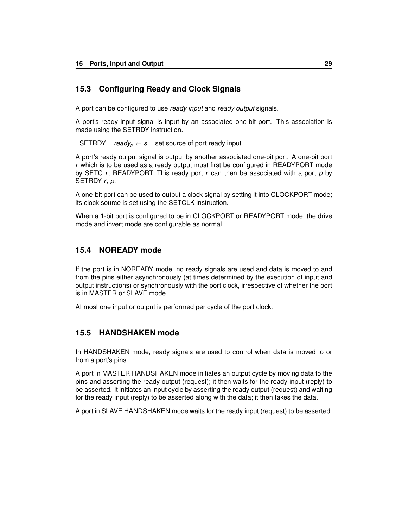### <span id="page-32-0"></span>**15.3 Configuring Ready and Clock Signals**

A port can be configured to use *ready input* and *ready output* signals.

A port's ready input signal is input by an associated one-bit port. This association is made using the SETRDY instruction.

SETRDY *ready<sub>p</sub>*  $\leftarrow$  *s* set source of port ready input

A port's ready output signal is output by another associated one-bit port. A one-bit port *r* which is to be used as a ready output must first be configured in READYPORT mode by SETC *r*, READYPORT. This ready port *r* can then be associated with a port *p* by SETRDY *r*, *p*.

A one-bit port can be used to output a clock signal by setting it into CLOCKPORT mode; its clock source is set using the SETCLK instruction.

When a 1-bit port is configured to be in CLOCKPORT or READYPORT mode, the drive mode and invert mode are configurable as normal.

### <span id="page-32-1"></span>**15.4 NOREADY mode**

If the port is in NOREADY mode, no ready signals are used and data is moved to and from the pins either asynchronously (at times determined by the execution of input and output instructions) or synchronously with the port clock, irrespective of whether the port is in MASTER or SLAVE mode.

At most one input or output is performed per cycle of the port clock.

#### <span id="page-32-2"></span>**15.5 HANDSHAKEN mode**

In HANDSHAKEN mode, ready signals are used to control when data is moved to or from a port's pins.

A port in MASTER HANDSHAKEN mode initiates an output cycle by moving data to the pins and asserting the ready output (request); it then waits for the ready input (reply) to be asserted. It initiates an input cycle by asserting the ready output (request) and waiting for the ready input (reply) to be asserted along with the data; it then takes the data.

A port in SLAVE HANDSHAKEN mode waits for the ready input (request) to be asserted.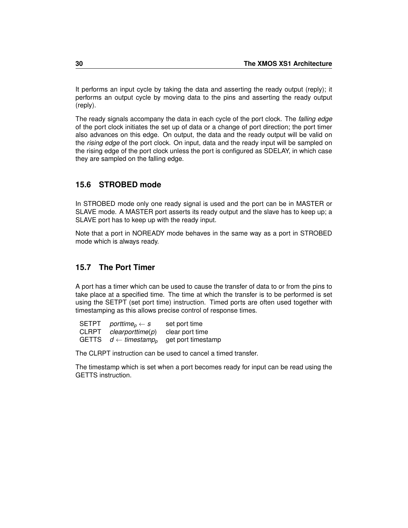It performs an input cycle by taking the data and asserting the ready output (reply); it performs an output cycle by moving data to the pins and asserting the ready output (reply).

The ready signals accompany the data in each cycle of the port clock. The *falling edge* of the port clock initiates the set up of data or a change of port direction; the port timer also advances on this edge. On output, the data and the ready output will be valid on the *rising edge* of the port clock. On input, data and the ready input will be sampled on the rising edge of the port clock unless the port is configured as SDELAY, in which case they are sampled on the falling edge.

### <span id="page-33-0"></span>**15.6 STROBED mode**

In STROBED mode only one ready signal is used and the port can be in MASTER or SLAVE mode. A MASTER port asserts its ready output and the slave has to keep up; a SLAVE port has to keep up with the ready input.

Note that a port in NOREADY mode behaves in the same way as a port in STROBED mode which is always ready.

# <span id="page-33-1"></span>**15.7 The Port Timer**

A port has a timer which can be used to cause the transfer of data to or from the pins to take place at a specified time. The time at which the transfer is to be performed is set using the SETPT (set port time) instruction. Timed ports are often used together with timestamping as this allows precise control of response times.

| <b>SETPT</b> | porttime $_p \leftarrow s$            | set port time      |
|--------------|---------------------------------------|--------------------|
| <b>CLRPT</b> | clearporttime(p)                      | clear port time    |
| <b>GETTS</b> | $d \leftarrow$ timestamp <sub>p</sub> | get port timestamp |

The CLRPT instruction can be used to cancel a timed transfer.

The timestamp which is set when a port becomes ready for input can be read using the GETTS instruction.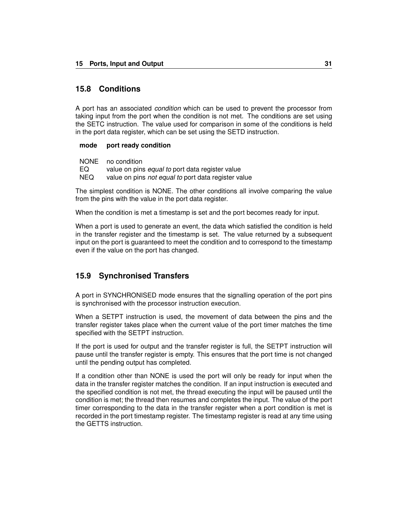#### <span id="page-34-0"></span>**15.8 Conditions**

A port has an associated *condition* which can be used to prevent the processor from taking input from the port when the condition is not met. The conditions are set using the SETC instruction. The value used for comparison in some of the conditions is held in the port data register, which can be set using the SETD instruction.

#### **mode port ready condition**

|      | NONE no condition                                          |
|------|------------------------------------------------------------|
| EQ.  | value on pins <i>equal to</i> port data register value     |
| NEQ. | value on pins <i>not equal to</i> port data register value |

The simplest condition is NONE. The other conditions all involve comparing the value from the pins with the value in the port data register.

When the condition is met a timestamp is set and the port becomes ready for input.

When a port is used to generate an event, the data which satisfied the condition is held in the transfer register and the timestamp is set. The value returned by a subsequent input on the port is guaranteed to meet the condition and to correspond to the timestamp even if the value on the port has changed.

### <span id="page-34-1"></span>**15.9 Synchronised Transfers**

A port in SYNCHRONISED mode ensures that the signalling operation of the port pins is synchronised with the processor instruction execution.

When a SETPT instruction is used, the movement of data between the pins and the transfer register takes place when the current value of the port timer matches the time specified with the SETPT instruction.

If the port is used for output and the transfer register is full, the SETPT instruction will pause until the transfer register is empty. This ensures that the port time is not changed until the pending output has completed.

If a condition other than NONE is used the port will only be ready for input when the data in the transfer register matches the condition. If an input instruction is executed and the specified condition is not met, the thread executing the input will be paused until the condition is met; the thread then resumes and completes the input. The value of the port timer corresponding to the data in the transfer register when a port condition is met is recorded in the port timestamp register. The timestamp register is read at any time using the GETTS instruction.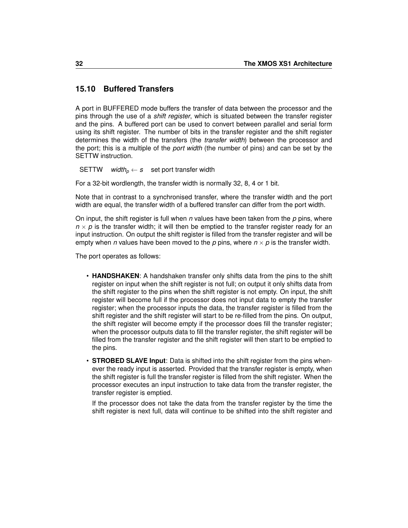### <span id="page-35-0"></span>**15.10 Buffered Transfers**

A port in BUFFERED mode buffers the transfer of data between the processor and the pins through the use of a *shift register*, which is situated between the transfer register and the pins. A buffered port can be used to convert between parallel and serial form using its shift register. The number of bits in the transfer register and the shift register determines the width of the transfers (the *transfer width*) between the processor and the port; this is a multiple of the *port width* (the number of pins) and can be set by the SETTW instruction.

SETTW *width*<sub>p</sub>  $\leftarrow$  *s* set port transfer width

For a 32-bit wordlength, the transfer width is normally 32, 8, 4 or 1 bit.

Note that in contrast to a synchronised transfer, where the transfer width and the port width are equal, the transfer width of a buffered transfer can differ from the port width.

On input, the shift register is full when *n* values have been taken from the *p* pins, where  $n \times p$  is the transfer width; it will then be emptied to the transfer register ready for an input instruction. On output the shift register is filled from the transfer register and will be empty when *n* values have been moved to the *p* pins, where  $n \times p$  is the transfer width.

The port operates as follows:

- **HANDSHAKEN**: A handshaken transfer only shifts data from the pins to the shift register on input when the shift register is not full; on output it only shifts data from the shift register to the pins when the shift register is not empty. On input, the shift register will become full if the processor does not input data to empty the transfer register; when the processor inputs the data, the transfer register is filled from the shift register and the shift register will start to be re-filled from the pins. On output, the shift register will become empty if the processor does fill the transfer register; when the processor outputs data to fill the transfer register, the shift register will be filled from the transfer register and the shift register will then start to be emptied to the pins.
- **STROBED SLAVE Input**: Data is shifted into the shift register from the pins whenever the ready input is asserted. Provided that the transfer register is empty, when the shift register is full the transfer register is filled from the shift register. When the processor executes an input instruction to take data from the transfer register, the transfer register is emptied.

If the processor does not take the data from the transfer register by the time the shift register is next full, data will continue to be shifted into the shift register and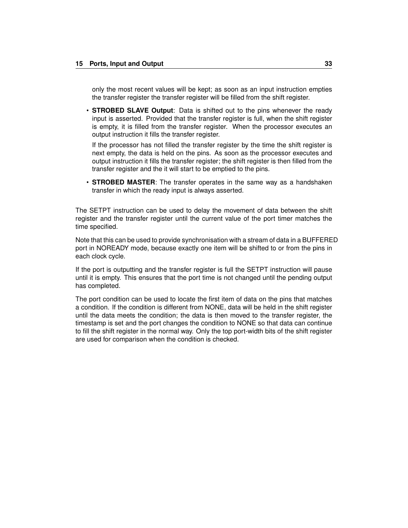only the most recent values will be kept; as soon as an input instruction empties the transfer register the transfer register will be filled from the shift register.

• **STROBED SLAVE Output**: Data is shifted out to the pins whenever the ready input is asserted. Provided that the transfer register is full, when the shift register is empty, it is filled from the transfer register. When the processor executes an output instruction it fills the transfer register.

If the processor has not filled the transfer register by the time the shift register is next empty, the data is held on the pins. As soon as the processor executes and output instruction it fills the transfer register; the shift register is then filled from the transfer register and the it will start to be emptied to the pins.

• **STROBED MASTER**: The transfer operates in the same way as a handshaken transfer in which the ready input is always asserted.

The SETPT instruction can be used to delay the movement of data between the shift register and the transfer register until the current value of the port timer matches the time specified.

Note that this can be used to provide synchronisation with a stream of data in a BUFFERED port in NOREADY mode, because exactly one item will be shifted to or from the pins in each clock cycle.

If the port is outputting and the transfer register is full the SETPT instruction will pause until it is empty. This ensures that the port time is not changed until the pending output has completed.

The port condition can be used to locate the first item of data on the pins that matches a condition. If the condition is different from NONE, data will be held in the shift register until the data meets the condition; the data is then moved to the transfer register, the timestamp is set and the port changes the condition to NONE so that data can continue to fill the shift register in the normal way. Only the top port-width bits of the shift register are used for comparison when the condition is checked.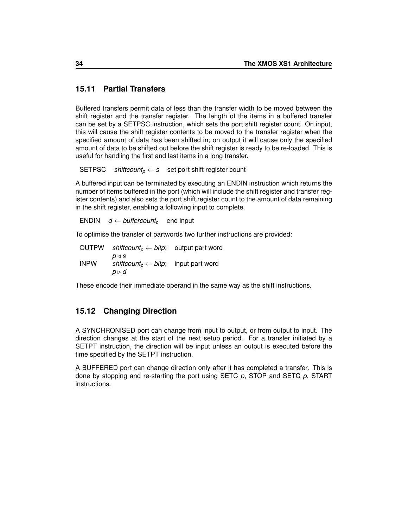# **15.11 Partial Transfers**

Buffered transfers permit data of less than the transfer width to be moved between the shift register and the transfer register. The length of the items in a buffered transfer can be set by a SETPSC instruction, which sets the port shift register count. On input, this will cause the shift register contents to be moved to the transfer register when the specified amount of data has been shifted in; on output it will cause only the specified amount of data to be shifted out before the shift register is ready to be re-loaded. This is useful for handling the first and last items in a long transfer.

SETPSC *shiftcount<sub>p</sub>*  $\leftarrow$  *s* set port shift register count

A buffered input can be terminated by executing an ENDIN instruction which returns the number of items buffered in the port (which will include the shift register and transfer register contents) and also sets the port shift register count to the amount of data remaining in the shift register, enabling a following input to complete.

ENDIN  $d \leftarrow \text{buffercount}_p$  end input

To optimise the transfer of partwords two further instructions are provided:

OUTPW *shiftcount<sub>p</sub>*  $\leftarrow$  *bitp*; output part word  $p \triangleleft s$ INPW *shiftcount<sub>p</sub>* ← *bitp*; input part word *p* . *d*

These encode their immediate operand in the same way as the shift instructions.

# **15.12 Changing Direction**

A SYNCHRONISED port can change from input to output, or from output to input. The direction changes at the start of the next setup period. For a transfer initiated by a SETPT instruction, the direction will be input unless an output is executed before the time specified by the SETPT instruction.

A BUFFERED port can change direction only after it has completed a transfer. This is done by stopping and re-starting the port using SETC *p*, STOP and SETC *p*, START instructions.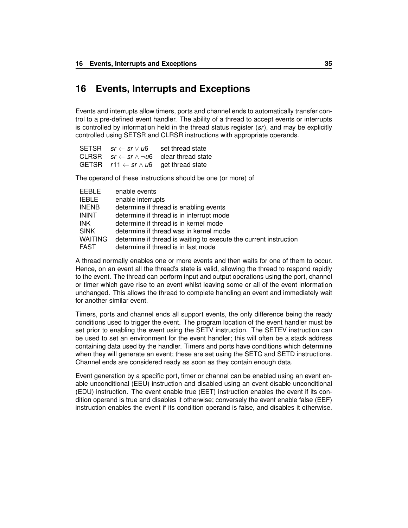# **16 Events, Interrupts and Exceptions**

Events and interrupts allow timers, ports and channel ends to automatically transfer control to a pre-defined event handler. The ability of a thread to accept events or interrupts is controlled by information held in the thread status register (*sr*), and may be explicitly controlled using SETSR and CLRSR instructions with appropriate operands.

| SETSR $sr \leftarrow sr \vee \mu 6$ | set thread state                                            |
|-------------------------------------|-------------------------------------------------------------|
|                                     | CLRSR $sr \leftarrow sr \land \neg \psi$ clear thread state |
|                                     | GETSR $r11 \leftarrow sr \wedge u6$ get thread state        |

The operand of these instructions should be one (or more) of

| FEBLE.         | enable events                                                     |
|----------------|-------------------------------------------------------------------|
| <b>IEBLE</b>   | enable interrupts                                                 |
| <b>INENB</b>   | determine if thread is enabling events                            |
| <b>ININT</b>   | determine if thread is in interrupt mode                          |
| <b>INK</b>     | determine if thread is in kernel mode                             |
| <b>SINK</b>    | determine if thread was in kernel mode                            |
| <b>WAITING</b> | determine if thread is waiting to execute the current instruction |
| <b>FAST</b>    | determine if thread is in fast mode                               |

A thread normally enables one or more events and then waits for one of them to occur. Hence, on an event all the thread's state is valid, allowing the thread to respond rapidly to the event. The thread can perform input and output operations using the port, channel or timer which gave rise to an event whilst leaving some or all of the event information unchanged. This allows the thread to complete handling an event and immediately wait for another similar event.

Timers, ports and channel ends all support events, the only difference being the ready conditions used to trigger the event. The program location of the event handler must be set prior to enabling the event using the SETV instruction. The SETEV instruction can be used to set an environment for the event handler; this will often be a stack address containing data used by the handler. Timers and ports have conditions which determine when they will generate an event; these are set using the SETC and SETD instructions. Channel ends are considered ready as soon as they contain enough data.

Event generation by a specific port, timer or channel can be enabled using an event enable unconditional (EEU) instruction and disabled using an event disable unconditional (EDU) instruction. The event enable true (EET) instruction enables the event if its condition operand is true and disables it otherwise; conversely the event enable false (EEF) instruction enables the event if its condition operand is false, and disables it otherwise.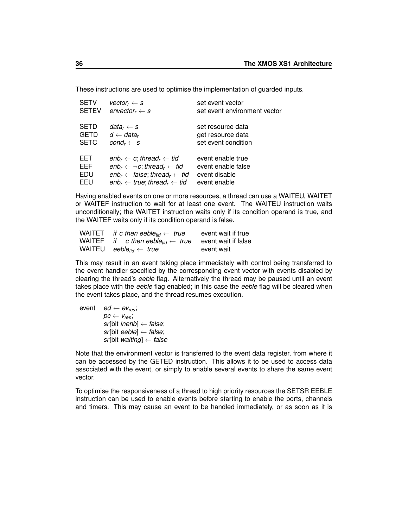These instructions are used to optimise the implementation of guarded inputs.

| <b>SETV</b>  | vector, $\leftarrow$ s                                           | set event vector             |
|--------------|------------------------------------------------------------------|------------------------------|
| <b>SETEV</b> | $envector_r \leftarrow s$                                        | set event environment vector |
| <b>SETD</b>  | data $\kappa \leftarrow s$                                       | set resource data            |
| <b>GETD</b>  | $d \leftarrow data_r$                                            | get resource data            |
| <b>SETC</b>  | $cond_r \leftarrow s$                                            | set event condition          |
| EET.         | $enb_r \leftarrow c$ ; thread <sub>r</sub> $\leftarrow$ tid      | event enable true            |
| EEF          | $enb_r \leftarrow \neg c$ ; thread <sub>r</sub> $\leftarrow$ tid | event enable false           |
| EDU          | $enb_r \leftarrow false$ ; thread <sub>r</sub> $\leftarrow$ tid  | event disable                |
| FFU          | $enb_r \leftarrow true$ ; thread <sub>r</sub> $\leftarrow$ tid   | event enable                 |

Having enabled events on one or more resources, a thread can use a WAITEU, WAITET or WAITEF instruction to wait for at least one event. The WAITEU instruction waits unconditionally; the WAITET instruction waits only if its condition operand is true, and the WAITEF waits only if its condition operand is false.

| WAITET if c then eeble <sub>tid</sub> $\leftarrow$ true                            | event wait if true |
|------------------------------------------------------------------------------------|--------------------|
| WAITEF if $\neg$ c then eeble <sub>tid</sub> $\leftarrow$ true event wait if false |                    |
| WAITEU eeble <sub>tid</sub> $\leftarrow$ true                                      | event wait         |

This may result in an event taking place immediately with control being transferred to the event handler specified by the corresponding event vector with events disabled by clearing the thread's *eeble* flag. Alternatively the thread may be paused until an event takes place with the *eeble* flag enabled; in this case the *eeble* flag will be cleared when the event takes place, and the thread resumes execution.

event  $ed \leftarrow ev_{res}$ ;  $pc \leftarrow v_{res}$ ; *sr*[bit *inenb*] ← *false*; *sr*[bit *eeble*] ← *false*; *sr*[bit *waiting*] ← *false*

Note that the environment vector is transferred to the event data register, from where it can be accessed by the GETED instruction. This allows it to be used to access data associated with the event, or simply to enable several events to share the same event vector.

To optimise the responsiveness of a thread to high priority resources the SETSR EEBLE instruction can be used to enable events before starting to enable the ports, channels and timers. This may cause an event to be handled immediately, or as soon as it is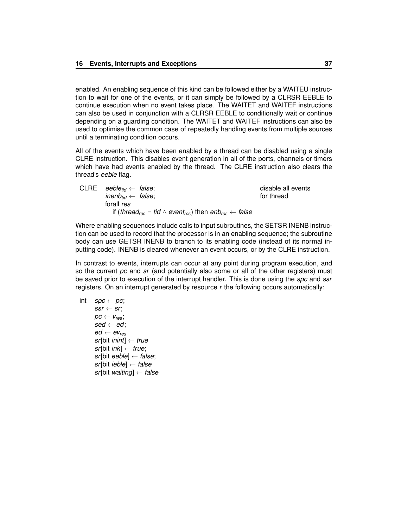enabled. An enabling sequence of this kind can be followed either by a WAITEU instruction to wait for one of the events, or it can simply be followed by a CLRSR EEBLE to continue execution when no event takes place. The WAITET and WAITEF instructions can also be used in conjunction with a CLRSR EEBLE to conditionally wait or continue depending on a guarding condition. The WAITET and WAITEF instructions can also be used to optimise the common case of repeatedly handling events from multiple sources until a terminating condition occurs.

All of the events which have been enabled by a thread can be disabled using a single CLRE instruction. This disables event generation in all of the ports, channels or timers which have had events enabled by the thread. The CLRE instruction also clears the thread's *eeble* flag.

| CLRE eeble <sub>tid</sub> $\leftarrow$ false;                                                             | disable all events |
|-----------------------------------------------------------------------------------------------------------|--------------------|
| inenb <sub>tid</sub> $\leftarrow$ false;                                                                  | for thread         |
| forall res                                                                                                |                    |
| if (thread <sub>res</sub> = tid $\land$ event <sub>res</sub> ) then enb <sub>res</sub> $\leftarrow$ false |                    |
|                                                                                                           |                    |

Where enabling sequences include calls to input subroutines, the SETSR INENB instruction can be used to record that the processor is in an enabling sequence; the subroutine body can use GETSR INENB to branch to its enabling code (instead of its normal inputting code). INENB is cleared whenever an event occurs, or by the CLRE instruction.

In contrast to events, interrupts can occur at any point during program execution, and so the current *pc* and *sr* (and potentially also some or all of the other registers) must be saved prior to execution of the interrupt handler. This is done using the *spc* and *ssr* registers. On an interrupt generated by resource *r* the following occurs automatically:

$$
\begin{array}{l} \text{int} & \text{spc} \leftarrow \textit{pc}; \\ & \text{ssr} \leftarrow \textit{sr}; \\ & \text{pc} \leftarrow \textit{v}_{\text{res}}; \\ & \text{sed} \leftarrow \textit{ed}; \\ & \text{ed} \leftarrow \textit{ev}_{\text{res}} \\ & \text{sr}[\text{bit } \text{inint}] \leftarrow \textit{true}; \\ & \text{sr}[\text{bit } \text{ieble}] \leftarrow \textit{false}; \\ & \text{sr}[\text{bit } \text{ieble}] \leftarrow \textit{false} \\ & \text{sr}[\text{bit } \text{intilg}] \leftarrow \textit{false} \end{array}
$$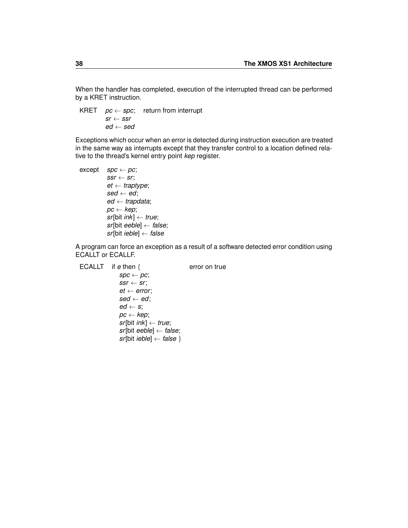When the handler has completed, execution of the interrupted thread can be performed by a KRET instruction.

KRET  $pc \leftarrow spc$ ; return from interrupt  $sr \leftarrow ssr$ *ed* ← *sed*

Exceptions which occur when an error is detected during instruction execution are treated in the same way as interrupts except that they transfer control to a location defined relative to the thread's kernel entry point *kep* register.

```
\mathsf{except} \quad \mathsf{spc} \leftarrow \mathsf{pc};ssr \leftarrow sr;
            et ← traptype;
            sed \leftarrow ed;
             ed ← trapdata;
            pc ← kep;
            sr[bit ink] ← true;
            sr[bit eeble] ← false;
            sr[bit ieble] ← false
```
A program can force an exception as a result of a software detected error condition using ECALLT or ECALLF.

```
ECALLT if e then { error on true
              spc \leftarrow pc;
              ssr \leftarrow sr;et \leftarrow error;sed ← ed;
              ed \leftarrow s;
              pc ← kep;
              sr[bit ink] ← true;
              sr[bit eeble] ← false;
              sr[bit ieble] ← false }
```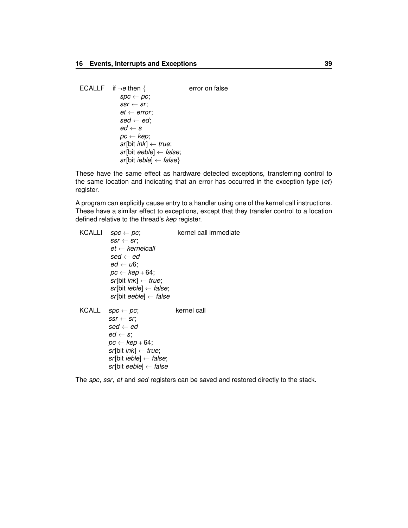| ECALLF if $\neg e$ then {              | error on false |
|----------------------------------------|----------------|
| $spc \leftarrow pc;$                   |                |
| $ssr \leftarrow sr$ ;                  |                |
| $et \leftarrow error$                  |                |
| $\textit{sed} \leftarrow \textit{ed};$ |                |
| $ed \leftarrow s$                      |                |
| $pc \leftarrow kep;$                   |                |
| $sr[bit ink] \leftarrow true;$         |                |
| $sr[bit eeble] \leftarrow false;$      |                |
| $sr[bit ieble] \leftarrow false$       |                |

These have the same effect as hardware detected exceptions, transferring control to the same location and indicating that an error has occurred in the exception type (*et*) register.

A program can explicitly cause entry to a handler using one of the kernel call instructions. These have a similar effect to exceptions, except that they transfer control to a location defined relative to the thread's *kep* register.

| KCALLI       | $spc \leftarrow pc;$<br>$ssr \leftarrow sr$<br>$et \leftarrow$ kernelcall<br>sed $\leftarrow$ ed<br>$ed \leftarrow \mathsf{u6}$ :<br>$pc \leftarrow kep + 64;$<br>$sr[bit ink] \leftarrow true;$<br>$sr[bit ieble] \leftarrow false;$<br>sr[bit eeble] $\leftarrow$ false | kernel call immediate |
|--------------|---------------------------------------------------------------------------------------------------------------------------------------------------------------------------------------------------------------------------------------------------------------------------|-----------------------|
| <b>KCALL</b> | $spc \leftarrow pc$ ;<br>$ssr \leftarrow sr$<br>sed $\leftarrow$ ed<br>$ed \leftarrow s$ :<br>$pc \leftarrow kep + 64;$<br>$sr[bit ink] \leftarrow true;$<br>$sr[bit ieble] \leftarrow false;$<br>sr[bit eeble] $\leftarrow$ false                                        | kernel call           |

The *spc*, *ssr*, *et* and *sed* registers can be saved and restored directly to the stack.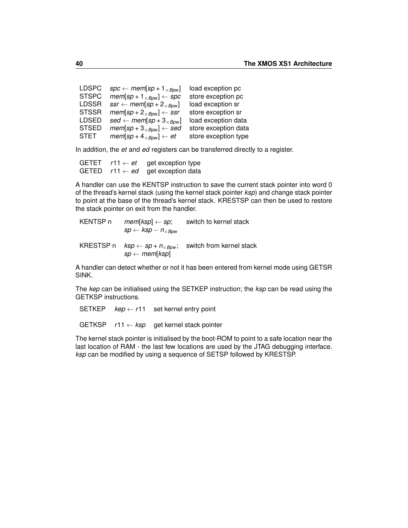| <b>LDSPC</b> | $spc \leftarrow mem[sp + 1_{\times Bpw}]$                   | load exception pc    |
|--------------|-------------------------------------------------------------|----------------------|
| <b>STSPC</b> | $mem[sp + 1_{\times Bpw}] \leftarrow spc$                   | store exception pc   |
| <b>LDSSR</b> | $ssr \leftarrow \textit{mem}[sp + 2_{\times Bpw}]$          | load exception sr    |
| <b>STSSR</b> | $mem[sp + 2_{\times Bpw}] \leftarrow ssr$                   | store exception sr   |
| <b>LDSED</b> | $sed \leftarrow \textit{mem}[sp+3_{\times}B_{\textit{pw}}]$ | load exception data  |
| <b>STSED</b> | $mem[sp + 3_{\times Bpw}] \leftarrow sed$                   | store exception data |
| <b>STET</b>  | $mem[sp+4_{\times Bpw}] \leftarrow et$                      | store exception type |
|              |                                                             |                      |

In addition, the *et* and *ed* registers can be transferred directly to a register.

| <b>GETET</b> | $r11 \leftarrow et$ | get exception type                     |
|--------------|---------------------|----------------------------------------|
| <b>GETED</b> |                     | r11 $\leftarrow$ ed get exception data |

A handler can use the KENTSP instruction to save the current stack pointer into word 0 of the thread's kernel stack (using the kernel stack pointer *ksp*) and change stack pointer to point at the base of the thread's kernel stack. KRESTSP can then be used to restore the stack pointer on exit from the handler.

| KENTSP <sub>n</sub> | $mem[ksp] \leftarrow sp;$<br>$sp \leftarrow ksp - n_{\times Bow}$                                             | switch to kernel stack   |
|---------------------|---------------------------------------------------------------------------------------------------------------|--------------------------|
| KRESTSP n           | $\mathit{ksp} \leftarrow \mathit{sp} + n_{\times\mathit{Bpw}};$<br>$sp \leftarrow \textit{mem}[\textit{ksp}]$ | switch from kernel stack |

A handler can detect whether or not it has been entered from kernel mode using GETSR SINK.

The *kep* can be initialised using the SETKEP instruction; the *ksp* can be read using the GETKSP instructions.

SETKEP  $kep \leftarrow r11$  set kernel entry point GETKSP *r*11 ← *ksp* get kernel stack pointer

The kernel stack pointer is initialised by the boot-ROM to point to a safe location near the last location of RAM - the last few locations are used by the JTAG debugging interface. *ksp* can be modified by using a sequence of SETSP followed by KRESTSP.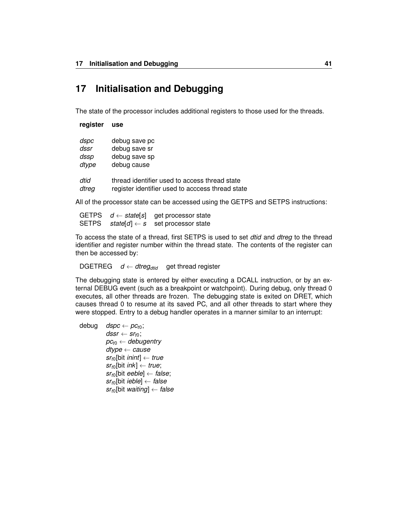# **17 Initialisation and Debugging**

The state of the processor includes additional registers to those used for the threads.

| register | use                                              |
|----------|--------------------------------------------------|
| dspc     | debug save pc                                    |
| dssr     | debug save sr                                    |
| dssp     | debug save sp                                    |
| dtype    | debug cause                                      |
| dtid     | thread identifier used to access thread state    |
| dtreg    | register identifier used to acccess thread state |

All of the processor state can be accessed using the GETPS and SETPS instructions:

|  | GETPS $d \leftarrow state[s]$ get processor state |
|--|---------------------------------------------------|
|  | SETPS $state[d] \leftarrow s$ set processor state |

To access the state of a thread, first SETPS is used to set *dtid* and *dtreg* to the thread identifier and register number within the thread state. The contents of the register can then be accessed by:

```
DGETREG d \leftarrow dtreg_{dtid} get thread register
```
The debugging state is entered by either executing a DCALL instruction, or by an external DEBUG event (such as a breakpoint or watchpoint). During debug, only thread 0 executes, all other threads are frozen. The debugging state is exited on DRET, which causes thread 0 to resume at its saved PC, and all other threads to start where they were stopped. Entry to a debug handler operates in a manner similar to an interrupt:

| debug | $\textit{dspc} \leftarrow \textit{pc}_{\textit{t0}}$ ;  |
|-------|---------------------------------------------------------|
|       | $dssr \leftarrow sr_{t0}$ ;                             |
|       | $pc_{t0} \leftarrow$ debugentry                         |
|       | $\textit{dtype} \leftarrow \textit{cause}$              |
|       | $sr_{t0}$ [bit <i>inint</i> ] $\leftarrow$ true         |
|       | $sr_{t0}$ [bit <i>ink</i> ] $\leftarrow$ <i>true</i> ;  |
|       | $sr_{t0}$ [bit eeble] $\leftarrow$ false;               |
|       | $sr_{t0}$ [bit <i>ieble</i> ] $\leftarrow$ <i>false</i> |
|       | $sr_{t0}$ [bit waiting] $\leftarrow$ false              |
|       |                                                         |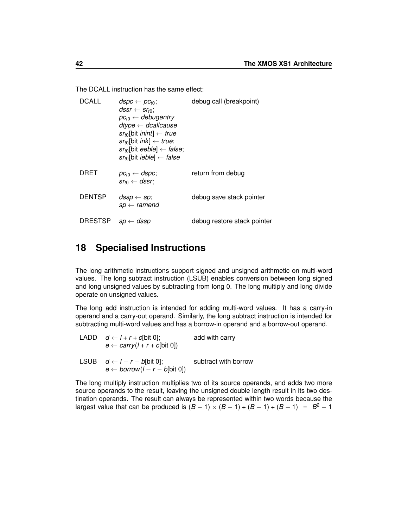The DCALL instruction has the same effect:

| <b>DCALL</b>   | $dspc \leftarrow pc_{t0};$<br>$dssr \leftarrow sr_{t0}$ :<br>$pc_{t0} \leftarrow$ debugentry<br>$\text{dtype} \leftarrow \text{dcallcause}$<br>$sr_{t0}$ [bit <i>inint</i> ] $\leftarrow$ true<br>$sr_{t0}$ [bit <i>ink</i> ] $\leftarrow$ <i>true</i> ;<br>$sr_{t0}$ [bit eeble] $\leftarrow$ false;<br>$sr_{t0}$ [bit <i>ieble</i> ] $\leftarrow$ <i>false</i> | debug call (breakpoint)     |
|----------------|------------------------------------------------------------------------------------------------------------------------------------------------------------------------------------------------------------------------------------------------------------------------------------------------------------------------------------------------------------------|-----------------------------|
| DRET           | $pc_{t0} \leftarrow dspc;$<br>$sr_{t0} \leftarrow dssr$                                                                                                                                                                                                                                                                                                          | return from debug           |
| <b>DENTSP</b>  | $dssp \leftarrow sp;$<br>$sp \leftarrow$ ramend                                                                                                                                                                                                                                                                                                                  | debug save stack pointer    |
| <b>DRESTSP</b> | $sp \leftarrow dssp$                                                                                                                                                                                                                                                                                                                                             | debug restore stack pointer |

# **18 Specialised Instructions**

The long arithmetic instructions support signed and unsigned arithmetic on multi-word values. The long subtract instruction (LSUB) enables conversion between long signed and long unsigned values by subtracting from long 0. The long multiply and long divide operate on unsigned values.

The long add instruction is intended for adding multi-word values. It has a carry-in operand and a carry-out operand. Similarly, the long subtract instruction is intended for subtracting multi-word values and has a borrow-in operand and a borrow-out operand.

| LADD $d \leftarrow l + r + c$ [bit 0];<br>$e \leftarrow carry(I + r + c[bit 0])$  | add with carry       |
|-----------------------------------------------------------------------------------|----------------------|
| LSUB $d \leftarrow l - r - b$ [bit 0];<br>$e \leftarrow borrow(I - r - b[bit 0])$ | subtract with borrow |

The long multiply instruction multiplies two of its source operands, and adds two more source operands to the result, leaving the unsigned double length result in its two destination operands. The result can always be represented within two words because the largest value that can be produced is  $(B-1) \times (B-1) + (B-1) + (B-1) = B^2 - 1$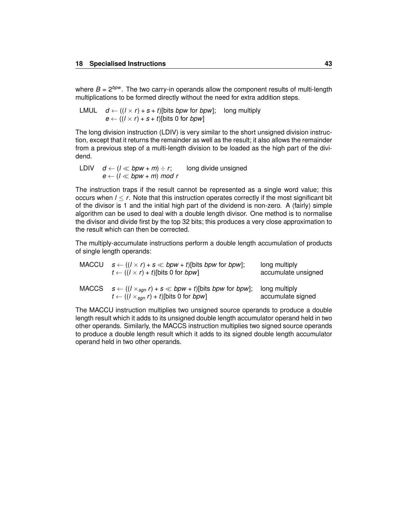where  $B = 2^{b \cdot p w}$ . The two carry-in operands allow the component results of multi-length multiplications to be formed directly without the need for extra addition steps.

LMUL  $d \leftarrow ((l \times r) + s + t)$ [bits *bpw* for *bpw*]; long multiply  $e \leftarrow ((l \times r) + s + t)$ [bits 0 for *bpw*]

The long division instruction (LDIV) is very similar to the short unsigned division instruction, except that it returns the remainder as well as the result; it also allows the remainder from a previous step of a multi-length division to be loaded as the high part of the dividend.

LDIV  $d \leftarrow (l \ll bpw + m) \div r$ ; long divide unsigned  $e \leftarrow (l \ll bpw + m) \mod r$ 

The instruction traps if the result cannot be represented as a single word value; this occurs when *l* ≤ *r*. Note that this instruction operates correctly if the most significant bit of the divisor is 1 and the initial high part of the dividend is non-zero. A (fairly) simple algorithm can be used to deal with a double length divisor. One method is to normalise the divisor and divide first by the top 32 bits; this produces a very close approximation to the result which can then be corrected.

The multiply-accumulate instructions perform a double length accumulation of products of single length operands:

| MACCU | $s \leftarrow ((l \times r) + s \ll bpw + t)$ [bits bpw for bpw];<br>$t \leftarrow ((1 \times r) + t)$ [bits 0 for <i>bpw</i> ]                        | long multiply<br>accumulate unsigned |
|-------|--------------------------------------------------------------------------------------------------------------------------------------------------------|--------------------------------------|
| MACCS | $s \leftarrow ((1 \times_{\text{sgn}} r) + s \ll b \rho w + t)$ [bits bpw for bpw];<br>$t \leftarrow ((1 \times_{\text{sgn}} r) + t)$ [bits 0 for bpw] | long multiply<br>accumulate signed   |

The MACCU instruction multiplies two unsigned source operands to produce a double length result which it adds to its unsigned double length accumulator operand held in two other operands. Similarly, the MACCS instruction multiplies two signed source operands to produce a double length result which it adds to its signed double length accumulator operand held in two other operands.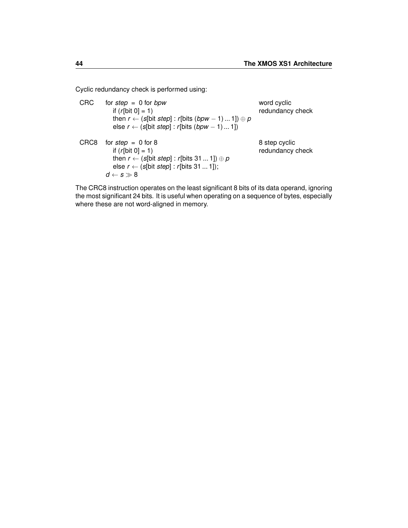Cyclic redundancy check is performed using:

| <b>CRC</b> | for step = $0$ for bpw<br>if $(r[bit 0] = 1)$<br>then $r \leftarrow (s[bit step]: r[bits (bpw - 1) 1]) \oplus p$<br>else $r \leftarrow (s[bit step]: r[bits (bpw - 1)1])$           | word cyclic<br>redundancy check   |
|------------|-------------------------------------------------------------------------------------------------------------------------------------------------------------------------------------|-----------------------------------|
| CRC8       | for step $= 0$ for 8<br>if $(r[bit 0] = 1)$<br>then $r \leftarrow (s[bit step]: r[bits 311]) \oplus p$<br>else $r \leftarrow (s[bit step]: r[bits 311]);$<br>$d \leftarrow s \gg 8$ | 8 step cyclic<br>redundancy check |

The CRC8 instruction operates on the least significant 8 bits of its data operand, ignoring the most significant 24 bits. It is useful when operating on a sequence of bytes, especially where these are not word-aligned in memory.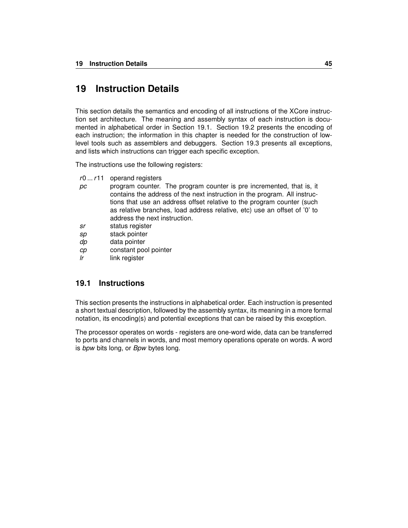# **19 Instruction Details**

This section details the semantics and encoding of all instructions of the XCore instruction set architecture. The meaning and assembly syntax of each instruction is documented in alphabetical order in Section [19.1.](#page-48-0) Section [19.2](#page-229-0) presents the encoding of each instruction; the information in this chapter is needed for the construction of lowlevel tools such as assemblers and debuggers. Section [19.3](#page-250-0) presents all exceptions, and lists which instructions can trigger each specific exception.

The instructions use the following registers:

- *r*0 ...*r*11 operand registers
- *pc* program counter. The program counter is pre incremented, that is, it contains the address of the next instruction in the program. All instructions that use an address offset relative to the program counter (such as relative branches, load address relative, etc) use an offset of '0' to address the next instruction.
- *sr* status register
- *sp* stack pointer
- *dp* data pointer
- *cp* constant pool pointer
- *lr* link register

### <span id="page-48-0"></span>**19.1 Instructions**

This section presents the instructions in alphabetical order. Each instruction is presented a short textual description, followed by the assembly syntax, its meaning in a more formal notation, its encoding(s) and potential exceptions that can be raised by this exception.

The processor operates on words - registers are one-word wide, data can be transferred to ports and channels in words, and most memory operations operate on words. A word is *bpw* bits long, or *Bpw* bytes long.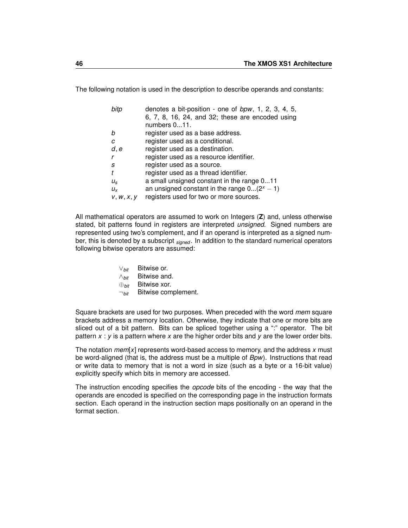The following notation is used in the description to describe operands and constants:

| bitp        | denotes a bit-position - one of bpw, 1, 2, 3, 4, 5,<br>6, 7, 8, 16, 24, and 32; these are encoded using |
|-------------|---------------------------------------------------------------------------------------------------------|
|             | numbers $011$ .                                                                                         |
| h           | register used as a base address.                                                                        |
| C           | register used as a conditional.                                                                         |
| d, e        | register used as a destination.                                                                         |
|             | register used as a resource identifier.                                                                 |
| S           | register used as a source.                                                                              |
|             | register used as a thread identifier.                                                                   |
| $U_{\rm S}$ | a small unsigned constant in the range 011                                                              |
| $U_{Y}$     | an unsigned constant in the range $0(2^x-1)$                                                            |
| V, W, X, V  | registers used for two or more sources.                                                                 |

All mathematical operators are assumed to work on Integers (**Z**) and, unless otherwise stated, bit patterns found in registers are interpreted *unsigned*. Signed numbers are represented using two's complement, and if an operand is interpreted as a signed number, this is denoted by a subscript *signed* . In addition to the standard numerical operators following bitwise operators are assumed:

> ∨*bit* Bitwise or. ∧*bit* Bitwise and. ⊕*bit* Bitwise xor. ¬*bit* Bitwise complement.

Square brackets are used for two purposes. When preceded with the word *mem* square brackets address a memory location. Otherwise, they indicate that one or more bits are sliced out of a bit pattern. Bits can be spliced together using a ":" operator. The bit pattern *x* : *y* is a pattern where *x* are the higher order bits and *y* are the lower order bits.

The notation *mem*[*x*] represents word-based access to memory, and the address *x* must be word-aligned (that is, the address must be a multiple of *Bpw*). Instructions that read or write data to memory that is not a word in size (such as a byte or a 16-bit value) explicitly specify which bits in memory are accessed.

The instruction encoding specifies the *opcode* bits of the encoding - the way that the operands are encoded is specified on the corresponding page in the instruction formats section. Each operand in the instruction section maps positionally on an operand in the format section.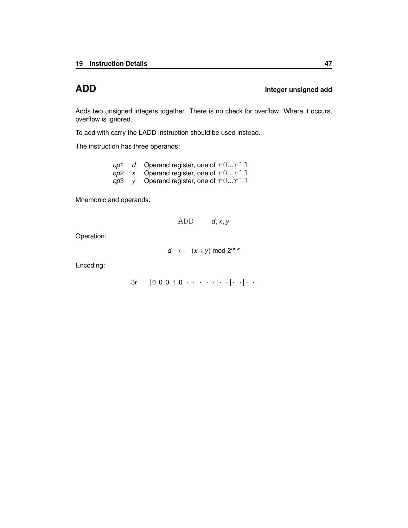# **ADD Integer unsigned add**

Adds two unsigned integers together. There is no check for overflow. Where it occurs, overflow is ignored.

To add with carry the [LADD](#page-123-0) instruction should be used instead.

The instruction has three operands:

|  | op1 d Operand register, one of $r0r11$ |
|--|----------------------------------------|
|  | op2 x Operand register, one of $r0r11$ |
|  | op3 y Operand register, one of $r0r11$ |

Mnemonic and operands:

ADD *d*, *x*, *y*

Operation:

*d* ←  $(x + y)$  mod  $2^{bpw}$ 

Encoding:

0 0 0 1 0 . . . . . . . . . . . [3r](#page-230-0)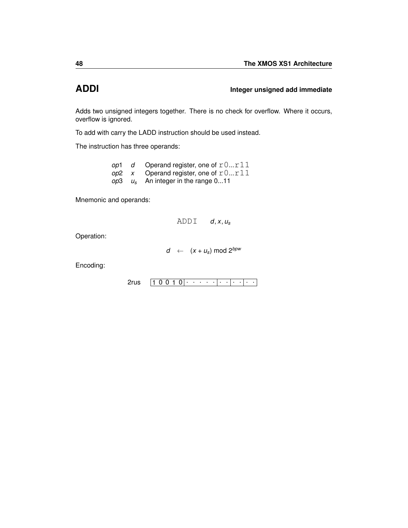# **ADDI Integer unsigned add immediate**

Adds two unsigned integers together. There is no check for overflow. Where it occurs, overflow is ignored.

To add with carry the [LADD](#page-123-0) instruction should be used instead.

The instruction has three operands:

| op1 | d Operand register, one of $r0r11$            |
|-----|-----------------------------------------------|
|     | op2 x Operand register, one of $r0r11$        |
|     | <i>op</i> 3 $u_s$ An integer in the range 011 |

Mnemonic and operands:

ADDI *d*, *x*, *u<sup>s</sup>*

Operation:

 $d \leftarrow (x + u_s) \text{ mod } 2^{bpw}$ 

Encoding:

 $2$ rus  $\boxed{1\ 0\ 0\ 1\ 0|\cdot\;\cdot\;\cdot\;\cdot\;\cdot|\cdot\;\cdot|\cdot\;\cdot|\cdot\;\cdot}$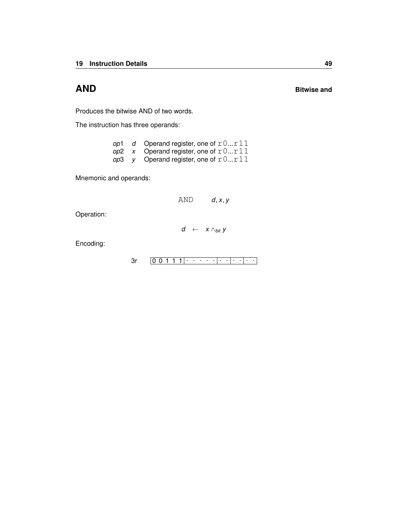Produces the bitwise AND of two words.

The instruction has three operands:

| op1 | d Operand register, one of $r0r11$             |
|-----|------------------------------------------------|
|     | op2 x Operand register, one of $r0r11$         |
|     | <i>op</i> 3 y Operand register, one of $r0r11$ |

Mnemonic and operands:

AND *d*, *x*, *y*

Operation:

$$
d \leftarrow x \wedge_{bit} y
$$

Encoding:

0 0 1 1 1 . . . . . . . . . . . [3r](#page-230-0)

# **AND Bitwise and**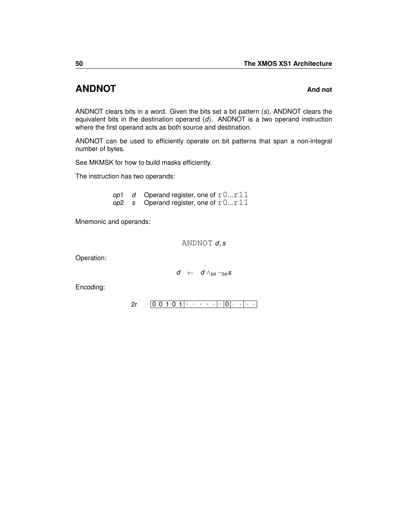# **ANDNOT And not**

ANDNOT clears bits in a word. Given the bits set a bit pattern (*s*), ANDNOT clears the equivalent bits in the destination operand (*d*). ANDNOT is a two operand instruction where the first operand acts as both source and destination.

ANDNOT can be used to efficiently operate on bit patterns that span a non-integral number of bytes.

See [MKMSK](#page-156-0) for how to build masks efficiently.

The instruction has two operands:

*op*1 *d* Operand register, one of  $r0...r11$  $op2$  *s* Operand register, one of  $r0...r11$ 

Mnemonic and operands:

ANDNOT *d*, *s*

Operation:

$$
d \ \leftarrow \ d \wedge_{\textit{bit}} \neg_{\textit{bit}} s
$$

Encoding:

0 0 1 0 1 . . . . . . 0 . . . . [2r](#page-240-0)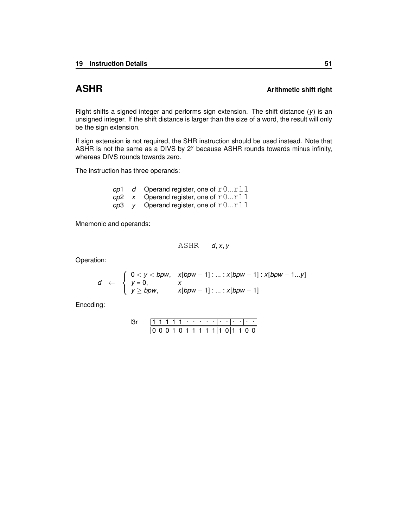# **ASHR ARITY ARTICLE ARTICLE ARTICLE ARTICLE ARTICLE AT A Arithmetic shift right**

Right shifts a signed integer and performs sign extension. The shift distance  $(y)$  is an unsigned integer. If the shift distance is larger than the size of a word, the result will only be the sign extension.

If sign extension is not required, the [SHR](#page-196-0) instruction should be used instead. Note that ASHR is not the same as a [DIVS](#page-82-0) by 2*<sup>y</sup>* because ASHR rounds towards minus infinity, whereas DIVS rounds towards zero.

The instruction has three operands:

|  | op1 $d$ Operand register, one of $r0r11$       |
|--|------------------------------------------------|
|  | op2 x Operand register, one of $r0r11$         |
|  | <i>op</i> 3 y Operand register, one of $r0r11$ |

Mnemonic and operands:

ASHR *d*, *x*, *y*

Operation:

$$
d \leftarrow \begin{cases} 0 < y < bpw, \quad x[bpw-1] : \ldots : x[bpw-1] : x[bpw-1\ldots y] \\ y > 0, \quad x \\ y \geq bpw, \quad x[bpw-1] : \ldots : x[bpw-1] \end{cases}
$$

Encoding:

|  |  |  | ٠ |    |   |  |  |  |  |
|--|--|--|---|----|---|--|--|--|--|
|  |  |  |   | 1. | 1 |  |  |  |  |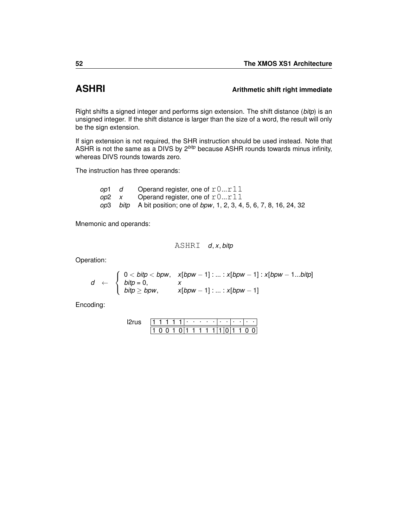# **ASHRI Arithmetic shift right immediate**

Right shifts a signed integer and performs sign extension. The shift distance (*bitp*) is an unsigned integer. If the shift distance is larger than the size of a word, the result will only be the sign extension.

If sign extension is not required, the [SHR](#page-196-0) instruction should be used instead. Note that ASHR is not the same as a [DIVS](#page-82-0) by 2*bitp* because ASHR rounds towards minus infinity, whereas DIVS rounds towards zero.

The instruction has three operands:

| op1 d | Operand register, one of $r0r11$                                        |
|-------|-------------------------------------------------------------------------|
|       | op2 $x$ Operand register, one of $r0r11$                                |
|       | op3 bitp A bit position; one of bpw, 1, 2, 3, 4, 5, 6, 7, 8, 16, 24, 32 |

Mnemonic and operands:

ASHRI *d*, *x*, *bitp*

Operation:

$$
d \leftarrow \begin{cases} 0 < bity < bpw, \quad x[bpw-1] : ... : x[bpw-1] : x[bpw-1...bitp] \\ bity > 0, \\ bity \geq bpw, \quad x[bpw-1] : ... : x[bpw-1] \end{cases}
$$

Encoding:

|  |  |  | ٠ |   | ٠ | ٠ |  |  |  |
|--|--|--|---|---|---|---|--|--|--|
|  |  |  |   | ٦ |   |   |  |  |  |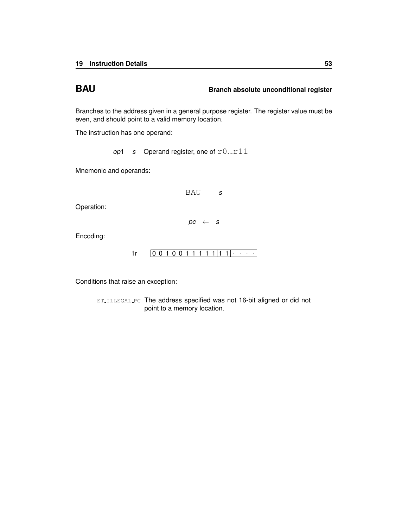# **BAU BRAU Branch absolute unconditional register**

Branches to the address given in a general purpose register. The register value must be even, and should point to a valid memory location.

The instruction has one operand:

*op*1 *s* Operand register, one of  $r0...r11$ 

Mnemonic and operands:

BAU *s*  $pc \leftarrow s$ 

Encoding:

Operation:

 $1r$   $[0 0 1 0 0 1 1 1 1 1 1 1 1]$ 

Conditions that raise an exception:

ET\_[ILLEGAL](#page-252-0)\_PC The address specified was not 16-bit aligned or did not point to a memory location.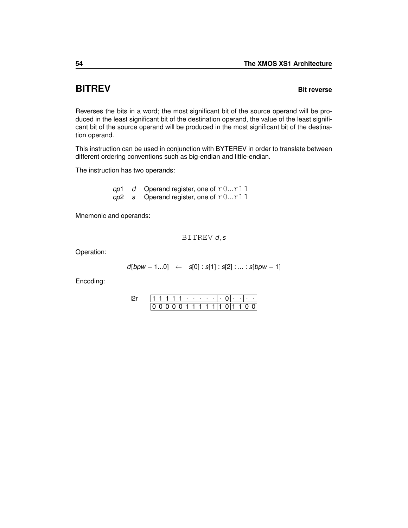# <span id="page-57-0"></span>**BITREV Bit reverse**

Reverses the bits in a word; the most significant bit of the source operand will be produced in the least significant bit of the destination operand, the value of the least significant bit of the source operand will be produced in the most significant bit of the destination operand.

This instruction can be used in conjunction with [BYTEREV](#page-70-0) in order to translate between different ordering conventions such as big-endian and little-endian.

The instruction has two operands:

*op*1 *d* Operand register, one of  $r0...r11$  $op2$  *s* Operand register, one of  $r0...r11$ 

Mnemonic and operands:

BITREV *d*, *s*

Operation:

*d*[*bpw* − 1...0] ← *s*[0] : *s*[1] : *s*[2] : ... : *s*[*bpw* − 1]

Encoding:

|  |  |  |  |  | 1 1 1 1 |  |  | $0 \cdot + \cdot$           |  |
|--|--|--|--|--|---------|--|--|-----------------------------|--|
|  |  |  |  |  |         |  |  | 0 0 1 1 1 1 1 1 1 0 1 1 0 0 |  |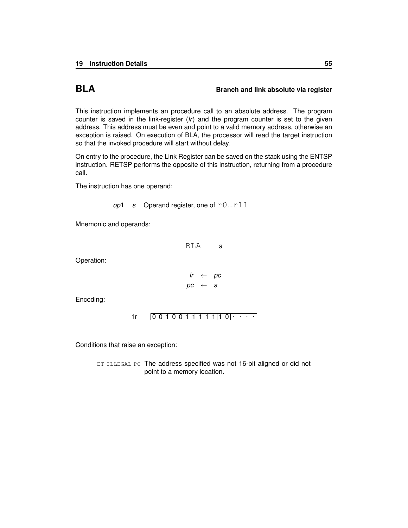### **BLA Branch and link absolute via register**

This instruction implements an procedure call to an absolute address. The program counter is saved in the link-register (*lr*) and the program counter is set to the given address. This address must be even and point to a valid memory address, otherwise an exception is raised. On execution of BLA, the processor will read the target instruction so that the invoked procedure will start without delay.

On entry to the procedure, the Link Register can be saved on the stack using the [ENTSP](#page-93-0) instruction. [RETSP](#page-172-0) performs the opposite of this instruction, returning from a procedure call.

The instruction has one operand:

*op*1 *s* Operand register, one of  $r0...r11$ 

Mnemonic and operands:

BLA *s*

Operation:

$$
\begin{array}{rcl} hr & \leftarrow & pc \\ pc & \leftarrow & s \end{array}
$$

Encoding:

0 0 1 0 0 1 1 1 1 1 1 0 . . . . [1r](#page-245-0)

Conditions that raise an exception:

ET\_[ILLEGAL](#page-252-0)\_PC The address specified was not 16-bit aligned or did not point to a memory location.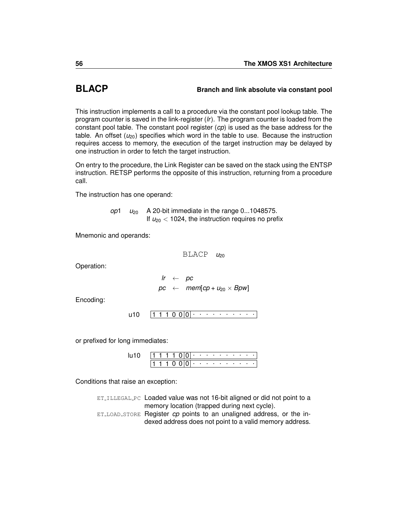# **BLACP Branch and link absolute via constant pool**

This instruction implements a call to a procedure via the constant pool lookup table. The program counter is saved in the link-register (*lr*). The program counter is loaded from the constant pool table. The constant pool register (*cp*) is used as the base address for the table. An offset  $(\nu_{20})$  specifies which word in the table to use. Because the instruction requires access to memory, the execution of the target instruction may be delayed by one instruction in order to fetch the target instruction.

On entry to the procedure, the Link Register can be saved on the stack using the [ENTSP](#page-93-0) instruction. [RETSP](#page-172-0) performs the opposite of this instruction, returning from a procedure call.

The instruction has one operand:

*op*1  $u_{20}$  A 20-bit immediate in the range 0...1048575. If  $u_{20}$  < 1024, the instruction requires no prefix

Mnemonic and operands:

BLACP  $u_{20}$ 

Operation:

$$
\begin{array}{rcl}\nlr & \leftarrow & pc \\
pc & \leftarrow & \text{mem}[cp + u_{20} \times Bpw]\n\end{array}
$$

Encoding:

1 1 1 0 0 0 . . . . . . . . . . [u10](#page-238-0)

or prefixed for long immediates:

| ו וווו |  |  |  |  |  | .                          |  |  |
|--------|--|--|--|--|--|----------------------------|--|--|
|        |  |  |  |  |  | المناسب والمناسب والمناسبة |  |  |

Conditions that raise an exception:

ET\_[ILLEGAL](#page-252-0) PC Loaded value was not 16-bit aligned or did not point to a memory location (trapped during next cycle). ET LOAD [STORE](#page-255-0) Register *cp* points to an unaligned address, or the indexed address does not point to a valid memory address.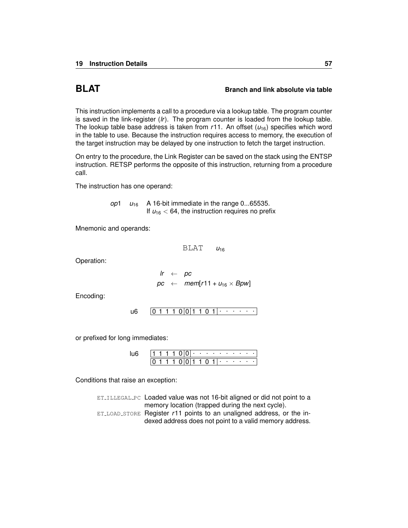### **BLAT Branch and link absolute via table**

This instruction implements a call to a procedure via a lookup table. The program counter is saved in the link-register (*lr*). The program counter is loaded from the lookup table. The lookup table base address is taken from  $r11$ . An offset  $(u_{16})$  specifies which word in the table to use. Because the instruction requires access to memory, the execution of the target instruction may be delayed by one instruction to fetch the target instruction.

On entry to the procedure, the Link Register can be saved on the stack using the [ENTSP](#page-93-0) instruction. [RETSP](#page-172-0) performs the opposite of this instruction, returning from a procedure call.

The instruction has one operand:

*op*1  $u_{16}$  A 16-bit immediate in the range 0...65535. If  $u_{16}$  < 64, the instruction requires no prefix

Mnemonic and operands:

 $BLAT$   $u_{16}$ 

Operation:

$$
\begin{array}{rcl}\n\text{lr} & \leftarrow & \text{pc} \\
\text{pc} & \leftarrow & \text{mem}[r11 + u_{16} \times \text{Bpw}]\n\end{array}
$$

Encoding:

0 1 1 1 0 0 1 1 0 1 . . . . . . [u6](#page-236-0)

or prefixed for long immediates:

|  |  |  | ٠ | . . | ٠ | . . | ٠ | ٠ | ٠ | ٠ |  |
|--|--|--|---|-----|---|-----|---|---|---|---|--|
|  |  |  |   |     |   |     | ٠ |   |   | ٠ |  |

Conditions that raise an exception:

ET\_[ILLEGAL](#page-252-0)\_PC Loaded value was not 16-bit aligned or did not point to a memory location (trapped during the next cycle). ET LOAD [STORE](#page-255-0) Register *r*11 points to an unaligned address, or the indexed address does not point to a valid memory address.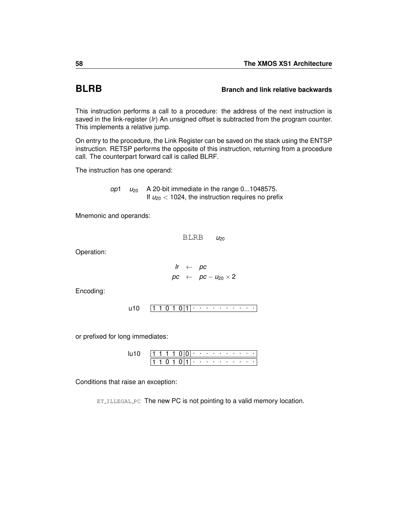## <span id="page-61-0"></span>**BLRB Branch and link relative backwards**

This instruction performs a call to a procedure: the address of the next instruction is saved in the link-register (*lr*) An unsigned offset is subtracted from the program counter. This implements a relative jump.

On entry to the procedure, the Link Register can be saved on the stack using the [ENTSP](#page-93-0) instruction. [RETSP](#page-172-0) performs the opposite of this instruction, returning from a procedure call. The counterpart forward call is called [BLRF.](#page-62-0)

The instruction has one operand:

*op*1 *u*<sup>20</sup> A 20-bit immediate in the range 0...1048575. If  $u_{20}$  < 1024, the instruction requires no prefix

Mnemonic and operands:

BLRB *u*<sub>20</sub>

Operation:

$$
\begin{array}{rcl} hr & \leftarrow & pc \\ pc & \leftarrow & pc - u_{20} \times 2 \end{array}
$$

Encoding:

$$
u10 \qquad \boxed{1\ 1\ 0\ 1\ 0\,1\,1\,1\,\cdots\,\cdots\,\cdots\,\cdots}
$$

or prefixed for long immediates:

|  |  | (1101 | . |  |  |  |  |  |
|--|--|-------|---|--|--|--|--|--|

Conditions that raise an exception: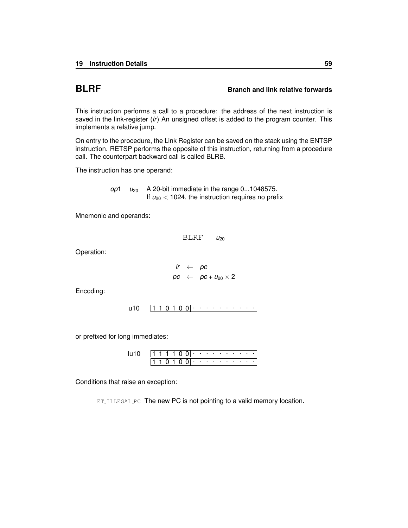### <span id="page-62-0"></span>**BLRF Branch and link relative forwards**

This instruction performs a call to a procedure: the address of the next instruction is saved in the link-register (*lr*) An unsigned offset is added to the program counter. This implements a relative jump.

On entry to the procedure, the Link Register can be saved on the stack using the [ENTSP](#page-93-0) instruction. [RETSP](#page-172-0) performs the opposite of this instruction, returning from a procedure call. The counterpart backward call is called [BLRB.](#page-61-0)

The instruction has one operand:

*op*1 *u*<sup>20</sup> A 20-bit immediate in the range 0...1048575. If  $u_{20}$  < 1024, the instruction requires no prefix

Mnemonic and operands:

 $BLRF$   $u_{20}$ 

Operation:

$$
lr \leftarrow pc pc \leftarrow pc + u_{20} \times 2
$$

Encoding:

$$
u10 \qquad \boxed{1\ 1\ 0\ 1\ 0}\boxed{0}\cdot\cdot\cdot\cdot\cdot\cdot\cdot\cdot\cdot\cdot\cdot\cdot\cdot\cdot\cdot
$$

or prefixed for long immediates:

|  |      | 11 1 1 1 0 0 0 + + + + + + + + + |     |  |  |                                          |  |  |
|--|------|----------------------------------|-----|--|--|------------------------------------------|--|--|
|  | 110. |                                  | . . |  |  | the contract of the contract of the con- |  |  |

Conditions that raise an exception: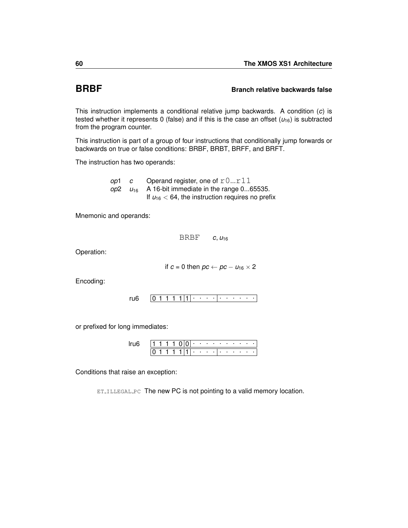### <span id="page-63-0"></span>**BRBF Branch relative backwards false**

This instruction implements a conditional relative jump backwards. A condition (*c*) is tested whether it represents 0 (false) and if this is the case an offset  $(\mu_{16})$  is subtracted from the program counter.

This instruction is part of a group of four instructions that conditionally jump forwards or backwards on true or false conditions: [BRBF,](#page-63-0) [BRBT,](#page-64-0) [BRFF,](#page-66-0) and [BRFT.](#page-67-0)

The instruction has two operands:

*op*1 *c* Operand register, one of  $r0...r11$  $\mu_{16}$  A 16-bit immediate in the range 0...65535. If  $u_{16}$  < 64, the instruction requires no prefix

Mnemonic and operands:

BRBF *c*, *u*<sup>16</sup>

Operation:

if  $c = 0$  then  $pc \leftarrow pc - u_{16} \times 2$ 

Encoding:

 $0 1 1 1 1 |1 | \cdot \cdot \cdot \cdot | \cdot \cdot \cdot \cdot \cdot \cdot$ [ru6](#page-234-0)

or prefixed for long immediates:

|  |  |  |   |   | . |   |  |             |  |  |
|--|--|--|---|---|---|---|--|-------------|--|--|
|  |  |  | ٠ | ٠ | ٠ | . |  | and a state |  |  |

Conditions that raise an exception: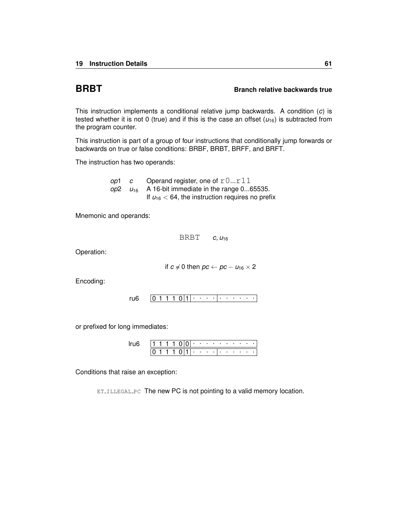### <span id="page-64-0"></span>**BRBT BRBT Branch relative backwards true**

This instruction implements a conditional relative jump backwards. A condition (*c*) is tested whether it is not 0 (true) and if this is the case an offset  $(u_{16})$  is subtracted from the program counter.

This instruction is part of a group of four instructions that conditionally jump forwards or backwards on true or false conditions: [BRBF,](#page-63-0) [BRBT,](#page-64-0) [BRFF,](#page-66-0) and [BRFT.](#page-67-0)

The instruction has two operands:

*op*1 *c* Operand register, one of  $r0...r11$  $\mu_{16}$  A 16-bit immediate in the range 0...65535. If  $u_{16}$  < 64, the instruction requires no prefix

Mnemonic and operands:

BRBT *c*, *u*<sup>16</sup>

Operation:

if  $c \neq 0$  then  $pc \leftarrow pc - u_{16} \times 2$ 

Encoding:

 $0 1 1 1 0 |1|$  . . . . . . . . . . [ru6](#page-234-0)

or prefixed for long immediates:

|  |  |  |  | the company of the company |  |                  | . |  |
|--|--|--|--|----------------------------|--|------------------|---|--|
|  |  |  |  |                            |  | $\sim$ 100 $\pm$ |   |  |

Conditions that raise an exception: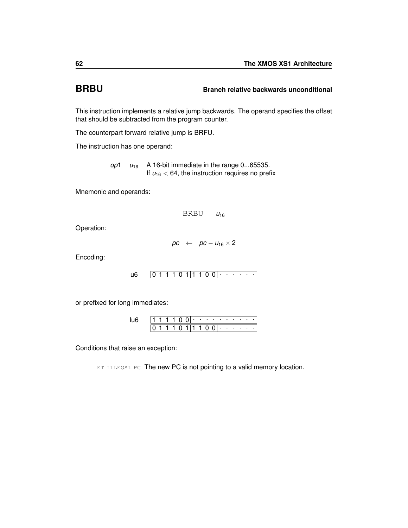# <span id="page-65-0"></span>**BRBU Branch relative backwards unconditional**

This instruction implements a relative jump backwards. The operand specifies the offset that should be subtracted from the program counter.

The counterpart forward relative jump is [BRFU.](#page-68-0)

The instruction has one operand:

*op*1 *u*<sup>16</sup> A 16-bit immediate in the range 0...65535. If  $u_{16}$  < 64, the instruction requires no prefix

Mnemonic and operands:

BRBU  $u_{16}$ 

Operation:

 $pc \leftarrow \textit{pc} - \textit{u}_{16} \times 2$ 

Encoding:

0 1 1 1 0 1 1 1 0 0 . . . . . . [u6](#page-236-0)

or prefixed for long immediates:

|  |  |        |  |    | $\cdots$     |        |                          | . . |  |  |
|--|--|--------|--|----|--------------|--------|--------------------------|-----|--|--|
|  |  | $\cup$ |  | 11 | $\mathbf{U}$ | $\cup$ | <b>Contract Contract</b> |     |  |  |

Conditions that raise an exception: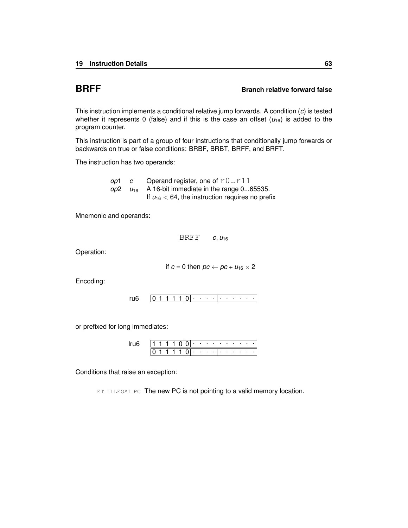### <span id="page-66-0"></span>**BRFF Branch relative forward false**

This instruction implements a conditional relative jump forwards. A condition (*c*) is tested whether it represents 0 (false) and if this is the case an offset  $(u_{16})$  is added to the program counter.

This instruction is part of a group of four instructions that conditionally jump forwards or backwards on true or false conditions: [BRBF,](#page-63-0) [BRBT,](#page-64-0) [BRFF,](#page-66-0) and [BRFT.](#page-67-0)

The instruction has two operands:

*op*1 *c* Operand register, one of  $r0...r11$  $\mu_{16}$  A 16-bit immediate in the range 0...65535. If  $u_{16}$  < 64, the instruction requires no prefix

Mnemonic and operands:

BRFF *c*, *u*<sup>16</sup>

Operation:

if  $c = 0$  then  $pc \leftarrow pc + u_{16} \times 2$ 

Encoding:

 $0 1 1 1 1 |0|$  . . . . . . . . . . [ru6](#page-234-0)

or prefixed for long immediates:

|  |  |  |   | <b>Contract Contract</b> | <b>Contract Contract</b> |  |                  | . |  |
|--|--|--|---|--------------------------|--------------------------|--|------------------|---|--|
|  |  |  | ٠ |                          |                          |  | $\sim$ 100 $\pm$ |   |  |

Conditions that raise an exception: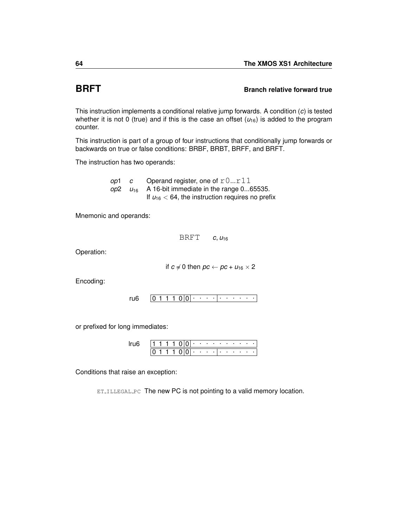### <span id="page-67-0"></span>**BRFT Branch relative forward true**

This instruction implements a conditional relative jump forwards. A condition (*c*) is tested whether it is not 0 (true) and if this is the case an offset  $(u_{16})$  is added to the program counter.

This instruction is part of a group of four instructions that conditionally jump forwards or backwards on true or false conditions: [BRBF,](#page-63-0) [BRBT,](#page-64-0) [BRFF,](#page-66-0) and [BRFT.](#page-67-0)

The instruction has two operands:

*op*1 *c* Operand register, one of  $r0...r11$  $\mu_{16}$  A 16-bit immediate in the range 0...65535. If  $u_{16}$  < 64, the instruction requires no prefix

Mnemonic and operands:

BRFT *c*, *u*<sup>16</sup>

Operation:

if  $c \neq 0$  then  $pc \leftarrow pc + u_{16} \times 2$ 

Encoding:

 $0 1 1 1 0 0 \cdot \cdot \cdot \cdot \cdot \cdot \cdot \cdot$ [ru6](#page-234-0)

or prefixed for long immediates:

|  |  |  |  |                              |  | the company's company's company's |                          |  |  |
|--|--|--|--|------------------------------|--|-----------------------------------|--------------------------|--|--|
|  |  |  |  | $\sim$ 100 $\sim$ 100 $\sim$ |  |                                   | <b>Contract Contract</b> |  |  |

Conditions that raise an exception: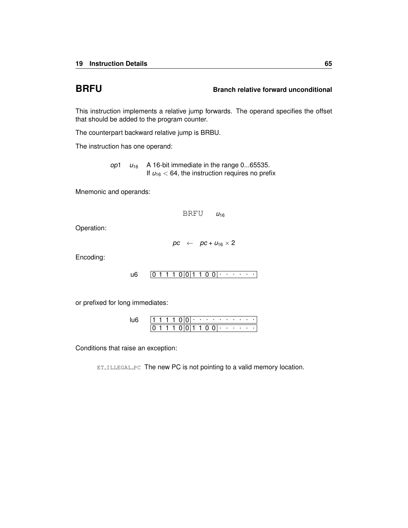# <span id="page-68-0"></span>**BRFU Branch relative forward unconditional**

This instruction implements a relative jump forwards. The operand specifies the offset that should be added to the program counter.

The counterpart backward relative jump is [BRBU.](#page-65-0)

The instruction has one operand:

*op*1  $u_{16}$  A 16-bit immediate in the range 0...65535. If  $u_{16}$  < 64, the instruction requires no prefix

Mnemonic and operands:

 $BRFU$   $u_{16}$ 

Operation:

 $pc \leftarrow \rho c + u_{16} \times 2$ 

Encoding:

0 1 1 1 0 0 1 1 0 0 . . . . . . [u6](#page-236-0)

or prefixed for long immediates:

|  |  |  |     | ٠ |    | <b>Contract Contract Contract</b> |        |      |        |  |  |
|--|--|--|-----|---|----|-----------------------------------|--------|------|--------|--|--|
|  |  |  | 011 |   | ı. | $^{\circ}$                        | $\cup$ | - 10 | $\sim$ |  |  |

Conditions that raise an exception: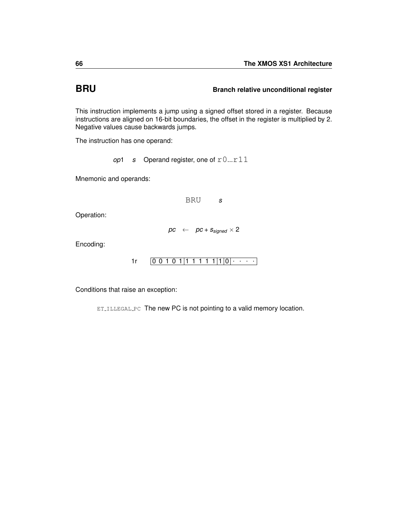# **BRU BRU Branch relative unconditional register**

This instruction implements a jump using a signed offset stored in a register. Because instructions are aligned on 16-bit boundaries, the offset in the register is multiplied by 2. Negative values cause backwards jumps.

The instruction has one operand:

*op*1 *s* Operand register, one of  $r0...r11$ 

Mnemonic and operands:

BRU *s*

Operation:

 $pc \leftarrow \textit{pc} + s_{\textit{sinned}} \times 2$ 

Encoding:

0 0 1 0 1 1 1 1 1 1 1 0 . . . . [1r](#page-245-0)

Conditions that raise an exception: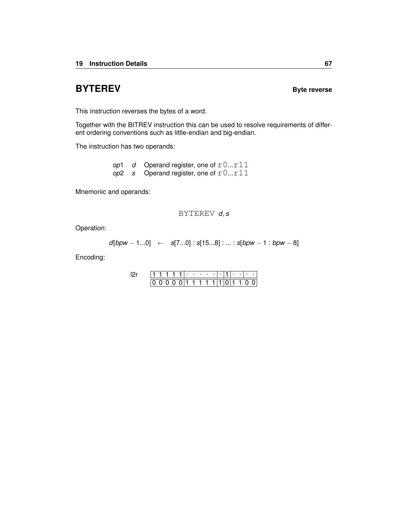# <span id="page-70-0"></span>**BYTEREV BYTEREV**

This instruction reverses the bytes of a word.

Together with the [BITREV](#page-57-0) instruction this can be used to resolve requirements of different ordering conventions such as little-endian and big-endian.

The instruction has two operands:

*op*1  $d$  Operand register, one of  $r0...r11$ *op*2 *s* Operand register, one of r0...r11

Mnemonic and operands:

### BYTEREV *d*, *s*

Operation:

*d*[*bpw* − 1...0] ← *s*[7...0] : *s*[15...8] : ... : *s*[*bpw* − 1 : *bpw* − 8]

Encoding:

|  |  |  | ٠ | ٠ | ٠  |  |  | ٠ | ٠ |  |
|--|--|--|---|---|----|--|--|---|---|--|
|  |  |  |   |   | 11 |  |  |   |   |  |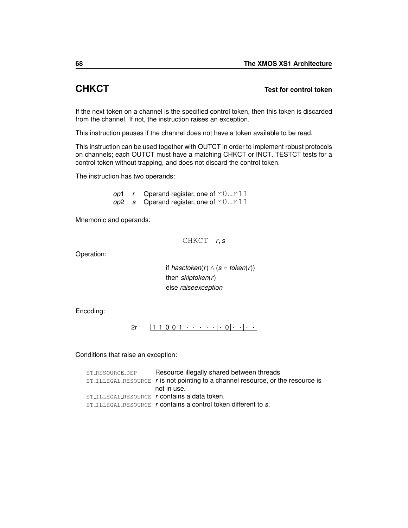# **CHKCT Test for control token**

If the next token on a channel is the specified control token, then this token is discarded from the channel. If not, the instruction raises an exception.

This instruction pauses if the channel does not have a token available to be read.

This instruction can be used together with [OUTCT](#page-164-0) in order to implement robust protocols on channels; each OUTCT must have a matching CHKCT or [INCT.](#page-114-0) [TESTCT](#page-213-0) tests for a control token without trapping, and does not discard the control token.

The instruction has two operands:

*op*1  $r$  Operand register, one of  $r0...r11$  $op2$  *s* Operand register, one of  $r0...r11$ 

Mnemonic and operands:

CHKCT *r*, *s*

Operation:

if *hasctoken*( $r$ ) ∧ ( $s$  = *token*( $r$ )) then *skiptoken*(*r*) else *raiseexception*

Encoding:

1 1 0 0 1 . . . . . . 0 . . . . [2r](#page-240-0)

Conditions that raise an exception:

| ET_RESOURCE_DEP | Resource illegally shared between threads                                         |
|-----------------|-----------------------------------------------------------------------------------|
|                 | $ET$ ILLEGAL RESOURCE r is not pointing to a channel resource, or the resource is |
|                 | not in use.                                                                       |
|                 | ET_ILLEGAL_RESOURCE r contains a data token.                                      |
|                 | $ET$ ILLEGAL RESOURCE r contains a control token different to s.                  |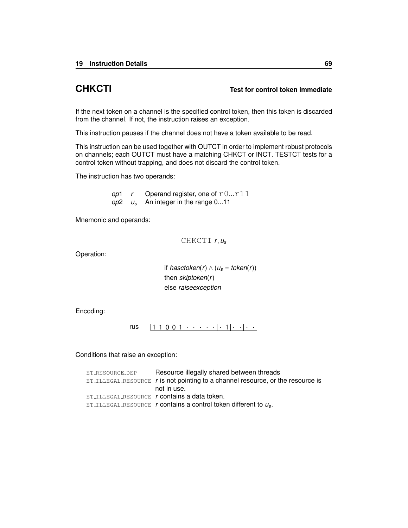### **CHKCTI Test for control token immediate**

If the next token on a channel is the specified control token, then this token is discarded from the channel. If not, the instruction raises an exception.

This instruction pauses if the channel does not have a token available to be read.

This instruction can be used together with [OUTCT](#page-164-0) in order to implement robust protocols on channels; each OUTCT must have a matching CHKCT or [INCT.](#page-114-0) [TESTCT](#page-213-0) tests for a control token without trapping, and does not discard the control token.

The instruction has two operands:

*op*1  $r$  Operand register, one of  $r0...r11$ *op*2 *u<sup>s</sup>* An integer in the range 0...11

Mnemonic and operands:

CHKCTI *r*, *u<sup>s</sup>*

Operation:

*if hasctoken*(*r*) ∧ ( $u_s$  = *token*(*r*)) then *skiptoken*(*r*) else *raiseexception*

Encoding:

[rus](#page-244-0)  $\boxed{1\ 1\ 0\ 0\ 1|\cdot\cdot\cdot\cdot\cdot\cdot|\cdot|1|\cdot\cdot|\cdot\cdot}$ 

Conditions that raise an exception:

| ET_RESOURCE_DEP | Resource illegally shared between threads                                                      |
|-----------------|------------------------------------------------------------------------------------------------|
|                 | $ET$ <sub>ILLEGAL</sub> RESOURCE $r$ is not pointing to a channel resource, or the resource is |
|                 | not in use.                                                                                    |
|                 | ET ILLEGAL RESOURCE <i>r</i> contains a data token.                                            |
|                 | ET_ILLEGAL_RESOURCE r contains a control token different to $u_s$ .                            |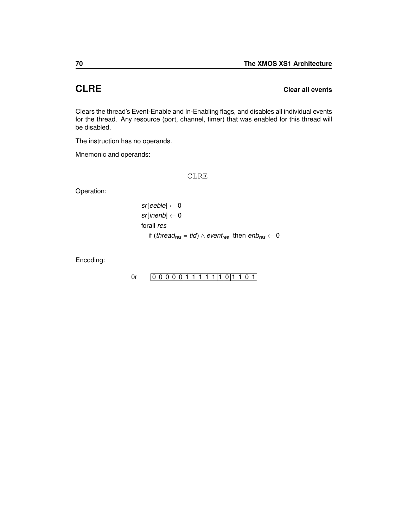## **CLRE Clear all events**

Clears the thread's Event-Enable and In-Enabling flags, and disables all individual events for the thread. Any resource (port, channel, timer) that was enabled for this thread will be disabled.

The instruction has no operands.

Mnemonic and operands:

CLRE

Operation:

$$
sf[eeble] \leftarrow 0
$$
\n
$$
sf[inenh] \leftarrow 0
$$
\n
$$
for all res
$$
\n
$$
if (thread_{res} = tid) \land event_{res} \text{ then } emb_{res} \leftarrow 0
$$

Encoding:

### [0r](#page-246-0)  $[0 0 0 0 0 1 1 1 1 1 1 1 0 1 1 0 1]$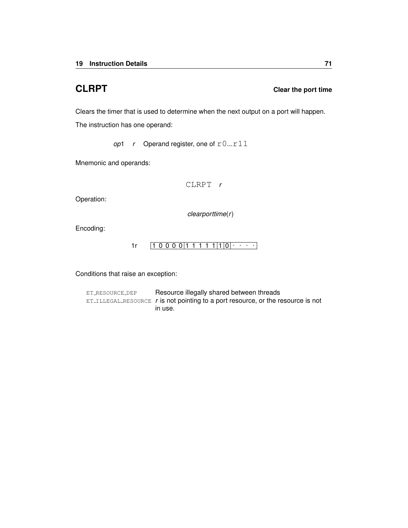### **CLRPT CLRPT CLRPT Clear the port time**

Clears the timer that is used to determine when the next output on a port will happen.

The instruction has one operand:

*op*1  $r$  Operand register, one of  $r0...r11$ 

Mnemonic and operands:

CLRPT *r*

Operation:

*clearporttime*(*r*)

Encoding:

 $1r \left[ 1 \ 0 \ 0 \ 0 \ 0 \right] 1 \ 1 \ 1 \ 1 \ 1 \left| 1 \right| 0 \left| \cdots \right|$  $1r \left[ 1 \ 0 \ 0 \ 0 \ 0 \right] 1 \ 1 \ 1 \ 1 \ 1 \left| 1 \right| 0 \left| \cdots \right|$ 

Conditions that raise an exception:

ET\_[RESOURCE](#page-259-0)\_DEP Resource illegally shared between threads ET ILLEGAL [RESOURCE](#page-254-0) *r* is not pointing to a port resource, or the resource is not in use.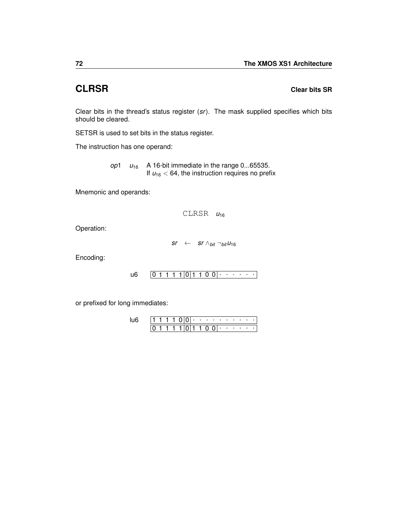### **CLRSR Clear bits SR**

Clear bits in the thread's status register (*sr*). The mask supplied specifies which bits should be cleared.

[SETSR](#page-189-0) is used to set bits in the status register.

The instruction has one operand:

*op*1  $u_{16}$  A 16-bit immediate in the range 0...65535. If  $u_{16}$  < 64, the instruction requires no prefix

Mnemonic and operands:

 $CLRSR$   $u_{16}$ 

Operation:

 $sr \leftarrow$  *sr* ∧*bit*  $\neg$ *bit*  $u_{16}$ 

Encoding:

```
0 1 1 1 1 0 1 1 0 0
. . . . . . u6
```
or prefixed for long immediates:

|  |  |  |  |       | .          | $\sim$                | . . |  |  |
|--|--|--|--|-------|------------|-----------------------|-----|--|--|
|  |  |  |  | 10111 | $^{\circ}$ | $0 \cdot \cdot \cdot$ |     |  |  |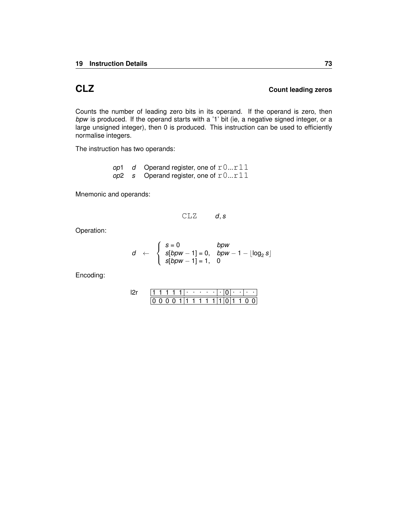### **CLZ Count leading zeros**

Counts the number of leading zero bits in its operand. If the operand is zero, then *bpw* is produced. If the operand starts with a '1' bit (ie, a negative signed integer, or a large unsigned integer), then 0 is produced. This instruction can be used to efficiently normalise integers.

The instruction has two operands:

*op*1 *d* Operand register, one of  $r0...r11$ *op*2 *s* Operand register, one of r0...r11

Mnemonic and operands:

$$
\texttt{CLZ} \qquad d, s
$$

Operation:

$$
d \leftarrow \begin{cases} s=0 & bpw \\ s[bpw-1]=0, & bpw-1-\lfloor \log_2 s \rfloor \\ s[bpw-1]=1, & 0 \end{cases}
$$

|  |  |  | ٠ |   |  |  | ٠ |  |  |
|--|--|--|---|---|--|--|---|--|--|
|  |  |  |   | 1 |  |  |   |  |  |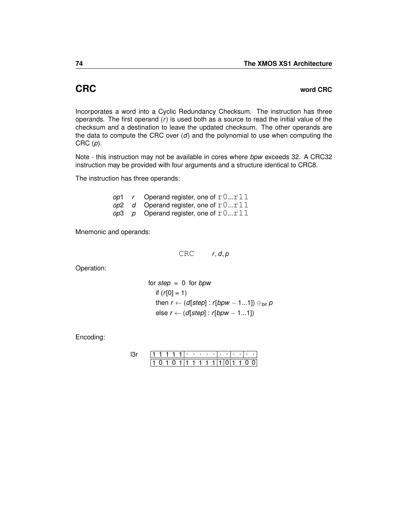### <span id="page-77-0"></span>**CRC word CRC**

Incorporates a word into a Cyclic Redundancy Checksum. The instruction has three operands. The first operand (*r*) is used both as a source to read the initial value of the checksum and a destination to leave the updated checksum. The other operands are the data to compute the CRC over (*d*) and the polynomial to use when computing the CRC (*p*).

Note - this instruction may not be available in cores where *bpw* exceeds 32. A CRC32 instruction may be provided with four arguments and a structure identical to [CRC8.](#page-78-0)

The instruction has three operands:

*op*1 *r* Operand register, one of  $r0...r11$  $op2$  *d* Operand register, one of  $r0...r11$ *op*3 *p* Operand register, one of  $r0...r11$ 

Mnemonic and operands:

CRC *r*, *d*, *p*

Operation:

for step = 0 for *bpw*  
if 
$$
(r[0] = 1)
$$
  
then  $r \leftarrow (d[step] : r[bpw - 1...1]) \bigoplus_{bit} p$   
else  $r \leftarrow (d[step] : r[bpw - 1...1])$ 

|  |  |  |  |  |  | $\cdots$ |  |      |  |
|--|--|--|--|--|--|----------|--|------|--|
|  |  |  |  |  |  |          |  | 1111 |  |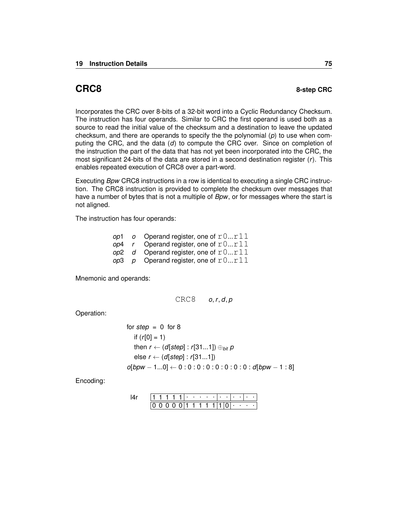<span id="page-78-0"></span>Incorporates the CRC over 8-bits of a 32-bit word into a Cyclic Redundancy Checksum. The instruction has four operands. Similar to [CRC](#page-77-0) the first operand is used both as a source to read the initial value of the checksum and a destination to leave the updated checksum, and there are operands to specify the the polynomial (*p*) to use when computing the CRC, and the data (*d*) to compute the CRC over. Since on completion of the instruction the part of the data that has not yet been incorporated into the CRC, the most significant 24-bits of the data are stored in a second destination register (*r*). This enables repeated execution of CRC8 over a part-word.

Executing *Bpw* CRC8 instructions in a row is identical to executing a single [CRC](#page-77-0) instruction. The CRC8 instruction is provided to complete the checksum over messages that have a number of bytes that is not a multiple of *Bpw*, or for messages where the start is not aligned.

The instruction has four operands:

|  | op1 o Operand register, one of $r0r11$ |
|--|----------------------------------------|
|  | op4 r Operand register, one of $r0r11$ |
|  | op2 d Operand register, one of $r0r11$ |
|  | op3 p Operand register, one of $r0r11$ |

Mnemonic and operands:

$$
CRC8 \qquad o,r,d,p
$$

Operation:

for step = 0 for 8  
if (r[0] = 1)  
then 
$$
r \leftarrow (d[step] : r[31...1]) \oplus_{bit} p
$$
  
else  $r \leftarrow (d[step] : r[31...1])$   
of*bpw* − 1...0] ← 0 : 0 : 0 : 0 : 0 : 0 : 0 : 0 : 0 : 0 : 0 |*bpw* − 1 : 8]

|  |  |  | ٠ | ٠ | ٠ |  |  |   |   |  |
|--|--|--|---|---|---|--|--|---|---|--|
|  |  |  |   |   |   |  |  | ٠ | ٠ |  |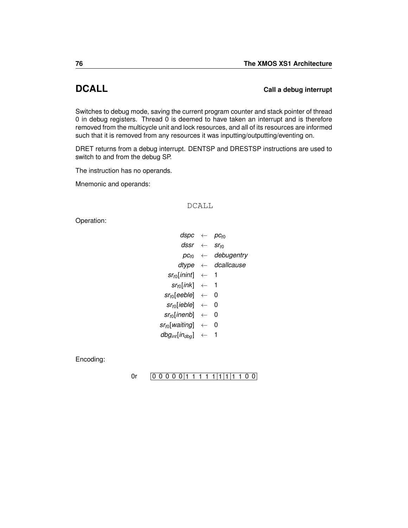## <span id="page-79-0"></span>**DCALL Call a debug interrupt**

Switches to debug mode, saving the current program counter and stack pointer of thread 0 in debug registers. Thread 0 is deemed to have taken an interrupt and is therefore removed from the multicycle unit and lock resources, and all of its resources are informed such that it is removed from any resources it was inputting/outputting/eventing on.

[DRET](#page-85-0) returns from a debug interrupt. [DENTSP](#page-80-0) and [DRESTSP](#page-84-0) instructions are used to switch to and from the debug SP.

The instruction has no operands.

Mnemonic and operands:

### DCALL

Operation:

| dspc                       | $\leftarrow$ | DC+0             |
|----------------------------|--------------|------------------|
| dssr                       |              | Sr <sub>t0</sub> |
| $DC_{t}$                   |              | debugentry       |
| dtype                      |              | dcallcause       |
| $sr_{t0}$ [inint]          | $\leftarrow$ | 1                |
| $sr_{t0}$ [ink]            | $\leftarrow$ | 1                |
| $sr_{t0}$ [eeble]          | $\leftarrow$ | O                |
| $sr_{t0}$ [ieble]          |              | 0                |
| sr <sub>t0</sub> [inenb]   | $\leftarrow$ | 0                |
| sr <sub>t0</sub> [waiting] | $\leftarrow$ | 0                |
| $dbg_{int}[in_{dba}]$      |              |                  |
|                            |              |                  |

Encoding:

### [0r](#page-246-0)  $[0 0 0 0 0 1 1 1 1 1 1 1 1 1 1 0 0]$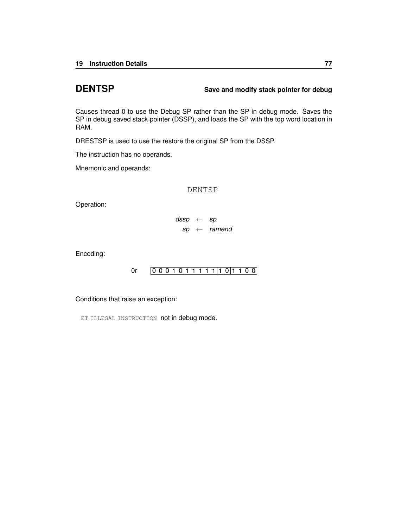### <span id="page-80-0"></span>**DENTSP Save and modify stack pointer for debug**

Causes thread 0 to use the Debug SP rather than the SP in debug mode. Saves the SP in debug saved stack pointer (DSSP), and loads the SP with the top word location in RAM.

[DRESTSP](#page-84-0) is used to use the restore the original SP from the DSSP.

The instruction has no operands.

Mnemonic and operands:

DENTSP

Operation:

*dssp* ← *sp sp* ← *ramend*

Encoding:

[0r](#page-246-0)  $[0 0 0 1 0 1 1 1 1 1 1 1 0 0]$ 

Conditions that raise an exception:

ET\_ILLEGAL\_[INSTRUCTION](#page-253-0) not in debug mode.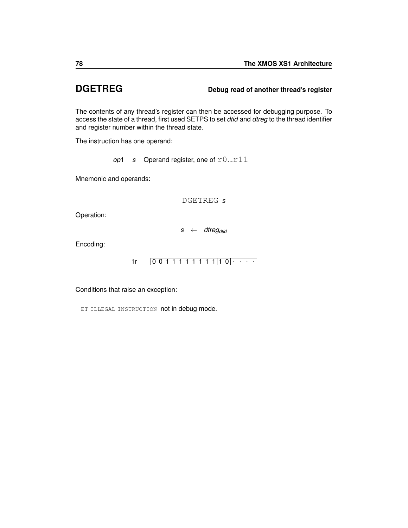### **DGETREG Debug read of another thread's register**

The contents of any thread's register can then be accessed for debugging purpose. To access the state of a thread, first used [SETPS](#page-184-0) to set *dtid* and *dtreg* to the thread identifier and register number within the thread state.

The instruction has one operand:

*op*1 *s* Operand register, one of  $r0...r11$ 

Mnemonic and operands:

DGETREG *s*

Operation:

*s* ← *dtregdtid*

Encoding:

 $1r$   $[0 0 1 1 1 | 1 1 1 1 1 | 1 | 0] \cdot \cdot \cdot$ 

Conditions that raise an exception:

ET\_ILLEGAL\_[INSTRUCTION](#page-253-0) not in debug mode.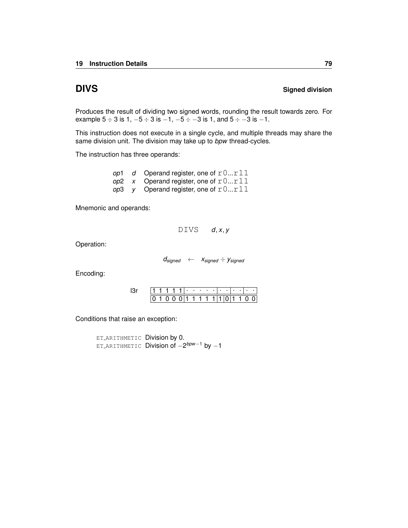### **DIVS** Signed division

Produces the result of dividing two signed words, rounding the result towards zero. For example  $5 \div 3$  is  $1, -5 \div 3$  is  $-1, -5 \div -3$  is  $1, \text{ and } 5 \div -3$  is  $-1$ .

This instruction does not execute in a single cycle, and multiple threads may share the same division unit. The division may take up to *bpw* thread-cycles.

The instruction has three operands:

*op*1 *d* Operand register, one of  $r0...r11$  $op2$  *x* Operand register, one of  $r0...r11$ *op*3 *y* Operand register, one of  $r0...r11$ 

Mnemonic and operands:

DIVS *d*, *x*, *y*

Operation:

*dsigned* ← *xsigned* ÷ *ysigned*

Encoding:

|  | .   |  |  |  |                                        | <b>Contract Contract</b> |  |  |
|--|-----|--|--|--|----------------------------------------|--------------------------|--|--|
|  | 100 |  |  |  | $0 \mid 1 \mid 1 \mid 1 \mid 1 \mid 1$ | 101110                   |  |  |

Conditions that raise an exception:

ET [ARITHMETIC](#page-257-0) Division by 0. ET [ARITHMETIC](#page-257-0) Division of −2 *bpw*−<sup>1</sup> by −1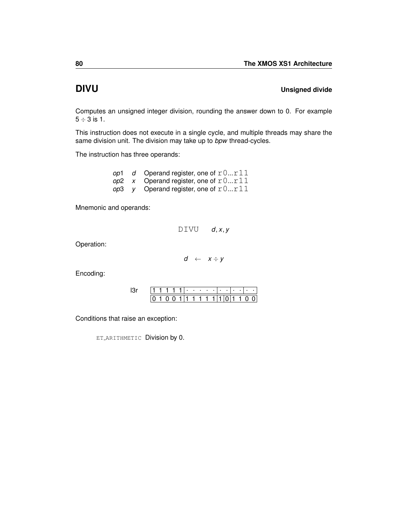## **DIVU** Unsigned divide

Computes an unsigned integer division, rounding the answer down to 0. For example  $5 \div 3$  is 1.

This instruction does not execute in a single cycle, and multiple threads may share the same division unit. The division may take up to *bpw* thread-cycles.

The instruction has three operands:

|  | op1 d Operand register, one of $r0r11$   |
|--|------------------------------------------|
|  | op2 $x$ Operand register, one of $r0r11$ |
|  | op3 y Operand register, one of $r0r11$   |

Mnemonic and operands:

 $DIVU$  *d*, *x*, *y* 

Operation:

 $d \leftarrow x \div y$ 

Encoding:

|  |  |  | ٠ | and the state of the state of |  |  |  |  |
|--|--|--|---|-------------------------------|--|--|--|--|
|  |  |  |   |                               |  |  |  |  |

Conditions that raise an exception:

ET [ARITHMETIC](#page-257-0) Division by 0.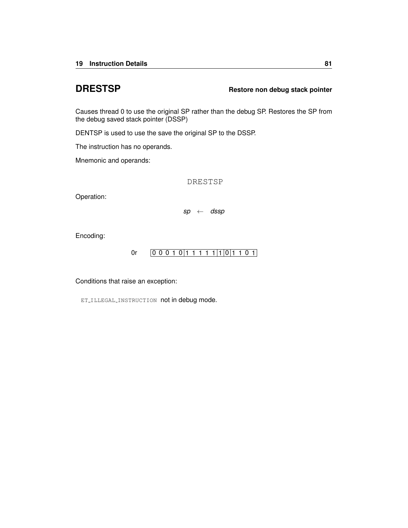### <span id="page-84-0"></span>**DRESTSP Restore non debug stack pointer**

Causes thread 0 to use the original SP rather than the debug SP. Restores the SP from the debug saved stack pointer (DSSP)

[DENTSP](#page-80-0) is used to use the save the original SP to the DSSP.

The instruction has no operands.

Mnemonic and operands:

DRESTSP

Operation:

*sp* ← *dssp*

Encoding:

$$
0r \qquad \boxed{0\ 0\ 0\ 1\ 0}\boxed{1\ 1\ 1\ 1\ 1}\boxed{1}\boxed{0}\boxed{1\ 1\ 0\ 1}
$$

Conditions that raise an exception:

ET\_ILLEGAL\_[INSTRUCTION](#page-253-0) not in debug mode.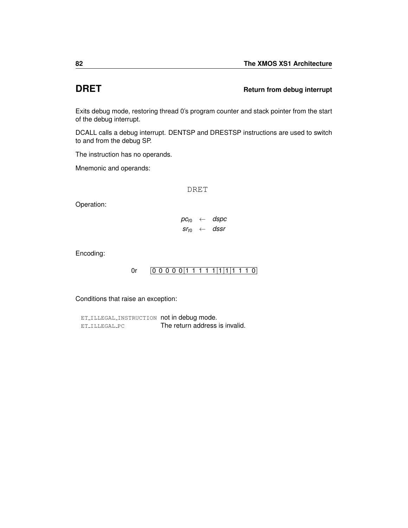### <span id="page-85-0"></span>**DRET Return from debug interrupt**

Exits debug mode, restoring thread 0's program counter and stack pointer from the start of the debug interrupt.

[DCALL](#page-79-0) calls a debug interrupt. [DENTSP](#page-80-0) and [DRESTSP](#page-84-0) instructions are used to switch to and from the debug SP.

The instruction has no operands.

Mnemonic and operands:

DRET

Operation:

 $pc_{t0} \leftarrow$  *dspc*  $sr_{t0} \leftarrow$  *dssr* 

Encoding:

[0r](#page-246-0)  $[0 0 0 0 0 1 1 1 1 1 1 1 1 1 1 0]$ 

Conditions that raise an exception:

ET\_ILLEGAL\_[INSTRUCTION](#page-253-0) not in debug mode. ET\_[ILLEGAL](#page-252-0)\_PC The return address is invalid.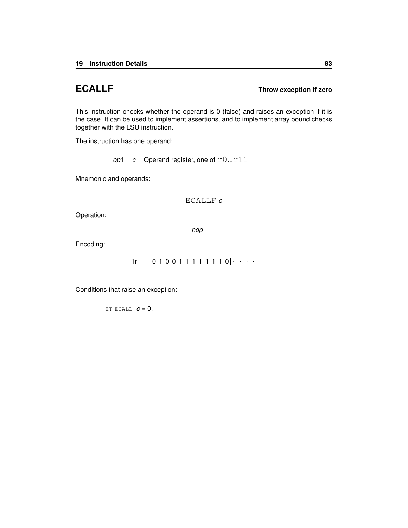### **ECALLF Throw exception if zero**

This instruction checks whether the operand is 0 (false) and raises an exception if it is the case. It can be used to implement assertions, and to implement array bound checks together with the LSU instruction.

The instruction has one operand:

*op*1 *c* Operand register, one of  $r0...r11$ 

Mnemonic and operands:

ECALLF *c*

Operation:

*nop*

Encoding:

$$
1r \qquad [0 1 0 0 1 | 1 1 1 1 1 1 | 1 | 0 | \cdots ]
$$

Conditions that raise an exception:

ET [ECALL](#page-258-0) *c* = 0.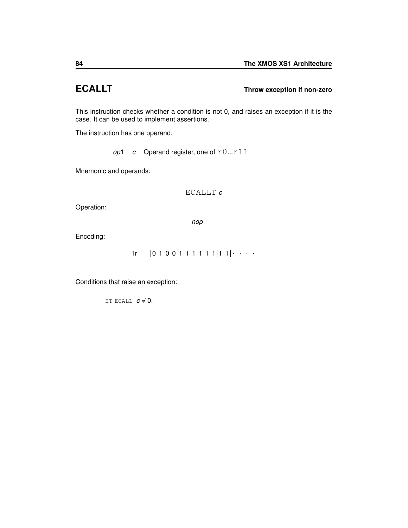### **ECALLT Throw exception if non-zero**

This instruction checks whether a condition is not 0, and raises an exception if it is the case. It can be used to implement assertions.

The instruction has one operand:

*op*1 *c* Operand register, one of  $r0...r11$ 

Mnemonic and operands:

ECALLT *c*

Operation:

*nop*

Encoding:

 $1r$   $[0 1 0 0 1 | 1 1 1 1 1 | 1 | 1 | \cdots]$ 

Conditions that raise an exception:

ET\_[ECALL](#page-258-0)  $c \neq 0$ .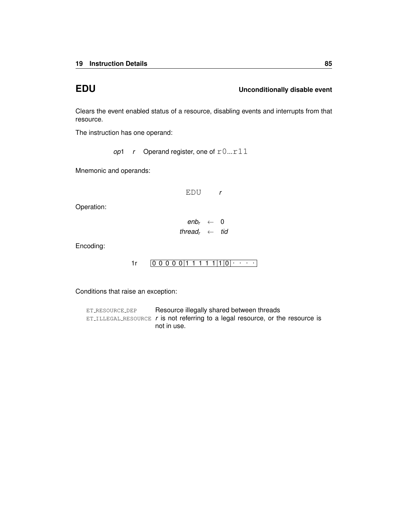### **EDU Unconditionally disable event**

Clears the event enabled status of a resource, disabling events and interrupts from that resource.

The instruction has one operand:

*op*1  $r$  Operand register, one of  $r0...r11$ 

Mnemonic and operands:

EDU *r*

Operation:

 $enb_r \leftarrow 0$ *thread<sup>r</sup>* ← *tid*

Encoding:

 $1r$   $[0 0 0 0 0 1 1 1 1 1 1 1 0$   $\cdots$ 

Conditions that raise an exception:

ET\_[RESOURCE](#page-259-0)\_DEP Resource illegally shared between threads ET\_ILLEGAL\_[RESOURCE](#page-254-0) *r* is not referring to a legal resource, or the resource is not in use.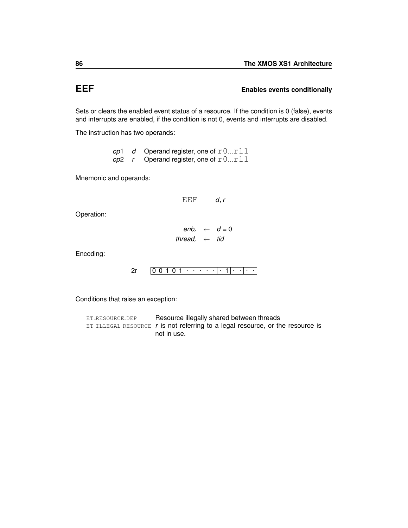### **EEF** END **END** Enables events conditionally

Sets or clears the enabled event status of a resource. If the condition is 0 (false), events and interrupts are enabled, if the condition is not 0, events and interrupts are disabled.

The instruction has two operands:

*op*1 *d* Operand register, one of  $r0...r11$ *op*2 *r* Operand register, one of  $r0...r11$ 

Mnemonic and operands:

EEF *d*, *r*

Operation:

 $enb_r \leftarrow d = 0$ *thread<sup>r</sup>* ← *tid*

Encoding:

```
0 0 1 0 1
. . . . . . 1
. . . . 2r
```
Conditions that raise an exception:

ET\_[RESOURCE](#page-259-0)\_DEP Resource illegally shared between threads ET\_ILLEGAL\_[RESOURCE](#page-254-0) *r* is not referring to a legal resource, or the resource is not in use.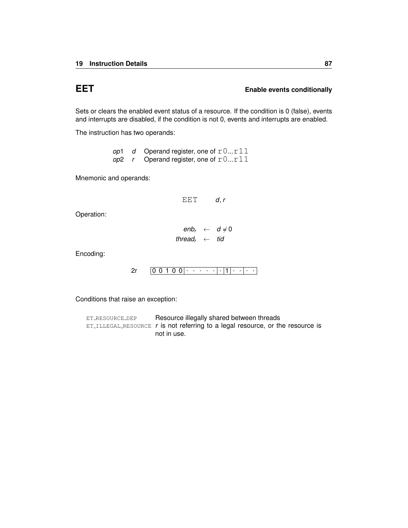### **EET** Enable events conditionally

Sets or clears the enabled event status of a resource. If the condition is 0 (false), events and interrupts are disabled, if the condition is not 0, events and interrupts are enabled.

The instruction has two operands:

*op*1 *d* Operand register, one of  $r0...r11$  $op2$  *r* Operand register, one of  $r0...r11$ 

Mnemonic and operands:

EET *d*, *r*

Operation:

 $enb_r \leftarrow d \neq 0$ *thread<sup>r</sup>* ← *tid*

Encoding:

```
2r \left[0\; 0\; 1\; 0\; 0\right] \cdot \left. \right. \cdot \left. \cdot \right. \cdot \left. \cdot \right] \cdot \left[1\right] \cdot \left. \cdot \right] \cdot \left. \cdot \right.
```
Conditions that raise an exception:

ET\_[RESOURCE](#page-259-0)\_DEP Resource illegally shared between threads ET ILLEGAL [RESOURCE](#page-254-0)  $r$  is not referring to a legal resource, or the resource is not in use.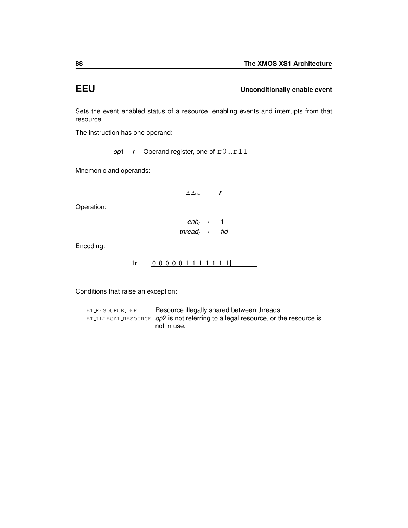### **EEU Unconditionally enable event**

Sets the event enabled status of a resource, enabling events and interrupts from that resource.

The instruction has one operand:

*op*1 *r* Operand register, one of  $r0...r11$ 

Mnemonic and operands:

EEU *r*

Operation:

 $enb_r \leftarrow 1$ *thread<sup>r</sup>* ← *tid*

Encoding:

 $1r$   $[0 0 0 0 0 1 1 1 1 1 1 1 1]$ 

Conditions that raise an exception:

ET\_[RESOURCE](#page-259-0)\_DEP Resource illegally shared between threads ET ILLEGAL [RESOURCE](#page-254-0) *op*2 is not referring to a legal resource, or the resource is not in use.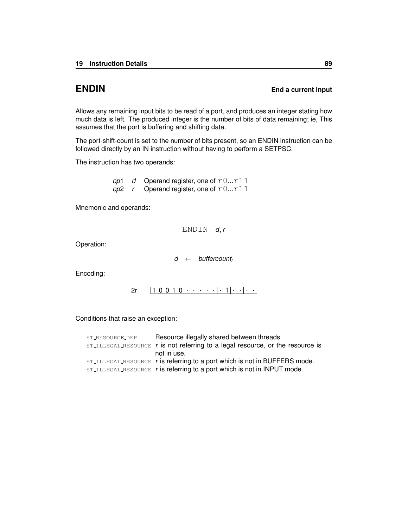### **ENDIN** End a current input

Allows any remaining input bits to be read of a port, and produces an integer stating how much data is left. The produced integer is the number of bits of data remaining; ie, This assumes that the port is buffering and shifting data.

The port-shift-count is set to the number of bits present, so an ENDIN instruction can be followed directly by an IN instruction without having to perform a [SETPSC.](#page-185-0)

The instruction has two operands:

*op*1 *d* Operand register, one of  $r0...r11$  $op2$  *r* Operand register, one of  $r0...r11$ 

Mnemonic and operands:

ENDIN *d*, *r*

Operation:

*d* ← *buffercount<sup>r</sup>*

Encoding:

1 0 0 1 0 . . . . . . 1 . . . . [2r](#page-240-0)

Conditions that raise an exception:

| ET_RESOURCE_DEP | Resource illegally shared between threads                                                 |
|-----------------|-------------------------------------------------------------------------------------------|
|                 | $ET$ ILLEGAL RESOURCE $r$ is not referring to a legal resource, or the resource is        |
|                 | not in use.                                                                               |
|                 | $ET$ <sub>ILLEGAL</sub> RESOURCE $r$ is referring to a port which is not in BUFFERS mode. |
|                 | ET_ILLEGAL_RESOURCE $r$ is referring to a port which is not in INPUT mode.                |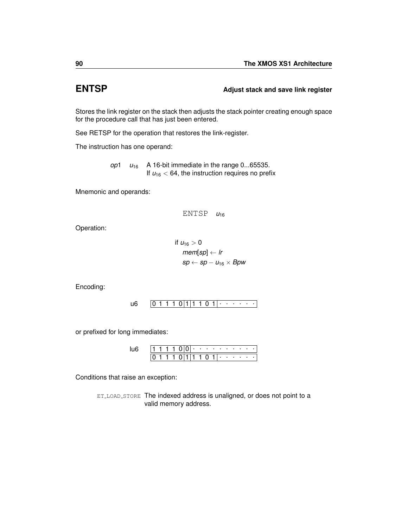## **ENTSP Adjust stack and save link register**

Stores the link register on the stack then adjusts the stack pointer creating enough space for the procedure call that has just been entered.

See [RETSP](#page-172-0) for the operation that restores the link-register.

The instruction has one operand:

*op*1  $u_{16}$  A 16-bit immediate in the range 0...65535. If  $u_{16}$  < 64, the instruction requires no prefix

Mnemonic and operands:

ENTSP *u*<sup>16</sup>

Operation:

$$
\begin{aligned} \text{if } u_{16} > 0 \\ \text{mem[sp]} &\leftarrow \text{lr} \\ \text{sp} &\leftarrow \text{sp} - u_{16} \times \text{Bpw} \end{aligned}
$$

Encoding:

0 1 1 1 0 1 1 1 0 1 . . . . . . [u6](#page-236-0)

or prefixed for long immediates:

|  |  |  | ٠ | $\sim$ $\sim$ |   | ٠ | ٠ | ٠ | ٠ | $\cdot$ |  |
|--|--|--|---|---------------|---|---|---|---|---|---------|--|
|  |  |  |   |               | 0 |   | ٠ |   |   |         |  |

Conditions that raise an exception:

ET\_LOAD\_[STORE](#page-255-0) The indexed address is unaligned, or does not point to a valid memory address.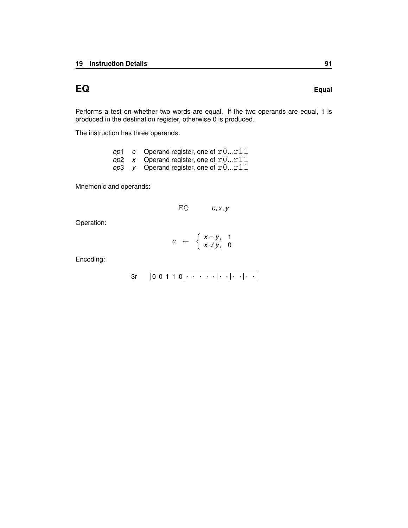# **EQ Equal**

Performs a test on whether two words are equal. If the two operands are equal, 1 is produced in the destination register, otherwise 0 is produced.

The instruction has three operands:

|  | op1 c Operand register, one of $r0r11$ |
|--|----------------------------------------|
|  | op2 x Operand register, one of $r0r11$ |
|  | op3 y Operand register, one of $r0r11$ |

Mnemonic and operands:

$$
EQ \t\t c, x, y
$$

Operation:

$$
c \leftarrow \begin{cases} x = y, & 1 \\ x \neq y, & 0 \end{cases}
$$

$$
3r \qquad \boxed{0\ 0\ 1\ 1\ 0}\cdot \cdot \cdot \cdot \cdot \cdot \cdot \cdot \cdot \cdot \cdot \cdot \cdot \cdot \cdot \cdot \cdot
$$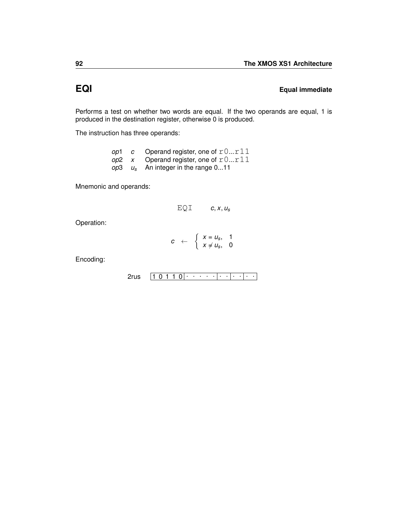## **EQI Equal immediate**

Performs a test on whether two words are equal. If the two operands are equal, 1 is produced in the destination register, otherwise 0 is produced.

The instruction has three operands:

|  | op1 c Operand register, one of $r0r11$  |
|--|-----------------------------------------|
|  | op2 x Operand register, one of $r0r11$  |
|  | $op3 \t us$ An integer in the range 011 |

Mnemonic and operands:

EQI *c*, *x*, *u<sup>s</sup>*

Operation:

$$
c \leftarrow \begin{cases} x = u_s, & 1 \\ x \neq u_s, & 0 \end{cases}
$$

$$
2rus \quad \boxed{1\ 0\ 1\ 1\ 0}\cdot \cdot \cdot \cdot \cdot \cdot \cdot \cdot \cdot \cdot \cdot \cdot \cdot \cdot \cdot
$$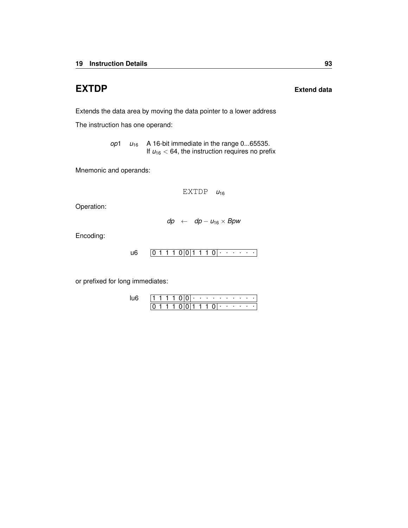# **EXTDP Extend data**

Extends the data area by moving the data pointer to a lower address

The instruction has one operand:

*op*1  $u_{16}$  A 16-bit immediate in the range 0...65535. If  $u_{16}$  < 64, the instruction requires no prefix

Mnemonic and operands:

EXTDP  $u_{16}$ 

Operation:

$$
dp \leftarrow dp - u_{16} \times Bpw
$$

Encoding:

$$
u6 \qquad \boxed{0\ 1\ 1\ 1\ 0}\big|0\big|1\ 1\ 1\ 0\big| \cdot\cdot\cdot\cdot\cdot\cdot\cdot\cdot\big|
$$

or prefixed for long immediates:

|  |  |  |  |        | . |                | <b>Contractor</b> | $\sim$ |  |
|--|--|--|--|--------|---|----------------|-------------------|--------|--|
|  |  |  |  | (11111 |   | $\mathbf{0}$ . |                   |        |  |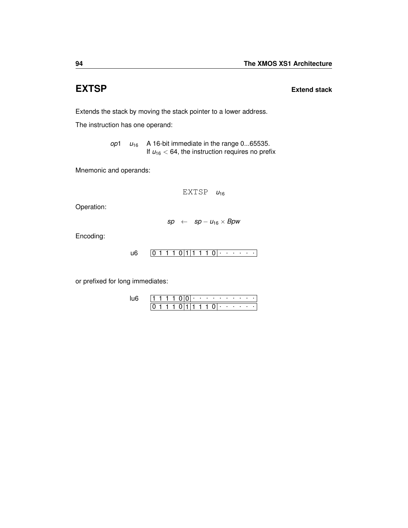**EXTSP Extend stack**

Extends the stack by moving the stack pointer to a lower address.

The instruction has one operand:

*op*1 *u*<sup>16</sup> A 16-bit immediate in the range 0...65535. If  $u_{16}$  < 64, the instruction requires no prefix

Mnemonic and operands:

 $EXTSP$   $u_{16}$ 

Operation:

 $sp \leftarrow sp - u_{16} \times Bpw$ 

Encoding:

$$
u6 \qquad \boxed{0 \; 1 \; 1 \; 1 \; 0 \, |1 \; 1 \; 1 \; 1 \; 0 \, | \cdot \cdot \cdot \cdot \cdot \cdot \cdot}
$$

or prefixed for long immediates:

|  |  |  | ٠ | $\cdots$ | . .          | <b>State State</b> | <b>Contract Contract Contract</b> |  |  |
|--|--|--|---|----------|--------------|--------------------|-----------------------------------|--|--|
|  |  |  |   | ֿ ד      | $\mathbf{U}$ | $\cdots$           |                                   |  |  |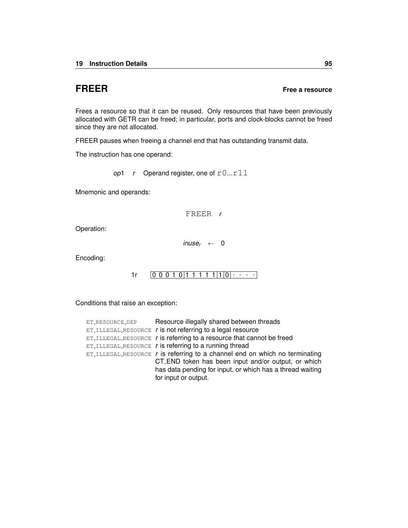### **FREER Free a resource**

Frees a resource so that it can be reused. Only resources that have been previously allocated with [GETR](#page-108-0) can be freed; in particular, ports and clock-blocks cannot be freed since they are not allocated.

FREER pauses when freeing a channel end that has outstanding transmit data.

The instruction has one operand:

*op*1  $r$  Operand register, one of  $r0...r11$ 

Mnemonic and operands:

FREER *r*

Operation:

 $image_r \leftarrow 0$ 

Encoding:

 $1r$   $[0 0 0 1 0 1 1 1 1 1 1 1 0 0 \cdots]$ 

Conditions that raise an exception:

| ET_RESOURCE_DEP | Resource illegally shared between threads                                              |
|-----------------|----------------------------------------------------------------------------------------|
|                 | $ET$ ILLEGAL RESOURCE r is not referring to a legal resource                           |
|                 | $ET$ <sub>ILLEGAL</sub> RESOURCE $r$ is referring to a resource that cannot be freed   |
|                 | $ET$ ILLEGAL RESOURCE $r$ is referring to a running thread                             |
|                 | $ET_{\text{ILLEGAL-RESOWRCE}}$ r is referring to a channel end on which no terminating |
|                 | CT_END token has been input and/or output, or which                                    |
|                 | has data pending for input, or which has a thread waiting                              |
|                 | for input or output.                                                                   |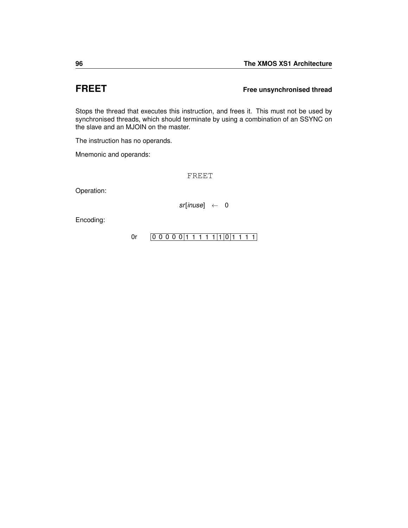## **FREET Free unsynchronised thread**

Stops the thread that executes this instruction, and frees it. This must not be used by synchronised threads, which should terminate by using a combination of an [SSYNC](#page-198-0) on the slave and an [MJOIN](#page-155-0) on the master.

The instruction has no operands.

Mnemonic and operands:

FREET

Operation:

*sr*[*inuse*] ← 0

Encoding:

[0r](#page-246-0)  $[0 0 0 0 0 1 1 1 1 1 1 1 0 1 1 1 1]$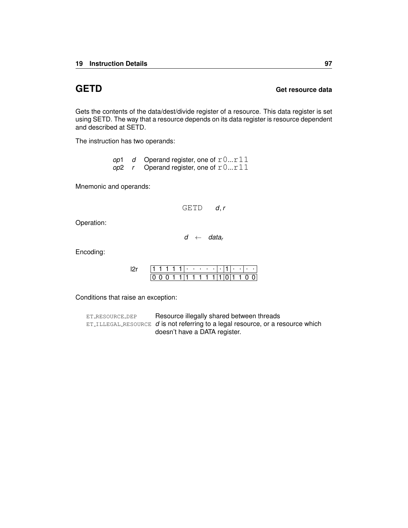### **GETD Get resource data**

Gets the contents of the data/dest/divide register of a resource. This data register is set using [SETD.](#page-179-0) The way that a resource depends on its data register is resource dependent and described at [SETD.](#page-179-0)

The instruction has two operands:

*op*1 *d* Operand register, one of  $r0...r11$ *op*2 *r* Operand register, one of r0...r11

Mnemonic and operands:

GETD *d*, *r*

Operation:

*d* ← *data<sup>r</sup>*

Encoding:

|  |  |  | ٠ | ٠ |  |  | ٠ | ٠ |  |
|--|--|--|---|---|--|--|---|---|--|
|  |  |  |   |   |  |  |   |   |  |

Conditions that raise an exception:

| ET_RESOURCE_DEP | Resource illegally shared between threads                                            |
|-----------------|--------------------------------------------------------------------------------------|
|                 | $ET$ -ILLEGAL-RESOURCE $d$ is not referring to a legal resource, or a resource which |
|                 | doesn't have a DATA register.                                                        |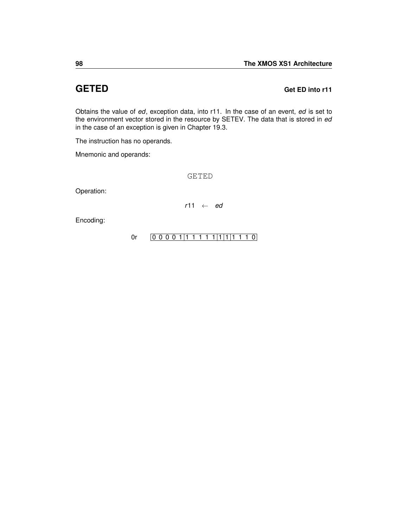### **GETED GETED Get ED** into r11

Obtains the value of *ed*, exception data, into r11. In the case of an event, *ed* is set to the environment vector stored in the resource by [SETEV.](#page-181-0) The data that is stored in *ed* in the case of an exception is given in Chapter [19.3.](#page-250-0)

The instruction has no operands.

Mnemonic and operands:

GETED

Operation:

*r*11 ← *ed*

Encoding:

[0r](#page-246-0)  $[0 0 0 0 1 1 1 1 1 1 1 1 1 1 1 0]$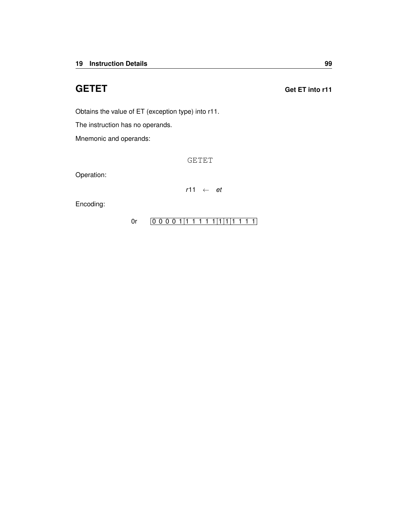Obtains the value of ET (exception type) into r11.

The instruction has no operands.

Mnemonic and operands:

GETET

Operation:

*r*11 ← *et*

Encoding:

### [0r](#page-246-0)  $[0 0 0 0 1 1 1 1 1 1 1 1 1 1 1 1]$

**GETET GETET GETET**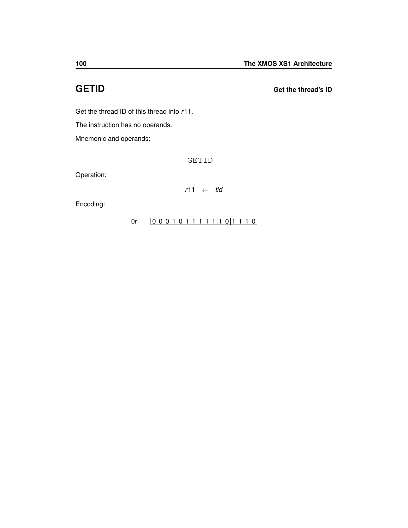**GETID Get the thread's ID**

Get the thread ID of this thread into *r*11.

The instruction has no operands.

Mnemonic and operands:

GETID

Operation:

*r*11 ← *tid*

Encoding:

### [0r](#page-246-0)  $[0 0 0 1 0 1 1 1 1 1 1 1 0 1 1 1 0]$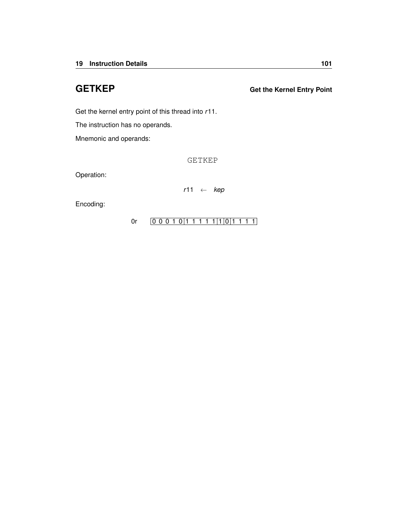Get the kernel entry point of this thread into *r*11.

The instruction has no operands.

Mnemonic and operands:

GETKEP

Operation:

*r*11 ← *kep*

Encoding:

[0r](#page-246-0)  $[0 0 0 1 0 1 1 1 1 1 1 1 0 1 1 1 1]$ 

**GETKEP Get the Kernel Entry Point**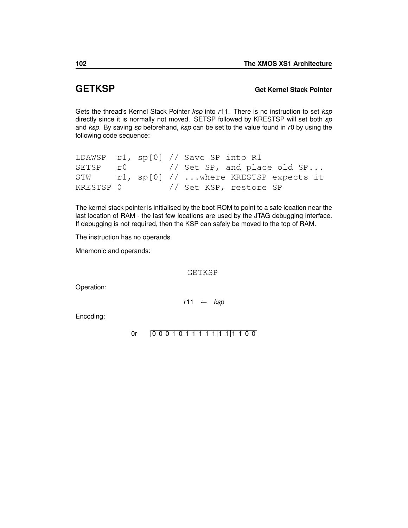### **GETKSP Get Kernel Stack Pointer**

Gets the thread's Kernel Stack Pointer *ksp* into *r*11. There is no instruction to set *ksp* directly since it is normally not moved. SETSP followed by KRESTSP will set both *sp* and *ksp*. By saving *sp* beforehand, *ksp* can be set to the value found in *r*0 by using the following code sequence:

```
LDAWSP r1, sp[0] // Save SP into R1
SETSP r0 // Set SP, and place old SP...
STW r1, sp[0] // ...where KRESTSP expects it
KRESTSP 0 // Set KSP, restore SP
```
The kernel stack pointer is initialised by the boot-ROM to point to a safe location near the last location of RAM - the last few locations are used by the JTAG debugging interface. If debugging is not required, then the KSP can safely be moved to the top of RAM.

The instruction has no operands.

Mnemonic and operands:

GETKSP

Operation:

*r*11 ← *ksp*

Encoding:

[0r](#page-246-0)  $[0 0 0 1 0 1 1 1 1 1 1 1 1 1 1 0 0]$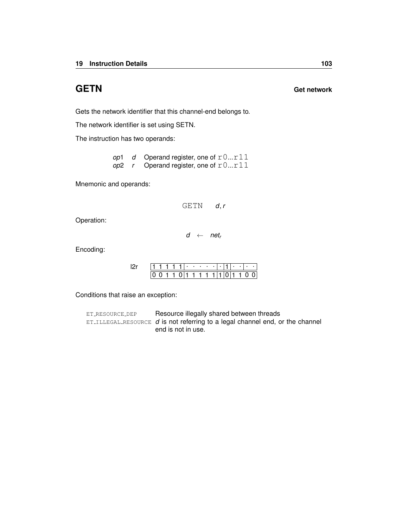# **GETN Get network**

Gets the network identifier that this channel-end belongs to.

The network identifier is set using [SETN.](#page-183-0)

The instruction has two operands:

*op*1 *d* Operand register, one of  $r0...r11$ *op*2 *r* Operand register, one of r0...r11

Mnemonic and operands:

GETN *d*, *r*

Operation:

*d* ← *net<sup>r</sup>*

Encoding:

|  |  |  | ٠ |  |  |  |  |  |
|--|--|--|---|--|--|--|--|--|
|  |  |  |   |  |  |  |  |  |

Conditions that raise an exception:

ET\_[RESOURCE](#page-259-0)\_DEP Resource illegally shared between threads ET ILLEGAL [RESOURCE](#page-254-0) *d* is not referring to a legal channel end, or the channel end is not in use.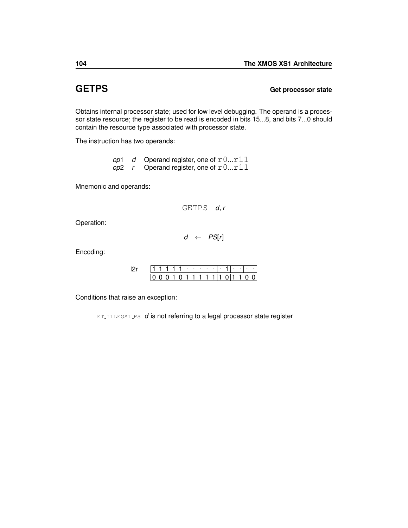### **GETPS Get processor state**

Obtains internal processor state; used for low level debugging. The operand is a processor state resource; the register to be read is encoded in bits 15...8, and bits 7...0 should contain the resource type associated with processor state.

The instruction has two operands:

*op*1 *d* Operand register, one of  $r0...r11$  $\omega$ <sup>2</sup> *r* Operand register, one of  $r0...r11$ 

Mnemonic and operands:

GETPS *d*, *r*

Operation:

*d* ← *PS*[*r*]

Encoding:

|  |  |  | ٠ | ٠ | ٠ |  |  |  |  |
|--|--|--|---|---|---|--|--|--|--|
|  |  |  | 1 | 1 |   |  |  |  |  |

Conditions that raise an exception:

ET\_[ILLEGAL](#page-256-0)\_PS *d* is not referring to a legal processor state register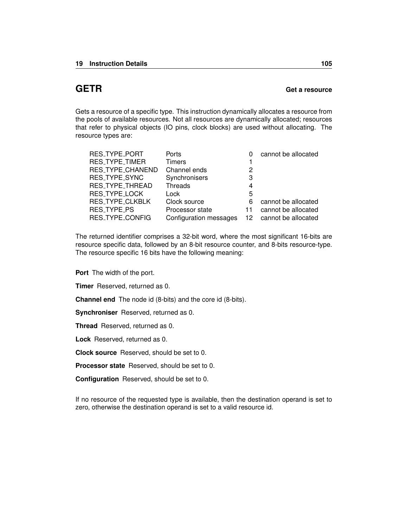## **GETR Get a resource**

Gets a resource of a specific type. This instruction dynamically allocates a resource from the pools of available resources. Not all resources are dynamically allocated; resources that refer to physical objects (IO pins, clock blocks) are used without allocating. The resource types are:

| Ports                  |     | cannot be allocated |
|------------------------|-----|---------------------|
| <b>Timers</b>          |     |                     |
| Channel ends           | 2   |                     |
| Synchronisers          | 3   |                     |
| <b>Threads</b>         | 4   |                     |
| Lock                   | 5   |                     |
| Clock source           | 6   | cannot be allocated |
| Processor state        | 11  | cannot be allocated |
| Configuration messages | 12. | cannot be allocated |
|                        |     |                     |

The returned identifier comprises a 32-bit word, where the most significant 16-bits are resource specific data, followed by an 8-bit resource counter, and 8-bits resource-type. The resource specific 16 bits have the following meaning:

**Port** The width of the port.

**Timer** Reserved, returned as 0.

**Channel end** The node id (8-bits) and the core id (8-bits).

**Synchroniser** Reserved, returned as 0.

**Thread** Reserved, returned as 0.

**Lock** Reserved, returned as 0.

**Clock source** Reserved, should be set to 0.

**Processor state** Reserved, should be set to 0.

**Configuration** Reserved, should be set to 0.

If no resource of the requested type is available, then the destination operand is set to zero, otherwise the destination operand is set to a valid resource id.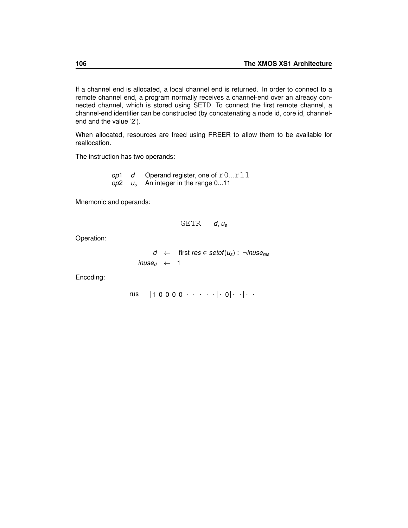If a channel end is allocated, a local channel end is returned. In order to connect to a remote channel end, a program normally receives a channel-end over an already connected channel, which is stored using [SETD.](#page-179-0) To connect the first remote channel, a channel-end identifier can be constructed (by concatenating a node id, core id, channelend and the value '2').

When allocated, resources are freed using [FREER](#page-98-0) to allow them to be available for reallocation.

The instruction has two operands:

*op*1 *d* Operand register, one of  $r0...r11$ *op*2 *u<sup>s</sup>* An integer in the range 0...11

Mnemonic and operands:

$$
\texttt{GETR} \qquad d,u_s
$$

Operation:

*d* ← first *res*  $\in$  *setof*( $u_s$ ) :  $\neg$ *inuse<sub>res</sub>*  $image_d \leftarrow 1$ 

Encoding:

1 0 0 0 0 . . . . . . 0 . . . . [rus](#page-244-0)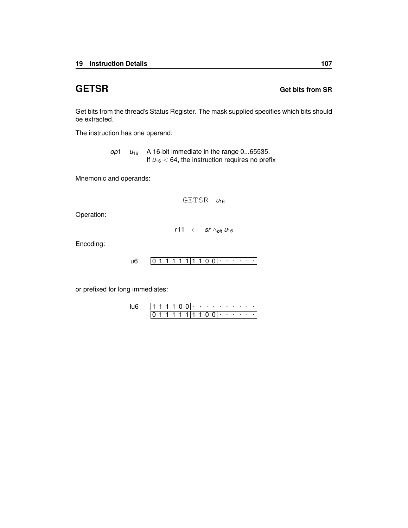## **GETSR Get bits from SR**

Get bits from the thread's Status Register. The mask supplied specifies which bits should be extracted.

The instruction has one operand:

*op*1  $u_{16}$  A 16-bit immediate in the range 0...65535. If  $u_{16}$  < 64, the instruction requires no prefix

Mnemonic and operands:

GETSR *u*<sup>16</sup>

Operation:

*r*11 ← *sr* ∧*bit u*<sup>16</sup>

Encoding:

0 1 1 1 1 1 1 1 0 0 . . . . . . [u6](#page-236-0)

or prefixed for long immediates:

1 1 1 1 0 0 <del>. . . . . . . . . .</del>  $0 1 1 1 1 |1 |1 1 0 0 |$  . . . . . [lu6](#page-237-0)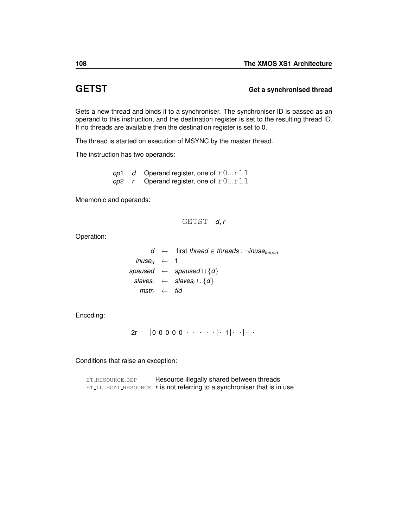## **GETST Get a synchronised thread**

Gets a new thread and binds it to a synchroniser. The synchroniser ID is passed as an operand to this instruction, and the destination register is set to the resulting thread ID. If no threads are available then the destination register is set to 0.

The thread is started on execution of [MSYNC](#page-158-0) by the master thread.

The instruction has two operands:

*op*1 *d* Operand register, one of  $r0...r11$  $op2$  *r* Operand register, one of  $r0...r11$ 

Mnemonic and operands:

GETST *d*, *r*

Operation:

|                                          | $d \leftarrow$ first thread $\in$ threads : $\neg$ inuse <sub>thread</sub> |
|------------------------------------------|----------------------------------------------------------------------------|
| <i>inuse</i> <sub>d</sub> $\leftarrow$ 1 |                                                                            |
|                                          | spaused $\leftarrow$ spaused $\cup \{d\}$                                  |
|                                          | $slaves_r \leftarrow slaves_r \cup \{d\}$                                  |
| $mstr_{r} \leftarrow tid$                |                                                                            |

Encoding:

0 0 0 0 0 . . . . . . 1 . . . . [2r](#page-240-0)

Conditions that raise an exception:

ET\_[RESOURCE](#page-259-0)\_DEP Resource illegally shared between threads  $ET$ ILLEGAL [RESOURCE](#page-254-0)  $r$  is not referring to a synchroniser that is in use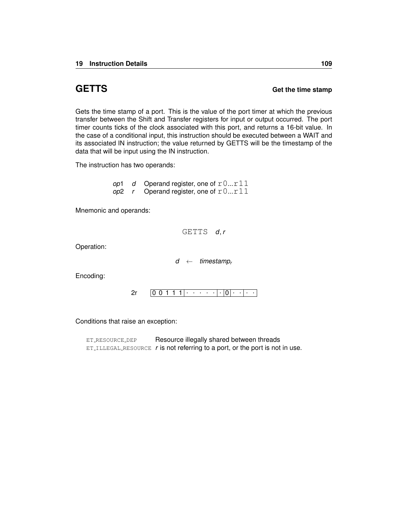**GETTS Get the time stamp**

Gets the time stamp of a port. This is the value of the port timer at which the previous transfer between the Shift and Transfer registers for input or output occurred. The port timer counts ticks of the clock associated with this port, and returns a 16-bit value. In the case of a conditional input, this instruction should be executed between a [WAIT](#page-0-0) and its associated [IN](#page-113-0) instruction; the value returned by GETTS will be the timestamp of the data that will be input using the IN instruction.

The instruction has two operands:

*op*1 *d* Operand register, one of  $r0...r11$ *op*2 *r* Operand register, one of  $r0...r11$ 

Mnemonic and operands:

GETTS *d*, *r*

Operation:

*d* ← *timestamp<sup>r</sup>*

Encoding:

0 0 1 1 1 . . . . . . 0 . . . . [2r](#page-240-0)

Conditions that raise an exception:

ET\_[RESOURCE](#page-259-0)\_DEP Resource illegally shared between threads ET ILLEGAL [RESOURCE](#page-254-0) *r* is not referring to a port, or the port is not in use.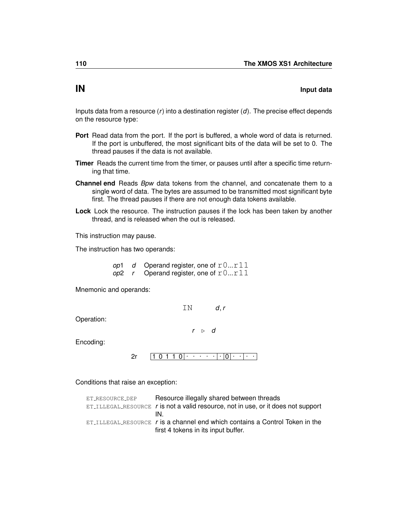## <span id="page-113-0"></span>**IN Input data**

Inputs data from a resource (*r*) into a destination register (*d*). The precise effect depends on the resource type:

- **Port** Read data from the port. If the port is buffered, a whole word of data is returned. If the port is unbuffered, the most significant bits of the data will be set to 0. The thread pauses if the data is not available.
- **Timer** Reads the current time from the timer, or pauses until after a specific time returning that time.
- **Channel end** Reads *Bpw* data tokens from the channel, and concatenate them to a single word of data. The bytes are assumed to be transmitted most significant byte first. The thread pauses if there are not enough data tokens available.
- **Lock** Lock the resource. The instruction pauses if the lock has been taken by another thread, and is released when the out is released.

This instruction may pause.

The instruction has two operands:

*op*1 *d* Operand register, one of  $r0...r11$ *op*2 *r* Operand register, one of  $r0...r11$ 

Mnemonic and operands:

| ΤN |                    | d, r |
|----|--------------------|------|
| r  | $\triangleright$ d |      |

Operation:

Encoding:

 $2r \left[ \begin{array}{ccc} 1 & 0 & 1 & 1 & 0 \end{array} \right] \cdot \left[ \begin{array}{ccc} \cdot & \cdot & \cdot & \cdot & \cdot \end{array} \right] \cdot \left[ \begin{array}{ccc} 0 & \cdot & \cdot & \cdot \end{array} \right] \cdot \left[ \begin{array}{ccc} \cdot & \cdot & \cdot & \cdot \end{array} \right]$  $2r \left[ \begin{array}{ccc} 1 & 0 & 1 & 1 & 0 \end{array} \right] \cdot \left[ \begin{array}{ccc} \cdot & \cdot & \cdot & \cdot & \cdot \end{array} \right] \cdot \left[ \begin{array}{ccc} 0 & \cdot & \cdot & \cdot \end{array} \right] \cdot \left[ \begin{array}{ccc} \cdot & \cdot & \cdot & \cdot \end{array} \right]$ 

Conditions that raise an exception:

| ET_RESOURCE_DEP | Resource illegally shared between threads                                                    |
|-----------------|----------------------------------------------------------------------------------------------|
|                 | $ET_{\text{ILLEGAL-RESOURCE}}$ r is not a valid resource, not in use, or it does not support |
|                 | IN                                                                                           |
|                 | $ET$ <sub>ILLEGAL</sub> RESOURCE $r$ is a channel end which contains a Control Token in the  |
|                 | first 4 tokens in its input buffer.                                                          |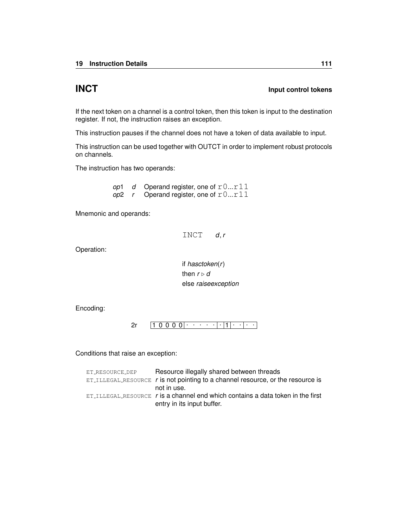## **INCT Input control tokens**

If the next token on a channel is a control token, then this token is input to the destination register. If not, the instruction raises an exception.

This instruction pauses if the channel does not have a token of data available to input.

This instruction can be used together with [OUTCT](#page-164-0) in order to implement robust protocols on channels.

The instruction has two operands:

*op*1 *d* Operand register, one of  $r0...r11$ *op*2 *r* Operand register, one of  $r0...r11$ 

Mnemonic and operands:

INCT *d*, *r*

Operation:

if *hasctoken*(*r*) then  $r \triangleright d$ else *raiseexception*

Encoding:

 $2r \left[ 1\; 0\; 0\; 0\; 0\, \cdot\, \cdot\, \cdot\, \cdot\, \cdot \, \cdot \, \cdot \, \cdot \, \right] \cdot \left[ 1\, \cdot\, \cdot\, \cdot\, \cdot\, \cdot\, \cdot \right]$  $2r \left[ 1\; 0\; 0\; 0\; 0\, \cdot\, \cdot\, \cdot\, \cdot\, \cdot \, \cdot \, \cdot \, \cdot \, \right] \cdot \left[ 1\, \cdot\, \cdot\, \cdot\, \cdot\, \cdot\, \cdot \right]$ 

Conditions that raise an exception:

| ET_RESOURCE_DEP | Resource illegally shared between threads                                                      |
|-----------------|------------------------------------------------------------------------------------------------|
|                 | $ET$ <sub>ILLEGAL</sub> RESOURCE $r$ is not pointing to a channel resource, or the resource is |
|                 | not in use.                                                                                    |
|                 | $ET$ ILLEGAL RESOURCE r is a channel end which contains a data token in the first              |
|                 | entry in its input buffer.                                                                     |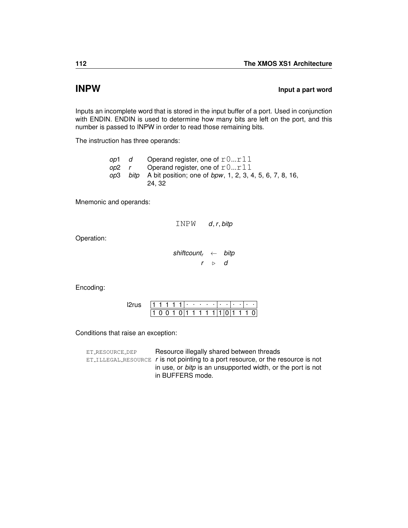## **INPW INPW INPW**

Inputs an incomplete word that is stored in the input buffer of a port. Used in conjunction with [ENDIN.](#page-92-0) ENDIN is used to determine how many bits are left on the port, and this number is passed to INPW in order to read those remaining bits.

The instruction has three operands:

| -op1     | d | Operand register, one of $r0r11$                                         |
|----------|---|--------------------------------------------------------------------------|
| op2 r    |   | Operand register, one of $r0r11$                                         |
| op3 bitp |   | A bit position; one of <i>bpw</i> , 1, 2, 3, 4, 5, 6, 7, 8, 16,<br>24.32 |

Mnemonic and operands:

| INPW | d, r, bitp |
|------|------------|
|      |            |

Operation:

*shiftcount<sup>r</sup>* ← *bitp r* . *d*

Encoding:

|  |  |  | ٠ | ٠ | ٠ | ٠ |  | ٠ |  |  |
|--|--|--|---|---|---|---|--|---|--|--|
|  |  |  |   |   |   |   |  |   |  |  |

Conditions that raise an exception:

ET\_[RESOURCE](#page-259-0)\_DEP Resource illegally shared between threads ET\_ILLEGAL\_[RESOURCE](#page-254-0) *r* is not pointing to a port resource, or the resource is not in use, or *bitp* is an unsupported width, or the port is not in BUFFERS mode.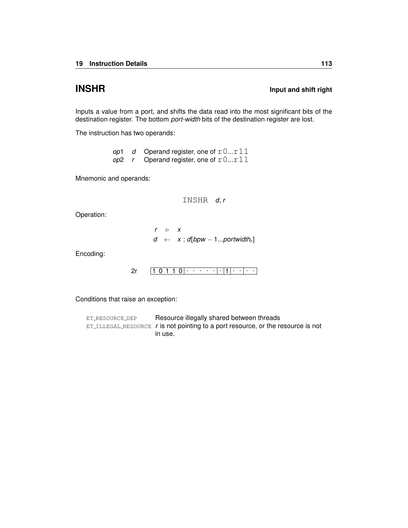## **INSHR Input and shift right**

Inputs a value from a port, and shifts the data read into the most significant bits of the destination register. The bottom *port-width* bits of the destination register are lost.

The instruction has two operands:

*op*1 *d* Operand register, one of r0...r11  $op2$  *r* Operand register, one of  $r0...r11$ 

Mnemonic and operands:

INSHR *d*, *r*

Operation:

 $r \rightarrow x$  $d \leftarrow x : d[bpw - 1...portwidth_r]$ 

Encoding:

$$
2r \qquad \boxed{1\ 0\ 1\ 1\ 0}\cdot \cdots \cdot \cdot \cdot \cdot \cdot \cdot \cdot \cdot \cdot \cdot \cdot \cdot
$$

Conditions that raise an exception:

| ET_RESOURCE_DEP | Resource illegally shared between threads                                            |
|-----------------|--------------------------------------------------------------------------------------|
|                 | $ET$ . ILLEGAL.RESOURCE r is not pointing to a port resource, or the resource is not |
|                 | in use.                                                                              |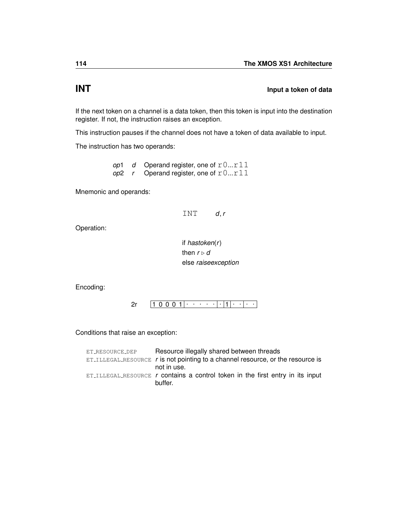## **INT Input a token of data**

If the next token on a channel is a data token, then this token is input into the destination register. If not, the instruction raises an exception.

This instruction pauses if the channel does not have a token of data available to input.

The instruction has two operands:

*op*1 *d* Operand register, one of  $r0...r11$ *op*2 *r* Operand register, one of r0...r11

Mnemonic and operands:



Operation:

if *hastoken*(*r*) then  $r \triangleright d$ else *raiseexception*

Encoding:

1 0 0 0 1 . . . . . . 1 . . . . [2r](#page-240-0)

Conditions that raise an exception:

| ET_RESOURCE_DEP | Resource illegally shared between threads                                         |
|-----------------|-----------------------------------------------------------------------------------|
|                 | $ET$ ILLEGAL RESOURCE r is not pointing to a channel resource, or the resource is |
|                 | not in use.                                                                       |
|                 | $ET$ ILLEGAL RESOURCE r contains a control token in the first entry in its input  |
|                 | buffer.                                                                           |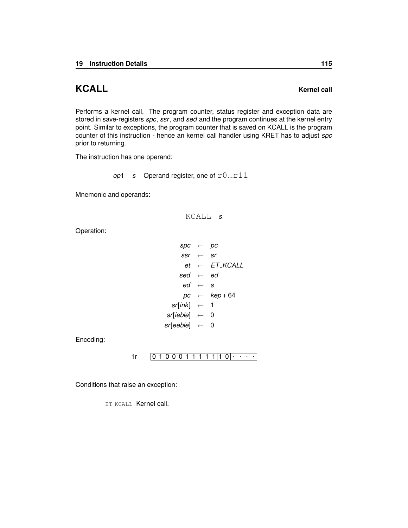# **KCALL KERNEL Kernel call**

Performs a kernel call. The program counter, status register and exception data are stored in save-registers *spc*, *ssr*, and *sed* and the program continues at the kernel entry point. Similar to exceptions, the program counter that is saved on KCALL is the program counter of this instruction - hence an kernel call handler using KRET has to adjust *spc* prior to returning.

The instruction has one operand:

*op*1 *s* Operand register, one of  $r0...r11$ 

Mnemonic and operands:

KCALL *s*

Operation:

*spc* ← *pc*  $ssr \leftarrow sr$  $et \leftarrow$  *ET\_KCALL sed* ← *ed*  $ed \leftarrow s$  $pc \leftarrow \textit{kep} + 64$ *sr*[*ink*] ← 1 *sr*[*ieble*] ← 0 *sr*[*eeble*] ← 0

Encoding:

## 0 1 0 0 0 1 1 1 1 1 1 0 . . . . [1r](#page-245-0)

Conditions that raise an exception:

ET [KCALL](#page-260-0) Kernel call.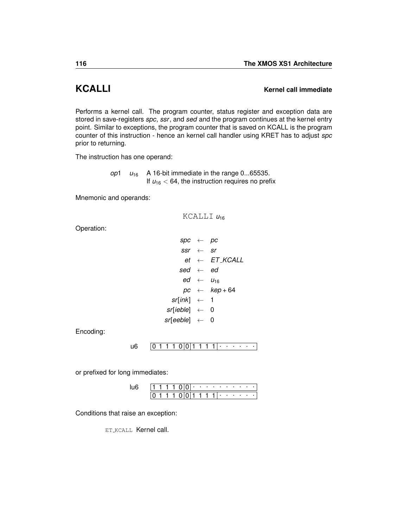## **KCALLI Kernel call immediate**

Performs a kernel call. The program counter, status register and exception data are stored in save-registers *spc*, *ssr*, and *sed* and the program continues at the kernel entry point. Similar to exceptions, the program counter that is saved on KCALL is the program counter of this instruction - hence an kernel call handler using KRET has to adjust *spc* prior to returning.

The instruction has one operand:

*op*1  $u_{16}$  A 16-bit immediate in the range 0...65535. If  $u_{16}$  < 64, the instruction requires no prefix

Mnemonic and operands:

KCALLI  $u_{16}$ 

Operation:

*spc* ← *pc ssr* ← *sr*  $et \leftarrow$   $ET$ <sub>-</sub> $KCALL$ *sed* ← *ed*  $ed \leftarrow u_{16}$ *pc* ← *kep* + 64 *sr*[*ink*] ← 1 *sr*[*ieble*] ← 0 *sr*[*eeble*] ← 0

Encoding:

0 1 1 1 0 0 1 1 1 1 . . . . . . [u6](#page-236-0)

or prefixed for long immediates:

|  |  |  |  |    | . |              | . |  |  |
|--|--|--|--|----|---|--------------|---|--|--|
|  |  |  |  | 1. |   | $\mathbf{I}$ |   |  |  |

Conditions that raise an exception:

**ET\_[KCALL](#page-260-0) Kernel call.**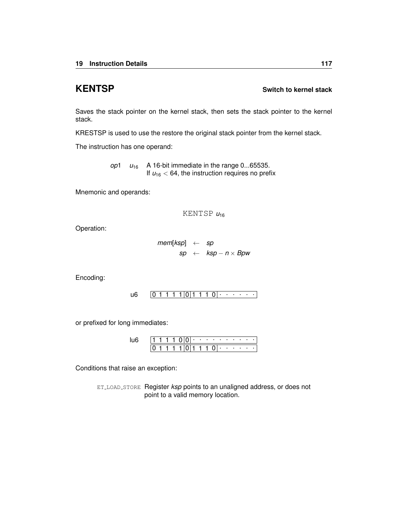## <span id="page-120-0"></span>**KENTSP Switch to kernel stack**

Saves the stack pointer on the kernel stack, then sets the stack pointer to the kernel stack.

[KRESTSP](#page-121-0) is used to use the restore the original stack pointer from the kernel stack.

The instruction has one operand:

*op*1  $u_{16}$  A 16-bit immediate in the range 0...65535. If  $u_{16}$  < 64, the instruction requires no prefix

Mnemonic and operands:

KENTSP *u*<sup>16</sup>

Operation:

*mem*[*ksp*] ← *sp sp* ← *ksp* − *n* × *Bpw*

Encoding:

0 1 1 1 1 0 1 1 1 0 . . . . . . [u6](#page-236-0)

or prefixed for long immediates:

|  |  |  | ٠ | <b>Contract Contract</b> | . .      | ٠   | ٠ | $\sim$ |  |  |
|--|--|--|---|--------------------------|----------|-----|---|--------|--|--|
|  |  |  |   |                          | $\cdots$ | . . |   |        |  |  |

Conditions that raise an exception:

ET LOAD [STORE](#page-255-0) Register *ksp* points to an unaligned address, or does not point to a valid memory location.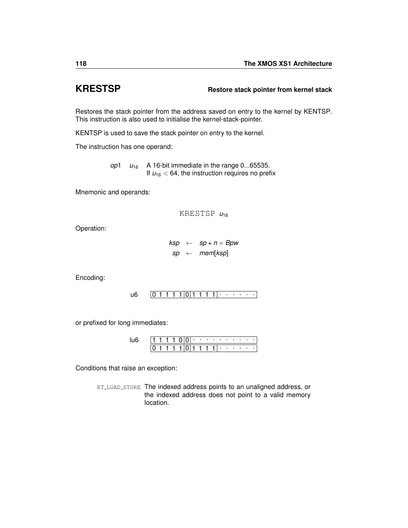## <span id="page-121-0"></span>**KRESTSP Restore stack pointer from kernel stack**

Restores the stack pointer from the address saved on entry to the kernel by [KENTSP.](#page-120-0) This instruction is also used to initialise the kernel-stack-pointer.

[KENTSP](#page-120-0) is used to save the stack pointer on entry to the kernel.

The instruction has one operand:

*op*1  $u_{16}$  A 16-bit immediate in the range 0...65535. If  $u_{16}$  < 64, the instruction requires no prefix

Mnemonic and operands:

KRESTSP *u*<sup>16</sup>

Operation:

 $ksp \leftarrow sp + n \times Bpw$ *sp* ← *mem*[*ksp*]

Encoding:

0 1 1 1 1 0 1 1 1 1 . . . . . . [u6](#page-236-0)

or prefixed for long immediates:

|  |  |  | ٠ | <b>Contract Contract</b> |  | . .            | . . | <b>State State</b> | ٠ |  |
|--|--|--|---|--------------------------|--|----------------|-----|--------------------|---|--|
|  |  |  |   |                          |  | $\blacksquare$ |     |                    |   |  |

Conditions that raise an exception:

ET LOAD [STORE](#page-255-0) The indexed address points to an unaligned address, or the indexed address does not point to a valid memory location.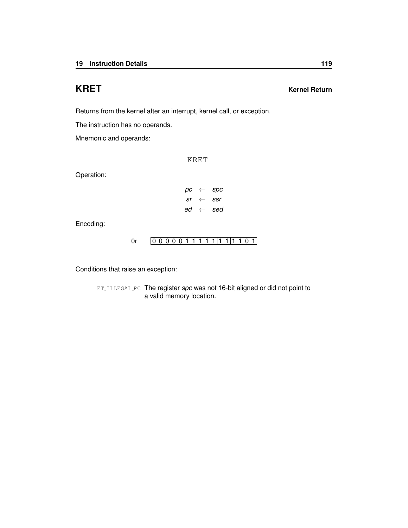## **KRET Kernel Return**

Returns from the kernel after an interrupt, kernel call, or exception.

The instruction has no operands.

Mnemonic and operands:

KRET

Operation:

|  | $pc \leftarrow spec$         |
|--|------------------------------|
|  | $sr \leftarrow ssr$          |
|  | $ed \leftarrow \textit{sed}$ |

Encoding:

## [0r](#page-246-0)  $[0 0 0 0 0 1 1 1 1 1 1 1 1 1 1 0 1]$

Conditions that raise an exception:

ET [ILLEGAL](#page-252-0) PC The register *spc* was not 16-bit aligned or did not point to a valid memory location.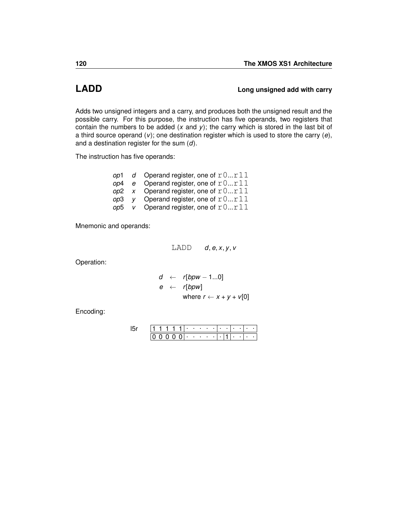## **LADD LADD Long unsigned add with carry**

Adds two unsigned integers and a carry, and produces both the unsigned result and the possible carry. For this purpose, the instruction has five operands, two registers that contain the numbers to be added (*x* and *y*); the carry which is stored in the last bit of a third source operand (*v*); one destination register which is used to store the carry (*e*), and a destination register for the sum (*d*).

The instruction has five operands:

|  | op1 d Operand register, one of $r0r11$ |
|--|----------------------------------------|
|  | op4 e Operand register, one of $r0r11$ |
|  | op2 x Operand register, one of $r0r11$ |
|  | op3 y Operand register, one of $r0r11$ |
|  | op5 v Operand register, one of $r0r11$ |

Mnemonic and operands:

LADD *d*, *e*, *x*, *y*, *v*

Operation:

$$
d \leftarrow r[bpw - 1...0]
$$
  
\n
$$
e \leftarrow r[bpw]
$$
  
\nwhere  $r \leftarrow x + y + v[0]$ 

Encoding:

|  |  |              | ٠                        | ٠      | ٠ |  |  |   |   |  |
|--|--|--------------|--------------------------|--------|---|--|--|---|---|--|
|  |  | $\mathbf{U}$ | <b>Contract Contract</b> | $\sim$ | ٠ |  |  | ٠ | ٠ |  |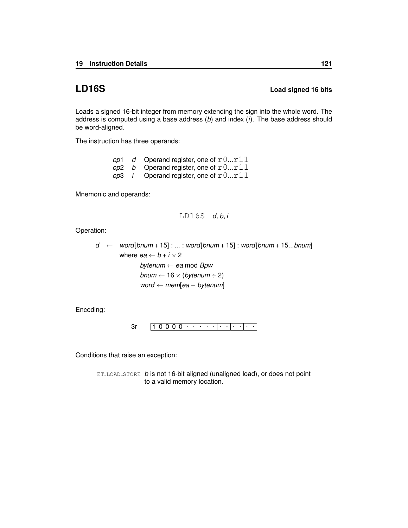## **LD16S Load signed 16 bits**

Loads a signed 16-bit integer from memory extending the sign into the whole word. The address is computed using a base address (*b*) and index (*i*). The base address should be word-aligned.

The instruction has three operands:

|  | op1 $d$ Operand register, one of $r0r11$      |
|--|-----------------------------------------------|
|  | op2 b Operand register, one of $r0r11$        |
|  | op3 <i>i</i> Operand register, one of $r0r11$ |

Mnemonic and operands:

$$
\texttt{LD16S} \quad d,b,i
$$

Operation:

$$
d ← word[bnum + 15] : ... : word[bnum + 15] : word[bnum + 15...bnum]
$$
  
where  $ea ← b + i × 2$   
bytenum ← ea mod Bpw  
bnum ← 16 × (bytenum ÷ 2)  
word ← mem[ea – bytenum]

Encoding:

$$
3r \qquad \boxed{1\ 0\ 0\ 0\ 0}\cdot \cdot \cdot \cdot \cdot \cdot \cdot \cdot \cdot \cdot \cdot \cdot \cdot \cdot \cdot \cdot
$$

Conditions that raise an exception:

ET LOAD [STORE](#page-255-0) *b* is not 16-bit aligned (unaligned load), or does not point to a valid memory location.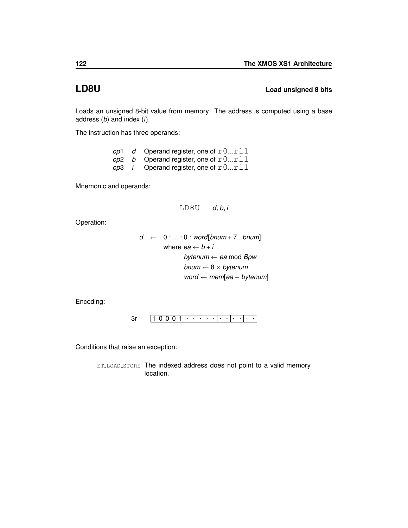**LD8U Load unsigned 8 bits**

Loads an unsigned 8-bit value from memory. The address is computed using a base address (*b*) and index (*i*).

The instruction has three operands:

|  | op1 $d$ Operand register, one of $r0r11$              |
|--|-------------------------------------------------------|
|  | op2 b Operand register, one of $r0r11$                |
|  | <i>op</i> 3 <i>i</i> Operand register, one of $r0r11$ |

Mnemonic and operands:

```
LD8U d, b, i
```
Operation:

*d* ← 0 : ... : 0 : *word*[*bnum* + 7...*bnum*] where  $ea \leftarrow b + i$ *bytenum* ← *ea* mod *Bpw bnum* ← 8 × *bytenum word* ← *mem*[*ea* − *bytenum*]

Encoding:



Conditions that raise an exception: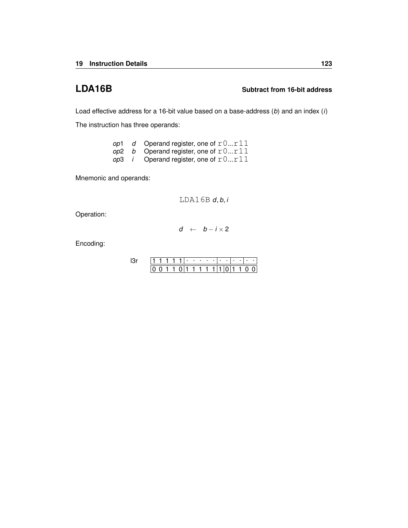## **LDA16B Subtract from 16-bit address**

Load effective address for a 16-bit value based on a base-address (*b*) and an index (*i*)

The instruction has three operands:

| op1 | d Operand register, one of $r0r11$                    |
|-----|-------------------------------------------------------|
|     | op2 b Operand register, one of $r0r11$                |
|     | <i>op</i> 3 <i>i</i> Operand register, one of $r0r11$ |

Mnemonic and operands:

LDA16B *d*, *b*, *i*

Operation:

$$
d \ \leftarrow \ b - i \times 2
$$

Encoding:

|  |  |  | $\cdots$ | $\sim$ | ٠ |  |  |  |  |
|--|--|--|----------|--------|---|--|--|--|--|
|  |  |  |          |        |   |  |  |  |  |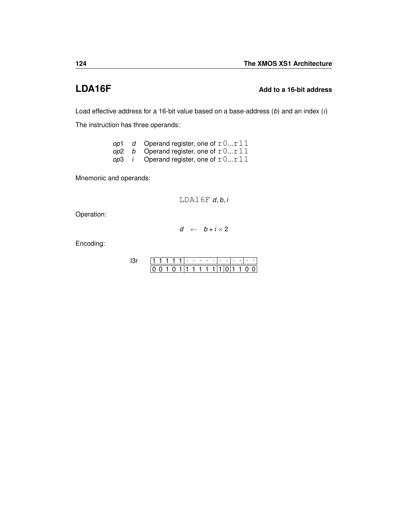## **LDA16F Add to a 16-bit address**

Load effective address for a 16-bit value based on a base-address (*b*) and an index (*i*)

The instruction has three operands:

| op1 - | d Operand register, one of $r0r11$                    |
|-------|-------------------------------------------------------|
|       | op2 b Operand register, one of $r0r11$                |
|       | <i>op</i> 3 <i>i</i> Operand register, one of $r0r11$ |

Mnemonic and operands:

LDA16F *d*, *b*, *i*

Operation:

$$
d \ \leftarrow \ b+i\times 2
$$

Encoding:

|  |  |  | $\cdots$ | $\sim$ | ٠ |  |  |  |  |
|--|--|--|----------|--------|---|--|--|--|--|
|  |  |  |          |        |   |  |  |  |  |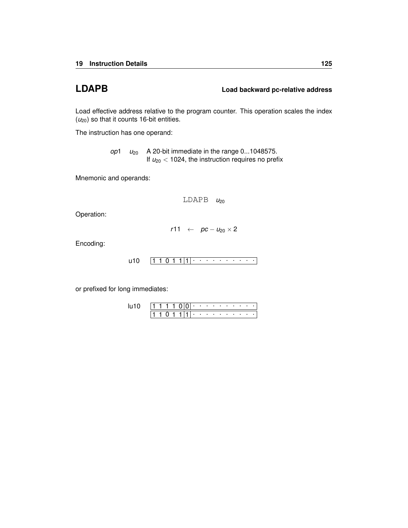**LDAPB Load backward pc-relative address**

Load effective address relative to the program counter. This operation scales the index (*u*20) so that it counts 16-bit entities.

The instruction has one operand:

*op*1  $u_{20}$  A 20-bit immediate in the range 0...1048575. If  $u_{20}$  < 1024, the instruction requires no prefix

Mnemonic and operands:

LDAPB  $u_{20}$ 

Operation:

 $r11 \leftarrow pc - u_{20} \times 2$ 

Encoding:

1 1 0 1 1 1 . . . . . . . . . . [u10](#page-238-0)

or prefixed for long immediates:

|  | 1111 | ונו ד |  |   |  |  |  |  |
|--|------|-------|--|---|--|--|--|--|
|  |      |       |  | . |  |  |  |  |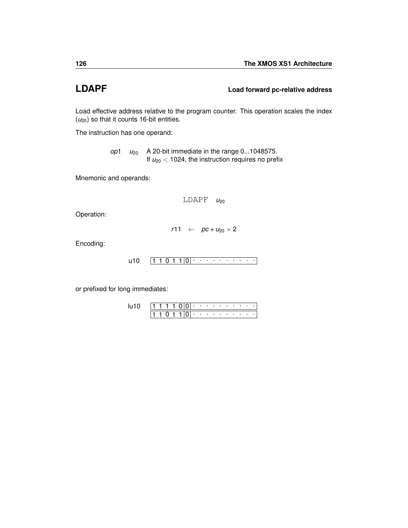## **LDAPF Load forward pc-relative address**

Load effective address relative to the program counter. This operation scales the index ( $u_{20}$ ) so that it counts 16-bit entities.

The instruction has one operand:

*op*1 *u*<sup>20</sup> A 20-bit immediate in the range 0...1048575. If  $u_{20}$  < 1024, the instruction requires no prefix

Mnemonic and operands:

```
LDAPP u_{20}
```
Operation:

 $r11 \leftarrow pc + u_{20} \times 2$ 

Encoding:

```
1 1 0 1 1 0
. . . . . . . . . . u10
```
or prefixed for long immediates:

|  | 1111 |  | 1000 - - - - - - - - |                                                                                                                                                                                                                                |  |  |  |  |
|--|------|--|----------------------|--------------------------------------------------------------------------------------------------------------------------------------------------------------------------------------------------------------------------------|--|--|--|--|
|  |      |  |                      | based on the company of the company of the company of the company of the company of the company of the company of the company of the company of the company of the company of the company of the company of the company of the |  |  |  |  |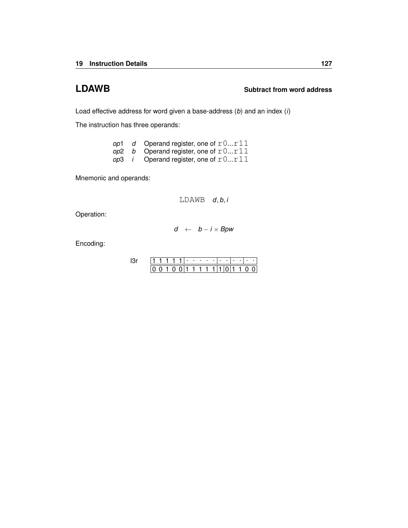## **LDAWB Subtract from word address**

Load effective address for word given a base-address (*b*) and an index (*i*)

The instruction has three operands:

|  | op1 d Operand register, one of $r0r11$                |
|--|-------------------------------------------------------|
|  | op2 b Operand register, one of $r0r11$                |
|  | <i>op</i> 3 <i>i</i> Operand register, one of $r0r11$ |

Mnemonic and operands:

LDAWB *d*, *b*, *i*

Operation:

$$
d \ \leftarrow \ b - i \times Bpw
$$

Encoding:

|  |  |     | ٠ | . |     |  | ٠ |  |  |
|--|--|-----|---|---|-----|--|---|--|--|
|  |  | 011 |   |   | 111 |  |   |  |  |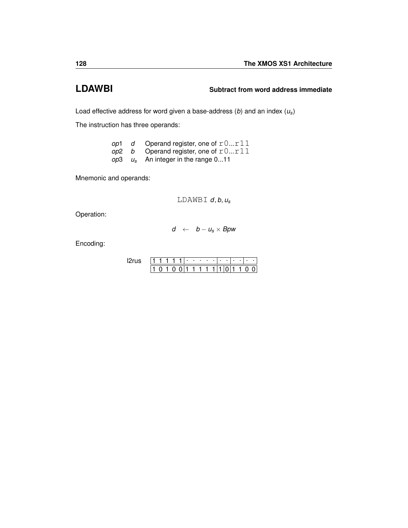## **LDAWBI Subtract from word address immediate**

Load effective address for word given a base-address (*b*) and an index (*us*)

The instruction has three operands:

|  | op1 d Operand register, one of $r0r11$  |
|--|-----------------------------------------|
|  | op2 b Operand register, one of $r0r11$  |
|  | $op3 \t us$ An integer in the range 011 |

Mnemonic and operands:

LDAWBI *d*, *b*, *u<sup>s</sup>*

Operation:

$$
d \ \leftarrow \ b - u_s \times B \textnormal{pw}
$$

Encoding:

|  |  |  | ٠ | ٠ | ٠ | ٠ |  |  |  |  |
|--|--|--|---|---|---|---|--|--|--|--|
|  |  |  |   | ı |   | 1 |  |  |  |  |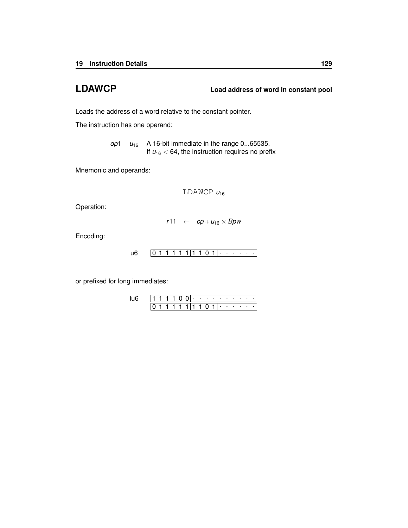**LDAWCP Load address of word in constant pool**

Loads the address of a word relative to the constant pointer.

The instruction has one operand:

*op*1  $u_{16}$  A 16-bit immediate in the range 0...65535. If  $u_{16}$  < 64, the instruction requires no prefix

Mnemonic and operands:

LDAWCP  $u_{16}$ 

Operation:

$$
r11 \leftarrow cp + u_{16} \times Bpw
$$

Encoding:

$$
u6 \qquad \boxed{0\ 1\ 1\ 1\ 1}\ \boxed{1\ 1\ 0\ 1}\ \cdot\ \cdot\ \cdot\ \cdot\ \cdot
$$

or prefixed for long immediates:

|  |  |  | ٠ | . . |   |   | . |  |  |
|--|--|--|---|-----|---|---|---|--|--|
|  |  |  |   |     | O | ٠ |   |  |  |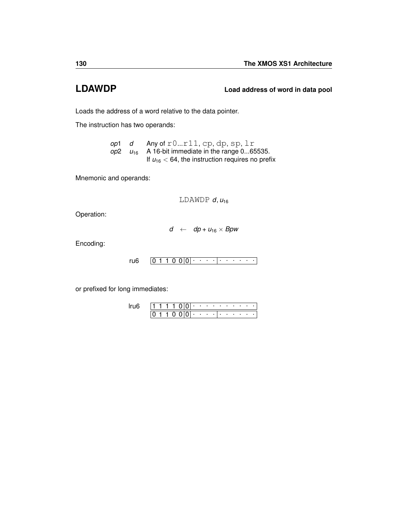## **LDAWDP Load address of word in data pool**

Loads the address of a word relative to the data pointer.

The instruction has two operands:

*op*1 *d* Any of r0...r11, cp, dp, sp, lr *op*2 *u*<sup>16</sup> A 16-bit immediate in the range 0...65535. If  $u_{16}$  < 64, the instruction requires no prefix

Mnemonic and operands:

LDAWDP  $d, u_{16}$ 

Operation:

$$
d \quad \leftarrow \quad dp + u_{16} \times Bpw
$$

Encoding:

 $0 1 1 0 0 |0|$  . . . .  $| \cdot |$  . . . . . . [ru6](#page-234-0)

or prefixed for long immediates:

1 1 1 1 0 0 <del>. . . . . . . . . .</del>  $0 1 1 0 0 |0|$  . . . .  $|$  . . . . . . [lru6](#page-235-0)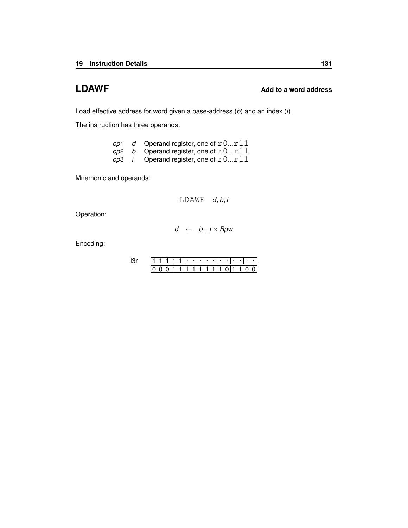## **LDAWF Add to a word address**

Load effective address for word given a base-address (*b*) and an index (*i*).

The instruction has three operands:

|  | op1 d Operand register, one of $r0r11$                |
|--|-------------------------------------------------------|
|  | op2 b Operand register, one of $r0r11$                |
|  | <i>op</i> 3 <i>i</i> Operand register, one of $r0r11$ |

Mnemonic and operands:

LDAWF *d*, *b*, *i*

Operation:

$$
d \leftarrow b + i \times Bpw
$$

Encoding:

|  |  |  | ٠ | <b>Contract Contract State</b> |  |  |  |  |  |
|--|--|--|---|--------------------------------|--|--|--|--|--|
|  |  |  |   | 11.                            |  |  |  |  |  |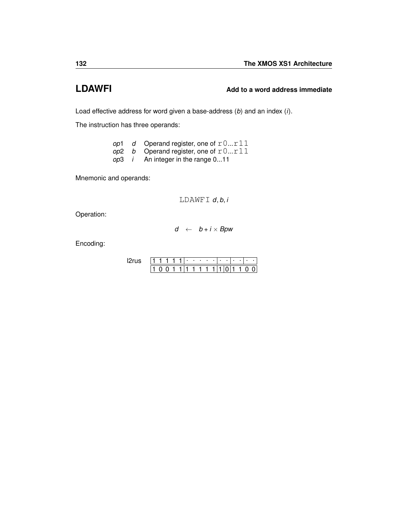# **LDAWFI Add to a word address immediate**

Load effective address for word given a base-address (*b*) and an index (*i*).

The instruction has three operands:

| op1 | d Operand register, one of $r0r11$     |
|-----|----------------------------------------|
|     | op2 b Operand register, one of $r0r11$ |
|     | $op3$ i An integer in the range 011    |

Mnemonic and operands:

LDAWFI *d*, *b*, *i*

Operation:

$$
d \ \leftarrow \ b+i\times Bpw
$$

Encoding:

|  |  |  | $\blacksquare$ | - 11 |  | ٠ | ٠ |  |  |
|--|--|--|----------------|------|--|---|---|--|--|
|  |  |  | 1              |      |  |   |   |  |  |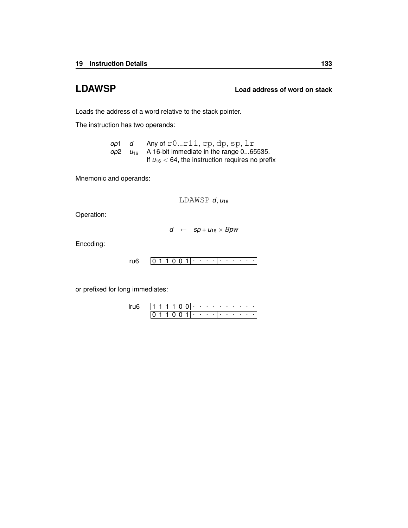## **LDAWSP Load address of word on stack**

Loads the address of a word relative to the stack pointer.

The instruction has two operands:

*op*1 *d* Any of r0...r11, cp, dp, sp, lr  $op2 \quad u_{16}$  A 16-bit immediate in the range 0...65535. If  $u_{16}$  < 64, the instruction requires no prefix

Mnemonic and operands:

LDAWSP *d*, *u*<sup>16</sup>

Operation:

$$
d \quad \leftarrow \quad sp + u_{16} \times Bpw
$$

Encoding:

$$
ru6 \qquad \boxed{0\ 1\ 1\ 0\ 0\ 1\ 1\ \cdot\ \cdot\ \cdot\ \cdot\ \cdot\ \cdot\ \cdot\ \cdot\ \cdot\ \cdot\ \cdot}
$$

or prefixed for long immediates:

|  |  |  |   | ٠ |        | the company of the company |     |  | the company of the company of |  |  |
|--|--|--|---|---|--------|----------------------------|-----|--|-------------------------------|--|--|
|  |  |  | ı |   | $\sim$ |                            | . . |  | $\blacksquare$                |  |  |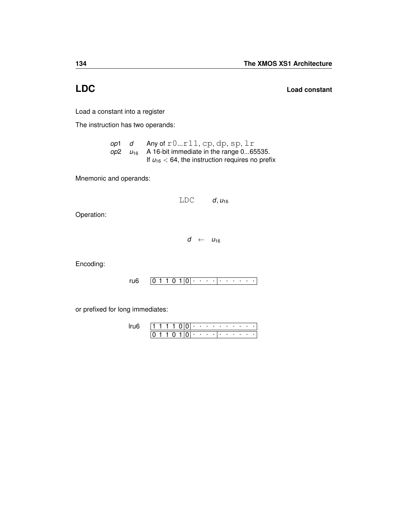**LDC Load constant**

Load a constant into a register

The instruction has two operands:

*op*1 *d* Any of r0...r11, cp, dp, sp, lr  $op2 \quad u_{16}$  A 16-bit immediate in the range 0...65535. If  $u_{16}$  < 64, the instruction requires no prefix

Mnemonic and operands:

 $LDC$  *d*,  $u_{16}$ 

Operation:

 $d \leftarrow u_{16}$ 

Encoding:

0 1 1 0 1 0 . . . . . . . . . . [ru6](#page-234-0)

or prefixed for long immediates:

|  |  |  | ٠ | <b>Contract Contract</b> |     |        | $\sim$ | <b>Contract Contract</b> |                     | ٠ |  |
|--|--|--|---|--------------------------|-----|--------|--------|--------------------------|---------------------|---|--|
|  |  |  | ٠ | <b>Contract Contract</b> | - 1 | $\sim$ | ٠      |                          | <b>State Street</b> | ٠ |  |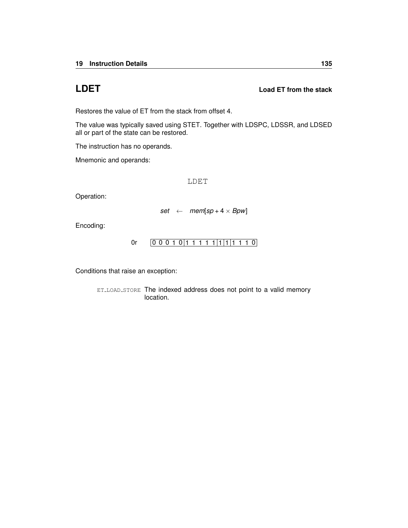## <span id="page-138-0"></span>**LDET Load ET from the stack**

Restores the value of ET from the stack from offset 4.

The value was typically saved using [STET.](#page-201-0) Together with [LDSPC,](#page-141-0) [LDSSR,](#page-142-0) and [LDSED](#page-140-0) all or part of the state can be restored.

The instruction has no operands.

Mnemonic and operands:

LDET

Operation:

 $set \leftarrow \text{mem}[sp + 4 \times Bpw]$ 

Encoding:

[0r](#page-246-0)  $[0 0 0 1 0 1 1 1 1 1 1 1 1 1 1 0]$ 

Conditions that raise an exception: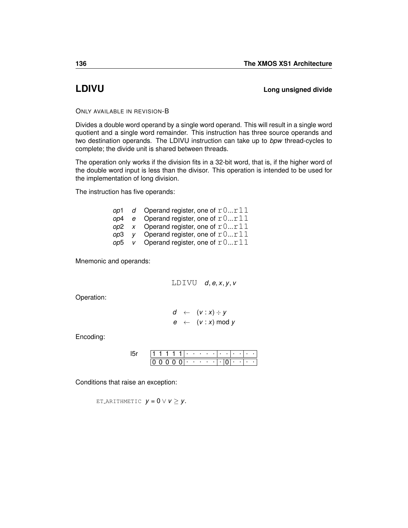## **LDIVU Long unsigned divide**

ONLY AVAILABLE IN REVISION-B

Divides a double word operand by a single word operand. This will result in a single word quotient and a single word remainder. This instruction has three source operands and two destination operands. The LDIVU instruction can take up to *bpw* thread-cycles to complete; the divide unit is shared between threads.

The operation only works if the division fits in a 32-bit word, that is, if the higher word of the double word input is less than the divisor. This operation is intended to be used for the implementation of long division.

The instruction has five operands:

|     | op1 d Operand register, one of $r0r11$   |
|-----|------------------------------------------|
|     | op4 $e$ Operand register, one of $r0r11$ |
|     | op2 x Operand register, one of $r0r11$   |
|     | op3 y Operand register, one of $r0r11$   |
| op5 | v Operand register, one of $r0r11$       |

Mnemonic and operands:

LDIVU  $d, e, x, y, v$ 

Operation:

$$
d \leftarrow (v : x) \div y
$$
  

$$
e \leftarrow (v : x) \mod y
$$

Encoding:

|  |  |  | .                              |  |  |   | . . |  |  |
|--|--|--|--------------------------------|--|--|---|-----|--|--|
|  |  |  | $0.01 \cdot \cdot \cdot \cdot$ |  |  | ٠ |     |  |  |

Conditions that raise an exception:

ET\_[ARITHMETIC](#page-257-0)  $y = 0 \vee v \ge y$ .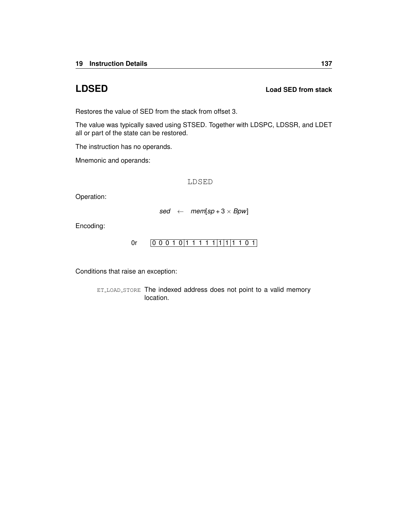## <span id="page-140-0"></span>**LDSED Load SED from stack**

Restores the value of SED from the stack from offset 3.

The value was typically saved using [STSED.](#page-202-0) Together with [LDSPC,](#page-141-0) [LDSSR,](#page-142-0) and [LDET](#page-138-0) all or part of the state can be restored.

The instruction has no operands.

Mnemonic and operands:

LDSED

Operation:

 $sed \leftarrow \textit{mem}[sp+3 \times \textit{Bpw}]$ 

Encoding:

[0r](#page-246-0)  $[0 0 0 1 0 1 1 1 1 1 1 1 1 1 1 0 1]$ 

Conditions that raise an exception: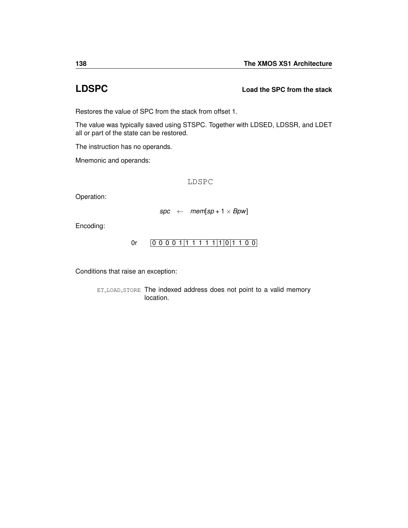## <span id="page-141-0"></span>**LDSPC Load the SPC from the stack**

Restores the value of SPC from the stack from offset 1.

The value was typically saved using [STSPC.](#page-203-0) Together with [LDSED,](#page-140-0) [LDSSR,](#page-142-0) and [LDET](#page-138-0) all or part of the state can be restored.

The instruction has no operands.

Mnemonic and operands:

LDSPC

Operation:

 $spec \leftarrow mem[sp + 1 \times Bpw]$ 

Encoding:

[0r](#page-246-0) 0 0 0 0 1 1 1 1 1 1 1 0 1 1 0 0

Conditions that raise an exception: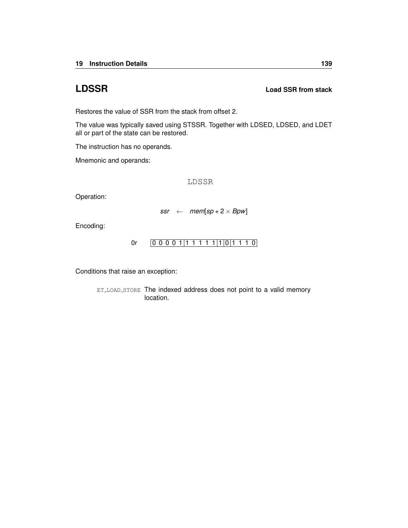## <span id="page-142-0"></span>**LDSSR Load SSR from stack**

Restores the value of SSR from the stack from offset 2.

The value was typically saved using [STSSR.](#page-204-0) Together with [LDSED, LDSED,](#page-140-0) and [LDET](#page-138-0) all or part of the state can be restored.

The instruction has no operands.

Mnemonic and operands:

LDSSR

Operation:

 $ssr \leftarrow \text{mem}[sp + 2 \times Bpw]$ 

Encoding:

[0r](#page-246-0) 0 0 0 0 1 1 1 1 1 1 1 0 1 1 1 0

Conditions that raise an exception: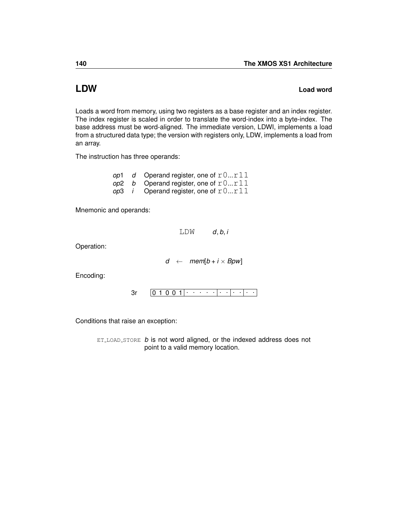## <span id="page-143-0"></span>**LDW Load word**

Loads a word from memory, using two registers as a base register and an index register. The index register is scaled in order to translate the word-index into a byte-index. The base address must be word-aligned. The immediate version, [LDWI,](#page-144-0) implements a load from a structured data type; the version with registers only, [LDW,](#page-143-0) implements a load from an array.

The instruction has three operands:

*op*1 *d* Operand register, one of  $r0...r11$ *op*2 *b* Operand register, one of  $r0...r11$  $op3$  *i* Operand register, one of  $r0...r11$ 

Mnemonic and operands:

 $LDW$  *d*, *b*, *i* 

Operation:

 $d \leftarrow \text{mem}[b + i \times \text{B} \text{pw}]$ 

Encoding:

0 1 0 0 1 . . . . . . . . . . . [3r](#page-230-0)

Conditions that raise an exception:

ET LOAD [STORE](#page-255-0) *b* is not word aligned, or the indexed address does not point to a valid memory location.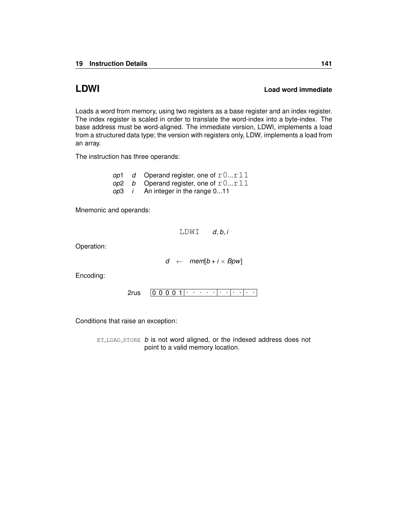### <span id="page-144-0"></span>**LDWI Load word immediate**

Loads a word from memory, using two registers as a base register and an index register. The index register is scaled in order to translate the word-index into a byte-index. The base address must be word-aligned. The immediate version, [LDWI,](#page-144-0) implements a load from a structured data type; the version with registers only, [LDW,](#page-143-0) implements a load from an array.

The instruction has three operands:

*op*1 *d* Operand register, one of  $r0...r11$ *op*2 *b* Operand register, one of  $r0...r11$ *op*3 *i* An integer in the range 0...11

Mnemonic and operands:

 $LDWI$  *d*, *b*, *i* 

Operation:

 $d \leftarrow \text{mem}[b + i \times Bpw]$ 

Encoding:

0 0 0 0 1 . . . . . . . . . . . [2rus](#page-232-0)

Conditions that raise an exception:

ET\_LOAD\_[STORE](#page-255-0) *b* is not word aligned, or the indexed address does not point to a valid memory location.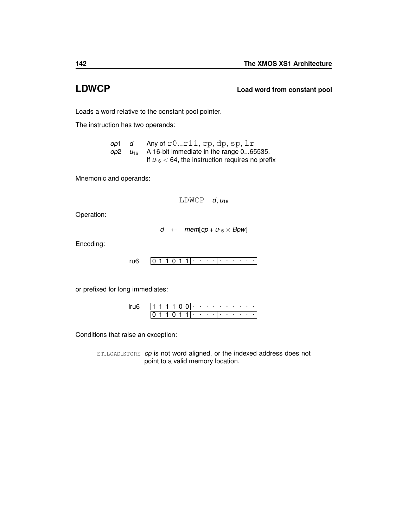<span id="page-145-0"></span>**LDWCP Load word from constant pool**

Loads a word relative to the constant pool pointer.

The instruction has two operands:

*op*1 *d* Any of r0...r11, cp, dp, sp, lr  $op2 \quad u_{16}$  A 16-bit immediate in the range 0...65535. If  $u_{16}$  < 64, the instruction requires no prefix

Mnemonic and operands:

LDWCP  $d, u_{16}$ 

Operation:

$$
d \ \leftarrow \ \textit{mem[cp + u_{16} \times Bpw]}
$$

Encoding:

 $0 1 1 0 1 |1| \cdot \cdot \cdot \cdot | \cdot \cdot \cdot \cdot \cdot \cdot$ [ru6](#page-234-0)

or prefixed for long immediates:

|  |  |  |   | $\blacksquare$ |                                   |   |     | the company's company's company's company's |  |  |  |
|--|--|--|---|----------------|-----------------------------------|---|-----|---------------------------------------------|--|--|--|
|  |  |  | ш | . .            | <b>Contract Contract Contract</b> | ٠ | . . |                                             |  |  |  |

Conditions that raise an exception:

ET\_LOAD\_[STORE](#page-255-0) *cp* is not word aligned, or the indexed address does not point to a valid memory location.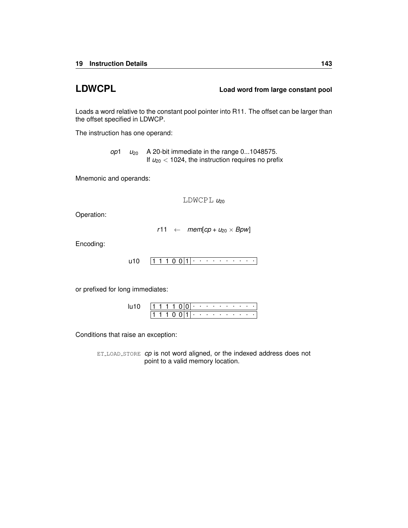**LDWCPL Load word from large constant pool**

Loads a word relative to the constant pool pointer into R11. The offset can be larger than the offset specified in [LDWCP.](#page-145-0)

The instruction has one operand:

*op*1  $u_{20}$  A 20-bit immediate in the range 0...1048575. If  $u_{20}$  < 1024, the instruction requires no prefix

Mnemonic and operands:

 $LDWCPL$   $u_{20}$ 

Operation:

$$
r11 \leftarrow \textit{mem[cp + u_{20} \times Bpw]}
$$

Encoding:

$$
u10 \quad [1\ 1\ 1\ 0\ 0\ 1]\cdot\cdot\cdot\cdot\cdot\cdot\cdot\cdot\cdot\cdot\cdot\cdot\cdot\cdot
$$

or prefixed for long immediates:

|  |  | 1 1 1 1 0 0 0 $\cdot$ |  |  |  |  |  |  |
|--|--|-----------------------|--|--|--|--|--|--|
|  |  | 1110011               |  |  |  |  |  |  |

Conditions that raise an exception:

ET\_LOAD\_[STORE](#page-255-0) *cp* is not word aligned, or the indexed address does not point to a valid memory location.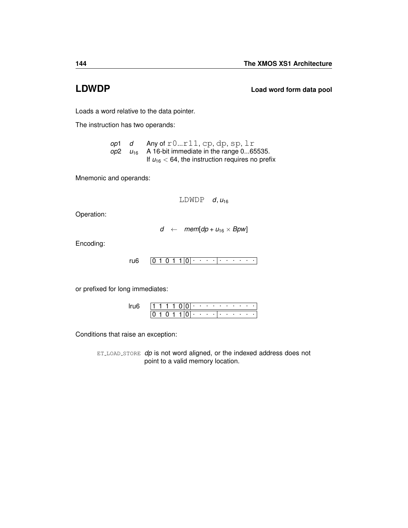**LDWDP Load word form data pool**

Loads a word relative to the data pointer.

The instruction has two operands:

*op*1 *d* Any of r0...r11, cp, dp, sp, lr  $op2 \quad u_{16}$  A 16-bit immediate in the range 0...65535. If  $u_{16}$  < 64, the instruction requires no prefix

Mnemonic and operands:

 $LDWDP$  *d*,  $u_{16}$ 

Operation:

$$
d \ \leftarrow \ \textit{mem[dp + u_{16} \times Bpw]}
$$

Encoding:

 $0 1 0 1 1 |0|$  . . . .  $| \cdot |$  . . . . . [ru6](#page-234-0)

or prefixed for long immediates:

|  |  |  | $\cdot$ |                          | the company of the company of the |        |  | <b>State Street</b>      |  |  |
|--|--|--|---------|--------------------------|-----------------------------------|--------|--|--------------------------|--|--|
|  |  |  | ٠       | <b>Contract Contract</b> |                                   | $\sim$ |  | <b>Contract Contract</b> |  |  |

Conditions that raise an exception:

ET\_LOAD\_[STORE](#page-255-0) *dp* is not word aligned, or the indexed address does not point to a valid memory location.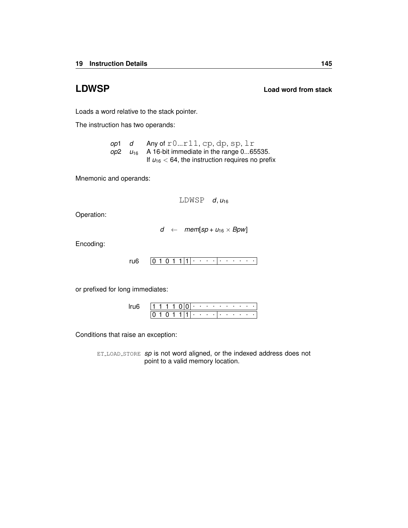**LDWSP Load word from stack**

Loads a word relative to the stack pointer.

The instruction has two operands:

*op*1 *d* Any of r0...r11, cp, dp, sp, lr  $op2 \quad u_{16}$  A 16-bit immediate in the range 0...65535. If  $u_{16}$  < 64, the instruction requires no prefix

Mnemonic and operands:

LDWSP  $d, u_{16}$ 

Operation:

$$
d \ \leftarrow \ \textit{mem}[sp + u_{16} \times \textit{Bpw}]
$$

Encoding:

 $0 1 0 1 1 |1| \cdot \cdot \cdot \cdot | \cdot \cdot \cdot \cdot \cdot \cdot$ [ru6](#page-234-0)

or prefixed for long immediates:

|  |  |  |   | ٠ | <b>Contract Contract</b> |   | <b>STATE</b> | - 1 |  |  |
|--|--|--|---|---|--------------------------|---|--------------|-----|--|--|
|  |  |  | ı | ٠ |                          | ٠ |              | ٠   |  |  |

Conditions that raise an exception:

ET\_LOAD\_[STORE](#page-255-0) *sp* is not word aligned, or the indexed address does not point to a valid memory location.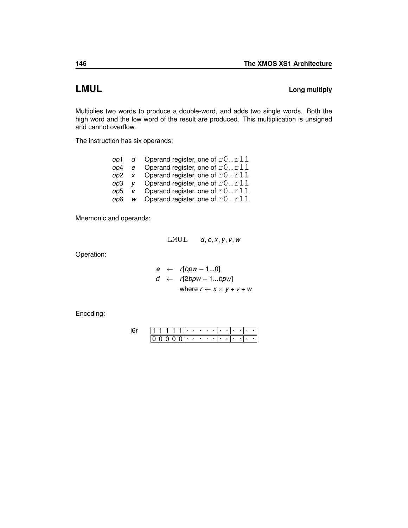# <span id="page-149-0"></span>**LMUL Long multiply**

Multiplies two words to produce a double-word, and adds two single words. Both the high word and the low word of the result are produced. This multiplication is unsigned and cannot overflow.

The instruction has six operands:

|       |                | op1 $d$ Operand register, one of $r0r11$ |
|-------|----------------|------------------------------------------|
| op4 e |                | Operand register, one of $r0r11$         |
| op2   |                | x Operand register, one of $r0r11$       |
| op3   | V <sub>1</sub> | Operand register, one of $r0r11$         |
| op5   | <sub>V</sub>   | Operand register, one of $r0r11$         |
| op6 — |                | w Operand register, one of $r0r11$       |

Mnemonic and operands:

LMUL *d*, *e*, *x*, *y*, *v*, *w*

Operation:

$$
e \leftarrow r[bpw - 1...0]
$$
\n
$$
d \leftarrow r[2bpw - 1...bpw]
$$
\n
$$
where r \leftarrow x \times y + v + w
$$

|  |  |          | ٠                        | $\cdots$ | ٠   |   |   |  |  |
|--|--|----------|--------------------------|----------|-----|---|---|--|--|
|  |  | $\Omega$ | <b>Contract Contract</b> |          | . . | ٠ | ٠ |  |  |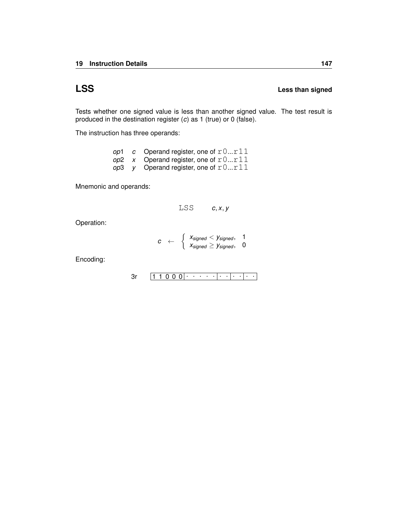# **LSS Less than signed**

Tests whether one signed value is less than another signed value. The test result is produced in the destination register (*c*) as 1 (true) or 0 (false).

The instruction has three operands:

|  | op1 c Operand register, one of $r0r11$ |
|--|----------------------------------------|
|  | op2 x Operand register, one of $r0r11$ |
|  | op3 y Operand register, one of $r0r11$ |

Mnemonic and operands:

$$
LSS \t\t c,x,y
$$

Operation:

$$
c \quad \leftarrow \quad \left\{ \begin{array}{l} \textit{x}_{\textit{signed}} < \textit{y}_{\textit{signed}}, \quad 1 \\ \textit{x}_{\textit{signed}} \geq \textit{y}_{\textit{signed}}, \quad 0 \end{array} \right.
$$

$$
3r \qquad \boxed{1\ 1\ 0\ 0\ 0}\cdot \cdots \cdot \cdot \cdot \cdot \cdot \cdot \cdot \cdot \cdot \cdot \cdot \cdot \cdot
$$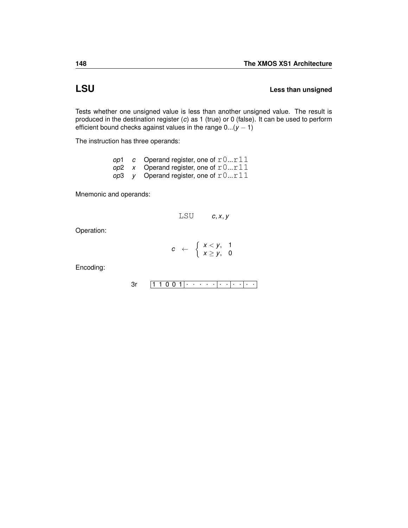### **LSU** Less than unsigned

Tests whether one unsigned value is less than another unsigned value. The result is produced in the destination register (*c*) as 1 (true) or 0 (false). It can be used to perform efficient bound checks against values in the range 0...(*y* − 1)

The instruction has three operands:

|  | op1 c Operand register, one of $r0r11$ |
|--|----------------------------------------|
|  | op2 x Operand register, one of $r0r11$ |
|  | op3 y Operand register, one of $r0r11$ |

Mnemonic and operands:

$$
LSU \qquad c, x, y
$$

Operation:

$$
c \leftarrow \begin{cases} x < y, & 1 \\ x \ge y, & 0 \end{cases}
$$

$$
3r \qquad \boxed{1\ 1\ 0\ 0\ 1}\cdot \cdot \cdot \cdot \cdot \cdot \cdot \cdot \cdot \cdot \cdot \cdot \cdot \cdot \cdot \cdot \cdot \cdot
$$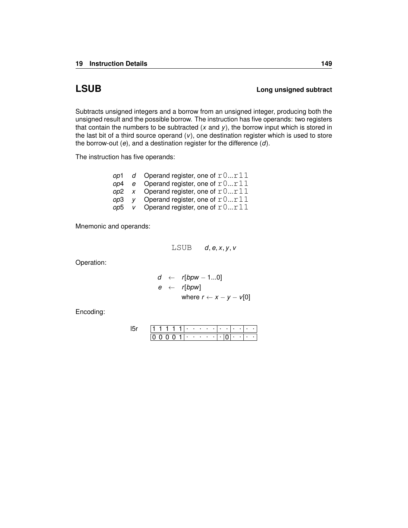## **LSUB Long unsigned subtract**

Subtracts unsigned integers and a borrow from an unsigned integer, producing both the unsigned result and the possible borrow. The instruction has five operands: two registers that contain the numbers to be subtracted (*x* and *y*), the borrow input which is stored in the last bit of a third source operand (*v*), one destination register which is used to store the borrow-out (*e*), and a destination register for the difference (*d*).

The instruction has five operands:

|     | op1 d Operand register, one of $r0r11$ |
|-----|----------------------------------------|
|     | op4 e Operand register, one of $r0r11$ |
|     | op2 x Operand register, one of $r0r11$ |
|     | op3 y Operand register, one of $r0r11$ |
| op5 | v Operand register, one of $r0r11$     |

Mnemonic and operands:

LSUB *d*, *e*, *x*, *y*, *v*

Operation:

$$
d \leftarrow r[bpw - 1...0]
$$
  
\n
$$
e \leftarrow r[bpw]
$$
  
\nwhere  $r \leftarrow x - y - v[0]$ 

|  |  |  | ٠   | ٠ |  |  |   |   |  |
|--|--|--|-----|---|--|--|---|---|--|
|  |  |  | . . | ٠ |  |  | ٠ | ٠ |  |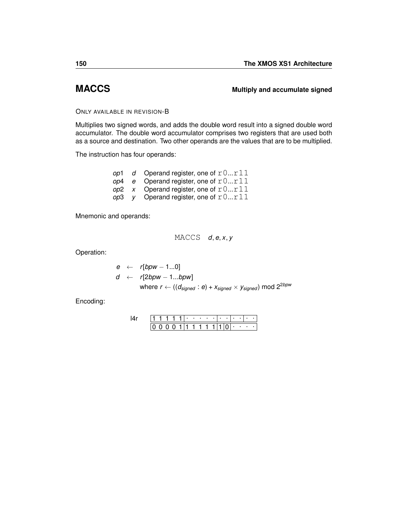### <span id="page-153-0"></span>**MACCS Multiply and accumulate signed**

### ONLY AVAILABLE IN REVISION-B

Multiplies two signed words, and adds the double word result into a signed double word accumulator. The double word accumulator comprises two registers that are used both as a source and destination. Two other operands are the values that are to be multiplied.

The instruction has four operands:

|  | op1 d Operand register, one of $r0r11$   |
|--|------------------------------------------|
|  | op4 $e$ Operand register, one of $r0r11$ |
|  | op2 x Operand register, one of $r0r11$   |
|  | op3 $v$ Operand register, one of $r0r11$ |

Mnemonic and operands:

$$
\mathbb{M}\mathbb{A}\mathbb{C}\mathbb{C}\mathbb{S}\quad d,e,x,y
$$

Operation:

$$
e \leftarrow r[bpw - 1...0]
$$
\n
$$
d \leftarrow r[2bpw - 1...bpw]
$$
\n
$$
where \, r \leftarrow ((d_{signed} : e) + x_{signed} \times y_{signed}) \, mod \, 2^{2bpw}
$$

|  |  |      | . |   |  |  | ٠ |   |     |  |
|--|--|------|---|---|--|--|---|---|-----|--|
|  |  | 1111 |   | 1 |  |  | ٠ | ٠ | . . |  |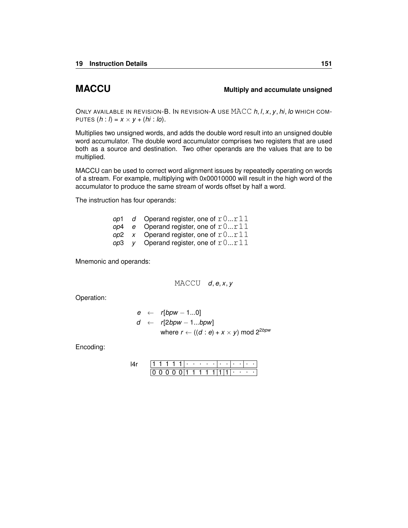### <span id="page-154-0"></span>**MACCU Multiply and accumulate unsigned**

ONLY AVAILABLE IN REVISION-B. IN REVISION-A USE MACC *h*, *l*, *x*, *y*, *hi*, *lo* WHICH COM-PUTES  $(h: I) = x \times y + (hi: Io)$ .

Multiplies two unsigned words, and adds the double word result into an unsigned double word accumulator. The double word accumulator comprises two registers that are used both as a source and destination. Two other operands are the values that are to be multiplied.

MACCU can be used to correct word alignment issues by repeatedly operating on words of a stream. For example, multiplying with 0x00010000 will result in the high word of the accumulator to produce the same stream of words offset by half a word.

The instruction has four operands:

|  | op1 d Operand register, one of $r0r11$ |
|--|----------------------------------------|
|  | op4 e Operand register, one of $r0r11$ |
|  | op2 x Operand register, one of $r0r11$ |
|  | op3 y Operand register, one of $r0r11$ |

Mnemonic and operands:

MACCU *d*, *e*, *x*, *y*

Operation:

$$
e \leftarrow r[bpw - 1...0]
$$
  
\n
$$
d \leftarrow r[2bpw - 1...bpw]
$$
  
\nwhere  $r \leftarrow ((d : e) + x \times y) \text{ mod } 2^{2bpw}$ 

|  |  |  | ٠ | ٠ | ٠ |  |  | ٠ |   |  |
|--|--|--|---|---|---|--|--|---|---|--|
|  |  |  |   |   |   |  |  | ٠ | ٠ |  |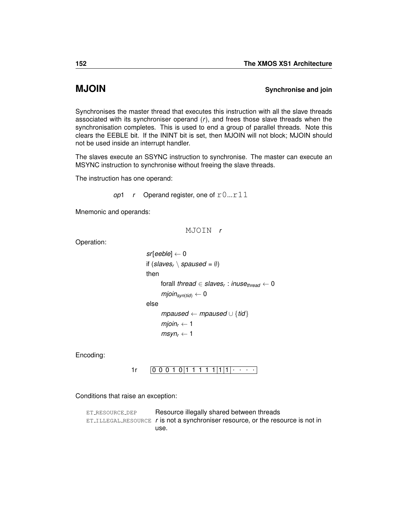### <span id="page-155-0"></span>**MJOIN** Synchronise and join

Synchronises the master thread that executes this instruction with all the slave threads associated with its synchroniser operand (*r*), and frees those slave threads when the synchronisation completes. This is used to end a group of parallel threads. Note this clears the EEBLE bit. If the ININT bit is set, then MJOIN will not block; MJOIN should not be used inside an interrupt handler.

The slaves execute an [SSYNC](#page-198-0) instruction to synchronise. The master can execute an [MSYNC](#page-158-0) instruction to synchronise without freeing the slave threads.

The instruction has one operand:

```
op1 r Operand register, one of r0...r11
```
Mnemonic and operands:

MJOIN *r*

Operation:

```
sr[eeble] ← 0
if (s \leq s_r \setminus spaused = \emptyset)then
       forall thread ∈ slavesr
: inusethread ← 0
       mjoin<sub>syn(tid)</sub> \leftarrow 0else
       mpaused ← mpaused ∪ {tid}
       mjoin<sub>r</sub> \leftarrow 1
       msyn_r \leftarrow 1
```
Encoding:

 $1r$   $[0 0 0 1 0 1 1 1 1 1 1 1 1]$ 

Conditions that raise an exception:

ET\_[RESOURCE](#page-259-0)\_DEP Resource illegally shared between threads ET ILLEGAL [RESOURCE](#page-254-0) *r* is not a synchroniser resource, or the resource is not in use.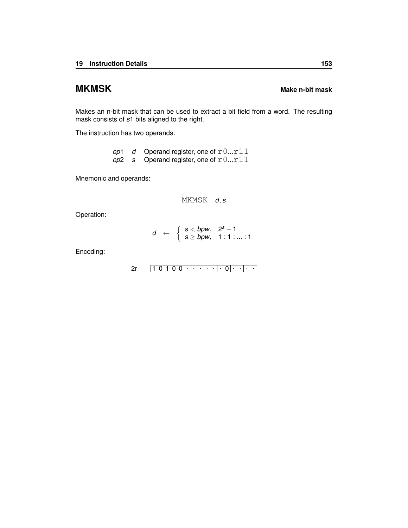# **MKMSK** MAKE NET AND MAKE NOTE MAKE THE MAKE THE MAKE NET AND MAKE THE MAKE OF THE MAKE OF THE MAKE OF THE MAKE OF THE MAKE OF THE MAKE OF THE MAKE OF THE MAKE OF THE MAKE OF THE MAKE OF THE MAKE OF THE MAKE OF THE MAKE OF

Makes an n-bit mask that can be used to extract a bit field from a word. The resulting mask consists of *s*1 bits aligned to the right.

The instruction has two operands:

|  | op1 d Operand register, one of $r0r11$ |
|--|----------------------------------------|
|  | op2 s Operand register, one of $r0r11$ |

Mnemonic and operands:

MKMSK *d*, *s*

Operation:

$$
d \leftarrow \begin{cases} s < bpw, \quad 2^s - 1 \\ s \geq bpw, \quad 1:1:...:1 \end{cases}
$$

| ∽<br>╭ |  |  |  |  |  |  |  |  |
|--------|--|--|--|--|--|--|--|--|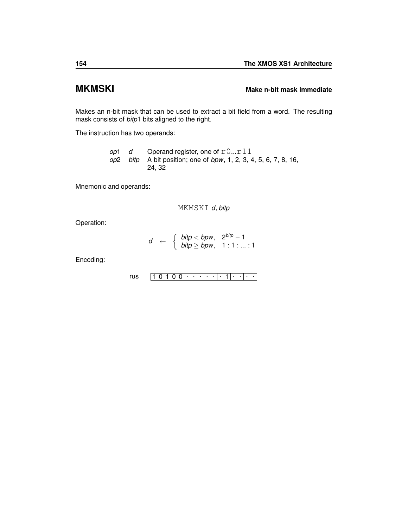## **MKMSKI MAKMSKI MAKE NEWSIGE MAKE NEWSIGE MAKE THE MAKE IN MAKE IN MAKE IN MAKE IN MAKE IN MAKE IN MAKE IN MAKE IN MAKE IN MAKE IN MAKE IN MAKE IN MAKE IN MAKE IN MAKE IN MAKE IN MAKE IN MAKE IN MAKE IN MAKE IN MAKE IN**

Makes an n-bit mask that can be used to extract a bit field from a word. The resulting mask consists of *bitp*1 bits aligned to the right.

The instruction has two operands:

*op*1 *d* Operand register, one of  $r0...r11$ *op*2 *bitp* A bit position; one of *bpw*, 1, 2, 3, 4, 5, 6, 7, 8, 16, 24, 32

Mnemonic and operands:

MKMSKI *d*, *bitp*

Operation:

$$
d \leftarrow \begin{cases} \textit{bitp} < \textit{bpw}, & 2^{\textit{bitp}} - 1 \\ \textit{bitp} \geq \textit{bpw}, & 1:1:...:1 \end{cases}
$$

$$
\mathsf{rus} \quad \boxed{1\ 0\ 1\ 0\ 0} \cdot \cdot \cdot \cdot \cdot \cdot \cdot \cdot \cdot \cdot \cdot \cdot \cdot \cdot \cdot \cdot \cdot \cdot
$$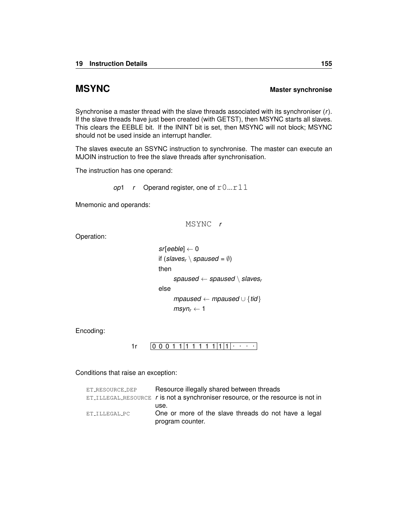### <span id="page-158-0"></span>**MSYNC MSYNC MASTER MASTER MASTER MASTER**

Synchronise a master thread with the slave threads associated with its synchroniser (*r*). If the slave threads have just been created (with [GETST\)](#page-111-0), then MSYNC starts all slaves. This clears the EEBLE bit. If the ININT bit is set, then MSYNC will not block; MSYNC should not be used inside an interrupt handler.

The slaves execute an [SSYNC](#page-198-0) instruction to synchronise. The master can execute an [MJOIN](#page-155-0) instruction to free the slave threads after synchronisation.

The instruction has one operand:

```
op1 r Operand register, one of r0...r11
```
Mnemonic and operands:

MSYNC *r*

Operation:

```
sr[eeble] ← 0
if (s \leq s_r \setminus s \leq s \leq d = \emptyset)then
      spaused ← spaused \ slavesr
else
      mpaused ← mpaused ∪ {tid}
      msyn_r \leftarrow 1
```
Encoding:

```
1r [0 0 0 1 1 1 1 1 1 1 1 1 1]
```

| ET_RESOURCE_DEP | Resource illegally shared between threads                                                  |
|-----------------|--------------------------------------------------------------------------------------------|
|                 | $ET_{\text{ILLEGAL-RESOURCE}}$ r is not a synchroniser resource, or the resource is not in |
|                 | use.                                                                                       |
| ET TLLEGAL PC   | One or more of the slave threads do not have a legal                                       |
|                 | program counter.                                                                           |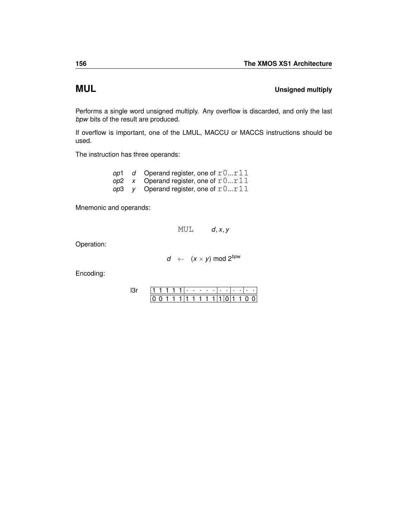# **MUL Unsigned multiply**

Performs a single word unsigned multiply. Any overflow is discarded, and only the last *bpw* bits of the result are produced.

If overflow is important, one of the [LMUL,](#page-149-0) [MACCU](#page-154-0) or [MACCS](#page-153-0) instructions should be used.

The instruction has three operands:

| op1 | d Operand register, one of $r0r11$     |
|-----|----------------------------------------|
|     | op2 x Operand register, one of $r0r11$ |
|     | op3 y Operand register, one of $r0r11$ |

Mnemonic and operands:

MUL  $d, x, y$ 

Operation:

$$
d \leftarrow (x \times y) \text{ mod } 2^{bpw}
$$

|  |  |         |  | 11. |  |  |     |     |  |
|--|--|---------|--|-----|--|--|-----|-----|--|
|  |  | 1111111 |  |     |  |  | ֿ ד | 1 O |  |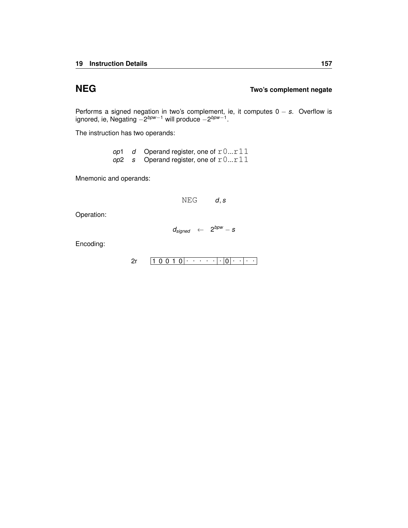### **NEG Two's complement negate**

Performs a signed negation in two's complement, ie, it computes 0 − *s*. Overflow is ignored, ie, Negating *−2<sup>bpw−1</sup> w*ill produce *−2<sup>bpw−1</sup>.* 

The instruction has two operands:

|  | op1 d Operand register, one of $r0r11$ |
|--|----------------------------------------|
|  | op2 s Operand register, one of $r0r11$ |

Mnemonic and operands:

NEG *d*, *s*

Operation:

$$
d_{signed} \leftarrow 2^{bpw} - s
$$

$$
2r \qquad \boxed{1\ 0\ 0\ 1\ 0}\cdot \cdots \cdot \cdot \cdot |\cdot|0|\cdot \cdot |\cdot|\cdot|
$$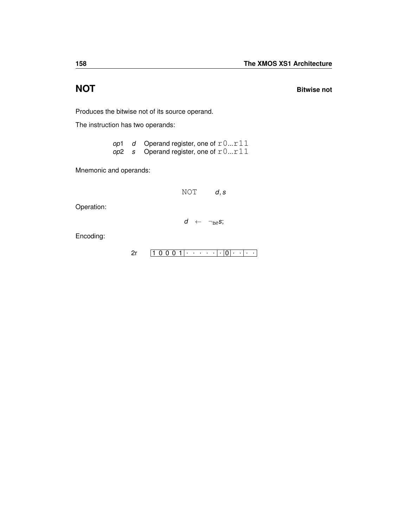**NOT** Bitwise not

Produces the bitwise not of its source operand.

The instruction has two operands:

|  | op1 $d$ Operand register, one of $r0r11$ |
|--|------------------------------------------|
|  | op2 s Operand register, one of $r0r11$   |

Mnemonic and operands:

NOT *d*, *s*

Operation:

*d* ← ¬*bits*;

$$
2r \qquad 1 \qquad 0 \qquad 0 \qquad 1 \qquad \cdots \qquad \cdot \qquad \cdot \qquad \cdot \qquad \cdot \qquad \cdot \qquad \cdot \qquad \cdot
$$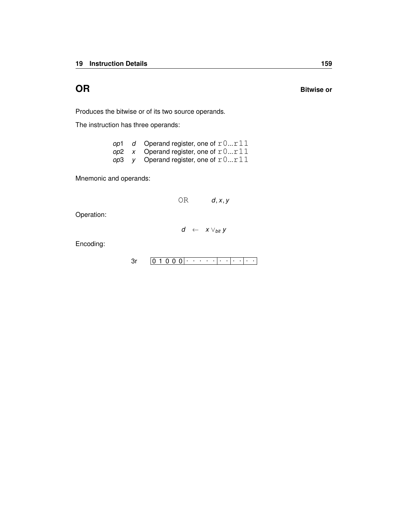**OR** Bitwise or

Produces the bitwise or of its two source operands.

The instruction has three operands:

| op1 | d Operand register, one of $r0r11$             |
|-----|------------------------------------------------|
|     | op2 x Operand register, one of $r0r11$         |
|     | <i>op</i> 3 y Operand register, one of $r0r11$ |

Mnemonic and operands:

OR *d*, *x*, *y*

Operation:

$$
d \;\;\leftarrow\;\; x \vee_{\textit{bit}} y
$$

0 1 0 0 0 . . . . . . . . . . . [3r](#page-230-0)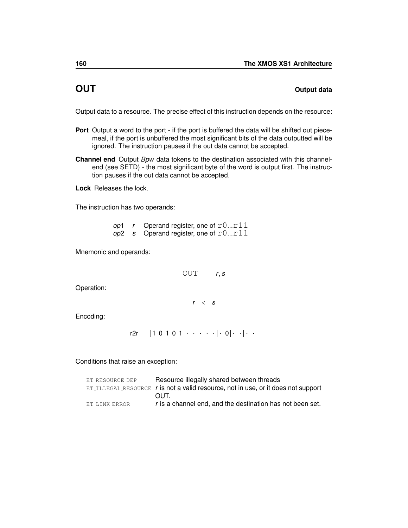### <span id="page-163-0"></span>**OUT OUT OUT**

Output data to a resource. The precise effect of this instruction depends on the resource:

- **Port** Output a word to the port if the port is buffered the data will be shifted out piecemeal, if the port is unbuffered the most significant bits of the data outputted will be ignored. The instruction pauses if the out data cannot be accepted.
- **Channel end** Output *Bpw* data tokens to the destination associated with this channelend (see [SETD\)](#page-179-0) - the most significant byte of the word is output first. The instruction pauses if the out data cannot be accepted.

**Lock** Releases the lock.

The instruction has two operands:

| op1 | r Operand register, one of $r0r11$     |
|-----|----------------------------------------|
|     | op2 s Operand register, one of $r0r11$ |

Mnemonic and operands:

OUT *r*, *s*

Operation:

 $r \triangleleft s$ 

Encoding:

1 0 1 0 1 . . . . . . 0 . . . . [r2r](#page-241-0)

| ET RESOURCE DEP | Resource illegally shared between threads                                                    |
|-----------------|----------------------------------------------------------------------------------------------|
|                 | $ET_{\text{ILLEGAL-RESOURCE}}$ r is not a valid resource, not in use, or it does not support |
|                 | <b>OUT</b>                                                                                   |
| ET_LINK_ERROR   | r is a channel end, and the destination has not been set.                                    |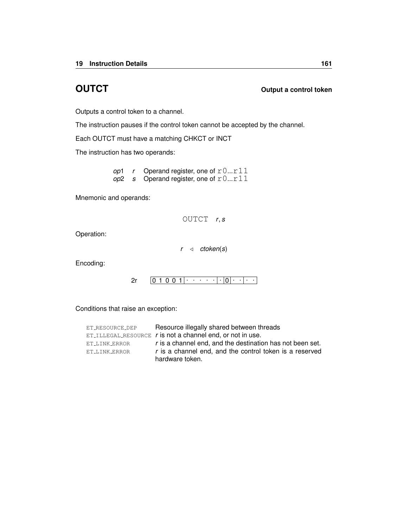### **OUTCT OUTCT OUTCT OUTCT OUTC**

Outputs a control token to a channel.

The instruction pauses if the control token cannot be accepted by the channel.

Each OUTCT must have a matching [CHKCT](#page-71-0) or [INCT](#page-114-0)

The instruction has two operands:

*op*1 *r* Operand register, one of  $r0...r11$  $op2$  *s* Operand register, one of  $r0...r11$ 

Mnemonic and operands:

OUTCT *r*, *s*

Operation:

 $r \triangleleft$  *ctoken*(*s*)

Encoding:

0 1 0 0 1 . . . . . . 0 . . . . [2r](#page-240-0)

| ET_RESOURCE_DEP | Resource illegally shared between threads                      |
|-----------------|----------------------------------------------------------------|
|                 | $ET$ ILLEGAL RESOURCE $r$ is not a channel end, or not in use. |
| ET_LINK_ERROR   | r is a channel end, and the destination has not been set.      |
| ET LINK ERROR   | r is a channel end, and the control token is a reserved        |
|                 | hardware token.                                                |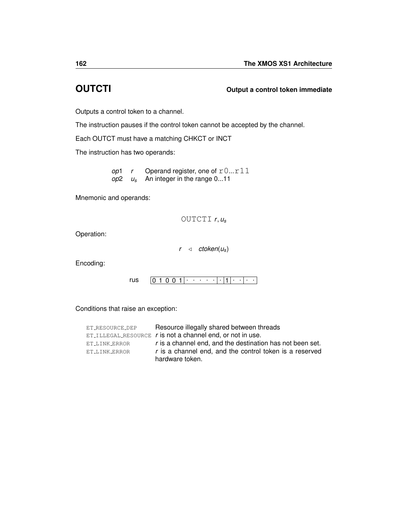# **OUTCTI Output a control token immediate**

Outputs a control token to a channel.

The instruction pauses if the control token cannot be accepted by the channel.

Each OUTCT must have a matching [CHKCT](#page-71-0) or [INCT](#page-114-0)

The instruction has two operands:

*op*1 *r* Operand register, one of  $r0...r11$ *op*2 *u<sup>s</sup>* An integer in the range 0...11

Mnemonic and operands:

OUTCTI *r*, *u<sup>s</sup>*

Operation:

 $r \triangleleft \text{ctoken}(u_{s})$ 

Encoding:

0 1 0 0 1 . . . . . . 1 . . . . [rus](#page-244-0)

| ET_RESOURCE_DEP | Resource illegally shared between threads                    |
|-----------------|--------------------------------------------------------------|
|                 | $ET$ ILLEGAL RESOURCE r is not a channel end, or not in use. |
| ET LINK ERROR   | r is a channel end, and the destination has not been set.    |
| ET LINK ERROR   | r is a channel end, and the control token is a reserved      |
|                 | hardware token.                                              |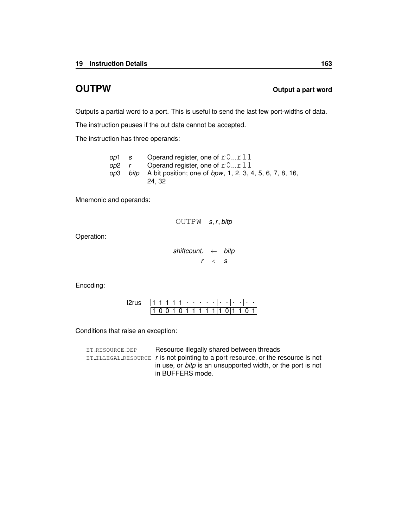### **OUTPW OUTPW OUTPW OUTPW OUTPW**

Outputs a partial word to a port. This is useful to send the last few port-widths of data.

The instruction pauses if the out data cannot be accepted.

The instruction has three operands:

| op1   | S | Operand register, one of $r0r11$                                                                 |
|-------|---|--------------------------------------------------------------------------------------------------|
| op2 r |   | Operand register, one of $r0r11$                                                                 |
|       |   | <i>op</i> 3 <i>bitp</i> A bit position; one of <i>bpw</i> , 1, 2, 3, 4, 5, 6, 7, 8, 16,<br>24.32 |

Mnemonic and operands:

```
OUTPW s, r, bitp
```
Operation:

```
shiftcountr ← bitp
          r \triangleleft s
```
Encoding:

|  |  |  | ٠ | ٠ | ٠ |  |  | ٠ |  |
|--|--|--|---|---|---|--|--|---|--|
|  |  |  |   |   |   |  |  |   |  |

| ET_RESOURCE_DEP | Resource illegally shared between threads                                                        |
|-----------------|--------------------------------------------------------------------------------------------------|
|                 | $ET$ <sub>-ILLEGAL</sub> RESOURCE $r$ is not pointing to a port resource, or the resource is not |
|                 | in use, or <i>bitp</i> is an unsupported width, or the port is not<br>in BUFFERS mode.           |
|                 |                                                                                                  |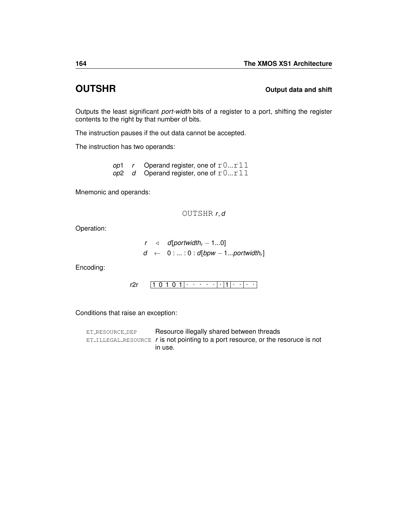### **OUTSHR OUTSHR OUTSHR**

Outputs the least significant *port-width* bits of a register to a port, shifting the register contents to the right by that number of bits.

The instruction pauses if the out data cannot be accepted.

The instruction has two operands:

*op*1  $r$  Operand register, one of  $r0...r11$ *op*2 *d* Operand register, one of  $r0...r11$ 

Mnemonic and operands:

OUTSHR *r*, *d*

Operation:

$$
r \quad \text{a} \quad \text{d}[\text{portwidth}_r - 1...0] \\ d \quad \leftarrow \quad 0: ... : 0 : d[\text{bpw} - 1... \text{portwidth}_r]
$$

Encoding:

$$
r2r \qquad \boxed{1\ 0\ 1\ 0\ 1} \cdot \cdot \cdot \cdot \cdot \cdot \cdot \cdot \cdot \cdot \cdot \cdot \cdot \cdot \cdot \cdot \cdot
$$

Conditions that raise an exception:

ET\_[RESOURCE](#page-259-0)\_DEP Resource illegally shared between threads ET ILLEGAL [RESOURCE](#page-254-0) *r* is not pointing to a port resource, or the resoruce is not in use.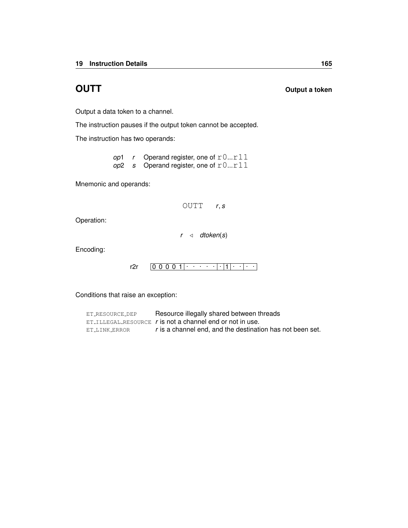**OUTT OUTT OUTT OUTT** 

Output a data token to a channel.

The instruction pauses if the output token cannot be accepted.

The instruction has two operands:

*op*1 *r* Operand register, one of  $r0...r11$ *op*2 *s* Operand register, one of r0...r11

Mnemonic and operands:

OUTT *r*, *s*

Operation:

 $r \triangleleft$  *dtoken*(*s*)

Encoding:

```
0 0 0 0 1
. . . . . . 1
. . . .
r2r
```

| ET_RESOURCE_DEP | Resource illegally shared between threads                     |
|-----------------|---------------------------------------------------------------|
|                 | $ET$ ILLEGAL RESOURCE $r$ is not a channel end or not in use. |
| ET_LINK_ERROR   | r is a channel end, and the destination has not been set.     |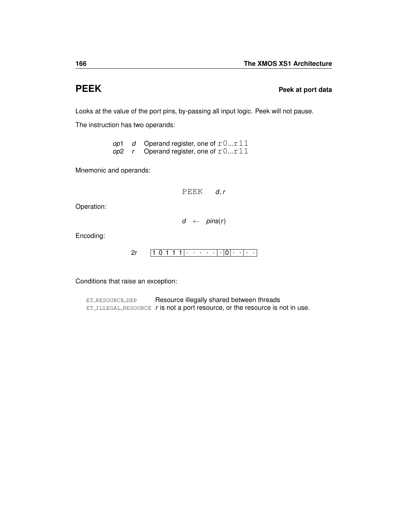### **PEEK Peek at port data**

Looks at the value of the port pins, by-passing all input logic. Peek will not pause.

The instruction has two operands:

*op*1 *d* Operand register, one of r0...r11 *op*2 *r* Operand register, one of  $r0...r11$ 

Mnemonic and operands:

PEEK *d*, *r*

Operation:

$$
d \leftarrow \textit{pins}(r)
$$

Encoding:

$$
2r \qquad \boxed{1\ 0\ 1\ 1\ 1}\cdot \cdot \cdot \cdot \cdot |\cdot|0|\cdot |\cdot|\cdot|
$$

Conditions that raise an exception:

ET\_[RESOURCE](#page-259-0)\_DEP Resource illegally shared between threads ET ILLEGAL [RESOURCE](#page-254-0) *r* is not a port resource, or the resource is not in use.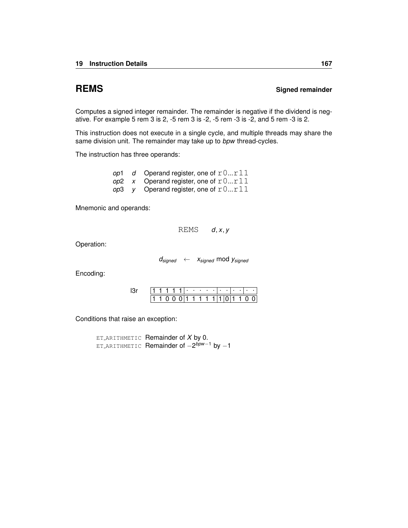### **REMS** Signed remainder

Computes a signed integer remainder. The remainder is negative if the dividend is negative. For example 5 rem 3 is 2, -5 rem 3 is -2, -5 rem -3 is -2, and 5 rem -3 is 2.

This instruction does not execute in a single cycle, and multiple threads may share the same division unit. The remainder may take up to *bpw* thread-cycles.

The instruction has three operands:

| op1 | d Operand register, one of $r0r11$     |
|-----|----------------------------------------|
|     | op2 x Operand register, one of $r0r11$ |
|     | op3 y Operand register, one of $r0r11$ |

Mnemonic and operands:

REMS *d*, *x*, *y*

Operation:

*dsigned* ← *xsigned* mod *ysigned*

Encoding:

|  | $\mathbf{1}$ $\mathbf{1}$ $\mathbf{1}$ $\mathbf{1}$ $\mathbf{1}$ $\mathbf{1}$ $\mathbf{1}$ $\mathbf{1}$ $\mathbf{1}$ $\mathbf{1}$ $\mathbf{1}$ |  |  |  |  |                                   |  |  |
|--|------------------------------------------------------------------------------------------------------------------------------------------------|--|--|--|--|-----------------------------------|--|--|
|  |                                                                                                                                                |  |  |  |  | 1 1 0 0 0 1 1 1 1 1 1 1 0 1 1 0 0 |  |  |

Conditions that raise an exception:

ET [ARITHMETIC](#page-257-0) Remainder of *X* by 0. ET [ARITHMETIC](#page-257-0) Remainder of −2 *bpw*−<sup>1</sup> by −1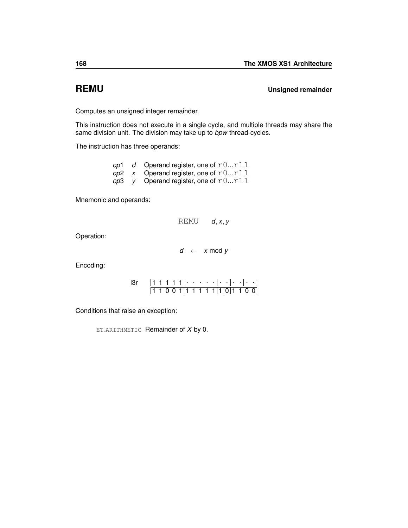**REMU Unsigned remainder**

Computes an unsigned integer remainder.

This instruction does not execute in a single cycle, and multiple threads may share the same division unit. The division may take up to *bpw* thread-cycles.

The instruction has three operands:

|  | op1 d Operand register, one of $r0r11$ |
|--|----------------------------------------|
|  | op2 x Operand register, one of $r0r11$ |
|  | op3 y Operand register, one of $r0r11$ |

Mnemonic and operands:

| <b>REMU</b> |  | d, x, y |  |
|-------------|--|---------|--|
|-------------|--|---------|--|

Operation:

 $d \leftarrow x \mod y$ 

Encoding:

|  | . |  |  |  |             | . . |  |  |
|--|---|--|--|--|-------------|-----|--|--|
|  |   |  |  |  | 0.111111111 |     |  |  |

Conditions that raise an exception:

ET [ARITHMETIC](#page-257-0) Remainder of *X* by 0.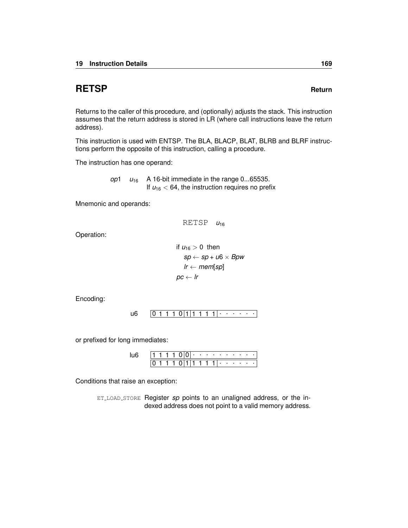# **RETSP Return**

Returns to the caller of this procedure, and (optionally) adjusts the stack. This instruction assumes that the return address is stored in LR (where call instructions leave the return address).

This instruction is used with [ENTSP.](#page-93-0) The [BLA,](#page-58-0) [BLACP,](#page-59-0) [BLAT,](#page-60-0) [BLRB](#page-61-0) and [BLRF](#page-62-0) instructions perform the opposite of this instruction, calling a procedure.

The instruction has one operand:

*op*1  $u_{16}$  A 16-bit immediate in the range 0...65535. If  $u_{16}$  < 64, the instruction requires no prefix

Mnemonic and operands:

RETSP *u*<sup>16</sup>

Operation:

if 
$$
u_{16} > 0
$$
 then  
\n $sp \leftarrow sp + u6 \times Bpw$   
\n $lr \leftarrow mem[sp]$   
\n $pc \leftarrow lr$ 

Encoding:

0 1 1 1 0 1 1 1 1 1 . . . . . . [u6](#page-236-0)

or prefixed for long immediates:

|  |  |  | ٠ | <b>Contract Contract</b> |  | . . | $\sim$ | ٠ |  |
|--|--|--|---|--------------------------|--|-----|--------|---|--|
|  |  |  |   |                          |  | ٠   |        |   |  |

Conditions that raise an exception:

ET LOAD [STORE](#page-255-0) Register *sp* points to an unaligned address, or the indexed address does not point to a valid memory address.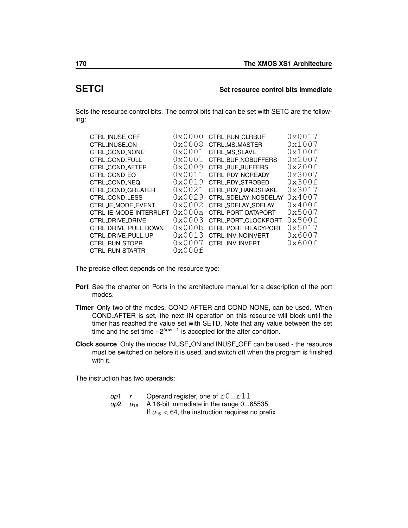### **SETCI Set resource control bits immediate**

Sets the resource control bits. The control bits that can be set with SETC are the following:

| CTRL_INUSE_OFF         | $0 \times 0000$ | CTRL_RUN_CLRBUF       | 0x0017 |
|------------------------|-----------------|-----------------------|--------|
| CTRL_INUSE_ON          | 0x0008          | <b>CTRL_MS_MASTER</b> | 0x1007 |
| CTRL_COND_NONE         | 0x0001          | CTRL_MS_SLAVE         | 0x100f |
| CTRL_COND_FULL         | $0 \times 0001$ | CTRL_BUF_NOBUFFERS    | 0x2007 |
| CTRL_COND_AFTER        | 0x0009          | CTRL_BUF_BUFFERS      | 0x200f |
| CTRL_COND_EQ           | 0x0011          | CTRL_RDY_NOREADY      | 0x3007 |
| CTRL_COND_NEQ          | 0x0019          | CTRL_RDY_STROBED      | 0x300f |
| CTRL_COND_GREATER      | 0x0021          | CTRL_RDY_HANDSHAKE    | 0x3017 |
| CTRL_COND_LESS         | 0x0029          | CTRL_SDELAY_NOSDELAY  | 0x4007 |
| CTRL_IE_MODE_EVENT     | $0 \times 0002$ | CTRL_SDELAY_SDELAY    | 0x400f |
| CTRL_IE_MODE_INTERRUPT | 0x000a          | CTRL_PORT_DATAPORT    | 0x5007 |
| CTRL_DRIVE_DRIVE       | $0 \times 0003$ | CTRL_PORT_CLOCKPORT   | 0x500f |
| CTRL_DRIVE_PULL_DOWN   | 0x000b          | CTRL_PORT_READYPORT   | 0x5017 |
| CTRL_DRIVE_PULL_UP     | 0x0013          | CTRL_INV_NOINVERT     | 0x6007 |
| CTRL_RUN_STOPR         | $0 \times 0007$ | CTRL_INV_INVERT       | 0x600f |
| CTRL_RUN_STARTR        | 0x000f          |                       |        |

The precise effect depends on the resource type:

- **Port** See the chapter on Ports in the architecture manual for a description of the port modes.
- **Timer** Only two of the modes, COND AFTER and COND NONE, can be used. When COND AFTER is set, the next [IN](#page-113-0) operation on this resource will block until the timer has reached the value set with [SETD.](#page-179-0) Note that any value between the set time and the set time - 2*bpw*−<sup>1</sup> is accepted for the after condition.
- **Clock source** Only the modes INUSE ON and INUSE OFF can be used the resource must be switched on before it is used, and switch off when the program is finished with it.

The instruction has two operands:

| op1 | $\mathbf{r}$ | Operand register, one of $r0r11$                     |
|-----|--------------|------------------------------------------------------|
|     |              | op2 $u_{16}$ A 16-bit immediate in the range 065535. |
|     |              | If $u_{16}$ < 64, the instruction requires no prefix |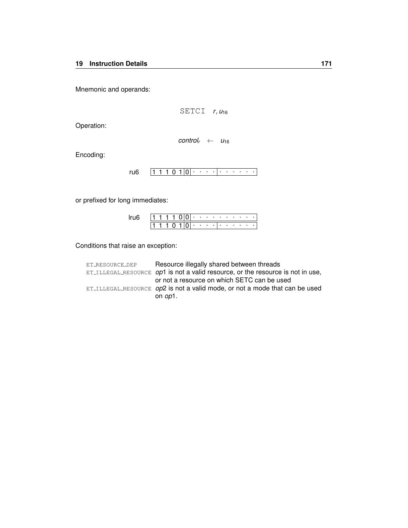Mnemonic and operands:

$$
\texttt{SETCI} \quad r, u_{16}
$$

Operation:

$$
control_r \leftarrow u_{16}
$$

Encoding:

 $1 1 1 0 1 0 | \cdot \cdot \cdot \cdot | \cdot \cdot \cdot \cdot \cdot \cdot$ [ru6](#page-234-0)

or prefixed for long immediates:

|  |  |  | ٠ | $\sim$ 100 $\pm$ | $\sim$ | $\sim$ | - 11 | . . | $\blacksquare$ |   | ٠ |  |
|--|--|--|---|------------------|--------|--------|------|-----|----------------|---|---|--|
|  |  |  |   |                  |        | ٠      |      |     |                | ٠ | ٠ |  |

| ET_RESOURCE_DEP | Resource illegally shared between threads                                           |
|-----------------|-------------------------------------------------------------------------------------|
|                 | ET_ILLEGAL_RESOURCE $op1$ is not a valid resource, or the resource is not in use,   |
|                 | or not a resource on which SETC can be used                                         |
|                 | ET_ILLEGAL_RESOURCE <i>op</i> 2 is not a valid mode, or not a mode that can be used |
|                 | on <i>op</i> 1.                                                                     |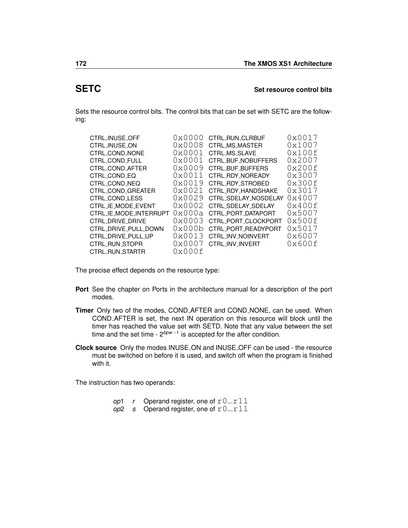### <span id="page-175-0"></span>**SETC Set resource control bits**

Sets the resource control bits. The control bits that can be set with SETC are the following:

| 0x0000          | CTRL_RUN_CLRBUF      | 0x0017 |
|-----------------|----------------------|--------|
| 0x0008          | CTRL_MS_MASTER       | 0x1007 |
| 0x0001          | <b>CTRL MS SLAVE</b> | 0x100f |
| $0 \times 0001$ | CTRL_BUF_NOBUFFERS   | 0x2007 |
| 0x0009          | CTRL_BUF_BUFFERS     | 0x200f |
| 0x0011          | CTRL_RDY_NOREADY     | 0x3007 |
| 0x0019          | CTRL_RDY_STROBED     | 0x300f |
| 0x0021          | CTRL_RDY_HANDSHAKE   | 0x3017 |
| 0x0029          | CTRL_SDELAY_NOSDELAY | 0x4007 |
| 0x0002          | CTRL SDELAY SDELAY   | 0x400f |
|                 | CTRL_PORT_DATAPORT   | 0x5007 |
| $0 \times 0003$ | CTRL_PORT_CLOCKPORT  | 0x500f |
| 0x000b          | CTRL PORT READYPORT  | 0x5017 |
| 0x0013          | CTRL_INV_NOINVERT    | 0x6007 |
| $0 \times 0007$ | CTRL INV INVERT      | 0x600f |
| 0x000f          |                      |        |
|                 | 0x000a               |        |

The precise effect depends on the resource type:

- **Port** See the chapter on Ports in the architecture manual for a description of the port modes.
- **Timer** Only two of the modes, COND AFTER and COND NONE, can be used. When COND AFTER is set, the next [IN](#page-113-0) operation on this resource will block until the timer has reached the value set with [SETD.](#page-179-0) Note that any value between the set time and the set time - 2*bpw*−<sup>1</sup> is accepted for the after condition.
- **Clock source** Only the modes INUSE ON and INUSE OFF can be used the resource must be switched on before it is used, and switch off when the program is finished with it.

The instruction has two operands:

- *op*1 *r* Operand register, one of  $r0...r11$
- $op2$  *s* Operand register, one of  $r0...r11$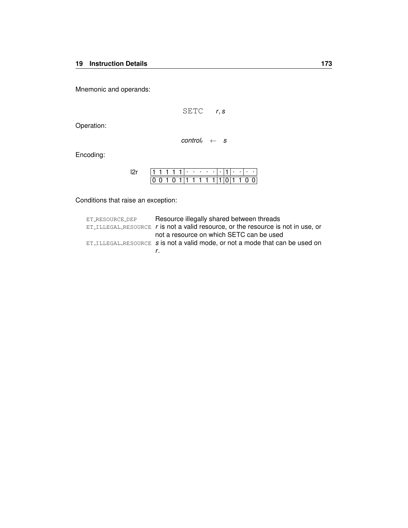Mnemonic and operands:

$$
\text{SETC} \qquad r, s
$$

Operation:

 $control_r \leftarrow s$ 

Encoding:

|  |  |  |  | . |             |  | <b>Service</b> |     |  |
|--|--|--|--|---|-------------|--|----------------|-----|--|
|  |  |  |  |   | 0.111111111 |  |                | 110 |  |

| ET_RESOURCE_DEP | Resource illegally shared between threads                                             |
|-----------------|---------------------------------------------------------------------------------------|
|                 | $ET$ -ILLEGAL-RESOURCE r is not a valid resource, or the resource is not in use, or   |
|                 | not a resource on which SETC can be used                                              |
|                 | $ET$ ILLEGAL RESOURCE $\bm{s}$ is not a valid mode, or not a mode that can be used on |
|                 |                                                                                       |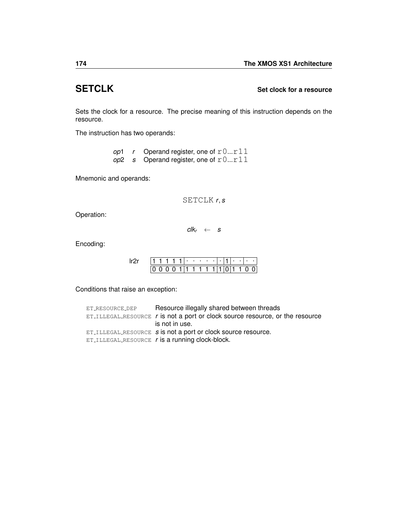# **SETCLK Set clock for a resource**

Sets the clock for a resource. The precise meaning of this instruction depends on the resource.

The instruction has two operands:

|  | op1 r Operand register, one of $r0r11$ |
|--|----------------------------------------|
|  | op2 s Operand register, one of $r0r11$ |

Mnemonic and operands:

SETCLK *r*, *s*

Operation:

 $clk_r \leftarrow s$ 

Encoding:

|  |  |  | ٠  | . . |    | ٠ | ٠ |  | ٠ |  |
|--|--|--|----|-----|----|---|---|--|---|--|
|  |  |  | 1. |     | 11 |   |   |  |   |  |

| ET_RESOURCE_DEP | Resource illegally shared between threads                                           |
|-----------------|-------------------------------------------------------------------------------------|
|                 | $ET$ . ILLEGAL RESOURCE $r$ is not a port or clock source resource, or the resource |
|                 | is not in use.                                                                      |
|                 | ET_ILLEGAL_RESOURCE s is not a port or clock source resource.                       |
|                 | ET_ILLEGAL_RESOURCE $r$ is a running clock-block.                                   |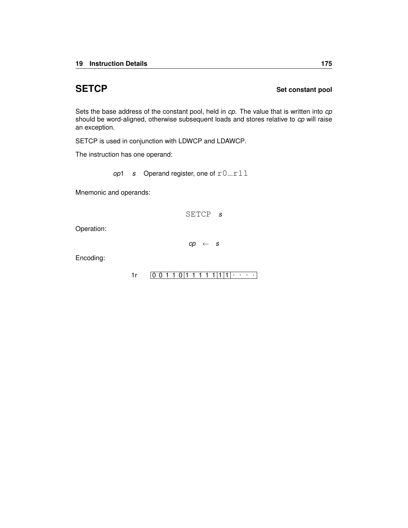### **SETCP** Set constant pool

Sets the base address of the constant pool, held in *cp*. The value that is written into *cp* should be word-aligned, otherwise subsequent loads and stores relative to *cp* will raise an exception.

SETCP is used in conjunction with [LDWCP](#page-145-0) and [LDAWCP.](#page-132-0)

The instruction has one operand:

*op*1 *s* Operand register, one of  $r0...r11$ 

Mnemonic and operands:

SETCP *s*

Operation:

*cp* ← *s*

Encoding:

 $1r$   $[0 0 1 1 0 1 1 1 1 1 1 1 1]$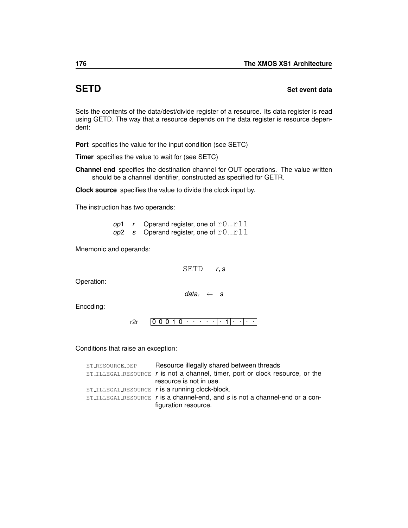### <span id="page-179-0"></span>**SETD** Set event data

Sets the contents of the data/dest/divide register of a resource. Its data register is read using [GETD.](#page-100-0) The way that a resource depends on the data register is resource dependent:

**Port** specifies the value for the input condition (see [SETC\)](#page-175-0)

**Timer** specifies the value to wait for (see [SETC\)](#page-175-0)

**Channel end** specifies the destination channel for [OUT](#page-163-0) operations. The value written should be a channel identifier, constructed as specified for [GETR.](#page-108-0)

**Clock source** specifies the value to divide the clock input by.

The instruction has two operands:

*op*1 *r* Operand register, one of  $r0...r11$ *op*2 *s* Operand register, one of  $r0...r11$ 

Mnemonic and operands:

SETD *r*, *s*

Operation:

*data<sup>r</sup>* ← *s*

Encoding:

0 0 0 1 0 . . . . . . 1 . . . . [r2r](#page-241-0)

| ET_RESOURCE_DEP | Resource illegally shared between threads                                           |
|-----------------|-------------------------------------------------------------------------------------|
|                 | $ET$ . ILLEGAL RESOURCE $r$ is not a channel, timer, port or clock resource, or the |
|                 | resource is not in use.                                                             |
|                 | ET_ILLEGAL_RESOURCE $r$ is a running clock-block.                                   |
|                 | $ET$ -ILLEGAL RESOURCE $r$ is a channel-end, and $s$ is not a channel-end or a con- |
|                 | figuration resource.                                                                |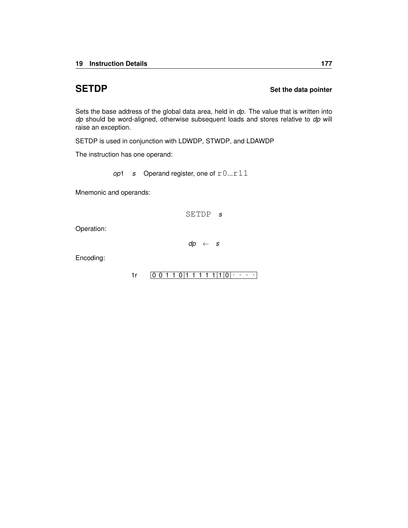## **SETDP** Set the data pointer

Sets the base address of the global data area, held in *dp*. The value that is written into *dp* should be word-aligned, otherwise subsequent loads and stores relative to *dp* will raise an exception.

SETDP is used in conjunction with [LDWDP,](#page-147-0) [STWDP,](#page-207-0) and [LDAWDP](#page-133-0)

The instruction has one operand:

*op*1 *s* Operand register, one of  $r0...r11$ 

Mnemonic and operands:

SETDP *s*

Operation:

*dp* ← *s*

Encoding:

 $1r$   $[0 0 1 1 0 1 1 1 1 1 1 1 0 0 \cdots]$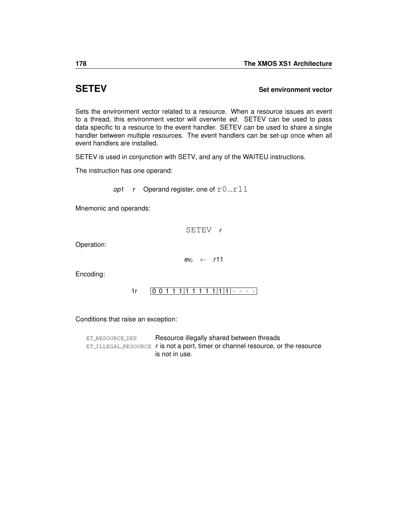## <span id="page-181-0"></span>**SETEV Set environment vector**

Sets the environment vector related to a resource. When a resource issues an event to a thread, this environment vector will overwrite *ed*. SETEV can be used to pass data specific to a resource to the event handler. SETEV can be used to share a single handler between multiple resources. The event handlers can be set-up once when all event handlers are installed.

SETEV is used in conjunction with [SETV,](#page-191-0) and any of the [WAITEU](#page-225-0) instructions.

The instruction has one operand:

*op*1  $r$  Operand register, one of  $r0...r11$ 

Mnemonic and operands:

SETEV *r*

Operation:

 $ev_r \leftarrow r11$ 

Encoding:

 $1r$   $[0 0 1 1 1 | 1 1 1 1 1 | 1 | 1 | \cdots]$ 

Conditions that raise an exception:

ET\_[RESOURCE](#page-259-0)\_DEP Resource illegally shared between threads ET ILLEGAL [RESOURCE](#page-254-0) *r* is not a port, timer or channel resource, or the resource is not in use.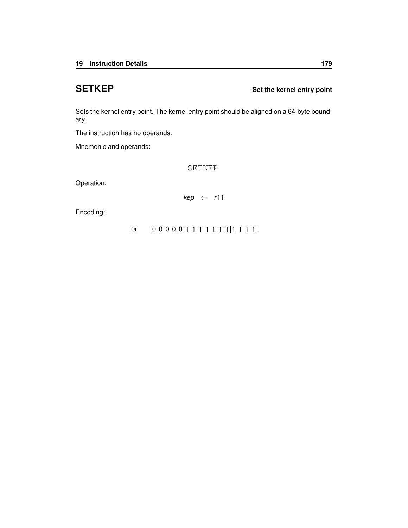**SETKEP** Set the kernel entry point

Sets the kernel entry point. The kernel entry point should be aligned on a 64-byte boundary.

The instruction has no operands.

Mnemonic and operands:

SETKEP

Operation:

*kep* ← *r*11

Encoding:

[0r](#page-246-0)  $[0\ 0\ 0\ 0\ 0\ 1\ 1\ 1\ 1\ 1\ 1\ 1\ 1\ 1\ 1\ 1]$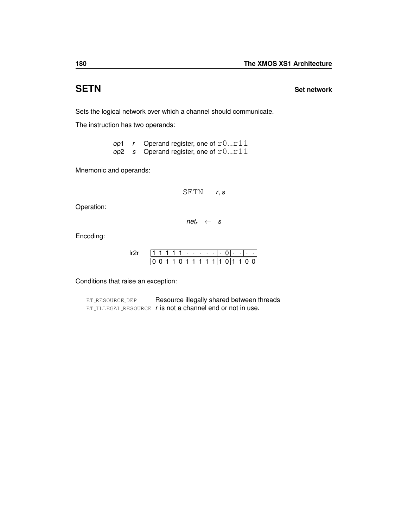## **SETN Set network**

Sets the logical network over which a channel should communicate.

The instruction has two operands:

op1 r Operand register, one of r0...r11 *op*2 *s* Operand register, one of r0...r11

Mnemonic and operands:

SETN *r*, *s*

Operation:

 $net<sub>r</sub> \leftarrow s$ 

Encoding:

|  |  |  | $\blacksquare$ | <b>Contract Contract Contract</b> | ٠   | ٠ |  | ٠ | ٠ |  |
|--|--|--|----------------|-----------------------------------|-----|---|--|---|---|--|
|  |  |  |                |                                   | 111 |   |  |   |   |  |

Conditions that raise an exception:

ET\_[RESOURCE](#page-259-0)\_DEP Resource illegally shared between threads ET ILLEGAL [RESOURCE](#page-254-0) *r* is not a channel end or not in use.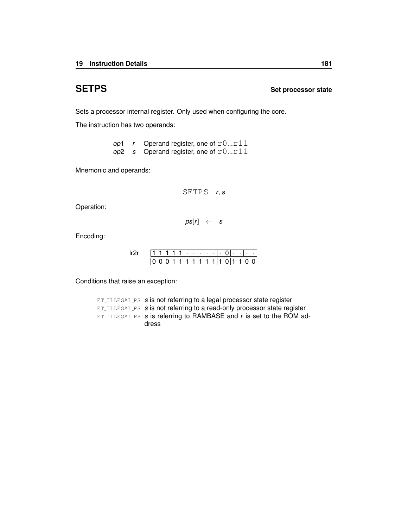## **SETPS Set processor state**

Sets a processor internal register. Only used when configuring the core.

The instruction has two operands:

*op*1 *r* Operand register, one of  $r0...r11$ *op*2 *s* Operand register, one of r0...r11

Mnemonic and operands:

SETPS *r*, *s*

Operation:

 $ps[r] \leftarrow s$ 

Encoding:

|  |  |  | $\blacksquare$ | ٠   |  |  | ٠ | ٠ |  |
|--|--|--|----------------|-----|--|--|---|---|--|
|  |  |  | 1.             | ו ד |  |  |   |   |  |

Conditions that raise an exception:

ET [ILLEGAL](#page-256-0) PS *s* is not referring to a legal processor state register ET [ILLEGAL](#page-256-0) PS *s* is not referring to a read-only processor state register ET [ILLEGAL](#page-256-0) PS *s* is referring to RAMBASE and *r* is set to the ROM address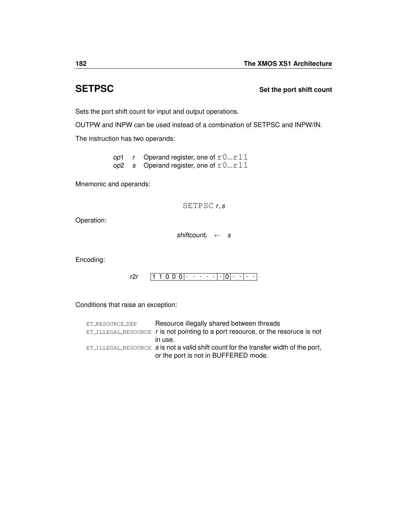## **SETPSC Set the port shift count**

Sets the port shift count for input and output operations.

[OUTPW](#page-166-0) and [INPW](#page-115-0) can be used instead of a combination of SETPSC and [INPW/](#page-115-0)[IN.](#page-113-0)

The instruction has two operands:

*op*1 *r* Operand register, one of  $r0...r11$ *op*2 *s* Operand register, one of r0...r11

Mnemonic and operands:

SETPSC *r*, *s*

Operation:

*shiftcount<sup>r</sup>* ← *s*

Encoding:

| r. |  |  |  |  |  |  |  |  |
|----|--|--|--|--|--|--|--|--|

Conditions that raise an exception:

| ET_RESOURCE_DEP | Resource illegally shared between threads                                                |
|-----------------|------------------------------------------------------------------------------------------|
|                 | $ET$ ILLEGAL RESOURCE $r$ is not pointing to a port resource, or the resoruce is not     |
|                 | in use.                                                                                  |
|                 | $ET$ ILLEGAL RESOURCE $s$ is not a valid shift count for the transfer width of the port, |
|                 | or the port is not in BUFFERED mode.                                                     |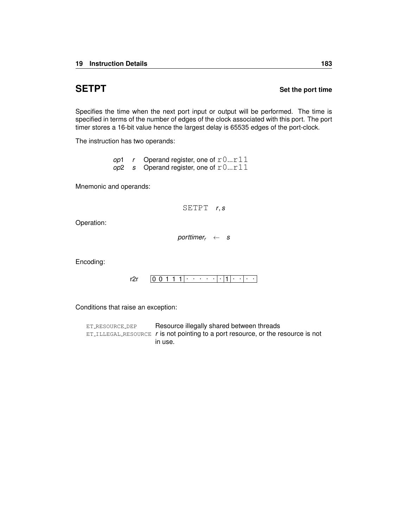## **SETPT** SETPT

Specifies the time when the next port input or output will be performed. The time is specified in terms of the number of edges of the clock associated with this port. The port timer stores a 16-bit value hence the largest delay is 65535 edges of the port-clock.

The instruction has two operands:

*op*1 *r* Operand register, one of  $r0...r11$  $\omega$ <sup>2</sup> *s* Operand register, one of  $r0...r11$ 

Mnemonic and operands:

SETPT *r*, *s*

Operation:

*porttimer<sub>r</sub>*  $\leftarrow$  *s* 

Encoding:

0 0 1 1 1 . . . . . . 1 . . . . [r2r](#page-241-0)

Conditions that raise an exception:

ET\_[RESOURCE](#page-259-0)\_DEP Resource illegally shared between threads ET ILLEGAL [RESOURCE](#page-254-0) *r* is not pointing to a port resource, or the resource is not in use.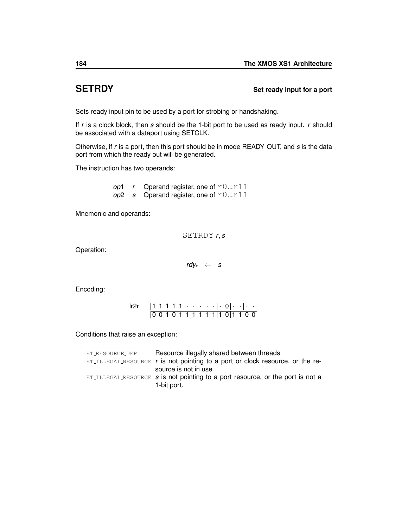## **SETRDY** Set ready input for a port

Sets ready input pin to be used by a port for strobing or handshaking.

If *r* is a clock block, then *s* should be the 1-bit port to be used as ready input. *r* should be associated with a dataport using [SETCLK.](#page-177-0)

Otherwise, if *r* is a port, then this port should be in mode READY OUT, and *s* is the data port from which the ready out will be generated.

The instruction has two operands:

*op*1 *r* Operand register, one of  $r0...r11$ *op*2 *s* Operand register, one of r0...r11

Mnemonic and operands:

SETRDY *r*, *s*

Operation:

 $\frac{rdy}{r} \leftarrow s$ 

Encoding:

|  |  |  | ٠ | .  |    | ٠ | ٠ |  | ٠ | ٠ | ٠ |  |
|--|--|--|---|----|----|---|---|--|---|---|---|--|
|  |  |  |   | 1. | 1. |   |   |  |   |   |   |  |

Conditions that raise an exception:

| ET_RESOURCE_DEP | Resource illegally shared between threads                                                         |
|-----------------|---------------------------------------------------------------------------------------------------|
|                 | $ET_{\text{ILLEGAL-RESOURCE}}$ r is not pointing to a port or clock resource, or the re-          |
|                 | source is not in use.                                                                             |
|                 | $ET$ ILLEGAL RESOURCE $s$ is not pointing to a port resource, or the port is not a<br>1-bit port. |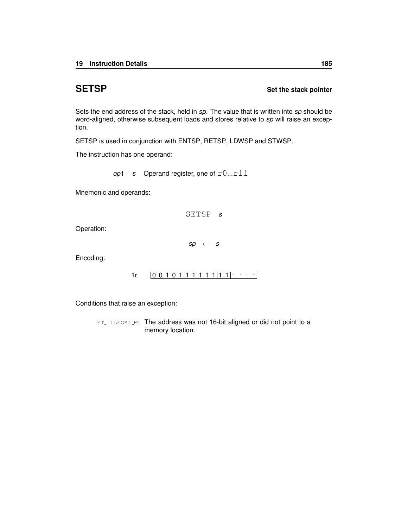## **SETSP** Set the stack pointer

Sets the end address of the stack, held in *sp*. The value that is written into *sp* should be word-aligned, otherwise subsequent loads and stores relative to *sp* will raise an exception.

SETSP is used in conjunction with [ENTSP,](#page-93-0) [RETSP,](#page-172-0) [LDWSP](#page-148-0) and [STWSP.](#page-208-0)

The instruction has one operand:

*op*1 *s* Operand register, one of  $r0...r11$ 

Mnemonic and operands:

SETSP *s*

Operation:

*sp* ← *s*

Encoding:

 $1r$   $[0 0 1 0 1 1 1 1 1 1 1 1 1]$ 

Conditions that raise an exception:

ET\_[ILLEGAL](#page-252-0)\_PC The address was not 16-bit aligned or did not point to a memory location.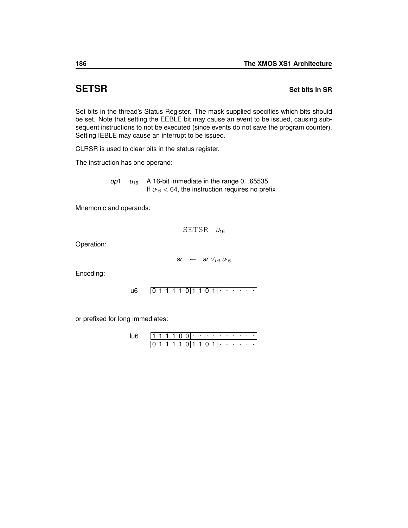## **SETSR Set bits in SR**

Set bits in the thread's Status Register. The mask supplied specifies which bits should be set. Note that setting the EEBLE bit may cause an event to be issued, causing subsequent instructions to not be executed (since events do not save the program counter). Setting IEBLE may cause an interrupt to be issued.

[CLRSR](#page-75-0) is used to clear bits in the status register.

The instruction has one operand:

*op*1  $u_{16}$  A 16-bit immediate in the range 0...65535. If  $u_{16}$  < 64, the instruction requires no prefix

Mnemonic and operands:

SETSR  $u_{16}$ 

Operation:

 $sr \leftarrow$  *sr*  $\vee$ <sub>*bit*</sub>  $u_{16}$ 

Encoding:

0 1 1 1 1 0 1 1 0 1 . . . . . . [u6](#page-236-0)

or prefixed for long immediates:

|  |  |  | ٠ | the contract of the contract of |   | ٠ | <b>Contract Contract</b> |  |
|--|--|--|---|---------------------------------|---|---|--------------------------|--|
|  |  |  |   | $\mathbf{U}$                    | ٠ |   |                          |  |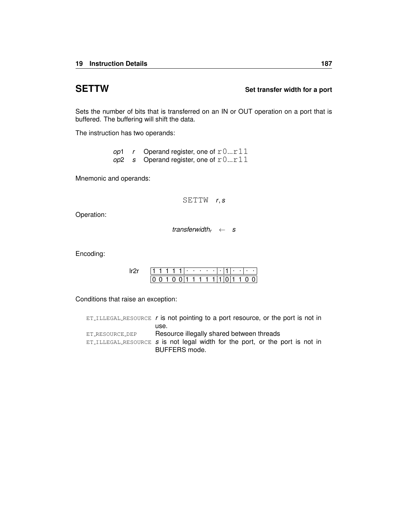## **SETTW Set transfer width for a port**

Sets the number of bits that is transferred on an IN or OUT operation on a port that is buffered. The buffering will shift the data.

The instruction has two operands:

|  | op1 r Operand register, one of $r0r11$ |
|--|----------------------------------------|
|  | op2 s Operand register, one of $r0r11$ |

Mnemonic and operands:

SETTW *r*, *s*

Operation:

*transferwidth<sup>r</sup>* ← *s*

Encoding:

|  |  |  | ٠ | ٠ | ٠ |   | ٠ | ٠ | ٠ |  |
|--|--|--|---|---|---|---|---|---|---|--|
|  |  |  |   | 1 |   | 1 |   |   |   |  |

Conditions that raise an exception:

|                 | $ET$ ILLEGAL RESOURCE r is not pointing to a port resource, or the port is not in |
|-----------------|-----------------------------------------------------------------------------------|
|                 | use.                                                                              |
| ET_RESOURCE_DEP | Resource illegally shared between threads                                         |
|                 | $ET$ ILLEGAL RESOURCE $s$ is not legal width for the port, or the port is not in  |
|                 | BUFFERS mode.                                                                     |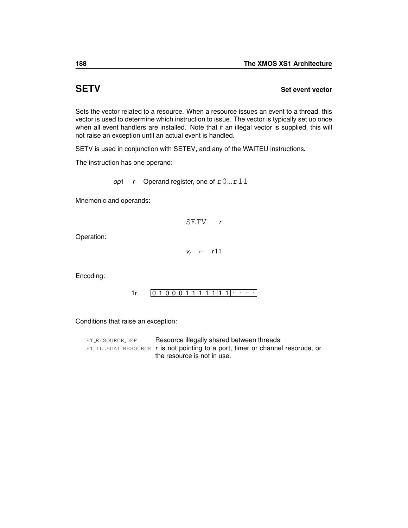## <span id="page-191-0"></span>**SETV Set event vector**

Sets the vector related to a resource. When a resource issues an event to a thread, this vector is used to determine which instruction to issue. The vector is typically set up once when all event handlers are installed. Note that if an illegal vector is supplied, this will not raise an exception until an actual event is handled.

SETV is used in conjunction with [SETEV,](#page-181-0) and any of the [WAITEU](#page-225-0) instructions.

The instruction has one operand:

*op*1 *r* Operand register, one of  $r0...r11$ 

Mnemonic and operands:

SETV *r*

Operation:

*v<sup>r</sup>* ← *r*11

Encoding:

0 1 0 0 0 1 1 1 1 1 1 1 . . . . [1r](#page-245-0)

Conditions that raise an exception:

ET\_[RESOURCE](#page-259-0)\_DEP Resource illegally shared between threads ET ILLEGAL [RESOURCE](#page-254-0) *r* is not pointing to a port, timer or channel resoruce, or the resource is not in use.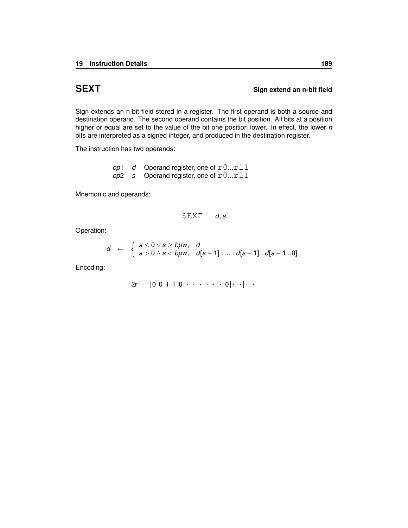## **SEXT** SEXT SIGN Sign extend an n-bit field

Sign extends an n-bit field stored in a register. The first operand is both a source and destination operand. The second operand contains the bit position. All bits at a position higher or equal are set to the value of the bit one position lower. In effect, the lower *n* bits are interpreted as a signed integer, and produced in the destination register.

The instruction has two operands:

*op*1 *d* Operand register, one of  $r0...r11$  $op2$  *s* Operand register, one of  $r0...r11$ 

Mnemonic and operands:

$$
\text{SEXT} \qquad d, s
$$

Operation:

$$
d \quad \leftarrow \quad \left\{ \begin{array}{l} s \leq 0 \vee s \geq b \rho w, \quad d \\ s > 0 \wedge s < b \rho w, \quad d[s-1] : ... : d[s-1] : d[s-1...0] \end{array} \right.
$$

Encoding:

$$
2r \qquad \boxed{0\ 0\ 1\ 1\ 0}\cdot \cdots \cdot \cdot |\cdot|0|\cdot |\cdot|\cdot|\cdot|
$$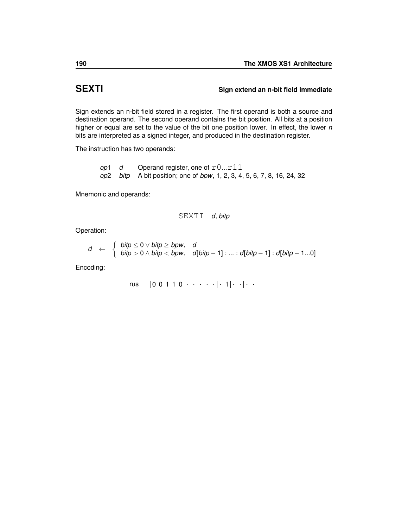## **SEXTI Sign extend an n-bit field immediate**

Sign extends an n-bit field stored in a register. The first operand is both a source and destination operand. The second operand contains the bit position. All bits at a position higher or equal are set to the value of the bit one position lower. In effect, the lower *n* bits are interpreted as a signed integer, and produced in the destination register.

The instruction has two operands:

*op*1 *d* Operand register, one of  $r0...r11$ *op*2 *bitp* A bit position; one of *bpw*, 1, 2, 3, 4, 5, 6, 7, 8, 16, 24, 32

Mnemonic and operands:

SEXTI *d*, *bitp*

Operation:

$$
d \leftarrow \begin{cases} \text{bity} \leq 0 \vee \text{bity} \geq \text{bpw}, & d \\ \text{bity} > 0 \wedge \text{bity} < \text{bpw}, & d[\text{bity} - 1] : ... : d[\text{bity} - 1] : d[\text{bity} - 1...0] \end{cases}
$$

Encoding:

$$
\mathsf{rus} \qquad \boxed{0\ 0\ 1\ 1\ 0}\cdot\cdot\cdot\cdot\cdot\cdot\cdot\cdot\cdot\cdot\cdot\cdot\cdot\cdot\cdot\cdot\cdot\cdot\cdot
$$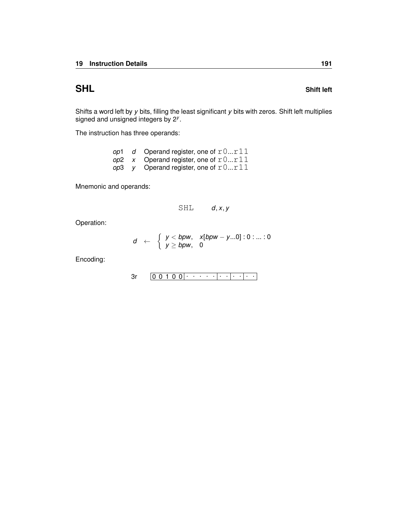The instruction has three operands:

| op1 | d Operand register, one of $r0r11$             |
|-----|------------------------------------------------|
|     | op2 x Operand register, one of $r0r11$         |
|     | <i>op</i> 3 y Operand register, one of $r0r11$ |

Mnemonic and operands:

$$
\texttt{SHL} \qquad d, x, y
$$

Operation:

$$
d \leftarrow \begin{cases} y < \text{bpw}, & x[\text{bpw} - y \dots 0] : 0 : \dots : 0 \\ y \geq \text{bpw}, & 0 \end{cases}
$$

Encoding:

0 0 1 0 0 . . . . . . . . . . . [3r](#page-230-0)

## **SHL** SHL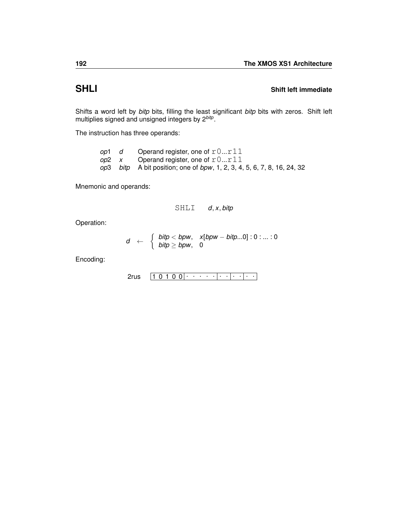## **SHLI Shift left immediate**

Shifts a word left by *bitp* bits, filling the least significant *bitp* bits with zeros. Shift left multiplies signed and unsigned integers by 2*bitp* .

The instruction has three operands:

|  | <i>op</i> 1 $d$ Operand register, one of $r0r11$                        |
|--|-------------------------------------------------------------------------|
|  | op2 $x$ Operand register, one of $r0r11$                                |
|  | op3 bitp A bit position; one of bpw, 1, 2, 3, 4, 5, 6, 7, 8, 16, 24, 32 |

Mnemonic and operands:

$$
\texttt{SHLI} \qquad d, x, \textit{bitp}
$$

Operation:

$$
d \leftarrow \begin{cases} \text{bity} < \text{bpw}, & x[\text{bpw} - \text{bity}...0]:0:...:0 \\ \text{bity} > \text{bpw}, & 0 \end{cases}
$$

Encoding:

$$
2rus \quad 1 0 1 0 0 | \cdot \cdot \cdot \cdot | \cdot \cdot | \cdot \cdot | \cdot \cdot |
$$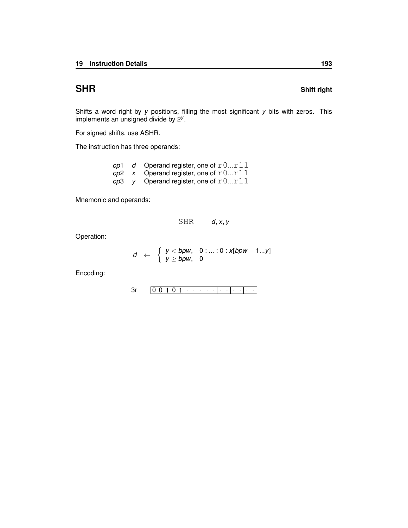Shifts a word right by *y* positions, filling the most significant *y* bits with zeros. This implements an unsigned divide by 2*<sup>y</sup>* .

For signed shifts, use [ASHR.](#page-54-0)

The instruction has three operands:

|  | op1 d Operand register, one of $r0r11$   |
|--|------------------------------------------|
|  | op2 $x$ Operand register, one of $r0r11$ |
|  | op3 y Operand register, one of $r0r11$   |

Mnemonic and operands:

$$
\text{SHR} \qquad d, x, y
$$

Operation:

$$
d \leftarrow \begin{cases} y < bpw, & 0:...:0:x[bpw-1...y] \\ y \geq bpw, & 0 \end{cases}
$$

Encoding:

$$
3r \qquad 0 \qquad 0 \qquad 1 \qquad 0 \qquad 1 \qquad \cdots \qquad \qquad \cdots \qquad \qquad \cdots
$$

## **SHR** SHR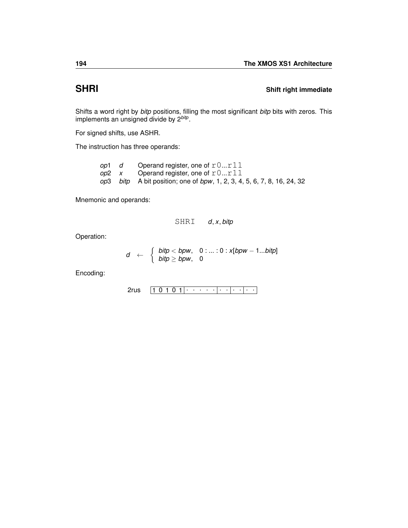## **SHRI Shift right immediate**

Shifts a word right by *bitp* positions, filling the most significant *bitp* bits with zeros. This implements an unsigned divide by 2*bitp* .

For signed shifts, use [ASHR.](#page-54-0)

The instruction has three operands:

|  | <i>op</i> 1 $d$ Operand register, one of $r0r11$                        |
|--|-------------------------------------------------------------------------|
|  | op2 $x$ Operand register, one of $r0r11$                                |
|  | op3 bitp A bit position; one of bpw, 1, 2, 3, 4, 5, 6, 7, 8, 16, 24, 32 |

Mnemonic and operands:

SHRI *d*, *x*, *bitp*

Operation:

$$
d \leftarrow \begin{cases} \text{bity} < \text{bpw}, & 0: \ldots: 0: x[\text{bpw} - 1 \ldots \text{bitp}] \\ \text{bitp} \geq \text{bpw}, & 0 \end{cases}
$$

Encoding:

$$
\text{2rus} \quad \boxed{1\ 0\ 1\ 0\ 1} \cdot \cdot \cdot \cdot \cdot \cdot \cdot \cdot \cdot \cdot \cdot \cdot \cdot \cdot \cdot \cdot \cdot \cdot
$$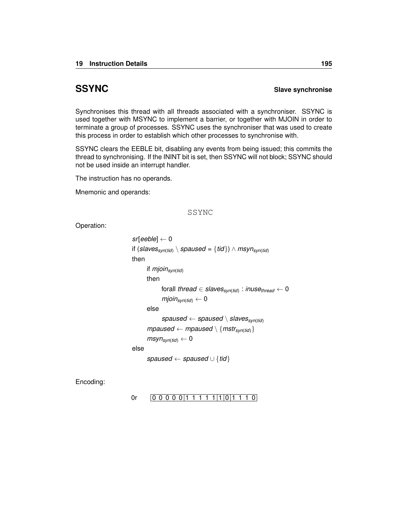## **SSYNC** Slave synchronise

Synchronises this thread with all threads associated with a synchroniser. SSYNC is used together with [MSYNC](#page-158-0) to implement a barrier, or together with [MJOIN](#page-155-0) in order to terminate a group of processes. SSYNC uses the synchroniser that was used to create this process in order to establish which other processes to synchronise with.

SSYNC clears the EEBLE bit, disabling any events from being issued; this commits the thread to synchronising. If the ININT bit is set, then SSYNC will not block; SSYNC should not be used inside an interrupt handler.

The instruction has no operands.

Mnemonic and operands:

## SSYNC

Operation:

```
sr[eeble] ← 0
if (slavessyn(tid) \ spaused = {tid}) ∧ msynsyn(tid)
then
      if mjoinsyn(tid)
      then
            forall thread ∈ slavessyn(tid)
: inusethread ← 0
            mjoin<sub>syn(tid)</sub> \leftarrow 0
      else
            spaused ← spaused \ slavessyn(tid)
      mpaused \leftarrow mpaused \setminus \{mstr_{syn(tid)}\}msyn_{syn(tid)} \leftarrow 0else
      spaused ← spaused ∪ {tid}
```
Encoding:

$$
0r \qquad \boxed{0\ 0\ 0\ 0\ 0\ 1\ 1\ 1\ 1\ 1\ 1\ 1\ 0\ 1\ 1\ 1\ 0\ 0}
$$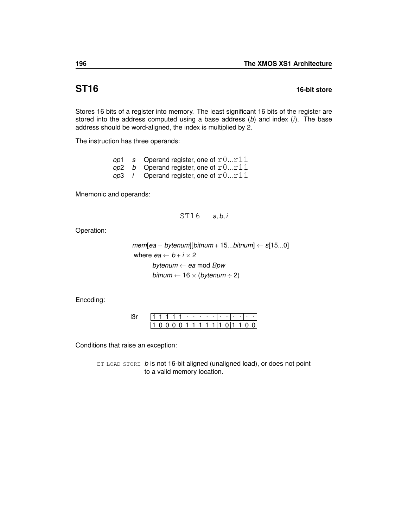## **ST16 16-bit store**

Stores 16 bits of a register into memory. The least significant 16 bits of the register are stored into the address computed using a base address (*b*) and index (*i*). The base address should be word-aligned, the index is multiplied by 2.

The instruction has three operands:

|  | op1 s Operand register, one of $r0r11$        |
|--|-----------------------------------------------|
|  | op2 b Operand register, one of $r0r11$        |
|  | op3 <i>i</i> Operand register, one of $r0r11$ |

Mnemonic and operands:

```
ST16 s, b, i
```
Operation:

```
mem[ea − bytenum][bitnum + 15...bitnum] ← s[15...0]
where ea \leftarrow b + i \times 2bytenum ← ea mod Bpw
        bitnum \leftarrow 16 \times (bytenum \div 2)
```
Encoding:

|  |  |  |  |  |  |  |  | 10000 11111 110 110 0 |
|--|--|--|--|--|--|--|--|-----------------------|

Conditions that raise an exception:

ET LOAD [STORE](#page-255-0) *b* is not 16-bit aligned (unaligned load), or does not point to a valid memory location.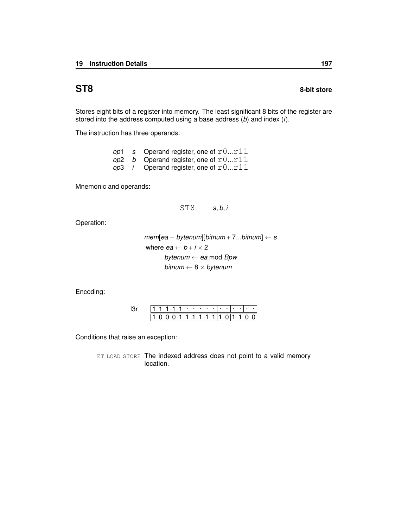Stores eight bits of a register into memory. The least significant 8 bits of the register are stored into the address computed using a base address (*b*) and index (*i*).

The instruction has three operands:

|  | op1 s Operand register, one of $r0r11$        |
|--|-----------------------------------------------|
|  | op2 b Operand register, one of $r0r11$        |
|  | op3 <i>i</i> Operand register, one of $r0r11$ |

Mnemonic and operands:

ST8 *s*, *b*, *i*

Operation:

 $mem[ea - bytenum][bitnum + 7...bitnum] \leftarrow s$ where  $ea \leftarrow b + i \times 2$ *bytenum* ← *ea* mod *Bpw bitnum* ← 8 × *bytenum*

Encoding:

|  |  |  |  | . |                   | . .         |  |  |
|--|--|--|--|---|-------------------|-------------|--|--|
|  |  |  |  |   | 1 1 1 1 1 1 1 1 1 | . 011 1 0 1 |  |  |

Conditions that raise an exception: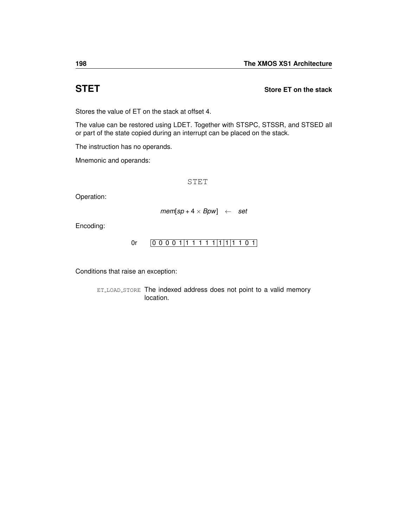<span id="page-201-0"></span>**STET Store ET on the stack**

Stores the value of ET on the stack at offset 4.

The value can be restored using [LDET.](#page-138-0) Together with [STSPC,](#page-203-0) [STSSR,](#page-204-0) and [STSED](#page-202-0) all or part of the state copied during an interrupt can be placed on the stack.

The instruction has no operands.

Mnemonic and operands:

STET

Operation:

$$
mem[sp+4\times Bpw] \leftarrow set
$$

Encoding:

$$
0r \qquad 0\ 0\ 0\ 0\ 1\ 1\ 1\ 1\ 1\ 1\ 1\ 1\ 1\ 1\ 1\ 0\ 1
$$

Conditions that raise an exception: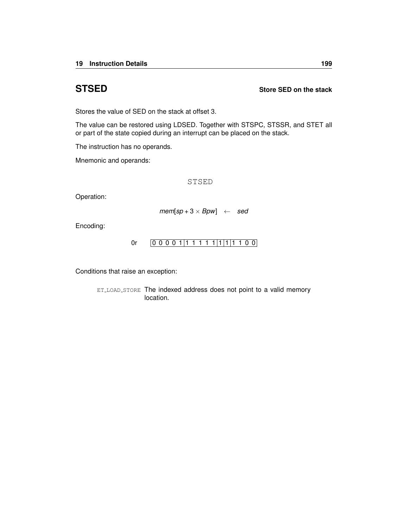<span id="page-202-0"></span>**STSED Store SED on the stack**

Stores the value of SED on the stack at offset 3.

The value can be restored using [LDSED.](#page-140-0) Together with [STSPC,](#page-203-0) [STSSR,](#page-204-0) and [STET](#page-201-0) all or part of the state copied during an interrupt can be placed on the stack.

The instruction has no operands.

Mnemonic and operands:

STSED

Operation:

 $mem[sp + 3 \times Bpw] \leftarrow sed$ 

Encoding:

[0r](#page-246-0) 0 0 0 0 1 1 1 1 1 1 1 1 1 1 1 0 0

Conditions that raise an exception: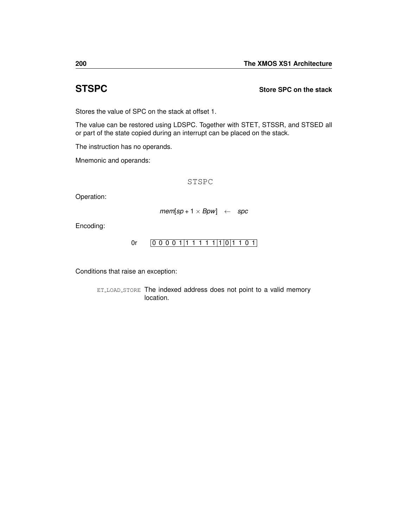## <span id="page-203-0"></span>**STSPC Store SPC on the stack**

Stores the value of SPC on the stack at offset 1.

The value can be restored using [LDSPC.](#page-141-0) Together with [STET,](#page-201-0) [STSSR,](#page-204-0) and [STSED](#page-202-0) all or part of the state copied during an interrupt can be placed on the stack.

The instruction has no operands.

Mnemonic and operands:

STSPC

Operation:

$$
mem[sp+1 \times Bpw] \leftarrow spc
$$

Encoding:

$$
0r \qquad 0\ 0\ 0\ 0\ 1\ 1\ 1\ 1\ 1\ 1\ 1\ 1\ 0\ 1\ 1\ 0\ 1
$$

Conditions that raise an exception: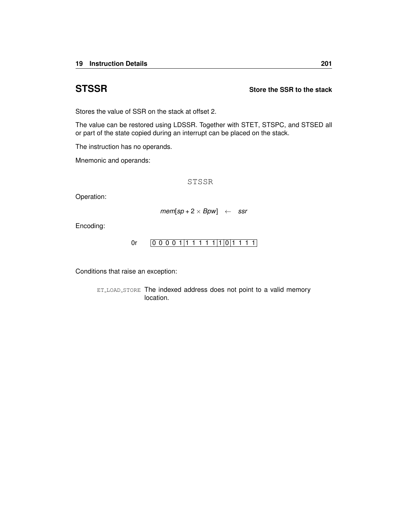## <span id="page-204-0"></span>**STSSR Store the SSR to the stack**

Stores the value of SSR on the stack at offset 2.

The value can be restored using [LDSSR.](#page-142-0) Together with [STET,](#page-201-0) [STSPC,](#page-203-0) and [STSED](#page-202-0) all or part of the state copied during an interrupt can be placed on the stack.

The instruction has no operands.

Mnemonic and operands:

STSSR

Operation:

$$
mem[sp + 2 \times Bpw] \leftarrow ssr
$$

Encoding:

$$
0r \qquad 0\ 0\ 0\ 0\ 1\ 1\ 1\ 1\ 1\ 1\ 1\ 1\ 0\ 1\ 1\ 1\ 1
$$

Conditions that raise an exception: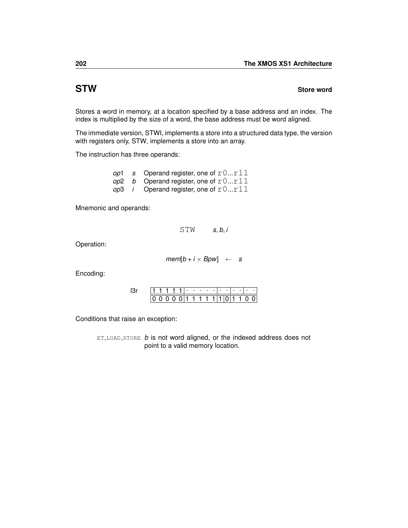## <span id="page-205-0"></span>**STW** Store word

Stores a word in memory, at a location specified by a base address and an index. The index is multiplied by the size of a word, the base address must be word aligned.

The immediate version, [STWI,](#page-206-0) implements a store into a structured data type, the version with registers only, [STW,](#page-205-0) implements a store into an array.

The instruction has three operands:

|  | op1 s Operand register, one of $r0r11$        |
|--|-----------------------------------------------|
|  | op2 b Operand register, one of $r0r11$        |
|  | op3 <i>i</i> Operand register, one of $r0r11$ |

Mnemonic and operands:

STW *s*, *b*, *i*

Operation:

 $mem[b + i \times Bpw] \leftarrow s$ 

Encoding:

|  |  |  |  | . |          |  |  |     |  |
|--|--|--|--|---|----------|--|--|-----|--|
|  |  |  |  |   | 01111111 |  |  | 1 O |  |

Conditions that raise an exception:

ET\_LOAD\_[STORE](#page-255-0) *b* is not word aligned, or the indexed address does not point to a valid memory location.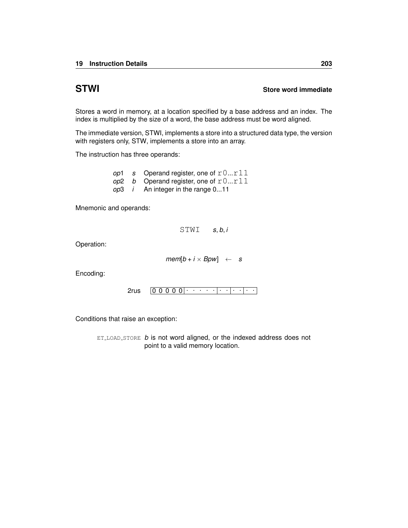## <span id="page-206-0"></span>**STWI Store word immediate**

Stores a word in memory, at a location specified by a base address and an index. The index is multiplied by the size of a word, the base address must be word aligned.

The immediate version, [STWI,](#page-206-0) implements a store into a structured data type, the version with registers only, [STW,](#page-205-0) implements a store into an array.

The instruction has three operands:

*op*1 *s* Operand register, one of  $r0...r11$  $op2$  *b* Operand register, one of  $r0...r11$ *op*3 *i* An integer in the range 0...11

Mnemonic and operands:

STWI *s*, *b*, *i*

Operation:

 $mem[b + i \times Bpw] \leftarrow s$ 

Encoding:

0 0 0 0 0 . . . . . . . . . . . [2rus](#page-232-0)

Conditions that raise an exception:

ET\_LOAD\_[STORE](#page-255-0) *b* is not word aligned, or the indexed address does not point to a valid memory location.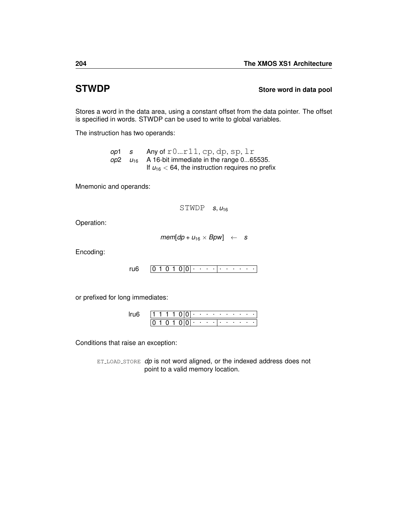## <span id="page-207-0"></span>**STWDP** Store word in data pool

Stores a word in the data area, using a constant offset from the data pointer. The offset is specified in words. STWDP can be used to write to global variables.

The instruction has two operands:

*op*1 *s* Any of r0...r11, cp, dp, sp, lr  $op2 \quad u_{16}$  A 16-bit immediate in the range 0...65535. If  $u_{16}$  < 64, the instruction requires no prefix

Mnemonic and operands:

 $STWDP$  *s*,  $u_{16}$ 

Operation:

 $mem[dp + u_{16} \times Bpw] \leftarrow s$ 

Encoding:

 $0 1 0 1 0 0$  . . . . . . . . . . [ru6](#page-234-0)

or prefixed for long immediates:

|  |  |  | ٠ |                              |        | the company's company's company's |          | $\sim$ |  |
|--|--|--|---|------------------------------|--------|-----------------------------------|----------|--------|--|
|  |  |  | ٠ | $\sim$ 100 $\sim$ 100 $\sim$ | $\sim$ |                                   | $\cdots$ | ٠      |  |

Conditions that raise an exception:

ET LOAD [STORE](#page-255-0) *dp* is not word aligned, or the indexed address does not point to a valid memory location.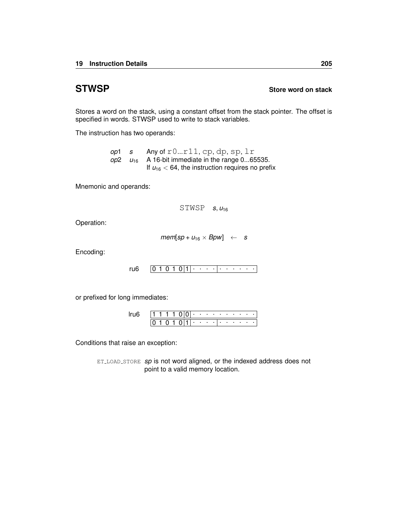## <span id="page-208-0"></span>**STWSP Store word on stack**

Stores a word on the stack, using a constant offset from the stack pointer. The offset is specified in words. STWSP used to write to stack variables.

The instruction has two operands:

*op*1 *s* Any of r0...r11, cp, dp, sp, lr  $op2 \quad u_{16}$  A 16-bit immediate in the range 0...65535. If  $u_{16}$  < 64, the instruction requires no prefix

Mnemonic and operands:

STWSP *s*, *u*<sup>16</sup>

Operation:

 $mem[sp + u_{16} \times Bpw] \leftarrow s$ 

Encoding:

 $0 1 0 1 0 |1|$   $\cdot \cdot \cdot \cdot$  . . . . . . [ru6](#page-234-0)

or prefixed for long immediates:

|  |  |  |   | ٠   |                 |         | the company of the company of the | . .              |   |  |
|--|--|--|---|-----|-----------------|---------|-----------------------------------|------------------|---|--|
|  |  |  | ı | . . | <b>Contract</b> | $\cdot$ |                                   | $\sim$ 100 $\pm$ | ٠ |  |

Conditions that raise an exception:

ET LOAD [STORE](#page-255-0) *sp* is not word aligned, or the indexed address does not point to a valid memory location.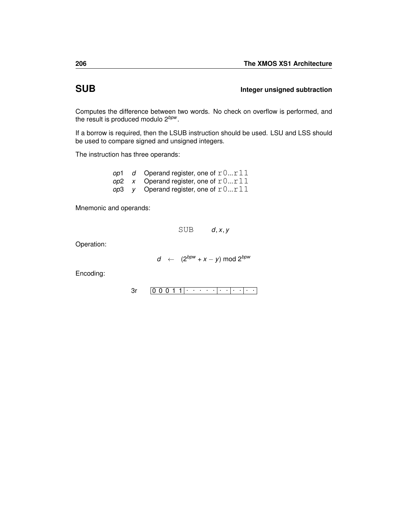## **SUB Integer unsigned subtraction**

Computes the difference between two words. No check on overflow is performed, and the result is produced modulo 2*bpw* .

If a borrow is required, then the [LSUB](#page-152-0) instruction should be used. [LSU](#page-151-0) and [LSS](#page-150-0) should be used to compare signed and unsigned integers.

The instruction has three operands:

|  | op1 $d$ Operand register, one of $r0r11$ |
|--|------------------------------------------|
|  | op2 $x$ Operand register, one of $r0r11$ |
|  | op3 y Operand register, one of $r0r11$   |

Mnemonic and operands:

SUB *d*, *x*, *y*

Operation:

$$
d \leftarrow (2^{bpw} + x - y) \mod 2^{bpw}
$$

Encoding:

0 0 0 1 1 . . . . . . . . . . . [3r](#page-230-0)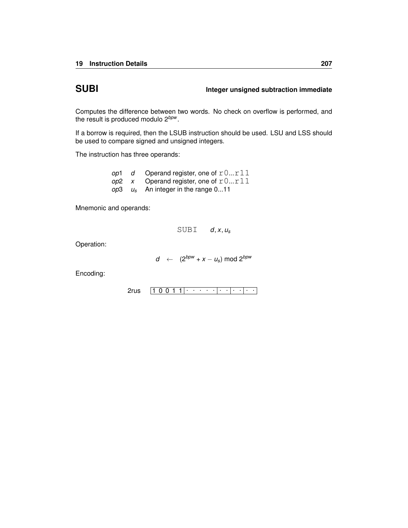## **SUBI Integer unsigned subtraction immediate**

Computes the difference between two words. No check on overflow is performed, and the result is produced modulo 2*bpw* .

If a borrow is required, then the [LSUB](#page-152-0) instruction should be used. [LSU](#page-151-0) and [LSS](#page-150-0) should be used to compare signed and unsigned integers.

The instruction has three operands:

| op1 | d Operand register, one of $r0r11$      |
|-----|-----------------------------------------|
|     | op2 x Operand register, one of $r0r11$  |
|     | $op3 \t us$ An integer in the range 011 |

Mnemonic and operands:

SUBI *d*, *x*, *u<sup>s</sup>*

Operation:

*d* ←  $(2^{bpw} + x - u_s)$  mod  $2^{bpw}$ 

Encoding:

 $2$ rus  $\boxed{1\ 0\ 0\ 1\ 1}\cdot\ \cdot\ \cdot\ \cdot\ \cdot\ \cdot\ \cdot\ \cdot\ \cdot\ \cdot\ \cdot\ \cdot$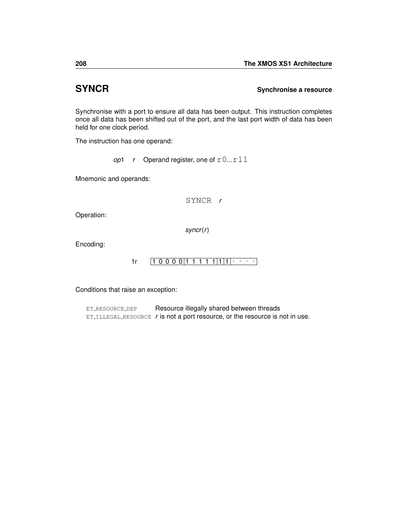## **SYNCR Synchronise a resource**

Synchronise with a port to ensure all data has been output. This instruction completes once all data has been shifted out of the port, and the last port width of data has been held for one clock period.

The instruction has one operand:

*op*1 *r* Operand register, one of  $r0...r11$ 

Mnemonic and operands:

SYNCR *r*

Operation:

*syncr*(*r*)

Encoding:

$$
1r \qquad \boxed{1\ 0\ 0\ 0\ 0}\ \boxed{1\ 1\ 1\ 1\ 1}\ \boxed{1}\ \cdot\ \cdot\ \cdot\ \cdot
$$

Conditions that raise an exception:

ET\_[RESOURCE](#page-259-0)\_DEP Resource illegally shared between threads ET ILLEGAL [RESOURCE](#page-254-0) *r* is not a port resource, or the resource is not in use.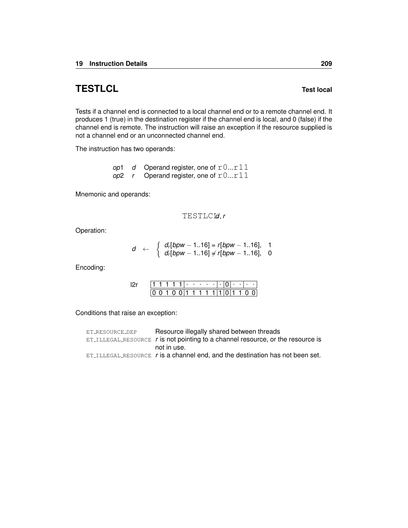# **TESTLCL Test local**

Tests if a channel end is connected to a local channel end or to a remote channel end. It produces 1 (true) in the destination register if the channel end is local, and 0 (false) if the channel end is remote. The instruction will raise an exception if the resource supplied is not a channel end or an unconnected channel end.

The instruction has two operands:

*op*1 *d* Operand register, one of  $r0...r11$ *op*2 *r* Operand register, one of r0...r11

Mnemonic and operands:

$$
\mathtt{TESTLCLd}, r
$$

Operation:

$$
d \leftarrow \begin{cases} d_r[bpw - 1..16] = r[bpw - 1..16], & 1 \\ d_r[bpw - 1..16] \neq r[bpw - 1..16], & 0 \end{cases}
$$

Encoding:

|  |  |     | ٠ | <b>Contract Contract</b> | ٠ |  | ٠ | ٠ |  |
|--|--|-----|---|--------------------------|---|--|---|---|--|
|  |  | 011 |   | -13                      |   |  |   |   |  |

Conditions that raise an exception:

| ET_RESOURCE_DEP | Resource illegally shared between threads                                          |
|-----------------|------------------------------------------------------------------------------------|
|                 | $ET$ _ILLEGAL_RESOURCE r is not pointing to a channel resource, or the resource is |
|                 | not in use.                                                                        |
|                 | $ET$ ILLEGAL RESOURCE $r$ is a channel end, and the destination has not been set.  |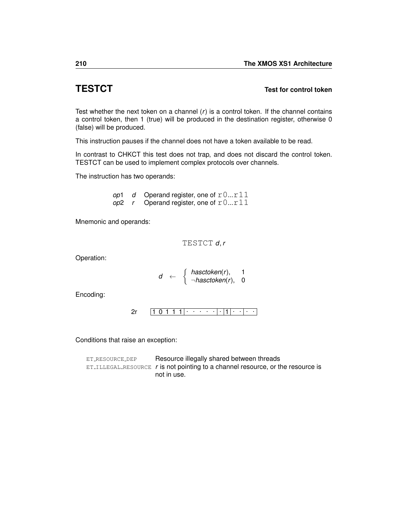## **TESTCT Test for control token**

Test whether the next token on a channel  $(r)$  is a control token. If the channel contains a control token, then 1 (true) will be produced in the destination register, otherwise 0 (false) will be produced.

This instruction pauses if the channel does not have a token available to be read.

In contrast to [CHKCT](#page-71-0) this test does not trap, and does not discard the control token. TESTCT can be used to implement complex protocols over channels.

The instruction has two operands:

*op*1 *d* Operand register, one of  $r0...r11$  $op2$  *r* Operand register, one of  $r0...r11$ 

Mnemonic and operands:

$$
\texttt{TESTCT}\ d, r
$$

Operation:

$$
d \leftarrow \left\{\begin{array}{ll}\textit{hasctoken}(r), & 1 \\ \neg \textit{hasctoken}(r), & 0\end{array}\right.
$$

Encoding:

$$
2r \qquad \boxed{1\ 0\ 1\ 1\ 1|\cdot\cdot\cdot\cdot\cdot|\cdot|1|\cdot\cdot|\cdot\cdot}
$$

Conditions that raise an exception:

| ET_RESOURCE_DEP | Resource illegally shared between threads                                                  |
|-----------------|--------------------------------------------------------------------------------------------|
|                 | $ET_{\text{ILLEGAL-RESOURCE}}$ r is not pointing to a channel resource, or the resource is |
|                 | not in use.                                                                                |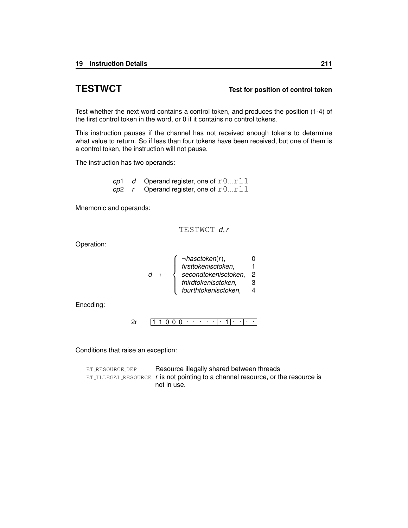## **TESTWCT Test for position of control token**

Test whether the next word contains a control token, and produces the position (1-4) of the first control token in the word, or 0 if it contains no control tokens.

This instruction pauses if the channel has not received enough tokens to determine what value to return. So if less than four tokens have been received, but one of them is a control token, the instruction will not pause.

The instruction has two operands:

*op*1 *d* Operand register, one of  $r0...r11$ *op*2 *r* Operand register, one of  $r0...r11$ 

Mnemonic and operands:

TESTWCT *d*, *r*

Operation:

|  | $\neg hasctoken(r),$ |   |
|--|----------------------|---|
|  | firsttokenisctoken,  |   |
|  | secondtokenisctoken, | 2 |
|  | thirdtokenisctoken,  | З |
|  | fourthtokenisctoken, |   |

Encoding:

$$
2r \qquad \boxed{1\ 1\ 0\ 0\ 0}\cdot \cdot \cdot \cdot \cdot \cdot \cdot \cdot \cdot \cdot \cdot \cdot \cdot \cdot \cdot \cdot \cdot \cdot
$$

Conditions that raise an exception:

ET\_[RESOURCE](#page-259-0)\_DEP Resource illegally shared between threads ET ILLEGAL [RESOURCE](#page-254-0) *r* is not pointing to a channel resource, or the resource is not in use.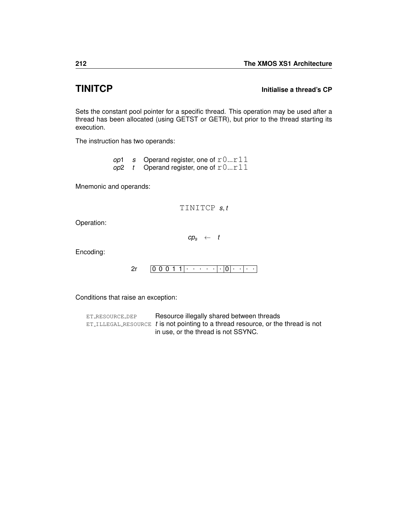## **TINITCP Initialise a thread's CP**

Sets the constant pool pointer for a specific thread. This operation may be used after a thread has been allocated (using [GETST](#page-111-0) or [GETR\)](#page-108-0), but prior to the thread starting its execution.

The instruction has two operands:

*op*1 *s* Operand register, one of  $r0...r11$  $\omega$ <sup>2</sup> *t* Operand register, one of  $r0...r11$ 

Mnemonic and operands:

TINITCP *s*, *t*

Operation:

 $cp_s + t$ 

Encoding:

0 0 0 1 1 . . . . . . 0 . . . . [2r](#page-240-0)

Conditions that raise an exception:

| ET_RESOURCE_DEP | Resource illegally shared between threads                                        |
|-----------------|----------------------------------------------------------------------------------|
|                 | ET_ILLEGAL_RESOURCE t is not pointing to a thread resource, or the thread is not |
|                 | in use, or the thread is not SSYNC.                                              |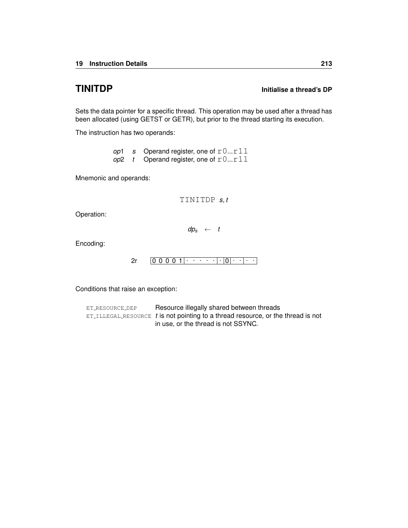# <span id="page-216-0"></span>**TINITDP Initialise a thread's DP**

Sets the data pointer for a specific thread. This operation may be used after a thread has been allocated (using [GETST](#page-111-0) or [GETR\)](#page-108-0), but prior to the thread starting its execution.

The instruction has two operands:

*op*1 *s* Operand register, one of  $r0...r11$  $op2$  *t* Operand register, one of  $r0...r11$ 

Mnemonic and operands:

TINITDP *s*, *t*

Operation:

 $dp_s \leftarrow t$ 

Encoding:

 $2r \left[0\; 0\; 0\; 0\; 1\right]\cdot\; \cdot\; \cdot\; \cdot\; \cdot\; \cdot\; \cdot\; \cdot\; \left|\;\cdot\; \right|0\left|\;\cdot\; \cdot\; \right|\cdot\; \cdot$  $2r \left[0\; 0\; 0\; 0\; 1\right]\cdot\; \cdot\; \cdot\; \cdot\; \cdot\; \cdot\; \cdot\; \cdot\; \left|\;\cdot\; \right|0\left|\;\cdot\; \cdot\; \right|\cdot\; \cdot$ 

Conditions that raise an exception: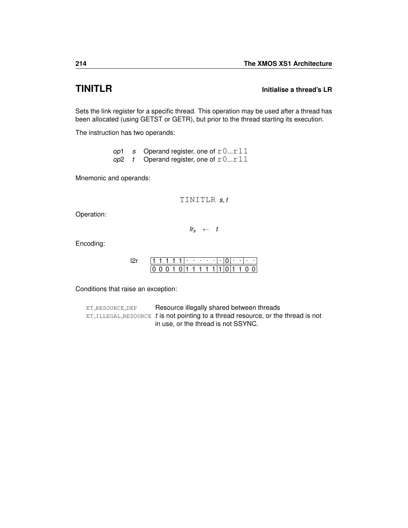# <span id="page-217-0"></span>**TINITLR Initialise a thread's LR**

Sets the link register for a specific thread. This operation may be used after a thread has been allocated (using [GETST](#page-111-0) or [GETR\)](#page-108-0), but prior to the thread starting its execution.

The instruction has two operands:

|  | op1 s Operand register, one of $r0r11$ |
|--|----------------------------------------|
|  | op2 t Operand register, one of $r0r11$ |

Mnemonic and operands:

```
TINITLR s, t
```
Operation:

 $lr_s \leftarrow t$ 

Encoding:

|  |  |  | . . |     |  |  |  |  |  |
|--|--|--|-----|-----|--|--|--|--|--|
|  |  |  |     | ֿ ד |  |  |  |  |  |

Conditions that raise an exception: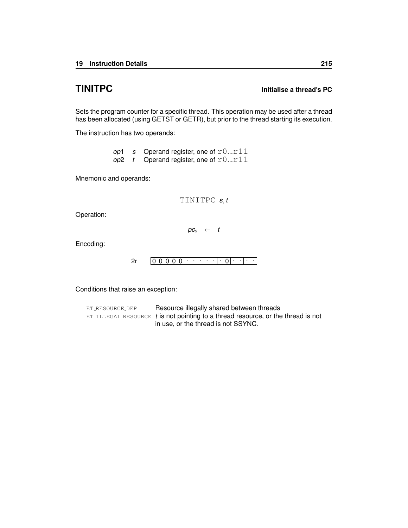# <span id="page-218-0"></span>**TINITPC Initialise a thread's PC**

Sets the program counter for a specific thread. This operation may be used after a thread has been allocated (using [GETST](#page-111-0) or [GETR\)](#page-108-0), but prior to the thread starting its execution.

The instruction has two operands:

|  | op1 s Operand register, one of $r0r11$ |
|--|----------------------------------------|
|  | op2 t Operand register, one of $r0r11$ |

Mnemonic and operands:

TINITPC *s*, *t*

Operation:

 $pc_s$  ← *t* 

Encoding:

 $2r \left[0\; 0\; 0\; 0\; 0\right]\cdot\;\;\cdots\;\;\cdot\;\left|\cdot\left|0\right|\cdot\;\;\cdot\;\;\cdot\;\;\cdot\;\;\right.$  $2r \left[0\; 0\; 0\; 0\; 0\right]\cdot\;\;\cdots\;\;\cdot\;\left|\cdot\left|0\right|\cdot\;\;\cdot\;\;\cdot\;\;\cdot\;\;\right.$ 

Conditions that raise an exception: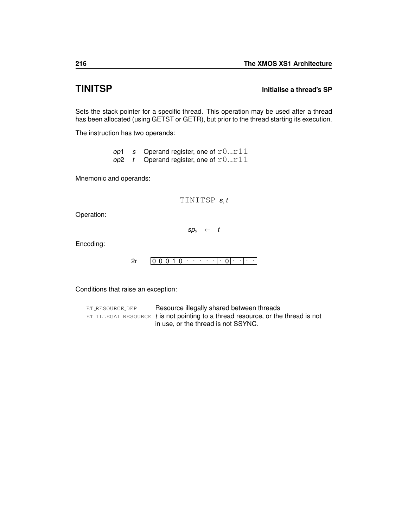## <span id="page-219-0"></span>**TINITSP Initialise a thread's SP**

Sets the stack pointer for a specific thread. This operation may be used after a thread has been allocated (using [GETST](#page-111-0) or [GETR\)](#page-108-0), but prior to the thread starting its execution.

The instruction has two operands:

|  | op1 s Operand register, one of $r0r11$ |
|--|----------------------------------------|
|  | op2 t Operand register, one of $r0r11$ |

Mnemonic and operands:

TINITSP *s*, *t*

Operation:

 $sp_s \leftarrow t$ 

Encoding:

```
0 0 0 1 0
. . . . . . 0
. . . . 2r
```
Conditions that raise an exception: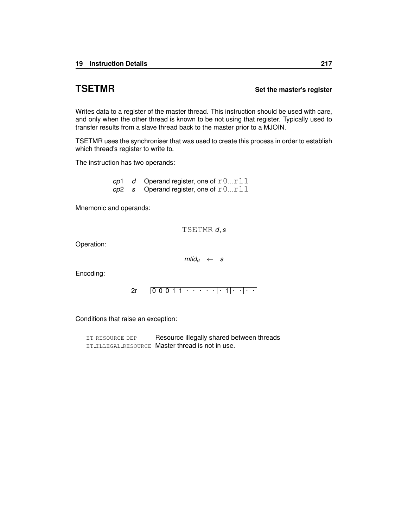#### <span id="page-220-0"></span>**TSETMR** Set the master's register

Writes data to a register of the master thread. This instruction should be used with care, and only when the other thread is known to be not using that register. Typically used to transfer results from a slave thread back to the master prior to a [MJOIN.](#page-155-0)

TSETMR uses the synchroniser that was used to create this process in order to establish which thread's register to write to.

The instruction has two operands:

*op*1 *d* Operand register, one of  $r0...r11$  $op2$  *s* Operand register, one of  $r0...r11$ 

Mnemonic and operands:

TSETMR *d*, *s*

Operation:

 $m\ddot{a}$ *d* ← *s* 

Encoding:

 $2r$   $0\ 0\ 0\ 1\ 1$   $\cdots$   $\cdot$   $\cdot$   $\cdot$   $\cdot$   $\cdot$   $\cdot$   $\cdots$ 

Conditions that raise an exception:

ET\_[RESOURCE](#page-259-0)\_DEP Resource illegally shared between threads ET\_ILLEGAL\_[RESOURCE](#page-254-0) Master thread is not in use.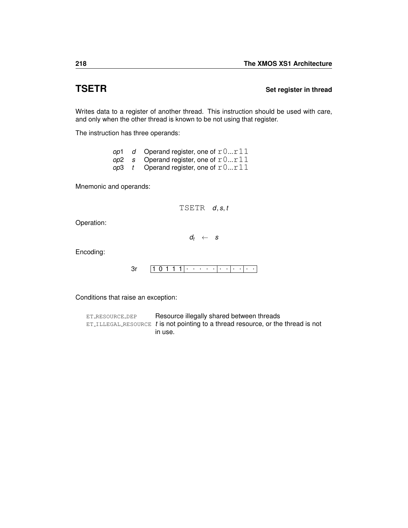## <span id="page-221-0"></span>**TSETR** Set register in thread

Writes data to a register of another thread. This instruction should be used with care, and only when the other thread is known to be not using that register.

The instruction has three operands:

|  | op1 $d$ Operand register, one of $r0r11$ |
|--|------------------------------------------|
|  | op2 s Operand register, one of $r0r11$   |
|  | op3 t Operand register, one of $r0r11$   |

Mnemonic and operands:

TSETR *d*, *s*, *t*

Operation:

 $d_t \leftarrow s$ 

Encoding:

 $3r$   $1 0 1 1 1 | \cdots$  . . . . . . . . . .

Conditions that raise an exception: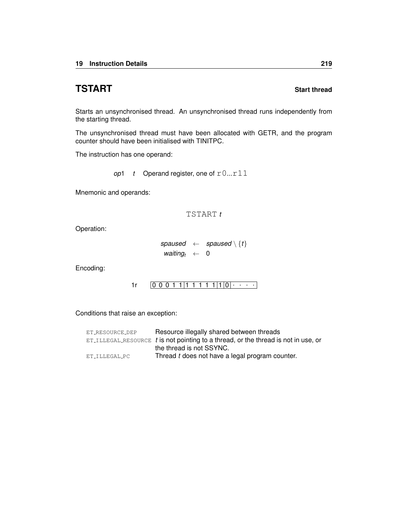# <span id="page-222-0"></span>**TSTART** Start thread

Starts an unsynchronised thread. An unsynchronised thread runs independently from the starting thread.

The unsynchronised thread must have been allocated with [GETR,](#page-108-0) and the program counter should have been initialised with [TINITPC.](#page-218-0)

The instruction has one operand:

*op*1  $t$  Operand register, one of  $r0...r11$ 

Mnemonic and operands:

#### TSTART *t*

Operation:

```
spaused \leftarrow spaused \setminus \{t\}waiting<sub>t</sub> \leftarrow 0
```
Encoding:

0 0 0 1 1 1 1 1 1 1 1 0 . . . . [1r](#page-245-0)

Conditions that raise an exception:

| ET_RESOURCE_DEP | Resource illegally shared between threads                                            |
|-----------------|--------------------------------------------------------------------------------------|
|                 | $ET$ illegal resource t is not pointing to a thread, or the thread is not in use, or |
|                 | the thread is not SSYNC.                                                             |
| ET ILLEGAL PC   | Thread t does not have a legal program counter.                                      |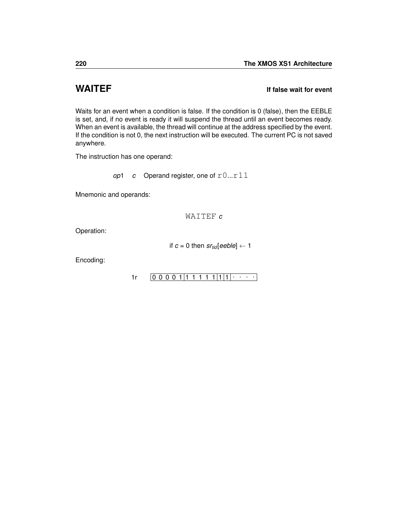# <span id="page-223-0"></span>**WAITEF If false wait for event**

Waits for an event when a condition is false. If the condition is 0 (false), then the EEBLE is set, and, if no event is ready it will suspend the thread until an event becomes ready. When an event is available, the thread will continue at the address specified by the event. If the condition is not 0, the next instruction will be executed. The current PC is not saved anywhere.

The instruction has one operand:

*op*1 *c* Operand register, one of  $r0...r11$ 

Mnemonic and operands:

WAITEF *c*

Operation:

if  $c = 0$  then  $sr_{tid}[eeble] \leftarrow 1$ 

Encoding:

 $1r$   $[0 0 0 0 1 1 1 1 1 1 1 1 1]$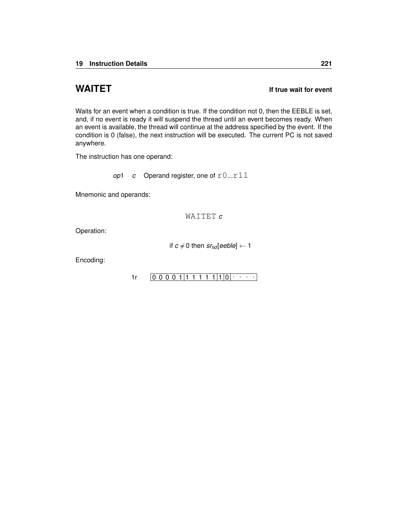## <span id="page-224-0"></span>**WAITET If true wait for event**

Waits for an event when a condition is true. If the condition not 0, then the EEBLE is set, and, if no event is ready it will suspend the thread until an event becomes ready. When an event is available, the thread will continue at the address specified by the event. If the condition is 0 (false), the next instruction will be executed. The current PC is not saved anywhere.

The instruction has one operand:

*op*1 *c* Operand register, one of  $r0...r11$ 

Mnemonic and operands:

WAITET *c*

Operation:

if  $c \neq 0$  then  $sr_{tid}[eeble] \leftarrow 1$ 

Encoding:

 $1r$   $[0 0 0 0 1 1 1 1 1 1 1 1 0 0 \cdots]$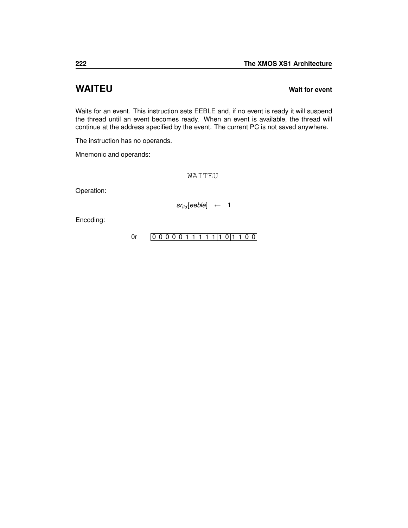# <span id="page-225-0"></span>**WAITEU Wait for event**

Waits for an event. This instruction sets EEBLE and, if no event is ready it will suspend the thread until an event becomes ready. When an event is available, the thread will continue at the address specified by the event. The current PC is not saved anywhere.

The instruction has no operands.

Mnemonic and operands:

WAITEU

Operation:

*srtid* [*eeble*] ← 1

Encoding:

[0r](#page-246-0)  $[0 0 0 0 0 1 1 1 1 1 1 1 0 1 1 0 0]$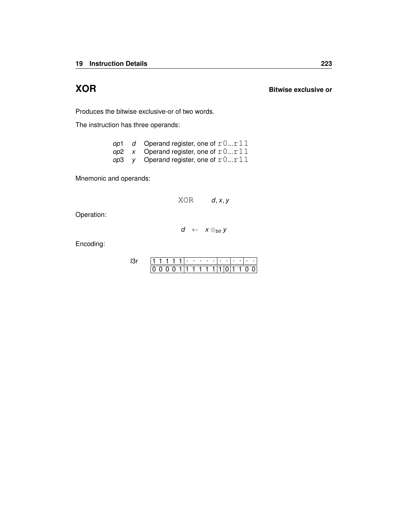<span id="page-226-0"></span>**XOR Bitwise exclusive or**

Produces the bitwise exclusive-or of two words.

The instruction has three operands:

| op1 | d Operand register, one of $r0r11$             |
|-----|------------------------------------------------|
|     | op2 x Operand register, one of $r0r11$         |
|     | <i>op</i> 3 y Operand register, one of $r0r11$ |

Mnemonic and operands:

XOR *d*, *x*, *y*

Operation:

$$
d \ \leftarrow \ x \oplus_{\textit{bit}} y
$$

Encoding:

|  |  |  | ٠ |  |  |  |  |  |
|--|--|--|---|--|--|--|--|--|
|  |  |  |   |  |  |  |  |  |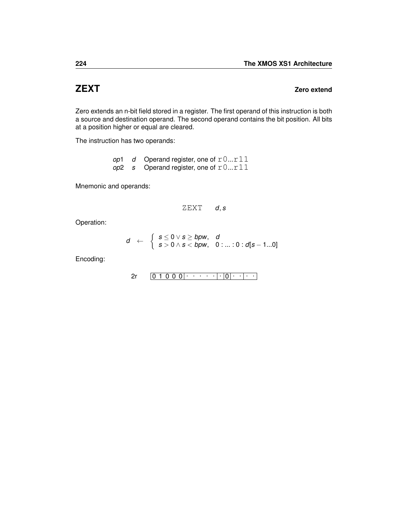## <span id="page-227-0"></span>**ZEXT Zero extend**

Zero extends an n-bit field stored in a register. The first operand of this instruction is both a source and destination operand. The second operand contains the bit position. All bits at a position higher or equal are cleared.

The instruction has two operands:

|  | op1 $d$ Operand register, one of $r0r11$ |
|--|------------------------------------------|
|  | op2 s Operand register, one of $r0r11$   |

Mnemonic and operands:

$$
ZEXT \qquad d,s
$$

Operation:

$$
d \leftarrow \left\{\begin{array}{l} s \leq 0 \vee s \geq bpw, & d \\ s > 0 \wedge s < bpw, & 0 \text{ : ... : } 0 : d[s-1...0] \end{array}\right.
$$

Encoding:

$$
2r \qquad \boxed{0\ 1\ 0\ 0\ 0}\cdot \cdot \cdot \cdot \cdot \cdot \cdot \cdot \cdot \cdot \cdot \cdot \cdot \cdot \cdot \cdot
$$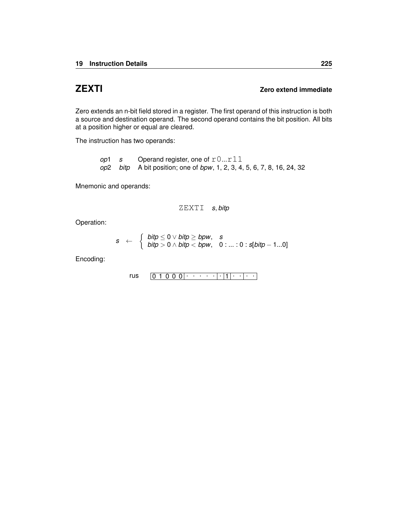### <span id="page-228-0"></span>**ZEXTI Zero extend immediate**

Zero extends an n-bit field stored in a register. The first operand of this instruction is both a source and destination operand. The second operand contains the bit position. All bits at a position higher or equal are cleared.

The instruction has two operands:

*op*1 *s* Operand register, one of r0...r11 *op*2 *bitp* A bit position; one of *bpw*, 1, 2, 3, 4, 5, 6, 7, 8, 16, 24, 32

Mnemonic and operands:

ZEXTI *s*, *bitp*

Operation:

$$
s \leftarrow \begin{cases} \text{bity} \leq 0 \vee \text{bity} \geq \text{bpw}, & s \\ \text{bity} > 0 \wedge \text{bity} < \text{bpw}, & 0 \dots : 0 : \text{s}[ \text{bity} - 1...0] \end{cases}
$$

Encoding:

$$
\mathsf{rus} \qquad \boxed{0\ 1\ 0\ 0\ 0} \cdot \cdot \cdot \cdot \cdot |\cdot|1|\cdot |\cdot|\cdot|
$$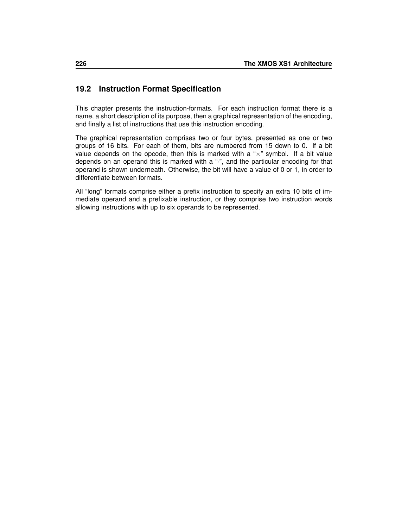# **19.2 Instruction Format Specification**

This chapter presents the instruction-formats. For each instruction format there is a name, a short description of its purpose, then a graphical representation of the encoding, and finally a list of instructions that use this instruction encoding.

The graphical representation comprises two or four bytes, presented as one or two groups of 16 bits. For each of them, bits are numbered from 15 down to 0. If a bit value depends on the opcode, then this is marked with a " $\times$ " symbol. If a bit value depends on an operand this is marked with a "·", and the particular encoding for that operand is shown underneath. Otherwise, the bit will have a value of 0 or 1, in order to differentiate between formats.

All "long" formats comprise either a prefix instruction to specify an extra 10 bits of immediate operand and a prefixable instruction, or they comprise two instruction words allowing instructions with up to six operands to be represented.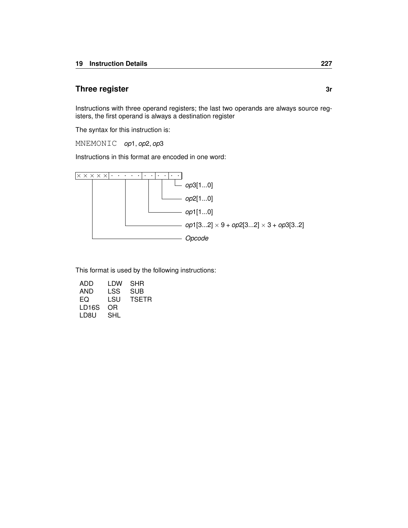### <span id="page-230-0"></span>**Three register** 3r

Instructions with three operand registers; the last two operands are always source registers, the first operand is always a destination register

The syntax for this instruction is:

MNEMONIC *op*1, *op*2, *op*3

Instructions in this format are encoded in one word:



| ADD   | LDW | SHR   |
|-------|-----|-------|
| AND   | LSS | SUB   |
| EQ    | LSU | TSETR |
| LD16S | OR  |       |
| LD8U  | SHL |       |
|       |     |       |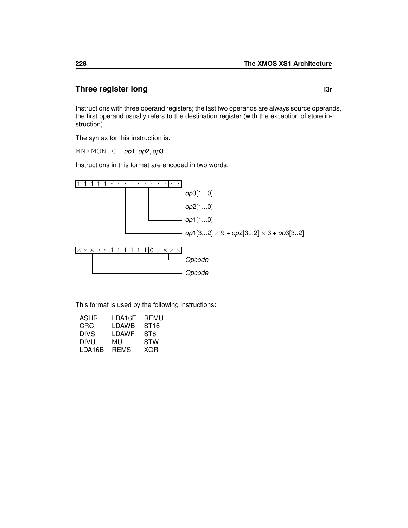### <span id="page-231-0"></span>**Three register long later later later later later later**

Instructions with three operand registers; the last two operands are always source operands, the first operand usually refers to the destination register (with the exception of store instruction)

The syntax for this instruction is:

MNEMONIC *op*1, *op*2, *op*3

Instructions in this format are encoded in two words:



| LDA16F      | REMU             |
|-------------|------------------|
| LDAWB       | ST <sub>16</sub> |
| LDAWF       | ST8              |
| MUL         | STW              |
| <b>REMS</b> | XOR              |
|             |                  |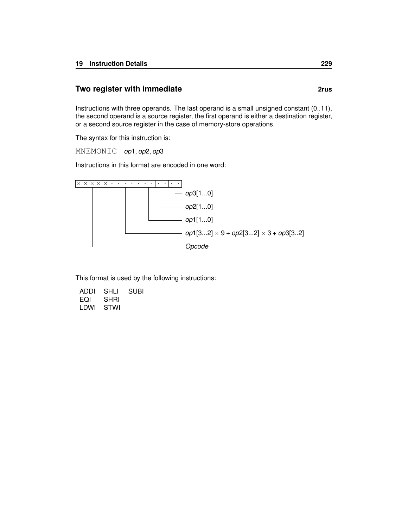#### **Two register with immediate 2rus 2rus**

Instructions with three operands. The last operand is a small unsigned constant (0..11), the second operand is a source register, the first operand is either a destination register, or a second source register in the case of memory-store operations.

The syntax for this instruction is:

MNEMONIC *op*1, *op*2, *op*3

Instructions in this format are encoded in one word:



| ADDI | SHLI        | <b>SUBI</b> |
|------|-------------|-------------|
| EQI  | <b>SHRI</b> |             |
| LDWI | STWI        |             |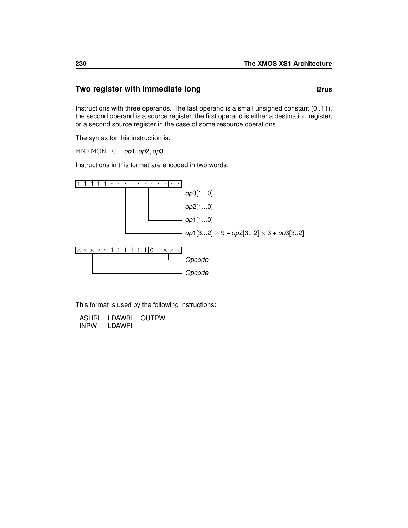# **Two register with immediate long langle in the langle state is a large state of langle state is a large state of langle state is a large state in the langle state is a large state of large state is a large state of larg**

Instructions with three operands. The last operand is a small unsigned constant (0..11), the second operand is a source register, the first operand is either a destination register, or a second source register in the case of some resource operations.

The syntax for this instruction is:

MNEMONIC *op*1, *op*2, *op*3

Instructions in this format are encoded in two words:



| <b>ASHRI</b> | LDAWBI | <b>OUTPW</b> |
|--------------|--------|--------------|
| <b>INPW</b>  | LDAWFI |              |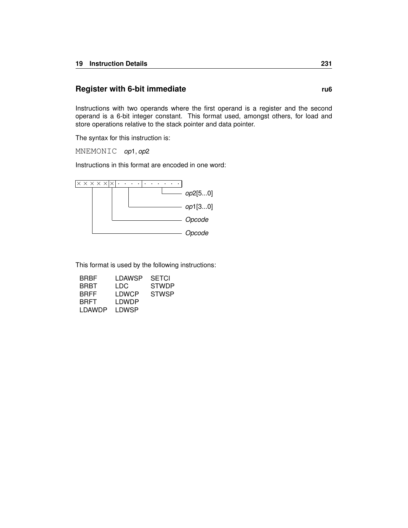#### <span id="page-234-0"></span>**Register with 6-bit immediate rub** rub

Instructions with two operands where the first operand is a register and the second operand is a 6-bit integer constant. This format used, amongst others, for load and store operations relative to the stack pointer and data pointer.

The syntax for this instruction is:

MNEMONIC *op*1, *op*2

Instructions in this format are encoded in one word:



| BRBF        | LDAWSP | <b>SETCI</b> |
|-------------|--------|--------------|
| BRBT        | LDC    | <b>STWDP</b> |
| <b>BRFF</b> | LDWCP  | <b>STWSP</b> |
| <b>BRFT</b> | LDWDP  |              |
| LDAWDP      | LDWSP  |              |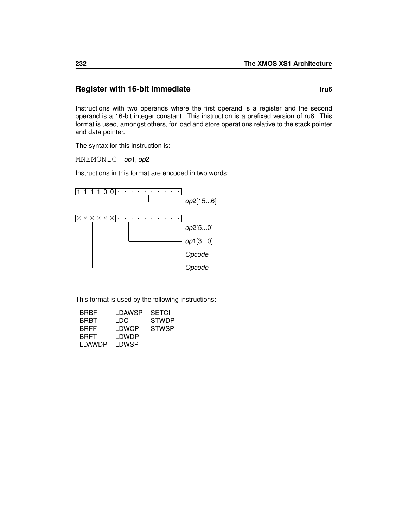### **Register with 16-bit immediate limits and the set of the set of the set of the set of the set of the set of the set of the set of the set of the set of the set of the set of the set of the set of the set of the set of t**

Instructions with two operands where the first operand is a register and the second operand is a 16-bit integer constant. This instruction is a prefixed version of [ru6.](#page-234-0) This format is used, amongst others, for load and store operations relative to the stack pointer and data pointer.

The syntax for this instruction is:

MNEMONIC *op*1, *op*2

Instructions in this format are encoded in two words:



| <b>BRBF</b> | LDAWSP | <b>SETCI</b> |
|-------------|--------|--------------|
| BRBT        | LDC    | <b>STWDP</b> |
| <b>BRFF</b> | LDWCP  | <b>STWSP</b> |
| BRFT        | LDWDP  |              |
| LDAWDP      | LDWSP  |              |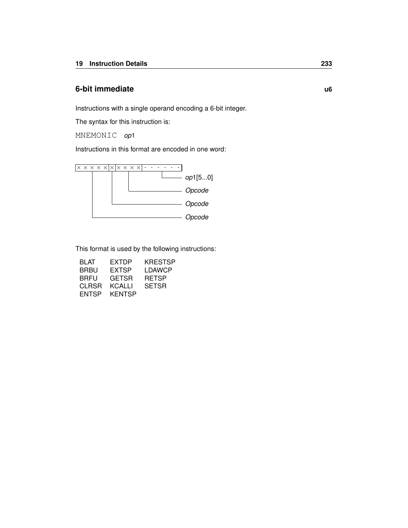#### <span id="page-236-0"></span>**6-bit immediate u6**

Instructions with a single operand encoding a 6-bit integer.

The syntax for this instruction is:

MNEMONIC *op*1

Instructions in this format are encoded in one word:



| BL AT | EXTDP         | <b>KRESTSP</b> |
|-------|---------------|----------------|
| BRBU  | EXTSP         | LDAWCP         |
| BRFU  | GETSR         | <b>RETSP</b>   |
| CLRSR | KCALLI        | <b>SETSR</b>   |
| ENTSP | <b>KENTSP</b> |                |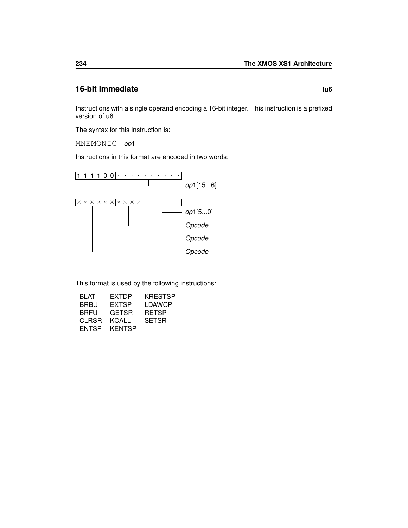### **16-bit immediate lu6**

Instructions with a single operand encoding a 16-bit integer. This instruction is a prefixed version of [u6.](#page-236-0)

The syntax for this instruction is:

MNEMONIC *op*1

Instructions in this format are encoded in two words:



| BLAT  | EXTDP        | KRESTSP      |
|-------|--------------|--------------|
| BRBU  | EXTSP        | LDAWCP       |
| BRFU  | <b>GETSR</b> | <b>RETSP</b> |
| CLRSR | KCALLI       | <b>SETSR</b> |
| ENTSP | KENTSP       |              |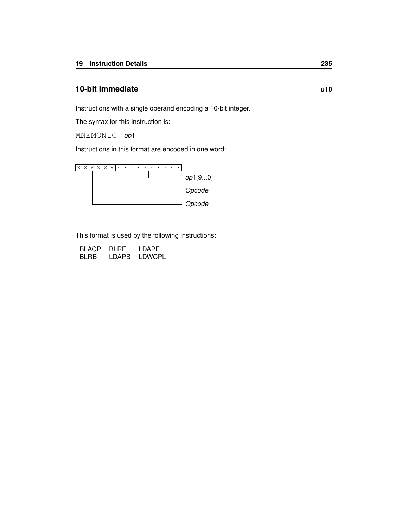### <span id="page-238-0"></span>**10-bit immediate u10**

Instructions with a single operand encoding a 10-bit integer.

The syntax for this instruction is:

MNEMONIC *op*1

Instructions in this format are encoded in one word:



| <b>BLACP</b> | BI RF | LDAPF         |
|--------------|-------|---------------|
| <b>BLRB</b>  | LDAPB | <b>LDWCPL</b> |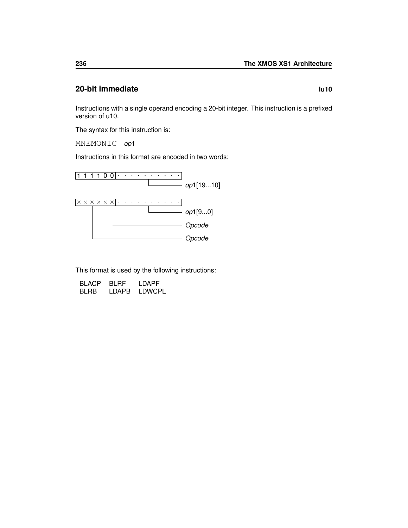### **20-bit immediate lu10**

Instructions with a single operand encoding a 20-bit integer. This instruction is a prefixed version of [u10.](#page-238-0)

The syntax for this instruction is:

MNEMONIC *op*1

Instructions in this format are encoded in two words:



| <b>BLACP</b> | BI RF | LDAPF         |
|--------------|-------|---------------|
| <b>BLRB</b>  | LDAPB | <b>LDWCPL</b> |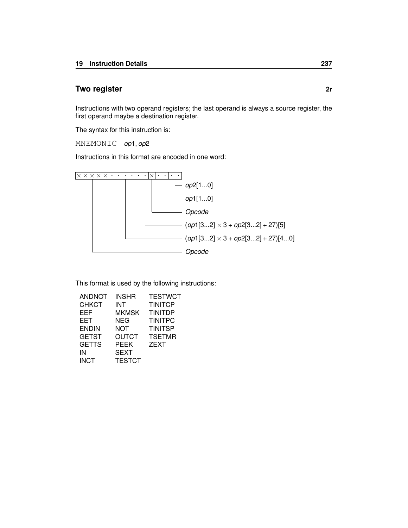### <span id="page-240-0"></span>**Two register 2r**

Instructions with two operand registers; the last operand is always a source register, the first operand maybe a destination register.

The syntax for this instruction is:

MNEMONIC *op*1, *op*2

Instructions in this format are encoded in one word:



| ANDNOT       | <b>INSHR</b>  | <b>TESTWCT</b> |
|--------------|---------------|----------------|
| <b>CHKCT</b> | INT           | <b>TINITCP</b> |
| <b>EEF</b>   | <b>MKMSK</b>  | <b>TINITDP</b> |
| <b>EET</b>   | NEG           | <b>TINITPC</b> |
| <b>ENDIN</b> | <b>NOT</b>    | <b>TINITSP</b> |
| <b>GETST</b> | <b>OUTCT</b>  | <b>TSETMR</b>  |
| <b>GETTS</b> | <b>PEEK</b>   | <b>ZEXT</b>    |
| IN           | <b>SEXT</b>   |                |
| <b>INCT</b>  | <b>TESTCT</b> |                |
|              |               |                |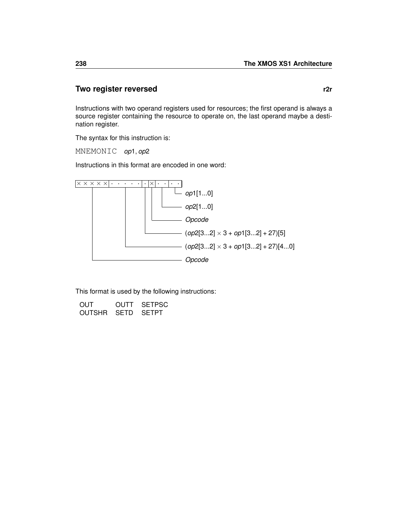#### **Two register reversed r2r**

Instructions with two operand registers used for resources; the first operand is always a source register containing the resource to operate on, the last operand maybe a destination register.

The syntax for this instruction is:

MNEMONIC *op*1, *op*2

Instructions in this format are encoded in one word:



| OUT               | OUTT SETPSC |
|-------------------|-------------|
| OUTSHR SETD SETPT |             |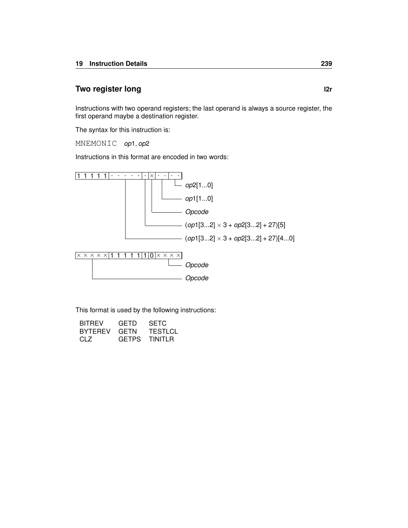# <span id="page-242-0"></span>**Two register long later later later later later later later later**

Instructions with two operand registers; the last operand is always a source register, the first operand maybe a destination register.

The syntax for this instruction is:

MNEMONIC *op*1, *op*2

Instructions in this format are encoded in two words:



| <b>BITREV</b>  | GETD         | <b>SETC</b>    |
|----------------|--------------|----------------|
| <b>BYTEREV</b> | GETN         | <b>TESTLCL</b> |
| CLZ            | <b>GFTPS</b> | TINITLR        |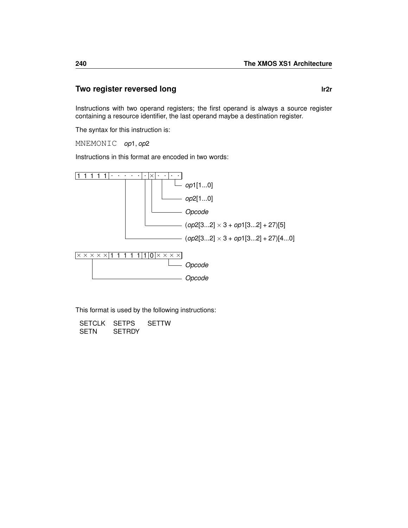### **Two register reversed long letter and the latter of the latter of the latter of the latter of the latter of the latter of the latter of the latter of the latter of the latter of the latter of the latter of the latter of**

Instructions with two operand registers; the first operand is always a source register containing a resource identifier, the last operand maybe a destination register.

The syntax for this instruction is:

MNEMONIC *op*1, *op*2

Instructions in this format are encoded in two words:



| SETCLK SETPS |               | <b>SETTW</b> |
|--------------|---------------|--------------|
| SETN         | <b>SETRDY</b> |              |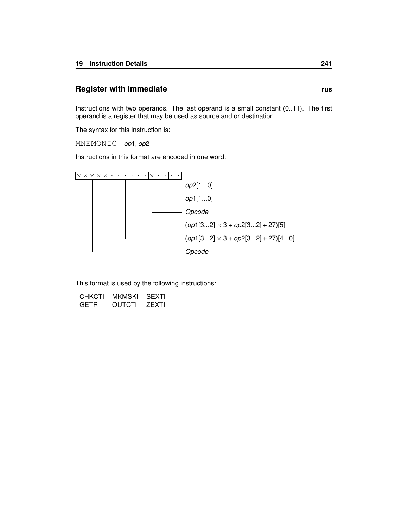#### <span id="page-244-0"></span>**Register with immediate rus rus rus**

Instructions with two operands. The last operand is a small constant (0..11). The first operand is a register that may be used as source and or destination.

The syntax for this instruction is:

MNEMONIC *op*1, *op*2

Instructions in this format are encoded in one word:



| CHKCTI | MKMSKI | SEXTI        |
|--------|--------|--------------|
| GETR   | OUTCTI | <b>ZEXTI</b> |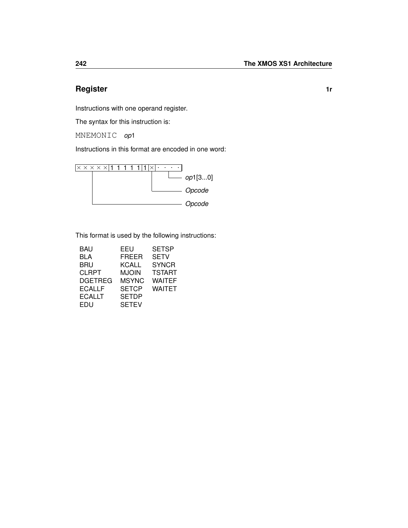# <span id="page-245-0"></span>**Register 1r**

Instructions with one operand register.

The syntax for this instruction is:

MNEMONIC *op*1

Instructions in this format are encoded in one word:



| BAU            | EEU          | <b>SETSP</b>  |
|----------------|--------------|---------------|
| BLA            | <b>FREER</b> | <b>SETV</b>   |
| BRU            | KCALL        | <b>SYNCR</b>  |
| <b>CLRPT</b>   | MJOIN        | <b>TSTART</b> |
| <b>DGETREG</b> | MSYNC        | <b>WAITEF</b> |
| ECALLF         | <b>SETCP</b> | WAITET        |
| ECALLT         | <b>SETDP</b> |               |
| EDU            | <b>SETEV</b> |               |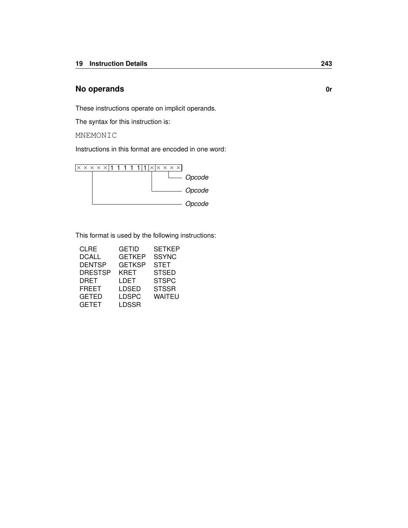#### <span id="page-246-0"></span>**No operands 0r**

These instructions operate on implicit operands.

The syntax for this instruction is:

MNEMONIC

Instructions in this format are encoded in one word:



| <b>CLRE</b>    | GETID         | <b>SETKEP</b> |
|----------------|---------------|---------------|
| DCALL          | <b>GETKEP</b> | <b>SSYNC</b>  |
| <b>DENTSP</b>  | <b>GETKSP</b> | <b>STET</b>   |
| <b>DRESTSP</b> | KRET          | <b>STSED</b>  |
| DRET           | LDET          | <b>STSPC</b>  |
| FREET          | LDSED         | <b>STSSR</b>  |
| <b>GETED</b>   | <b>LDSPC</b>  | WAITEU        |
| <b>GETET</b>   | LDSSR         |               |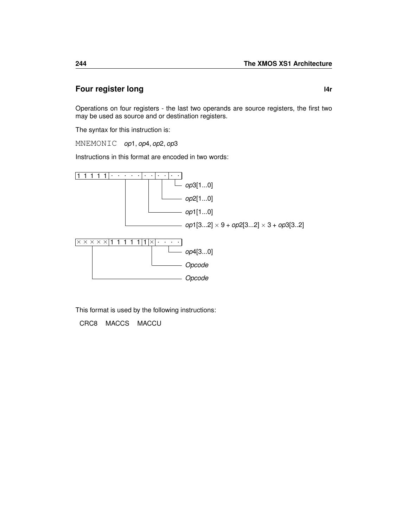### **Four register long later later later later later**

Operations on four registers - the last two operands are source registers, the first two may be used as source and or destination registers.

The syntax for this instruction is:

MNEMONIC *op*1, *op*4, *op*2, *op*3

Instructions in this format are encoded in two words:



This format is used by the following instructions:

[CRC8](#page-78-0) [MACCS](#page-153-0) [MACCU](#page-154-0)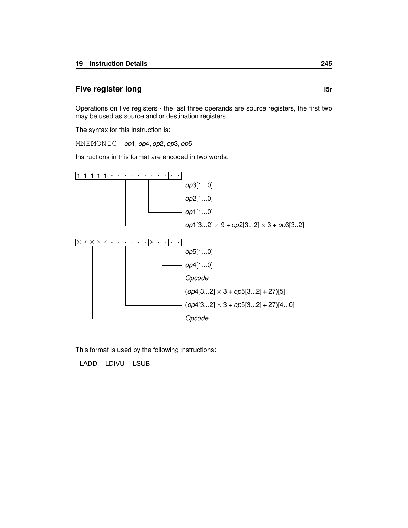#### **Five register long l5r**

Operations on five registers - the last three operands are source registers, the first two may be used as source and or destination registers.

The syntax for this instruction is:

MNEMONIC *op*1, *op*4, *op*2, *op*3, *op*5

Instructions in this format are encoded in two words:



This format is used by the following instructions:

[LADD](#page-123-0) [LDIVU](#page-139-0) [LSUB](#page-152-0)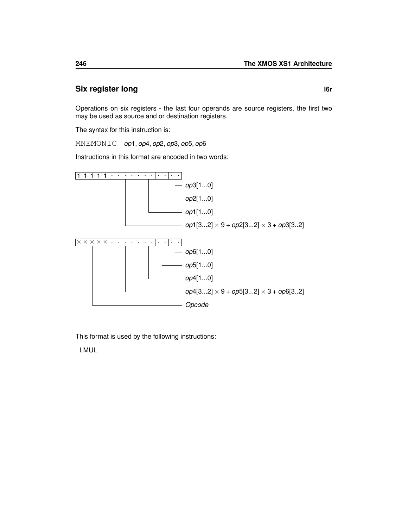# **Six register long later left left left left left left**

Operations on six registers - the last four operands are source registers, the first two may be used as source and or destination registers.

The syntax for this instruction is:

MNEMONIC *op*1, *op*4, *op*2, *op*3, *op*5, *op*6

Instructions in this format are encoded in two words:



This format is used by the following instructions:

[LMUL](#page-149-0)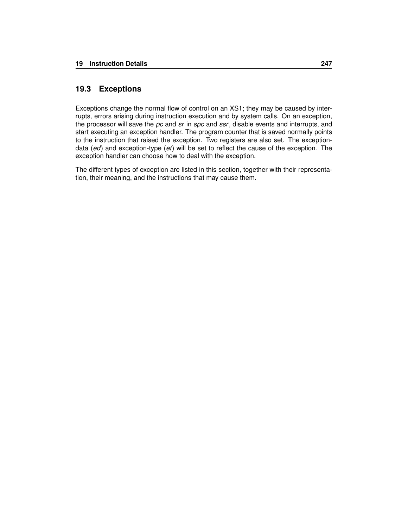#### **19.3 Exceptions**

Exceptions change the normal flow of control on an XS1; they may be caused by interrupts, errors arising during instruction execution and by system calls. On an exception, the processor will save the *pc* and *sr* in *spc* and *ssr*, disable events and interrupts, and start executing an exception handler. The program counter that is saved normally points to the instruction that raised the exception. Two registers are also set. The exceptiondata (*ed*) and exception-type (*et*) will be set to reflect the cause of the exception. The exception handler can choose how to deal with the exception.

The different types of exception are listed in this section, together with their representation, their meaning, and the instructions that may cause them.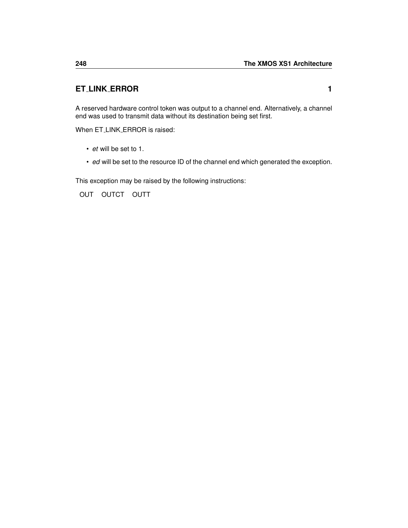# **ET LINK ERROR 1**

A reserved hardware control token was output to a channel end. Alternatively, a channel end was used to transmit data without its destination being set first.

When ET\_LINK\_ERROR is raised:

- *et* will be set to 1.
- *ed* will be set to the resource ID of the channel end which generated the exception.

This exception may be raised by the following instructions:

[OUT](#page-163-0) [OUTCT](#page-164-0) [OUTT](#page-168-0)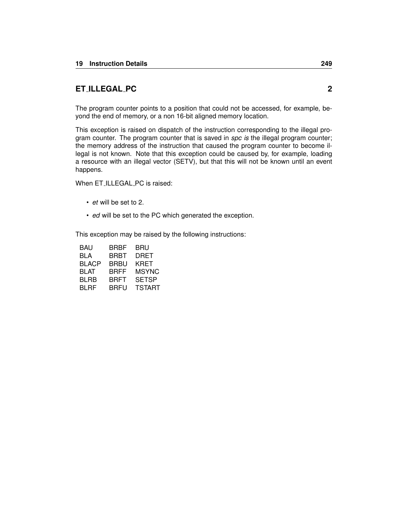## <span id="page-252-0"></span>**ET ILLEGAL PC 2**

The program counter points to a position that could not be accessed, for example, beyond the end of memory, or a non 16-bit aligned memory location.

This exception is raised on dispatch of the instruction corresponding to the illegal program counter. The program counter that is saved in *spc is* the illegal program counter; the memory address of the instruction that caused the program counter to become illegal is not known. Note that this exception could be caused by, for example, loading a resource with an illegal vector [\(SETV\)](#page-191-0), but that this will not be known until an event happens.

When ET\_ILLEGAL\_PC is raised:

- *et* will be set to 2.
- *ed* will be set to the PC which generated the exception.

| BRBF        | BRU           |
|-------------|---------------|
| BRBT        | DRET          |
| BRBU        | KRET          |
| BRFF        | MSYNC         |
| <b>BRFT</b> | <b>SETSP</b>  |
| BRFU        | <b>TSTART</b> |
|             |               |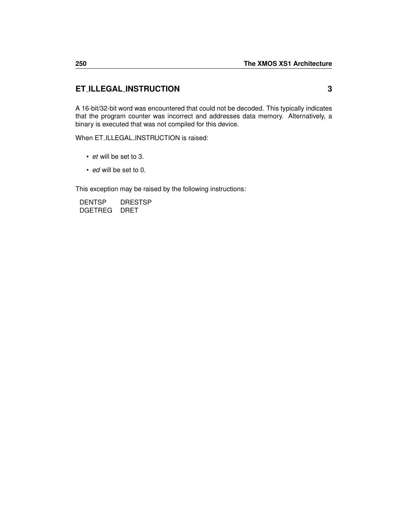## <span id="page-253-0"></span>**ET ILLEGAL INSTRUCTION 3**

A 16-bit/32-bit word was encountered that could not be decoded. This typically indicates that the program counter was incorrect and addresses data memory. Alternatively, a binary is executed that was not compiled for this device.

When ET\_ILLEGAL\_INSTRUCTION is raised:

- *et* will be set to 3.
- *ed* will be set to 0.

This exception may be raised by the following instructions:

[DENTSP](#page-80-0) [DRESTSP](#page-84-0) [DGETREG](#page-81-0) [DRET](#page-85-0)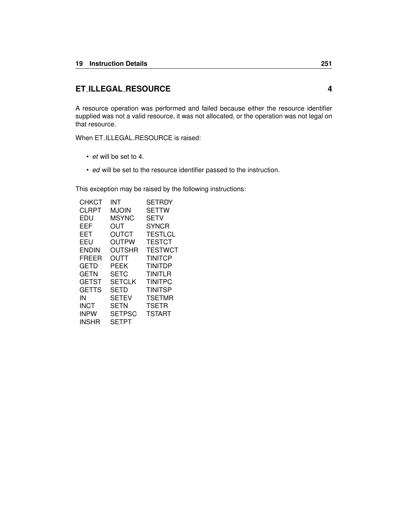## <span id="page-254-0"></span>**ET ILLEGAL RESOURCE 4**

A resource operation was performed and failed because either the resource identifier supplied was not a valid resource, it was not allocated, or the operation was not legal on that resource.

When ET\_ILLEGAL\_RESOURCE is raised:

- *et* will be set to 4.
- *ed* will be set to the resource identifier passed to the instruction.

| <b>CHKCT</b> | INT           | <b>SETRDY</b>  |
|--------------|---------------|----------------|
| CLRPT        | MJOIN         | <b>SETTW</b>   |
| EDU          | <b>MSYNC</b>  | SETV           |
| EEF          | OUT           | <b>SYNCR</b>   |
| EET          | OUTCT         | <b>TESTLCL</b> |
| EEU          | OUTPW         | <b>TESTCT</b>  |
| <b>ENDIN</b> | OUTSHR        | TESTWCT        |
| FREER        | <b>OUTT</b>   | <b>TINITCP</b> |
| GETD         | PEEK          | <b>TINITDP</b> |
| GETN         | SETC          | TINITLR        |
| GETST        | <b>SETCLK</b> | <b>TINITPC</b> |
| GETTS        | <b>SETD</b>   | <b>TINITSP</b> |
| IN           | <b>SETEV</b>  | <b>TSETMR</b>  |
| <b>INCT</b>  | SETN          | <b>TSETR</b>   |
| <b>INPW</b>  | <b>SETPSC</b> | <b>TSTART</b>  |
| INSHR        | <b>SETPT</b>  |                |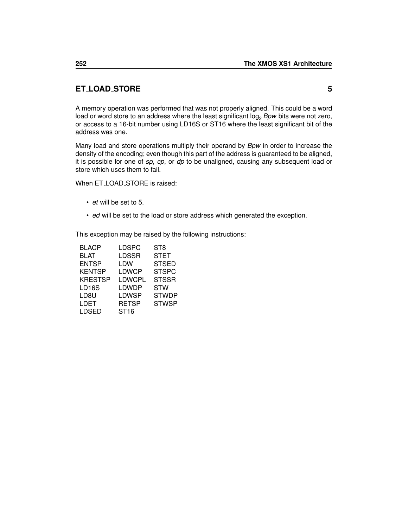## <span id="page-255-0"></span>**ET LOAD STORE 5**

A memory operation was performed that was not properly aligned. This could be a word load or word store to an address where the least significant log<sub>2</sub> Bpw bits were not zero, or access to a 16-bit number using LD16S or ST16 where the least significant bit of the address was one.

Many load and store operations multiply their operand by *Bpw* in order to increase the density of the encoding; even though this part of the address is guaranteed to be aligned, it is possible for one of *sp*, *cp*, or *dp* to be unaligned, causing any subsequent load or store which uses them to fail.

When ET\_LOAD\_STORE is raised:

- *et* will be set to 5.
- *ed* will be set to the load or store address which generated the exception.

| <b>BLACP</b>   | LDSPC        | ST <sub>8</sub> |
|----------------|--------------|-----------------|
| <b>BLAT</b>    | LDSSR        | <b>STET</b>     |
| <b>ENTSP</b>   | LDW          | <b>STSED</b>    |
| <b>KENTSP</b>  | LDWCP        | <b>STSPC</b>    |
| <b>KRESTSP</b> | LDWCPL       | <b>STSSR</b>    |
| <b>LD16S</b>   | <b>LDWDP</b> | <b>STW</b>      |
| LD8U           | LDWSP        | <b>STWDP</b>    |
| LDET           | <b>RETSP</b> | <b>STWSP</b>    |
| <b>LDSED</b>   | <b>ST16</b>  |                 |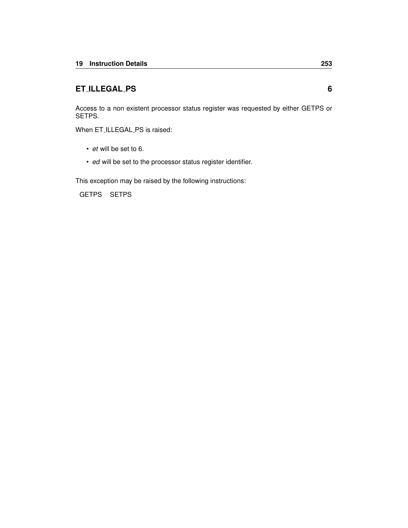## <span id="page-256-0"></span>**ET ILLEGAL PS 6**

Access to a non existent processor status register was requested by either GETPS or SETPS.

When ET\_ILLEGAL\_PS is raised:

- *et* will be set to 6.
- *ed* will be set to the processor status register identifier.

This exception may be raised by the following instructions:

[GETPS](#page-107-0) [SETPS](#page-184-0)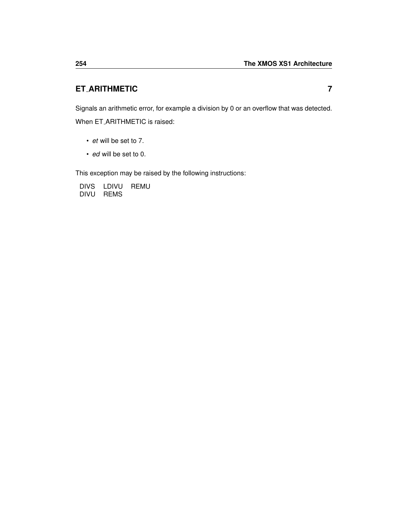## <span id="page-257-0"></span>**ET ARITHMETIC 7**

Signals an arithmetic error, for example a division by 0 or an overflow that was detected. When ET ARITHMETIC is raised:

- *et* will be set to 7.
- *ed* will be set to 0.

This exception may be raised by the following instructions:

[DIVS](#page-82-0) [LDIVU](#page-139-0) [REMU](#page-171-0) [DIVU](#page-83-0) [REMS](#page-170-0)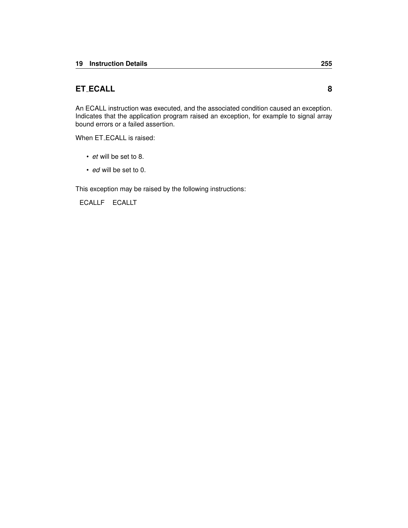### <span id="page-258-0"></span>**ET ECALL 8**

An ECALL instruction was executed, and the associated condition caused an exception. Indicates that the application program raised an exception, for example to signal array bound errors or a failed assertion.

When ET\_ECALL is raised:

- *et* will be set to 8.
- *ed* will be set to 0.

This exception may be raised by the following instructions:

[ECALLF](#page-86-0) [ECALLT](#page-87-0)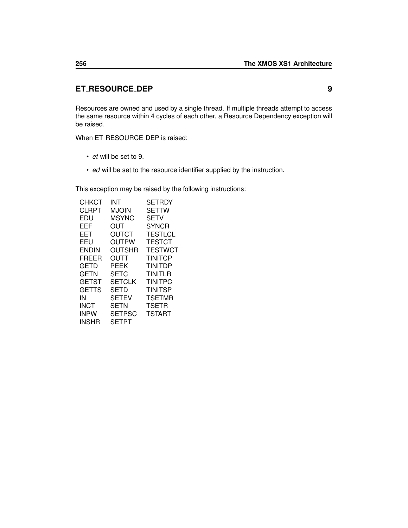#### <span id="page-259-0"></span>**ET RESOURCE DEP 9**

Resources are owned and used by a single thread. If multiple threads attempt to access the same resource within 4 cycles of each other, a Resource Dependency exception will be raised.

When ET\_RESOURCE\_DEP is raised:

- *et* will be set to 9.
- *ed* will be set to the resource identifier supplied by the instruction.

| СНКСТ        | INT           | <b>SETRDY</b>  |
|--------------|---------------|----------------|
| CLRPT        | <b>MJOIN</b>  | <b>SETTW</b>   |
| EDU          | <b>MSYNC</b>  | <b>SETV</b>    |
| EEF          | OUT           | <b>SYNCR</b>   |
| <b>EET</b>   | OUTCT         | <b>TESTLCL</b> |
| EEU          | <b>OUTPW</b>  | <b>TESTCT</b>  |
| <b>ENDIN</b> | OUTSHR        | TESTWCT        |
| FREER        | OUTT          | <b>TINITCP</b> |
| GETD         | PEEK          | <b>TINITDP</b> |
| GETN         | SETC          | TINITLR        |
| <b>GETST</b> | <b>SETCLK</b> | <b>TINITPC</b> |
| GETTS        | SETD          | <b>TINITSP</b> |
| IN           | <b>SETEV</b>  | <b>TSETMR</b>  |
| <b>INCT</b>  | <b>SETN</b>   | <b>TSETR</b>   |
| <b>INPW</b>  | <b>SETPSC</b> | <b>TSTART</b>  |
| INSHR        | SETPT         |                |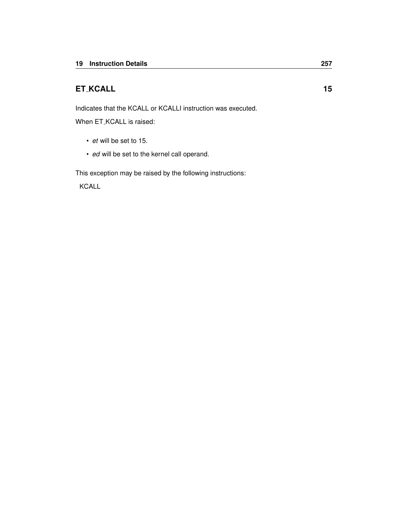### <span id="page-260-0"></span>**ET KCALL 15**

Indicates that the KCALL or KCALLI instruction was executed.

When ET\_KCALL is raised:

- *et* will be set to 15.
- *ed* will be set to the kernel call operand.

This exception may be raised by the following instructions:

[KCALL](#page-118-0)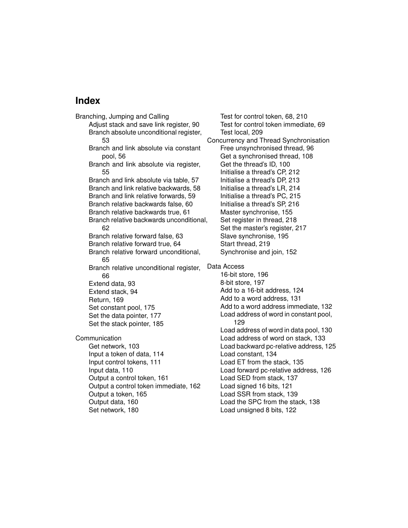# **Index**

Branching, Jumping and Calling Adjust stack and save link register, [90](#page-93-1) Branch absolute unconditional register, [53](#page-56-1) Branch and link absolute via constant pool, [56](#page-59-1) Branch and link absolute via register, [55](#page-58-1) Branch and link absolute via table, [57](#page-60-1) Branch and link relative backwards, [58](#page-61-1) Branch and link relative forwards, [59](#page-62-1) Branch relative backwards false, [60](#page-63-1) Branch relative backwards true, [61](#page-64-1) Branch relative backwards unconditional, [62](#page-65-1) Branch relative forward false, [63](#page-66-1) Branch relative forward true, [64](#page-67-1) Branch relative forward unconditional, [65](#page-68-1) Branch relative unconditional register, [66](#page-69-1) Extend data, [93](#page-96-0) Extend stack, [94](#page-97-0) Return, [169](#page-172-1) Set constant pool, [175](#page-178-0) Set the data pointer, [177](#page-180-0) Set the stack pointer, [185](#page-188-1) Communication Get network, [103](#page-106-1) Input a token of data, [114](#page-117-1) Input control tokens, [111](#page-114-1) Input data, [110](#page-113-1) Output a control token, [161](#page-164-1) Output a control token immediate, [162](#page-165-0) Output a token, [165](#page-168-1) Output data, [160](#page-163-1) Set network, [180](#page-183-1)

Test for control token, [68,](#page-71-1) [210](#page-213-1) Test for control token immediate, [69](#page-72-0) Test local, [209](#page-212-1) Concurrency and Thread Synchronisation Free unsynchronised thread, [96](#page-99-0) Get a synchronised thread, [108](#page-111-1) Get the thread's ID, [100](#page-103-0) Initialise a thread's CP, [212](#page-215-1) Initialise a thread's DP, [213](#page-216-1) Initialise a thread's LR, [214](#page-217-1) Initialise a thread's PC, [215](#page-218-1) Initialise a thread's SP, [216](#page-219-1) Master synchronise, [155](#page-158-1) Set register in thread, [218](#page-221-1) Set the master's register, [217](#page-220-1) Slave synchronise, [195](#page-198-0) Start thread, [219](#page-222-1) Synchronise and join, [152](#page-155-1) Data Access 16-bit store, [196](#page-199-1) 8-bit store, [197](#page-200-1) Add to a 16-bit address, [124](#page-127-0) Add to a word address, [131](#page-134-0) Add to a word address immediate, [132](#page-135-0) Load address of word in constant pool, [129](#page-132-0) Load address of word in data pool, [130](#page-133-0) Load address of word on stack, [133](#page-136-0) Load backward pc-relative address, [125](#page-128-0) Load constant, [134](#page-137-0) Load ET from the stack, [135](#page-138-1) Load forward pc-relative address, [126](#page-129-0) Load SED from stack, [137](#page-140-1) Load signed 16 bits, [121](#page-124-1) Load SSR from stack, [139](#page-142-1) Load the SPC from the stack, [138](#page-141-1) Load unsigned 8 bits, [122](#page-125-1)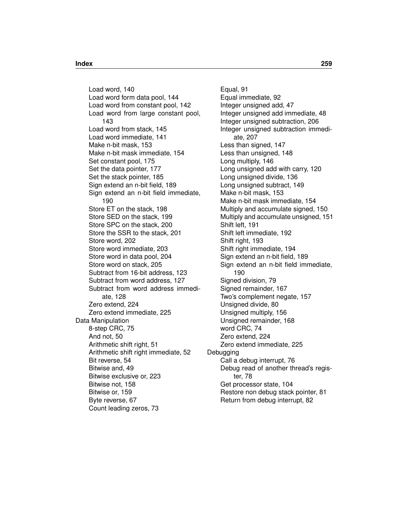Load word, [140](#page-143-1) Load word form data pool, [144](#page-147-1) Load word from constant pool, [142](#page-145-1) Load word from large constant pool, [143](#page-146-1) Load word from stack, [145](#page-148-1) Load word immediate, [141](#page-144-0) Make n-bit mask, [153](#page-156-0) Make n-bit mask immediate, [154](#page-157-0) Set constant pool, [175](#page-178-0) Set the data pointer, [177](#page-180-0) Set the stack pointer, [185](#page-188-1) Sign extend an n-bit field, [189](#page-192-0) Sign extend an n-bit field immediate, [190](#page-193-0) Store ET on the stack, [198](#page-201-1) Store SED on the stack, [199](#page-202-1) Store SPC on the stack, [200](#page-203-1) Store the SSR to the stack, [201](#page-204-1) Store word, [202](#page-205-1) Store word immediate, [203](#page-206-0) Store word in data pool, [204](#page-207-1) Store word on stack, [205](#page-208-1) Subtract from 16-bit address, [123](#page-126-0) Subtract from word address, [127](#page-130-0) Subtract from word address immediate, [128](#page-131-0) Zero extend, [224](#page-227-0) Zero extend immediate, [225](#page-228-0) Data Manipulation 8-step CRC, [75](#page-78-0) And not, [50](#page-53-0) Arithmetic shift right, [51](#page-54-0) Arithmetic shift right immediate, [52](#page-55-0) Bit reverse, [54](#page-57-0) Bitwise and, [49](#page-52-0) Bitwise exclusive or, [223](#page-226-0) Bitwise not, [158](#page-161-0) Bitwise or, [159](#page-162-0) Byte reverse, [67](#page-70-0) Count leading zeros, [73](#page-76-0)

Equal, [91](#page-94-0) Equal immediate, [92](#page-95-0) Integer unsigned add, [47](#page-50-0) Integer unsigned add immediate, [48](#page-51-0) Integer unsigned subtraction, [206](#page-209-0) Integer unsigned subtraction immediate, [207](#page-210-0) Less than signed, [147](#page-150-0) Less than unsigned, [148](#page-151-0) Long multiply, [146](#page-149-0) Long unsigned add with carry, [120](#page-123-0) Long unsigned divide, [136](#page-139-1) Long unsigned subtract, [149](#page-152-0) Make n-bit mask, [153](#page-156-0) Make n-bit mask immediate, [154](#page-157-0) Multiply and accumulate signed, [150](#page-153-0) Multiply and accumulate unsigned, [151](#page-154-0) Shift left, [191](#page-194-0) Shift left immediate, [192](#page-195-0) Shift right, [193](#page-196-0) Shift right immediate, [194](#page-197-0) Sign extend an n-bit field, [189](#page-192-0) Sign extend an n-bit field immediate, [190](#page-193-0) Signed division, [79](#page-82-1) Signed remainder, [167](#page-170-1) Two's complement negate, [157](#page-160-0) Unsigned divide, [80](#page-83-1) Unsigned multiply, [156](#page-159-0) Unsigned remainder, [168](#page-171-1) word CRC, [74](#page-77-0) Zero extend, [224](#page-227-0) Zero extend immediate, [225](#page-228-0) **Debugging** Call a debug interrupt, [76](#page-79-0) Debug read of another thread's register, [78](#page-81-1) Get processor state, [104](#page-107-1) Restore non debug stack pointer, [81](#page-84-1) Return from debug interrupt, [82](#page-85-1)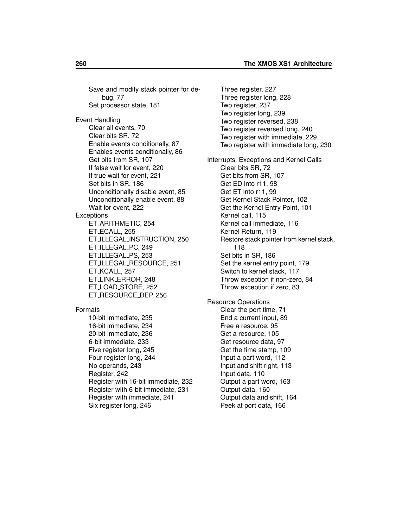Save and modify stack pointer for debug, [77](#page-80-1) Set processor state, [181](#page-184-1) Event Handling Clear all events, [70](#page-73-0) Clear bits SR, [72](#page-75-0) Enable events conditionally, [87](#page-90-1) Enables events conditionally, [86](#page-89-1) Get bits from SR, [107](#page-110-0) If false wait for event, [220](#page-223-0) If true wait for event, [221](#page-224-0) Set bits in SR, [186](#page-189-0) Unconditionally disable event, [85](#page-88-1) Unconditionally enable event, [88](#page-91-1) Wait for event, [222](#page-225-0) **Exceptions** ET ARITHMETIC, [254](#page-257-0) ET ECALL, [255](#page-258-0) ET ILLEGAL INSTRUCTION, [250](#page-253-0) ET ILLEGAL PC, [249](#page-252-0) ET ILLEGAL PS, [253](#page-256-0) ET ILLEGAL RESOURCE, [251](#page-254-0) ET KCALL, [257](#page-260-0) ET LINK ERROR, [248](#page-251-0) ET LOAD STORE, [252](#page-255-0) ET RESOURCE DEP, [256](#page-259-0) Formats 10-bit immediate, [235](#page-238-0) 16-bit immediate, [234](#page-237-0) 20-bit immediate, [236](#page-239-0) 6-bit immediate, [233](#page-236-0) Five register long, [245](#page-248-0) Four register long, [244](#page-247-0) No operands, [243](#page-246-0) Register, [242](#page-245-0) Register with 16-bit immediate, [232](#page-235-0) Register with 6-bit immediate, [231](#page-234-0)

Register with immediate, [241](#page-244-0)

Six register long, [246](#page-249-0)

Three register, [227](#page-230-0) Three register long, [228](#page-231-0) Two register, [237](#page-240-0) Two register long, [239](#page-242-0) Two register reversed, [238](#page-241-0) Two register reversed long, [240](#page-243-0) Two register with immediate, [229](#page-232-0) Two register with immediate long, [230](#page-233-0) Interrupts, Exceptions and Kernel Calls Clear bits SR, [72](#page-75-0) Get bits from SR, [107](#page-110-0) Get ED into r11, [98](#page-101-0) Get ET into r11, [99](#page-102-0) Get Kernel Stack Pointer, [102](#page-105-0) Get the Kernel Entry Point, [101](#page-104-0) Kernel call, [115](#page-118-1) Kernel call immediate, [116](#page-119-0) Kernel Return, [119](#page-122-1) Restore stack pointer from kernel stack, [118](#page-121-1) Set bits in SR, [186](#page-189-0) Set the kernel entry point, [179](#page-182-0) Switch to kernel stack, [117](#page-120-1) Throw exception if non-zero, [84](#page-87-1) Throw exception if zero, [83](#page-86-1) Resource Operations Clear the port time, [71](#page-74-1) End a current input, [89](#page-92-1) Free a resource, [95](#page-98-1) Get a resource, [105](#page-108-0) Get resource data, [97](#page-100-1) Get the time stamp, [109](#page-112-1) Input a part word, [112](#page-115-1) Input and shift right, [113](#page-116-1) Input data, [110](#page-113-1) Output a part word, [163](#page-166-1) Output data, [160](#page-163-1) Output data and shift, [164](#page-167-1)

Peek at port data, [166](#page-169-1)